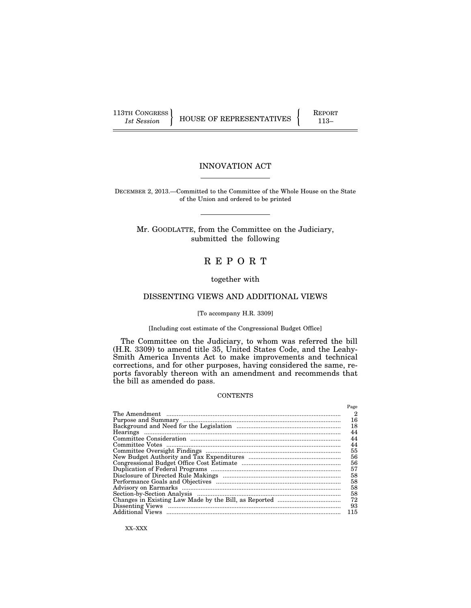# INNOVATION ACT

DECEMBER 2, 2013.—Committed to the Committee of the Whole House on the State of the Union and ordered to be printed

Mr. GOODLATTE, from the Committee on the Judiciary, submitted the following

# R E P O R T

# together with

# DISSENTING VIEWS AND ADDITIONAL VIEWS

# [To accompany H.R. 3309]

# [Including cost estimate of the Congressional Budget Office]

The Committee on the Judiciary, to whom was referred the bill (H.R. 3309) to amend title 35, United States Code, and the Leahy-Smith America Invents Act to make improvements and technical corrections, and for other purposes, having considered the same, reports favorably thereon with an amendment and recommends that the bill as amended do pass.

# **CONTENTS**

| Page |
|------|
| 2    |
| 16   |
| 18   |
| 44   |
| 44   |
| 44   |
| 55   |
| 56   |
| 56   |
| 57   |
| 58   |
| 58   |
| 58   |
| 58   |
| 72   |
| 93   |
| 115  |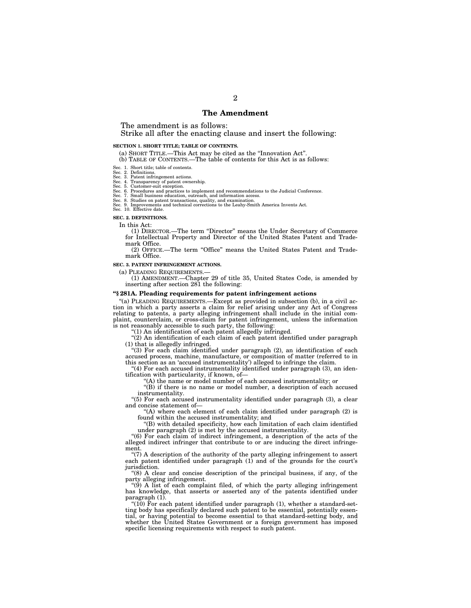# **The Amendment**

# The amendment is as follows:

Strike all after the enacting clause and insert the following:

#### **SECTION 1. SHORT TITLE; TABLE OF CONTENTS.**

- (a) SHORT TITLE.—This Act may be cited as the ''Innovation Act''.
- (b) TABLE OF CONTENTS.—The table of contents for this Act is as follows:
- Sec. 1. Short title; table of contents.
- Sec. 2. Definitions. Sec. 3. Patent infringement actions.
- 
- 
- Sec. 4. Transparency of patent ownership.<br>Sec. 5. Customer-suit exception.<br>Sec. 5. Customer-suit exception.<br>Sec. 6. Procedures and practices to implement and recommendations to the Judicial Conference.<br>Sec. 7. Small busine
- 
- 
- 

#### **SEC. 2. DEFINITIONS.**

In this Act:

(1) DIRECTOR.—The term ''Director'' means the Under Secretary of Commerce for Intellectual Property and Director of the United States Patent and Trademark Office.<br>(2) OFFICE.

-The term "Office" means the United States Patent and Trademark Office.

#### **SEC. 3. PATENT INFRINGEMENT ACTIONS.**

(a) PLEADING REQUIREMENTS.—

(1) AMENDMENT.—Chapter 29 of title 35, United States Code, is amended by inserting after section 281 the following:

# **''§ 281A. Pleading requirements for patent infringement actions**

''(a) PLEADING REQUIREMENTS.—Except as provided in subsection (b), in a civil ac-tion in which a party asserts a claim for relief arising under any Act of Congress relating to patents, a party alleging infringement shall include in the initial complaint, counterclaim, or cross-claim for patent infringement, unless the information is not reasonably accessible to such party, the following:

''(1) An identification of each patent allegedly infringed.

"(2) An identification of each claim of each patent identified under paragraph (1) that is allegedly infringed.

''(3) For each claim identified under paragraph (2), an identification of each accused process, machine, manufacture, or composition of matter (referred to in this section as an 'accused instrumentality') alleged to infringe the claim.

''(4) For each accused instrumentality identified under paragraph (3), an identification with particularity, if known, of—

'(A) the name or model number of each accused instrumentality; or

''(B) if there is no name or model number, a description of each accused instrumentality.

''(5) For each accused instrumentality identified under paragraph (3), a clear and concise statement of—

''(A) where each element of each claim identified under paragraph (2) is found within the accused instrumentality; and

''(B) with detailed specificity, how each limitation of each claim identified under paragraph (2) is met by the accused instrumentality.

''(6) For each claim of indirect infringement, a description of the acts of the alleged indirect infringer that contribute to or are inducing the direct infringement.

''(7) A description of the authority of the party alleging infringement to assert each patent identified under paragraph (1) and of the grounds for the court's jurisdiction.

'(8) A clear and concise description of the principal business, if any, of the party alleging infringement.

''(9) A list of each complaint filed, of which the party alleging infringement has knowledge, that asserts or asserted any of the patents identified under paragraph (1).

"(10) For each patent identified under paragraph (1), whether a standard-setting body has specifically declared such patent to be essential, potentially essential, or having potential to become essential to that standard-setting body, and whether the United States Government or a foreign government has imposed specific licensing requirements with respect to such patent.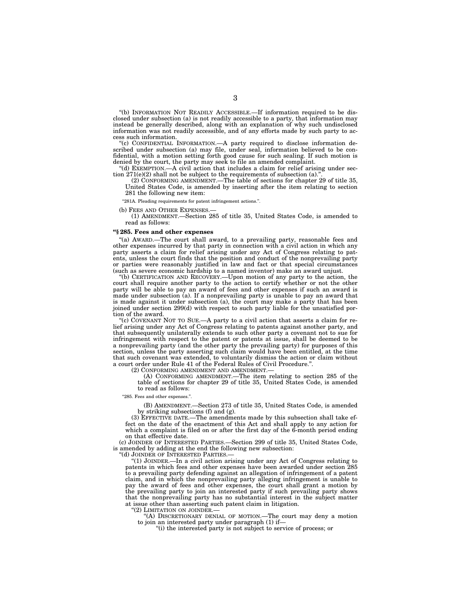''(b) INFORMATION NOT READILY ACCESSIBLE.—If information required to be disclosed under subsection (a) is not readily accessible to a party, that information may instead be generally described, along with an explanation of why such undisclosed information was not readily accessible, and of any efforts made by such party to access such information.

''(c) CONFIDENTIAL INFORMATION.—A party required to disclose information described under subsection (a) may file, under seal, information believed to be confidential, with a motion setting forth good cause for such sealing. If such motion is denied by the court, the party may seek to file an amended complaint.

''(d) EXEMPTION.—A civil action that includes a claim for relief arising under section  $271(e)(2)$  shall not be subject to the requirements of subsection (a).

(2) CONFORMING AMENDMENT.—The table of sections for chapter 29 of title 35, United States Code, is amended by inserting after the item relating to section 281 the following new item:

''281A. Pleading requirements for patent infringement actions.''.

(b) FEES AND OTHER EXPENSES.

(1) AMENDMENT.—Section 285 of title 35, United States Code, is amended to read as follows:

### **''§ 285. Fees and other expenses**

"(a) AWARD.—The court shall award, to a prevailing party, reasonable fees and other expenses incurred by that party in connection with a civil action in which any party asserts a claim for relief arising under any Act of Congress relating to patents, unless the court finds that the position and conduct of the nonprevailing party or parties were reasonably justified in law and fact or that special circumstances (such as severe economic hardship to a named inventor) make an award unjust.

''(b) CERTIFICATION AND RECOVERY.—Upon motion of any party to the action, the court shall require another party to the action to certify whether or not the other party will be able to pay an award of fees and other expenses if such an award is made under subsection (a). If a nonprevailing party is unable to pay an award that is made against it under subsection (a), the court may make a party that has been joined under section 299(d) with respect to such party liable for the unsatisfied portion of the award.

''(c) COVENANT NOT TO SUE.—A party to a civil action that asserts a claim for relief arising under any Act of Congress relating to patents against another party, and that subsequently unilaterally extends to such other party a covenant not to sue for infringement with respect to the patent or patents at issue, shall be deemed to be a nonprevailing party (and the other party the prevailing party) for purposes of this section, unless the party asserting such claim would have been entitled, at the time that such covenant was extended, to voluntarily dismiss the action or claim without a court order under Rule 41 of the Federal Rules of Civil Procedure.

(2) CONFORMING AMENDMENT AND AMENDMENT.— (A) CONFORMING AMENDMENT.—The item relating to section 285 of the table of sections for chapter 29 of title 35, United States Code, is amended to read as follows:

"285. Fees and other expenses.".

(B) AMENDMENT.—Section 273 of title 35, United States Code, is amended by striking subsections (f) and (g).

(3) EFFECTIVE DATE.—The amendments made by this subsection shall take effect on the date of the enactment of this Act and shall apply to any action for which a complaint is filed on or after the first day of the 6-month period ending on that effective date.

(c) JOINDER OF INTERESTED PARTIES.—Section 299 of title 35, United States Code, is amended by adding at the end the following new subsection:

''(d) JOINDER OF INTERESTED PARTIES.—

''(1) JOINDER.—In a civil action arising under any Act of Congress relating to patents in which fees and other expenses have been awarded under section 285 to a prevailing party defending against an allegation of infringement of a patent claim, and in which the nonprevailing party alleging infringement is unable to pay the award of fees and other expenses, the court shall grant a motion by the prevailing party to join an interested party if such prevailing party shows that the nonprevailing party has no substantial interest in the subject matter at issue other than asserting such patent claim in litigation.

''(2) LIMITATION ON JOINDER.—

''(A) DISCRETIONARY DENIAL OF MOTION.—The court may deny a motion to join an interested party under paragraph (1) if—

''(i) the interested party is not subject to service of process; or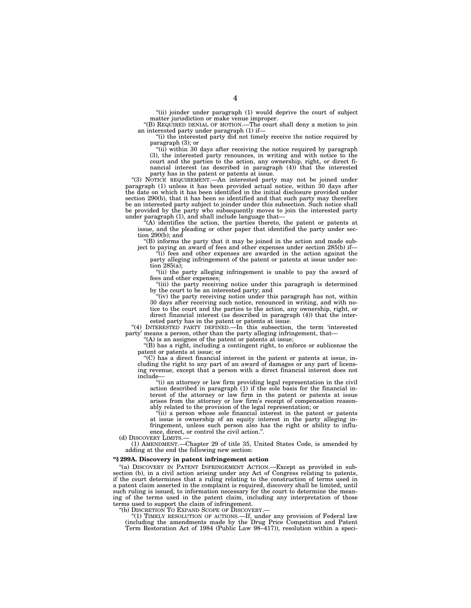"(ii) joinder under paragraph (1) would deprive the court of subject matter jurisdiction or make venue improper.<br>"(B) REQUIRED DENIAL OF MOTION.—The court shall deny a motion to join

an interested party under paragraph (1) if—

(i) the interested party did not timely receive the notice required by paragraph (3); or

''(ii) within 30 days after receiving the notice required by paragraph (3), the interested party renounces, in writing and with notice to the court and the parties to the action, any ownership, right, or direct financial interest (as described in paragraph (4)) that the interested party has in the patent or patents at issue.

"(3) NOTICE REQUIREMENT.—An interested party may not be joined under paragraph (1) unless it has been provided actual notice, within 30 days after the date on which it has been identified in the initial disclosure provided under section 290(b), that it has been so identified and that such party may therefore be an interested party subject to joinder under this subsection. Such notice shall be provided by the party who subsequently moves to join the interested party under paragraph (1), and shall include language that—

''(A) identifies the action, the parties thereto, the patent or patents at issue, and the pleading or other paper that identified the party under section  $290(b)$ ; and

''(B) informs the party that it may be joined in the action and made subject to paying an award of fees and other expenses under section 285(b) if—

''(i) fees and other expenses are awarded in the action against the party alleging infringement of the patent or patents at issue under section 285(a);

''(ii) the party alleging infringement is unable to pay the award of fees and other expenses;

'(iii) the party receiving notice under this paragraph is determined by the court to be an interested party; and

"(iv) the party receiving notice under this paragraph has not, within 30 days after receiving such notice, renounced in writing, and with notice to the court and the parties to the action, any ownership, right, or direct financial interest (as described in paragraph (4)) that the interested party has in the patent or patents at issue.

''(4) INTERESTED PARTY DEFINED.—In this subsection, the term 'interested party' means a person, other than the party alleging infringement, that—  $(A)$  is an assignee of the patent or patents at issue;

''(B) has a right, including a contingent right, to enforce or sublicense the patent or patents at issue; or

 $(C)$  has a direct financial interest in the patent or patents at issue, including the right to any part of an award of damages or any part of licensing revenue, except that a person with a direct financial interest does not include—

''(i) an attorney or law firm providing legal representation in the civil action described in paragraph (1) if the sole basis for the financial interest of the attorney or law firm in the patent or patents at issue arises from the attorney or law firm's receipt of compensation reasonably related to the provision of the legal representation; or

 $\ddot{v}$ (ii) a person whose sole financial interest in the patent or patents at issue is ownership of an equity interest in the party alleging infringement, unless such person also has the right or ability to influence, direct, or control the civil action.'

(d) DISCOVERY LIMITS.

(1) AMENDMENT.—Chapter 29 of title 35, United States Code, is amended by adding at the end the following new section:

# **''§ 299A. Discovery in patent infringement action**

''(a) DISCOVERY IN PATENT INFRINGEMENT ACTION.—Except as provided in sub-section (b), in a civil action arising under any Act of Congress relating to patents, if the court determines that a ruling relating to the construction of terms used in a patent claim asserted in the complaint is required, discovery shall be limited, until such ruling is issued, to information necessary for the court to determine the meaning of the terms used in the patent claim, including any interpretation of those terms used to support the claim of infringement. ''(b) DISCRETION TO EXPAND SCOPE OF DISCOVERY.—

"(1) TIMELY RESOLUTION OF ACTIONS.—If, under any provision of Federal law (including the amendments made by the Drug Price Competition and Patent Term Restoration Act of 1984 (Public Law 98–417)), resolution within a speci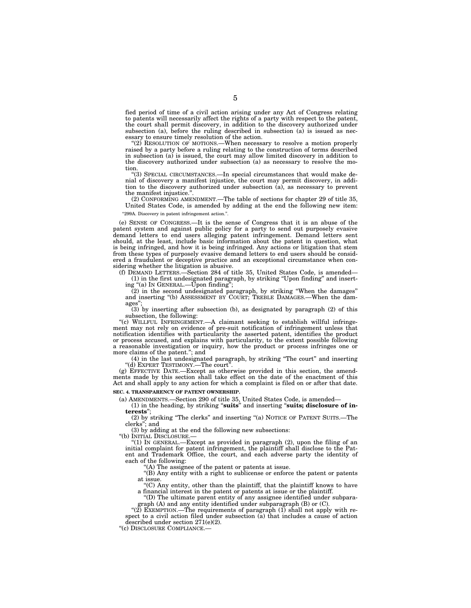fied period of time of a civil action arising under any Act of Congress relating to patents will necessarily affect the rights of a party with respect to the patent, the court shall permit discovery, in addition to the discovery authorized under subsection (a), before the ruling described in subsection (a) is issued as necessary to ensure timely resolution of the action.

"(2) RESOLUTION OF MOTIONS.—When necessary to resolve a motion properly raised by a party before a ruling relating to the construction of terms described in subsection (a) is issued, the court may allow limited discovery in addition to the discovery authorized under subsection (a) as necessary to resolve the motion.

''(3) SPECIAL CIRCUMSTANCES.—In special circumstances that would make denial of discovery a manifest injustice, the court may permit discovery, in addition to the discovery authorized under subsection (a), as necessary to prevent the manifest injustice.''.

(2) CONFORMING AMENDMENT.—The table of sections for chapter 29 of title 35, United States Code, is amended by adding at the end the following new item: ''299A. Discovery in patent infringement action.''.

(e) SENSE OF CONGRESS.—It is the sense of Congress that it is an abuse of the patent system and against public policy for a party to send out purposely evasive demand letters to end users alleging patent infringement. Demand letters sent should, at the least, include basic information about the patent in question, what is being infringed, and how it is being infringed. Any actions or litigation that stem from these types of purposely evasive demand letters to end users should be considered a fraudulent or deceptive practice and an exceptional circumstance when considering whether the litigation is abusive.

(f) DEMAND LETTERS.—Section 284 of title 35, United States Code, is amended— (1) in the first undesignated paragraph, by striking ''Upon finding'' and insert-

ing "(a) IN GENERAL.—Upon finding";

(2) in the second undesignated paragraph, by striking ''When the damages'' and inserting "(b) ASSESSMENT BY COURT; TREBLE DAMAGES.—When the damages

 $(3)$  by inserting after subsection (b), as designated by paragraph (2) of this subsection, the following:

''(c) WILLFUL INFRINGEMENT.—A claimant seeking to establish willful infringement may not rely on evidence of pre-suit notification of infringement unless that notification identifies with particularity the asserted patent, identifies the product or process accused, and explains with particularity, to the extent possible following a reasonable investigation or inquiry, how the product or process infringes one or more claims of the patent.''; and

(4) in the last undesignated paragraph, by striking ''The court'' and inserting "(d) EXPERT TESTIMONY.—The court'

(g) EFFECTIVE DATE.—Except as otherwise provided in this section, the amendments made by this section shall take effect on the date of the enactment of this Act and shall apply to any action for which a complaint is filed on or after that date. **SEC. 4. TRANSPARENCY OF PATENT OWNERSHIP.**

(a) AMENDMENTS.—Section 290 of title 35, United States Code, is amended—

(1) in the heading, by striking ''**suits**'' and inserting ''**suits; disclosure of interests**'';

(2) by striking ''The clerks'' and inserting ''(a) NOTICE OF PATENT SUITS.—The clerks''; and

(3) by adding at the end the following new subsections:

''(b) INITIAL DISCLOSURE.—

''(1) IN GENERAL.—Except as provided in paragraph (2), upon the filing of an initial complaint for patent infringement, the plaintiff shall disclose to the Patent and Trademark Office, the court, and each adverse party the identity of each of the following:

''(A) The assignee of the patent or patents at issue.

''(B) Any entity with a right to sublicense or enforce the patent or patents at issue.

''(C) Any entity, other than the plaintiff, that the plaintiff knows to have a financial interest in the patent or patents at issue or the plaintiff.

''(D) The ultimate parent entity of any assignee identified under subpararaph (A) and any entity identified under subparagraph (B) or (C).

"(2) EXEMPTION.—The requirements of paragraph (1) shall not apply with respect to a civil action filed under subsection (a) that includes a cause of action described under section 271(e)(2).

''(c) DISCLOSURE COMPLIANCE.—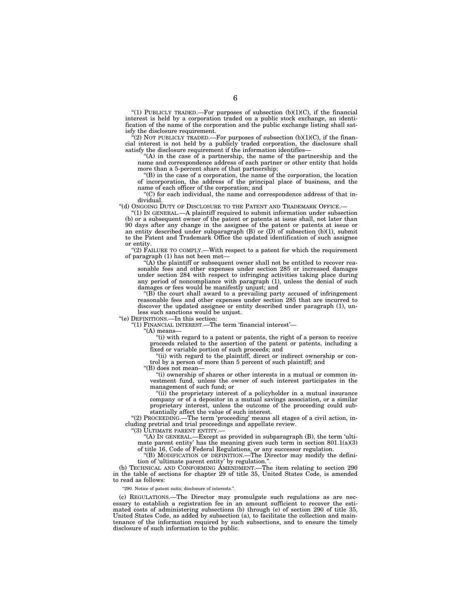"(1) PUBLICLY TRADED.—For purposes of subsection  $(b)(1)(C)$ , if the financial interest is held by a corporation traded on a public stock exchange, an identification of the name of the corporation and the public exchange listing shall satisfy the disclosure requirement.

 $^{4}(2)$  NOT PUBLICLY TRADED.—For purposes of subsection (b)(1)(C), if the financial interest is not held by a publicly traded corporation, the disclosure shall satisfy the disclosure requirement if the information identifies—

"(A) in the case of a partnership, the name of the partnership and the name and correspondence address of each partner or other entity that holds more than a 5-percent share of that partnership;

 $( B )$  in the case of a corporation, the name of the corporation, the location of incorporation, the address of the principal place of business, and the name of each officer of the corporation; and

''(C) for each individual, the name and correspondence address of that individual.

"(d) ONGOING DUTY OF DISCLOSURE TO THE PATENT AND TRADEMARK OFFICE.-

''(1) IN GENERAL.—A plaintiff required to submit information under subsection (b) or a subsequent owner of the patent or patents at issue shall, not later than 90 days after any change in the assignee of the patent or patents at issue or an entity described under subparagraph  $(B)$  or  $(D)$  of subsection  $(b)(1)$ , submit to the Patent and Trademark Office the updated identification of such assignee or entity.

''(2) FAILURE TO COMPLY.—With respect to a patent for which the requirement of paragraph (1) has not been met—

''(A) the plaintiff or subsequent owner shall not be entitled to recover reasonable fees and other expenses under section 285 or increased damages under section 284 with respect to infringing activities taking place during any period of noncompliance with paragraph (1), unless the denial of such damages or fees would be manifestly unjust; and

 $'(B)$  the court shall award to a prevailing party accused of infringement reasonable fees and other expenses under section 285 that are incurred to discover the updated assignee or entity described under paragraph (1), unless such sanctions would be unjust.

''(e) DEFINITIONS.—In this section:

''(1) FINANCIAL INTEREST.—The term 'financial interest'—

''(A) means—

''(i) with regard to a patent or patents, the right of a person to receive proceeds related to the assertion of the patent or patents, including a fixed or variable portion of such proceeds; and

''(ii) with regard to the plaintiff, direct or indirect ownership or control by a person of more than 5 percent of such plaintiff; and

''(B) does not mean—

''(i) ownership of shares or other interests in a mutual or common investment fund, unless the owner of such interest participates in the management of such fund; or

''(ii) the proprietary interest of a policyholder in a mutual insurance company or of a depositor in a mutual savings association, or a similar proprietary interest, unless the outcome of the proceeding could substantially affect the value of such interest.

"(2) PROCEEDING.—The term 'proceeding' means all stages of a civil action, including pretrial and trial proceedings and appellate review.

''(3) ULTIMATE PARENT ENTITY.—

''(A) IN GENERAL.—Except as provided in subparagraph (B), the term 'ultimate parent entity' has the meaning given such term in section 801.1(a)(3) of title 16, Code of Federal Regulations, or any successor regulation.

''(B) MODIFICATION OF DEFINITION.—The Director may modify the definition of 'ultimate parent entity' by regulation.''.

(b) TECHNICAL AND CONFORMING AMENDMENT.—The item relating to section 290 in the table of sections for chapter 29 of title 35, United States Code, is amended to read as follows:

''290. Notice of patent suits; disclosure of interests.''.

(c) REGULATIONS.—The Director may promulgate such regulations as are necessary to establish a registration fee in an amount sufficient to recover the estimated costs of administering subsections (b) through (e) of section 290 of title 35, United States Code, as added by subsection (a), to facilitate the collection and maintenance of the information required by such subsections, and to ensure the timely disclosure of such information to the public.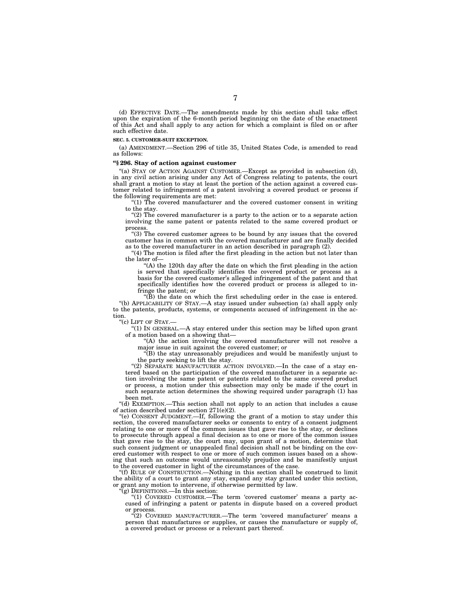(d) EFFECTIVE DATE.—The amendments made by this section shall take effect upon the expiration of the 6-month period beginning on the date of the enactment of this Act and shall apply to any action for which a complaint is filed on or after such effective date.

#### **SEC. 5. CUSTOMER-SUIT EXCEPTION.**

(a) AMENDMENT.—Section 296 of title 35, United States Code, is amended to read as follows:

# **''§ 296. Stay of action against customer**

''(a) STAY OF ACTION AGAINST CUSTOMER.—Except as provided in subsection (d), in any civil action arising under any Act of Congress relating to patents, the court shall grant a motion to stay at least the portion of the action against a covered customer related to infringement of a patent involving a covered product or process if the following requirements are met:

"(1) The covered manufacturer and the covered customer consent in writing to the stay.

"(2) The covered manufacturer is a party to the action or to a separate action involving the same patent or patents related to the same covered product or process.

''(3) The covered customer agrees to be bound by any issues that the covered customer has in common with the covered manufacturer and are finally decided as to the covered manufacturer in an action described in paragraph (2).

" $(4)$  The motion is filed after the first pleading in the action but not later than the later of—

''(A) the 120th day after the date on which the first pleading in the action is served that specifically identifies the covered product or process as a basis for the covered customer's alleged infringement of the patent and that specifically identifies how the covered product or process is alleged to infringe the patent; or

'(B) the date on which the first scheduling order in the case is entered. ''(b) APPLICABILITY OF STAY.—A stay issued under subsection (a) shall apply only to the patents, products, systems, or components accused of infringement in the action.

''(c) LIFT OF STAY.—

" $(1)$  IN GENERAL.—A stay entered under this section may be lifted upon grant of a motion based on a showing that—

''(A) the action involving the covered manufacturer will not resolve a major issue in suit against the covered customer; or

''(B) the stay unreasonably prejudices and would be manifestly unjust to the party seeking to lift the stay.

"(2) SEPARATE MANUFACTURER ACTION INVOLVED.—In the case of a stay entered based on the participation of the covered manufacturer in a separate action involving the same patent or patents related to the same covered product or process, a motion under this subsection may only be made if the court in such separate action determines the showing required under paragraph (1) has been met.

''(d) EXEMPTION.—This section shall not apply to an action that includes a cause of action described under section 271(e)(2).

''(e) CONSENT JUDGMENT.—If, following the grant of a motion to stay under this section, the covered manufacturer seeks or consents to entry of a consent judgment relating to one or more of the common issues that gave rise to the stay, or declines to prosecute through appeal a final decision as to one or more of the common issues that gave rise to the stay, the court may, upon grant of a motion, determine that such consent judgment or unappealed final decision shall not be binding on the covered customer with respect to one or more of such common issues based on a showing that such an outcome would unreasonably prejudice and be manifestly unjust to the covered customer in light of the circumstances of the case.

''(f) RULE OF CONSTRUCTION.—Nothing in this section shall be construed to limit the ability of a court to grant any stay, expand any stay granted under this section, or grant any motion to intervene, if otherwise permitted by law.

''(g) DEFINITIONS.—In this section:

''(1) COVERED CUSTOMER.—The term 'covered customer' means a party accused of infringing a patent or patents in dispute based on a covered product or process.

''(2) COVERED MANUFACTURER.—The term 'covered manufacturer' means a person that manufactures or supplies, or causes the manufacture or supply of, a covered product or process or a relevant part thereof.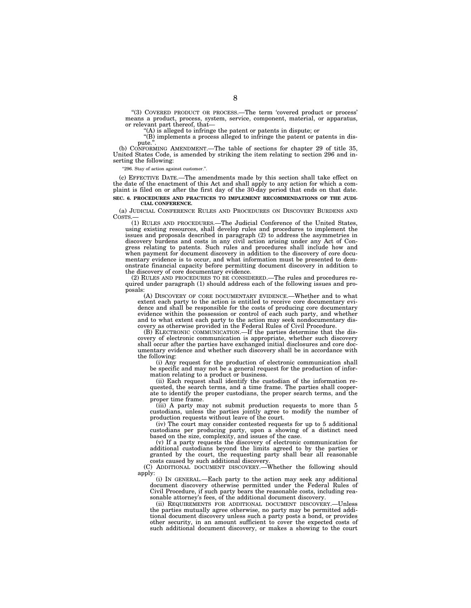''(3) COVERED PRODUCT OR PROCESS.—The term 'covered product or process' means a product, process, system, service, component, material, or apparatus, or relevant part thereof, that—

'(A) is alleged to infringe the patent or patents in dispute; or

''(B) implements a process alleged to infringe the patent or patents in dispute."

(b) CONFORMING AMENDMENT.—The table of sections for chapter 29 of title 35, United States Code, is amended by striking the item relating to section 296 and inserting the following:

"296. Stay of action against customer.".

(c) EFFECTIVE DATE.—The amendments made by this section shall take effect on the date of the enactment of this Act and shall apply to any action for which a complaint is filed on or after the first day of the 30-day period that ends on that date.

#### **SEC. 6. PROCEDURES AND PRACTICES TO IMPLEMENT RECOMMENDATIONS OF THE JUDI-CIAL CONFERENCE.**

(a) JUDICIAL CONFERENCE RULES AND PROCEDURES ON DISCOVERY BURDENS AND COSTS.

(1) RULES AND PROCEDURES.—The Judicial Conference of the United States, using existing resources, shall develop rules and procedures to implement the issues and proposals described in paragraph (2) to address the asymmetries in discovery burdens and costs in any civil action arising under any Act of Congress relating to patents. Such rules and procedures shall include how and when payment for document discovery in addition to the discovery of core documentary evidence is to occur, and what information must be presented to demonstrate financial capacity before permitting document discovery in addition to the discovery of core documentary evidence.

(2) RULES AND PROCEDURES TO BE CONSIDERED.—The rules and procedures required under paragraph (1) should address each of the following issues and proposals:

(A) DISCOVERY OF CORE DOCUMENTARY EVIDENCE.—Whether and to what extent each party to the action is entitled to receive core documentary evidence and shall be responsible for the costs of producing core documentary evidence within the possession or control of each such party, and whether and to what extent each party to the action may seek nondocumentary discovery as otherwise provided in the Federal Rules of Civil Procedure.

(B) ELECTRONIC COMMUNICATION.—If the parties determine that the dis-covery of electronic communication is appropriate, whether such discovery shall occur after the parties have exchanged initial disclosures and core documentary evidence and whether such discovery shall be in accordance with the following:

(i) Any request for the production of electronic communication shall be specific and may not be a general request for the production of information relating to a product or business.

(ii) Each request shall identify the custodian of the information requested, the search terms, and a time frame. The parties shall cooperate to identify the proper custodians, the proper search terms, and the proper time frame.

(iii) A party may not submit production requests to more than 5 custodians, unless the parties jointly agree to modify the number of production requests without leave of the court.

(iv) The court may consider contested requests for up to 5 additional custodians per producing party, upon a showing of a distinct need based on the size, complexity, and issues of the case.

(v) If a party requests the discovery of electronic communication for additional custodians beyond the limits agreed to by the parties or granted by the court, the requesting party shall bear all reasonable

costs caused by such additional discovery. (C) ADDITIONAL DOCUMENT DISCOVERY.—Whether the following should apply:

(i) IN GENERAL.—Each party to the action may seek any additional document discovery otherwise permitted under the Federal Rules of Civil Procedure, if such party bears the reasonable costs, including reasonable attorney's fees, of the additional document discovery.

(ii) REQUIREMENTS FOR ADDITIONAL DOCUMENT DISCOVERY.—Unless the parties mutually agree otherwise, no party may be permitted additional document discovery unless such a party posts a bond, or provides other security, in an amount sufficient to cover the expected costs of such additional document discovery, or makes a showing to the court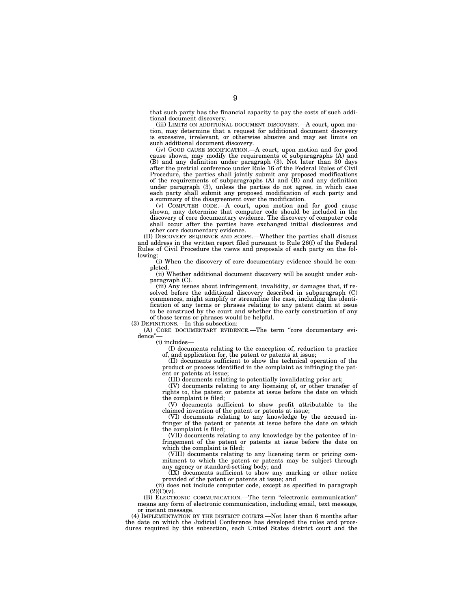that such party has the financial capacity to pay the costs of such additional document discovery.

(iii) LIMITS ON ADDITIONAL DOCUMENT DISCOVERY.—A court, upon motion, may determine that a request for additional document discovery is excessive, irrelevant, or otherwise abusive and may set limits on such additional document discovery.

(iv) GOOD CAUSE MODIFICATION.—A court, upon motion and for good cause shown, may modify the requirements of subparagraphs (A) and (B) and any definition under paragraph (3). Not later than 30 days after the pretrial conference under Rule 16 of the Federal Rules of Civil Procedure, the parties shall jointly submit any proposed modifications of the requirements of subparagraphs (A) and (B) and any definition under paragraph (3), unless the parties do not agree, in which case each party shall submit any proposed modification of such party and a summary of the disagreement over the modification.

(v) COMPUTER CODE.—A court, upon motion and for good cause shown, may determine that computer code should be included in the discovery of core documentary evidence. The discovery of computer code shall occur after the parties have exchanged initial disclosures and other core documentary evidence.

(D) DISCOVERY SEQUENCE AND SCOPE.—Whether the parties shall discuss and address in the written report filed pursuant to Rule 26(f) of the Federal Rules of Civil Procedure the views and proposals of each party on the following:

(i) When the discovery of core documentary evidence should be completed.

(ii) Whether additional document discovery will be sought under subparagraph (C).

(iii) Any issues about infringement, invalidity, or damages that, if resolved before the additional discovery described in subparagraph (C) commences, might simplify or streamline the case, including the identification of any terms or phrases relating to any patent claim at issue to be construed by the court and whether the early construction of any of those terms or phrases would be helpful.

(3) DEFINITIONS.—In this subsection:

(A) CORE DOCUMENTARY EVIDENCE.—The term ''core documentary evidence'

(i) includes—

(I) documents relating to the conception of, reduction to practice of, and application for, the patent or patents at issue;

(II) documents sufficient to show the technical operation of the product or process identified in the complaint as infringing the patent or patents at issue;

(III) documents relating to potentially invalidating prior art;

(IV) documents relating to any licensing of, or other transfer of rights to, the patent or patents at issue before the date on which the complaint is filed;

(V) documents sufficient to show profit attributable to the claimed invention of the patent or patents at issue;

(VI) documents relating to any knowledge by the accused infringer of the patent or patents at issue before the date on which the complaint is filed;

(VII) documents relating to any knowledge by the patentee of infringement of the patent or patents at issue before the date on which the complaint is filed;

(VIII) documents relating to any licensing term or pricing commitment to which the patent or patents may be subject through any agency or standard-setting body; and

(IX) documents sufficient to show any marking or other notice provided of the patent or patents at issue; and

(ii) does not include computer code, except as specified in paragraph  $(2)(C)(v)$ .

(B) ELECTRONIC COMMUNICATION.—The term ''electronic communication'' means any form of electronic communication, including email, text message, or instant message.

(4) IMPLEMENTATION BY THE DISTRICT COURTS.—Not later than 6 months after the date on which the Judicial Conference has developed the rules and procedures required by this subsection, each United States district court and the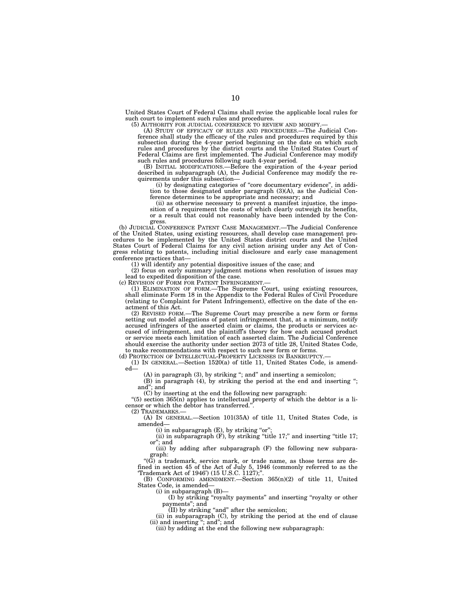United States Court of Federal Claims shall revise the applicable local rules for such court to implement such rules and procedures.

(5) AUTHORITY FOR JUDICIAL CONFERENCE TO REVIEW AND MODIFY.—

(A) STUDY OF EFFICACY OF RULES AND PROCEDURES.—The Judicial Conference shall study the efficacy of the rules and procedures required by this subsection during the 4-year period beginning on the date on which such rules and procedures by the district courts and the United States Court of Federal Claims are first implemented. The Judicial Conference may modify

such rules and procedures following such 4-year period. (B) INITIAL MODIFICATIONS.—Before the expiration of the 4-year period described in subparagraph (A), the Judicial Conference may modify the requirements under this subsection—

(i) by designating categories of ''core documentary evidence'', in addition to those designated under paragraph (3)(A), as the Judicial Con-ference determines to be appropriate and necessary; and

(ii) as otherwise necessary to prevent a manifest injustice, the impo-sition of a requirement the costs of which clearly outweigh its benefits, or a result that could not reasonably have been intended by the Congress.

(b) JUDICIAL CONFERENCE PATENT CASE MANAGEMENT.—The Judicial Conference of the United States, using existing resources, shall develop case management procedures to be implemented by the United States district courts and the United States Court of Federal Claims for any civil action arising under any Act of Congress relating to patents, including initial disclosure and early case management conference practices that—

(1) will identify any potential dispositive issues of the case; and

(2) focus on early summary judgment motions when resolution of issues may lead to expedited disposition of the case.

(c) REVISION OF FORM FOR PATENT INFRINGEMENT.

(1) ELIMINATION OF FORM.—The Supreme Court, using existing resources, shall eliminate Form 18 in the Appendix to the Federal Rules of Civil Procedure (relating to Complaint for Patent Infringement), effective on the date of the enactment of this Act.<br>(2) REVISED FORM.

-The Supreme Court may prescribe a new form or forms setting out model allegations of patent infringement that, at a minimum, notify accused infringers of the asserted claim or claims, the products or services accused of infringement, and the plaintiff's theory for how each accused product or service meets each limitation of each asserted claim. The Judicial Conference should exercise the authority under section 2073 of title 28, United States Code, to make recommendations with respect to such new form or forms.

(d) PROTECTION OF INTELLECTUAL-PROPERTY LICENSES IN BANKRUPTCY.

(1) IN GENERAL.—Section 1520(a) of title 11, United States Code, is amended—

(A) in paragraph (3), by striking "; and" and inserting a semicolon;

(B) in paragraph (4), by striking the period at the end and inserting ''; and''; and

(C) by inserting at the end the following new paragraph:

"(5) section  $365(n)$  applies to intellectual property of which the debtor is a licensor or which the debtor has transferred.''.

(2) TRADEMARKS.—

(A) IN GENERAL.—Section 101(35A) of title 11, United States Code, is amended—

(i) in subparagraph (E), by striking "or";

(ii) in subparagraph (F), by striking ''title 17;'' and inserting ''title 17; or''; and

(iii) by adding after subparagraph (F) the following new subparagraph:

''(G) a trademark, service mark, or trade name, as those terms are defined in section 45 of the Act of July 5, 1946 (commonly referred to as the 'Trademark Act of 1946') (15 U.S.C. 1127);''.

(B) CONFORMING AMENDMENT.—Section 365(n)(2) of title 11, United States Code, is amended—

(i) in subparagraph (B)—

(I) by striking ''royalty payments'' and inserting ''royalty or other payments''; and

(II) by striking ''and'' after the semicolon;

(ii) in subparagraph (C), by striking the period at the end of clause (ii) and inserting ''; and''; and

(iii) by adding at the end the following new subparagraph: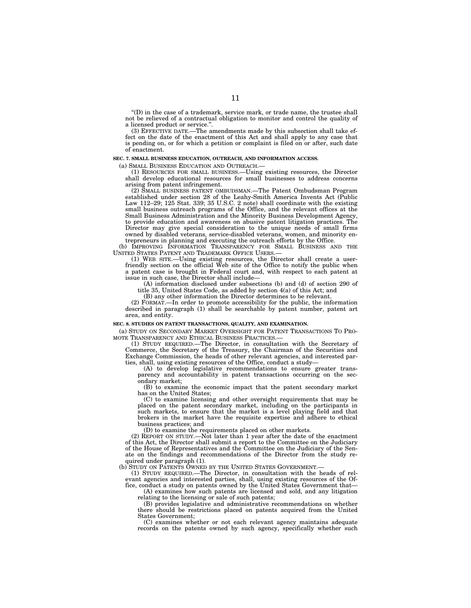''(D) in the case of a trademark, service mark, or trade name, the trustee shall not be relieved of a contractual obligation to monitor and control the quality of a licensed product or service.''.

(3) EFFECTIVE DATE.—The amendments made by this subsection shall take effect on the date of the enactment of this Act and shall apply to any case that is pending on, or for which a petition or complaint is filed on or after, such date of enactment.

#### **SEC. 7. SMALL BUSINESS EDUCATION, OUTREACH, AND INFORMATION ACCESS.**

(a) SMALL BUSINESS EDUCATION AND OUTREACH.—

(1) RESOURCES FOR SMALL BUSINESS.—Using existing resources, the Director shall develop educational resources for small businesses to address concerns arising from patent infringement.

(2) SMALL BUSINESS PATENT OMBUDSMAN.—The Patent Ombudsman Program established under section 28 of the Leahy-Smith America Invents Act (Public Law 112–29; 125 Stat. 339; 35 U.S.C. 2 note) shall coordinate with the existing small business outreach programs of the Office, and the relevant offices at the Small Business Administration and the Minority Business Development Agency, to provide education and awareness on abusive patent litigation practices. The Director may give special consideration to the unique needs of small firms owned by disabled veterans, service-disabled veterans, women, and minority entrepreneurs in planning and executing the outreach efforts by the Office.

(b) IMPROVING INFORMATION TRANSPARENCY FOR SMALL BUSINESS AND THE UNITED STATES PATENT AND TRADEMARK OFFICE USERS.—

(1) WEB SITE.—Using existing resources, the Director shall create a userfriendly section on the official Web site of the Office to notify the public when a patent case is brought in Federal court and, with respect to each patent at issue in such case, the Director shall include—

(A) information disclosed under subsections (b) and (d) of section 290 of title 35, United States Code, as added by section 4(a) of this Act; and

(B) any other information the Director determines to be relevant.

(2) FORMAT.—In order to promote accessibility for the public, the information described in paragraph (1) shall be searchable by patent number, patent art area, and entity.

#### **SEC. 8. STUDIES ON PATENT TRANSACTIONS, QUALITY, AND EXAMINATION.**

(a) STUDY ON SECONDARY MARKET OVERSIGHT FOR PATENT TRANSACTIONS TO PRO-MOTE TRANSPARENCY AND ETHICAL BUSINESS PRACTICES.

(1) STUDY REQUIRED.—The Director, in consultation with the Secretary of Commerce, the Secretary of the Treasury, the Chairman of the Securities and Exchange Commission, the heads of other relevant agencies, and interested parties, shall, using existing resources of the Office, conduct a study—

(A) to develop legislative recommendations to ensure greater transparency and accountability in patent transactions occurring on the secondary market;

(B) to examine the economic impact that the patent secondary market has on the United States;

(C) to examine licensing and other oversight requirements that may be placed on the patent secondary market, including on the participants in such markets, to ensure that the market is a level playing field and that brokers in the market have the requisite expertise and adhere to ethical business practices; and

(D) to examine the requirements placed on other markets. (2) REPORT ON STUDY.—Not later than 1 year after the date of the enactment of this Act, the Director shall submit a report to the Committee on the Judiciary of the House of Representatives and the Committee on the Judiciary of the Senate on the findings and recommendations of the Director from the study required under paragraph (1).

(b) STUDY ON PATENTS OWNED BY THE UNITED STATES GOVERNMENT.— (1) STUDY REQUIRED.—The Director, in consultation with the heads of relevant agencies and interested parties, shall, using existing resources of the Of-

fice, conduct a study on patents owned by the United States Government that— (A) examines how such patents are licensed and sold, and any litigation relating to the licensing or sale of such patents;

(B) provides legislative and administrative recommendations on whether there should be restrictions placed on patents acquired from the United States Government;

(C) examines whether or not each relevant agency maintains adequate records on the patents owned by such agency, specifically whether such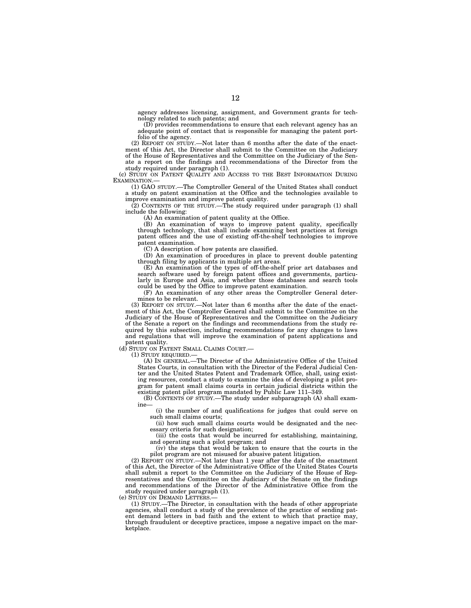agency addresses licensing, assignment, and Government grants for technology related to such patents; and

(D) provides recommendations to ensure that each relevant agency has an adequate point of contact that is responsible for managing the patent portfolio of the agency.

(2) REPORT ON STUDY.—Not later than 6 months after the date of the enactment of this Act, the Director shall submit to the Committee on the Judiciary of the House of Representatives and the Committee on the Judiciary of the Senate a report on the findings and recommendations of the Director from the study required under paragraph (1).

(c) STUDY ON PATENT QUALITY AND ACCESS TO THE BEST INFORMATION DURING EXAMINATION.

(1) GAO STUDY.—The Comptroller General of the United States shall conduct a study on patent examination at the Office and the technologies available to improve examination and improve patent quality.

(2) CONTENTS OF THE STUDY.—The study required under paragraph (1) shall include the following:

(A) An examination of patent quality at the Office.

(B) An examination of ways to improve patent quality, specifically through technology, that shall include examining best practices at foreign patent offices and the use of existing off-the-shelf technologies to improve patent examination.

(C) A description of how patents are classified.

(D) An examination of procedures in place to prevent double patenting through filing by applicants in multiple art areas.

(E) An examination of the types of off-the-shelf prior art databases and search software used by foreign patent offices and governments, particularly in Europe and Asia, and whether those databases and search tools could be used by the Office to improve patent examination.

(F) An examination of any other areas the Comptroller General determines to be relevant.

(3) REPORT ON STUDY.—Not later than 6 months after the date of the enactment of this Act, the Comptroller General shall submit to the Committee on the Judiciary of the House of Representatives and the Committee on the Judiciary of the Senate a report on the findings and recommendations from the study required by this subsection, including recommendations for any changes to laws and regulations that will improve the examination of patent applications and patent quality.

(d) STUDY ON PATENT SMALL CLAIMS COURT.—

(1) STUDY REQUIRED.—

(A) IN GENERAL.—The Director of the Administrative Office of the United States Courts, in consultation with the Director of the Federal Judicial Center and the United States Patent and Trademark Office, shall, using existing resources, conduct a study to examine the idea of developing a pilot program for patent small claims courts in certain judicial districts within the existing patent pilot program mandated by Public Law 111–349.

(B) CONTENTS OF STUDY.—The study under subparagraph (A) shall examine—

(i) the number of and qualifications for judges that could serve on such small claims courts;

(ii) how such small claims courts would be designated and the necessary criteria for such designation;

(iii) the costs that would be incurred for establishing, maintaining, and operating such a pilot program; and

(iv) the steps that would be taken to ensure that the courts in the pilot program are not misused for abusive patent litigation.

(2) REPORT ON STUDY.—Not later than 1 year after the date of the enactment of this Act, the Director of the Administrative Office of the United States Courts shall submit a report to the Committee on the Judiciary of the House of Representatives and the Committee on the Judiciary of the Senate on the findings and recommendations of the Director of the Administrative Office from the study required under paragraph (1).

(e) STUDY ON DEMAND LETTERS.—

(1) STUDY.—The Director, in consultation with the heads of other appropriate agencies, shall conduct a study of the prevalence of the practice of sending patent demand letters in bad faith and the extent to which that practice may, through fraudulent or deceptive practices, impose a negative impact on the marketplace.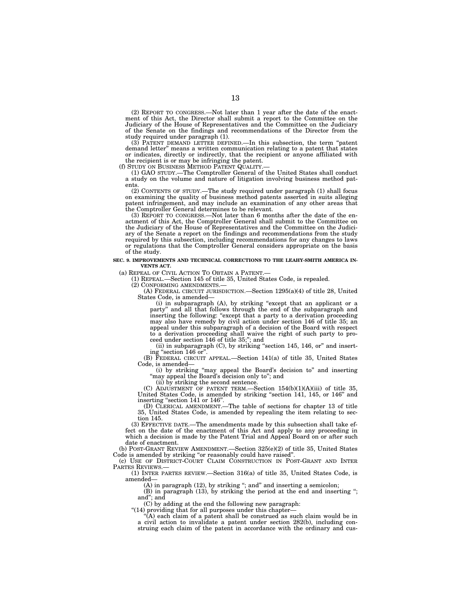(2) REPORT TO CONGRESS.—Not later than 1 year after the date of the enactment of this Act, the Director shall submit a report to the Committee on the Judiciary of the House of Representatives and the Committee on the Judiciary of the Senate on the findings and recommendations of the Director from the study required under paragraph (1).

(3) PATENT DEMAND LETTER DEFINED.—In this subsection, the term ''patent demand letter'' means a written communication relating to a patent that states or indicates, directly or indirectly, that the recipient or anyone affiliated with the recipient is or may be infringing the patent. (f) STUDY ON BUSINESS METHOD PATENT QUALITY.—

(1) GAO STUDY.—The Comptroller General of the United States shall conduct a study on the volume and nature of litigation involving business method patents.

(2) CONTENTS OF STUDY.—The study required under paragraph (1) shall focus on examining the quality of business method patents asserted in suits alleging patent infringement, and may include an examination of any other areas that the Comptroller General determines to be relevant.

(3) REPORT TO CONGRESS.—Not later than 6 months after the date of the en-actment of this Act, the Comptroller General shall submit to the Committee on the Judiciary of the House of Representatives and the Committee on the Judiciary of the Senate a report on the findings and recommendations from the study required by this subsection, including recommendations for any changes to laws or regulations that the Comptroller General considers appropriate on the basis of the study.

### **SEC. 9. IMPROVEMENTS AND TECHNICAL CORRECTIONS TO THE LEAHY-SMITH AMERICA IN-VENTS ACT.**

(a) REPEAL OF CIVIL ACTION TO OBTAIN A PATENT.

(1) REPEAL.—Section 145 of title 35, United States Code, is repealed.

(2) CONFORMING AMENDMENTS.—

(A) FEDERAL CIRCUIT JURISDICTION.—Section 1295(a)(4) of title 28, United States Code, is amended—

(i) in subparagraph (A), by striking "except that an applicant or a party" and all that follows through the end of the subparagraph and inserting the following: ''except that a party to a derivation proceeding may also have remedy by civil action under section 146 of title 35; an appeal under this subparagraph of a decision of the Board with respect to a derivation proceeding shall waive the right of such party to pro-ceed under section 146 of title 35;''; and

(ii) in subparagraph (C), by striking ''section 145, 146, or'' and insert-

ing ''section 146 or''. (B) FEDERAL CIRCUIT APPEAL.—Section 141(a) of title 35, United States Code, is amended—

(i) by striking ''may appeal the Board's decision to'' and inserting "may appeal the Board's decision only to"; and

(ii) by striking the second sentence.

(C) ADJUSTMENT OF PATENT TERM.—Section 154(b)(1)(A)(iii) of title 35, United States Code, is amended by striking ''section 141, 145, or 146'' and inserting "section 141 or 146".

(D) CLERICAL AMENDMENT.—The table of sections for chapter 13 of title 35, United States Code, is amended by repealing the item relating to section 145.

(3) EFFECTIVE DATE.—The amendments made by this subsection shall take effect on the date of the enactment of this Act and apply to any proceeding in which a decision is made by the Patent Trial and Appeal Board on or after such date of enactment.

(b) POST-GRANT REVIEW AMENDMENT.—Section 325(e)(2) of title 35, United States Code is amended by striking ''or reasonably could have raised''.

(c) USE OF DISTRICT-COURT CLAIM CONSTRUCTION IN POST-GRANT AND INTER PARTES REVIEWS.

(1) INTER PARTES REVIEW.—Section 316(a) of title 35, United States Code, is amended—

(A) in paragraph (12), by striking ''; and'' and inserting a semicolon;

(B) in paragraph (13), by striking the period at the end and inserting ''; and''; and

(C) by adding at the end the following new paragraph:

"(14) providing that for all purposes under this chapter-

''(A) each claim of a patent shall be construed as such claim would be in a civil action to invalidate a patent under section 282(b), including construing each claim of the patent in accordance with the ordinary and cus-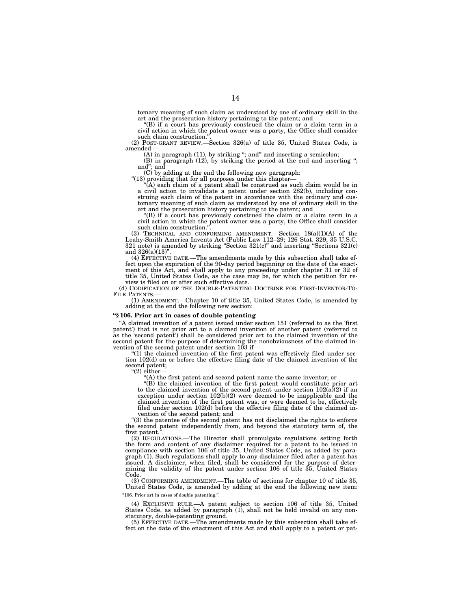tomary meaning of such claim as understood by one of ordinary skill in the art and the prosecution history pertaining to the patent; and

''(B) if a court has previously construed the claim or a claim term in a civil action in which the patent owner was a party, the Office shall consider such claim construction.'

(2) POST-GRANT REVIEW.—Section 326(a) of title 35, United States Code, is amended—

(A) in paragraph (11), by striking ''; and'' and inserting a semicolon; (B) in paragraph (12), by striking the period at the end and inserting ''; and''; and

(C) by adding at the end the following new paragraph:

''(13) providing that for all purposes under this chapter— ''(A) each claim of a patent shall be construed as such claim would be in a civil action to invalidate a patent under section 282(b), including construing each claim of the patent in accordance with the ordinary and customary meaning of such claim as understood by one of ordinary skill in the art and the prosecution history pertaining to the patent; and

''(B) if a court has previously construed the claim or a claim term in a civil action in which the patent owner was a party, the Office shall consider such claim construction.'

(3) TECHNICAL AND CONFORMING AMENDMENT.—Section 18(a)(1)(A) of the Leahy-Smith America Invents Act (Public Law 112–29; 126 Stat. 329; 35 U.S.C. 321 note) is amended by striking ''Section 321(c)'' and inserting ''Sections 321(c) and  $326(a)(13)$ "

(4) EFFECTIVE DATE.—The amendments made by this subsection shall take effect upon the expiration of the 90-day period beginning on the date of the enactment of this Act, and shall apply to any proceeding under chapter 31 or 32 of title 35, United States Code, as the case may be, for which the petition for review is filed on or after such effective date.

(d) CODIFICATION OF THE DOUBLE-PATENTING DOCTRINE FOR FIRST-INVENTOR-TO-FILE PATENTS.—

(1) AMENDMENT.—Chapter 10 of title 35, United States Code, is amended by adding at the end the following new section:

#### **''§ 106. Prior art in cases of double patenting**

''A claimed invention of a patent issued under section 151 (referred to as the 'first patent') that is not prior art to a claimed invention of another patent (referred to as the 'second patent') shall be considered prior art to the claimed invention of the second patent for the purpose of determining the nonobviousness of the claimed invention of the second patent under section 103 if—

''(1) the claimed invention of the first patent was effectively filed under section 102(d) on or before the effective filing date of the claimed invention of the second patent;<br>"(2) either—

''(A) the first patent and second patent name the same inventor; or

''(B) the claimed invention of the first patent would constitute prior art to the claimed invention of the second patent under section 102(a)(2) if an exception under section 102(b)(2) were deemed to be inapplicable and the claimed invention of the first patent was, or were deemed to be, effectively filed under section 102(d) before the effective filing date of the claimed in-

vention of the second patent; and<br>"(3) the patentee of the second patent has not disclaimed the rights to enforce the second patent independently from, and beyond the statutory term of, the first patent.

(2) REGULATIONS.—The Director shall promulgate regulations setting forth the form and content of any disclaimer required for a patent to be issued in compliance with section 106 of title 35, United States Code, as added by paragraph (1). Such regulations shall apply to any disclaimer filed after a patent has issued. A disclaimer, when filed, shall be considered for the purpose of determining the validity of the patent under section 106 of title 35, United States Code.

(3) CONFORMING AMENDMENT.—The table of sections for chapter 10 of title 35, United States Code, is amended by adding at the end the following new item: ''106. Prior art in cases of double patenting.''.

(4) EXCLUSIVE RULE.—A patent subject to section 106 of title 35, United States Code, as added by paragraph (1), shall not be held invalid on any nonstatutory, double-patenting ground.

(5) EFFECTIVE DATE.—The amendments made by this subsection shall take effect on the date of the enactment of this Act and shall apply to a patent or pat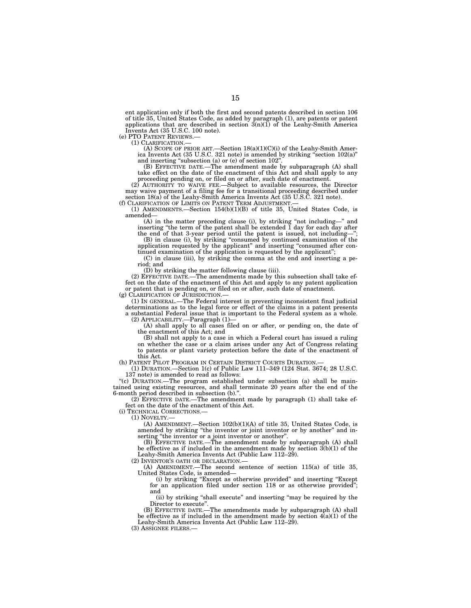ent application only if both the first and second patents described in section 106 of title 35, United States Code, as added by paragraph (1), are patents or patent applications that are described in section 3(n)(1) of the Leahy-Smith America Invents Act (35 U.S.C. 100 note).

(e) PTO PATENT REVIEWS.—

(1) CLARIFICATION.—

(A) SCOPE OF PRIOR ART.—Section  $18(a)(1)(C)(i)$  of the Leahy-Smith Amer-<br>ica Invents Act (35 U.S.C. 321 note) is amended by striking "section  $102(a)$ "

and inserting "subsection (a) or (e) of section 102".<br>(B) EFFECTIVE DATE.—The amendment made by subparagraph (A) shall take effect on the date of the enactment of this Act and shall apply to any

proceeding pending on, or filed on or after, such date of enactment. (2) AUTHORITY TO WAIVE FEE.—Subject to available resources, the Director may waive payment of a filing fee for a transitional proceeding described under section 18(a) of the Leahy-Smith America Invents Act (35 U.S.C. 321 note).

(f) CLARIFICATION OF LIMITS ON PATENT TERM ADJUSTMENT.—

(1) AMENDMENTS.—Section 154(b)(1)(B) of title 35, United States Code, is amended—

(A) in the matter preceding clause (i), by striking "not including-" and inserting ''the term of the patent shall be extended 1 day for each day after the end of that 3-year period until the patent is issued, not including—''; (B) in clause (i), by striking ''consumed by continued examination of the

application requested by the applicant'' and inserting ''consumed after continued examination of the application is requested by the applicant'';

(C) in clause (iii), by striking the comma at the end and inserting a period; and

(D) by striking the matter following clause (iii).

(2) EFFECTIVE DATE.—The amendments made by this subsection shall take effect on the date of the enactment of this Act and apply to any patent application or patent that is pending on, or filed on or after, such date of enactment. (g) CLARIFICATION OF JURISDICTION.

(1) IN GENERAL.—The Federal interest in preventing inconsistent final judicial

determinations as to the legal force or effect of the claims in a patent presents a substantial Federal issue that is important to the Federal system as a whole. (2) APPLICABILITY.—Paragraph (1)— (A) shall apply to all cases filed on or after, or pending on, the date of

the enactment of this Act; and

(B) shall not apply to a case in which a Federal court has issued a ruling on whether the case or a claim arises under any Act of Congress relating to patents or plant variety protection before the date of the enactment of this Act.

(h) PATENT PILOT PROGRAM IN CERTAIN DISTRICT COURTS DURATION.

(1) DURATION.—Section 1(c) of Public Law 111–349 (124 Stat. 3674; 28 U.S.C. 137 note) is amended to read as follows:

''(c) DURATION.—The program established under subsection (a) shall be maintained using existing resources, and shall terminate 20 years after the end of the 6-month period described in subsection (b).''.

(2) EFFECTIVE DATE.—The amendment made by paragraph (1) shall take effect on the date of the enactment of this Act.

(i) TECHNICAL CORRECTIONS.— (1) NOVELTY.—

> (A) AMENDMENT.—Section 102(b)(1)(A) of title 35, United States Code, is amended by striking ''the inventor or joint inventor or by another'' and inserting "the inventor or a joint inventor or another".

> (B) EFFECTIVE DATE.—The amendment made by subparagraph (A) shall be effective as if included in the amendment made by section 3(b)(1) of the Leahy-Smith America Invents Act (Public Law 112-29).

(2) INVENTOR'S OATH OR DECLARATION.—

(A) AMENDMENT.—The second sentence of section 115(a) of title 35, United States Code, is amended—

(i) by striking ''Except as otherwise provided'' and inserting ''Except for an application filed under section 118 or as otherwise provided''; and

(ii) by striking ''shall execute'' and inserting ''may be required by the Director to execute''.

(B) EFFECTIVE DATE.—The amendments made by subparagraph (A) shall be effective as if included in the amendment made by section  $\overline{4(a)}(1)$  of the Leahy-Smith America Invents Act (Public Law 112–29).

(3) ASSIGNEE FILERS.—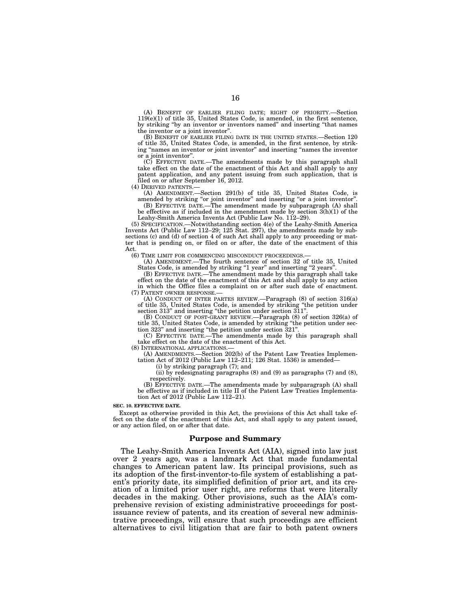(A) BENEFIT OF EARLIER FILING DATE; RIGHT OF PRIORITY.—Section 119(e)(1) of title 35, United States Code, is amended, in the first sentence, by striking ''by an inventor or inventors named'' and inserting ''that names the inventor or a joint inventor''.

(B) BENEFIT OF EARLIER FILING DATE IN THE UNITED STATES.—Section 120 of title 35, United States Code, is amended, in the first sentence, by striking ''names an inventor or joint inventor'' and inserting ''names the inventor or a joint inventor''.

(C) EFFECTIVE DATE.—The amendments made by this paragraph shall take effect on the date of the enactment of this Act and shall apply to any patent application, and any patent issuing from such application, that is filed on or after September 16, 2012.

(4) DERIVED PATENTS.—

(A) AMENDMENT.—Section 291(b) of title 35, United States Code, is amended by striking "or joint inventor" and inserting "or a joint inventor". (B) EFFECTIVE DATE.—The amendment made by subparagraph (A) shall

be effective as if included in the amendment made by section 3(h)(1) of the Leahy-Smith America Invents Act (Public Law No. 112–29).

(5) SPECIFICATION.—Notwithstanding section 4(e) of the Leahy-Smith America Invents Act (Public Law 112–29; 125 Stat. 297), the amendments made by subsections (c) and (d) of section 4 of such Act shall apply to any proceeding or matter that is pending on, or filed on or after, the date of the enactment of this Act.

(6) TIME LIMIT FOR COMMENCING MISCONDUCT PROCEEDINGS.—

(A) AMENDMENT.—The fourth sentence of section 32 of title 35, United States Code, is amended by striking "1 year" and inserting "2 years".

(B) EFFECTIVE DATE.—The amendment made by this paragraph shall take effect on the date of the enactment of this Act and shall apply to any action in which the Office files a complaint on or after such date of enactment. (7) PATENT OWNER RESPONSE.—

(A) CONDUCT OF INTER PARTES REVIEW.—Paragraph (8) of section 316(a) of title 35, United States Code, is amended by striking ''the petition under section 313'' and inserting ''the petition under section 311''.

(B) CONDUCT OF POST-GRANT REVIEW.—Paragraph (8) of section 326(a) of title 35, United States Code, is amended by striking ''the petition under sec-

tion 323'' and inserting ''the petition under section 321''. (C) EFFECTIVE DATE.—The amendments made by this paragraph shall take effect on the date of the enactment of this Act.

(8) INTERNATIONAL APPLICATIONS.—

(A) AMENDMENTS.—Section 202(b) of the Patent Law Treaties Implementation Act of 2012 (Public Law 112–211; 126 Stat. 1536) is amended—

(i) by striking paragraph (7); and

(ii) by redesignating paragraphs (8) and (9) as paragraphs (7) and (8), respectively.

(B) EFFECTIVE DATE.—The amendments made by subparagraph (A) shall be effective as if included in title II of the Patent Law Treaties Implementation Act of 2012 (Public Law 112–21).

#### **SEC. 10. EFFECTIVE DATE.**

Except as otherwise provided in this Act, the provisions of this Act shall take effect on the date of the enactment of this Act, and shall apply to any patent issued, or any action filed, on or after that date.

### **Purpose and Summary**

The Leahy-Smith America Invents Act (AIA), signed into law just over 2 years ago, was a landmark Act that made fundamental changes to American patent law. Its principal provisions, such as its adoption of the first-inventor-to-file system of establishing a patent's priority date, its simplified definition of prior art, and its creation of a limited prior user right, are reforms that were literally decades in the making. Other provisions, such as the AIA's comprehensive revision of existing administrative proceedings for postissuance review of patents, and its creation of several new administrative proceedings, will ensure that such proceedings are efficient alternatives to civil litigation that are fair to both patent owners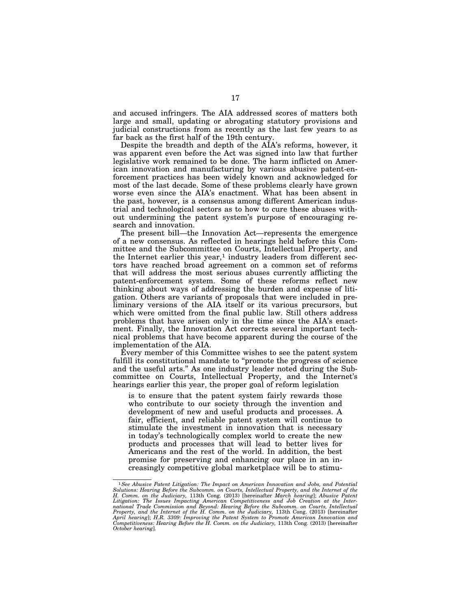and accused infringers. The AIA addressed scores of matters both large and small, updating or abrogating statutory provisions and judicial constructions from as recently as the last few years to as far back as the first half of the 19th century.

Despite the breadth and depth of the AIA's reforms, however, it was apparent even before the Act was signed into law that further legislative work remained to be done. The harm inflicted on American innovation and manufacturing by various abusive patent-enforcement practices has been widely known and acknowledged for most of the last decade. Some of these problems clearly have grown worse even since the AIA's enactment. What has been absent in the past, however, is a consensus among different American industrial and technological sectors as to how to cure these abuses without undermining the patent system's purpose of encouraging research and innovation.

The present bill—the Innovation Act—represents the emergence of a new consensus. As reflected in hearings held before this Committee and the Subcommittee on Courts, Intellectual Property, and the Internet earlier this year, $<sup>1</sup>$  industry leaders from different sec-</sup> tors have reached broad agreement on a common set of reforms that will address the most serious abuses currently afflicting the patent-enforcement system. Some of these reforms reflect new thinking about ways of addressing the burden and expense of litigation. Others are variants of proposals that were included in preliminary versions of the AIA itself or its various precursors, but which were omitted from the final public law. Still others address problems that have arisen only in the time since the AIA's enactment. Finally, the Innovation Act corrects several important technical problems that have become apparent during the course of the implementation of the AIA.

Every member of this Committee wishes to see the patent system fulfill its constitutional mandate to ''promote the progress of science and the useful arts.'' As one industry leader noted during the Subcommittee on Courts, Intellectual Property, and the Internet's hearings earlier this year, the proper goal of reform legislation

is to ensure that the patent system fairly rewards those who contribute to our society through the invention and development of new and useful products and processes. A fair, efficient, and reliable patent system will continue to stimulate the investment in innovation that is necessary in today's technologically complex world to create the new products and processes that will lead to better lives for Americans and the rest of the world. In addition, the best promise for preserving and enhancing our place in an increasingly competitive global marketplace will be to stimu-

<sup>1</sup>*See Abusive Patent Litigation: The Impact on American Innovation and Jobs, and Potential Solutions: Hearing Before the Subcomm. on Courts, Intellectual Property, and the Internet of the H. Comm. on the Judiciary,* 113th Cong. (2013) [hereinafter *March hearing*]; *Abusive Patent Litigation: The Issues Impacting American Competitiveness and Job Creation at the International Trade Commission and Beyond: Hearing Before the Subcomm. on Courts, Intellectual* Property, and the Internet of the H. Comm. on the Judiciary, 113th Cong. (2013) [hereinafter<br>April hearing]; H.R. 3309: Improving the Patent System to Promote American Innovation and *Competitiveness: Hearing Before the H. Comm. on the Judiciary,* 113th Cong. (2013) [hereinafter *October hearing*].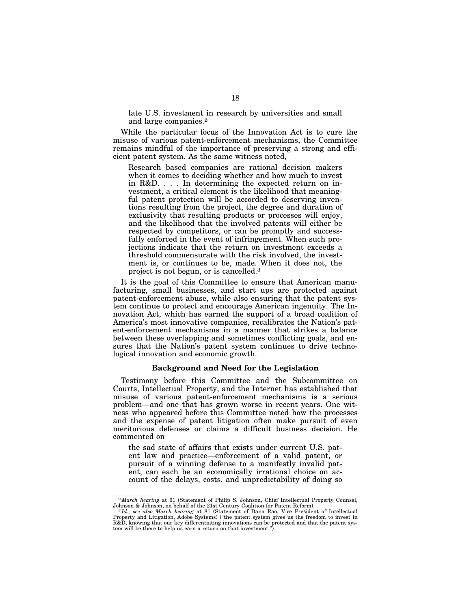late U.S. investment in research by universities and small and large companies.2

While the particular focus of the Innovation Act is to cure the misuse of various patent-enforcement mechanisms, the Committee remains mindful of the importance of preserving a strong and efficient patent system. As the same witness noted,

Research based companies are rational decision makers when it comes to deciding whether and how much to invest in R&D. . . . In determining the expected return on investment, a critical element is the likelihood that meaningful patent protection will be accorded to deserving inventions resulting from the project, the degree and duration of exclusivity that resulting products or processes will enjoy, and the likelihood that the involved patents will either be respected by competitors, or can be promptly and successfully enforced in the event of infringement. When such projections indicate that the return on investment exceeds a threshold commensurate with the risk involved, the investment is, or continues to be, made. When it does not, the project is not begun, or is cancelled.3

It is the goal of this Committee to ensure that American manufacturing, small businesses, and start ups are protected against patent-enforcement abuse, while also ensuring that the patent system continue to protect and encourage American ingenuity. The Innovation Act, which has earned the support of a broad coalition of America's most innovative companies, recalibrates the Nation's patent-enforcement mechanisms in a manner that strikes a balance between these overlapping and sometimes conflicting goals, and ensures that the Nation's patent system continues to drive technological innovation and economic growth.

# **Background and Need for the Legislation**

Testimony before this Committee and the Subcommittee on Courts, Intellectual Property, and the Internet has established that misuse of various patent-enforcement mechanisms is a serious problem—and one that has grown worse in recent years. One witness who appeared before this Committee noted how the processes and the expense of patent litigation often make pursuit of even meritorious defenses or claims a difficult business decision. He commented on

the sad state of affairs that exists under current U.S. patent law and practice—enforcement of a valid patent, or pursuit of a winning defense to a manifestly invalid patent, can each be an economically irrational choice on account of the delays, costs, and unpredictability of doing so

<sup>2</sup>*March hearing* at 61 (Statement of Philip S. Johnson, Chief Intellectual Property Counsel, Johnson & Johnson, on behalf of the 21st Century Coalition for Patent Reform).

<sup>&</sup>lt;sup>3</sup>*Id.; see also March hearing* at 81 (Statement of Dana Rao, Vice President of Intellectual Property and Litigation, Adobe Systems) ("the patent system gives us the freedom to invest in R&D, knowing that our key differentiating innovations can be protected and that the patent system will be there to help us earn a return on that investment.'').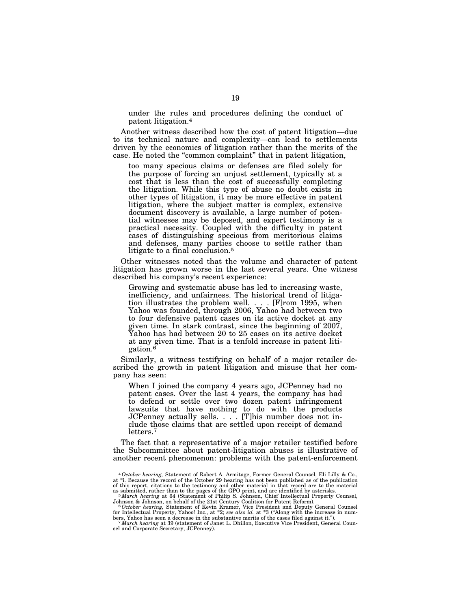under the rules and procedures defining the conduct of patent litigation.4

Another witness described how the cost of patent litigation—due to its technical nature and complexity—can lead to settlements driven by the economics of litigation rather than the merits of the case. He noted the ''common complaint'' that in patent litigation,

too many specious claims or defenses are filed solely for the purpose of forcing an unjust settlement, typically at a cost that is less than the cost of successfully completing the litigation. While this type of abuse no doubt exists in other types of litigation, it may be more effective in patent litigation, where the subject matter is complex, extensive document discovery is available, a large number of potential witnesses may be deposed, and expert testimony is a practical necessity. Coupled with the difficulty in patent cases of distinguishing specious from meritorious claims and defenses, many parties choose to settle rather than litigate to a final conclusion.<sup>5</sup>

Other witnesses noted that the volume and character of patent litigation has grown worse in the last several years. One witness described his company's recent experience:

Growing and systematic abuse has led to increasing waste, inefficiency, and unfairness. The historical trend of litigation illustrates the problem well. . . . [F]rom 1995, when Yahoo was founded, through 2006, Yahoo had between two to four defensive patent cases on its active docket at any given time. In stark contrast, since the beginning of 2007, Yahoo has had between 20 to 25 cases on its active docket at any given time. That is a tenfold increase in patent litigation. $6$ 

Similarly, a witness testifying on behalf of a major retailer described the growth in patent litigation and misuse that her company has seen:

When I joined the company 4 years ago, JCPenney had no patent cases. Over the last 4 years, the company has had to defend or settle over two dozen patent infringement lawsuits that have nothing to do with the products JCPenney actually sells. . . . [T]his number does not include those claims that are settled upon receipt of demand letters.7

The fact that a representative of a major retailer testified before the Subcommittee about patent-litigation abuses is illustrative of another recent phenomenon: problems with the patent-enforcement

<sup>4</sup>*October hearing,* Statement of Robert A. Armitage, Former General Counsel, Eli Lilly & Co., at \*i. Because the record of the October 29 hearing has not been published as of the publication of this report, citations to the testimony and other material in that record are to the material<br>as submitted, rather than to the pages of the GPO print, and are identified by asterisks.<br><sup>5</sup> March hearing at 64 (Statement

Johnson & Johnson, on behalf of the 21st Century Coalition for Patent Reform).<br><sup>6</sup> October hearing, Statement of Kevin Kramer, Vice President and Deputy General Counsel<br>for Intellectual Property, Yahoo! Inc., at \*2; *see a* 

bers, Yahoo has seen a decrease in the substantive merits of the cases filed against it.").<br><sup>77</sup> M*arch hearing* at 39 (statement of Janet L. Dhillon, Executive Vice President, General Coun-<br>sel and Corporate Secretary, JC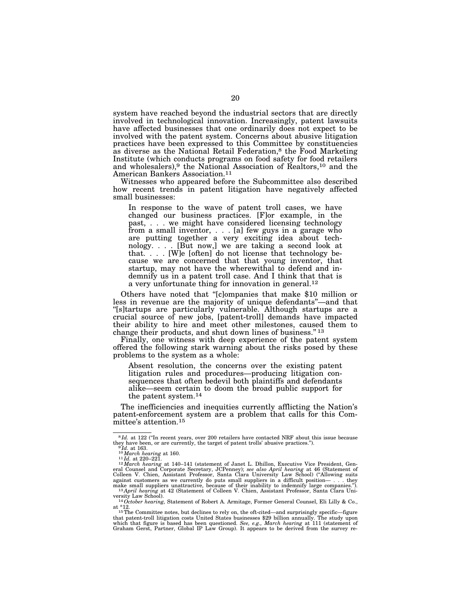system have reached beyond the industrial sectors that are directly involved in technological innovation. Increasingly, patent lawsuits have affected businesses that one ordinarily does not expect to be involved with the patent system. Concerns about abusive litigation practices have been expressed to this Committee by constituencies as diverse as the National Retail Federation,8 the Food Marketing Institute (which conducts programs on food safety for food retailers and wholesalers),9 the National Association of Realtors,10 and the American Bankers Association.11

Witnesses who appeared before the Subcommittee also described how recent trends in patent litigation have negatively affected small businesses:

In response to the wave of patent troll cases, we have changed our business practices. [F]or example, in the past, . . . we might have considered licensing technology from a small inventor, . . . [a] few guys in a garage who are putting together a very exciting idea about technology. . . . [But now,] we are taking a second look at that. . . . [W]e [often] do not license that technology because we are concerned that that young inventor, that startup, may not have the wherewithal to defend and indemnify us in a patent troll case. And I think that that is a very unfortunate thing for innovation in general.12

Others have noted that ''[c]ompanies that make \$10 million or less in revenue are the majority of unique defendants''—and that ''[s]tartups are particularly vulnerable. Although startups are a crucial source of new jobs, [patent-troll] demands have impacted their ability to hire and meet other milestones, caused them to change their products, and shut down lines of business.'' 13

Finally, one witness with deep experience of the patent system offered the following stark warning about the risks posed by these problems to the system as a whole:

Absent resolution, the concerns over the existing patent litigation rules and procedures—producing litigation consequences that often bedevil both plaintiffs and defendants alike—seem certain to doom the broad public support for the patent system.14

The inefficiencies and inequities currently afflicting the Nation's patent-enforcement system are a problem that calls for this Committee's attention.15

<sup>12</sup>*March hearing* at 140–141 (statement of Janet L. Dhillon, Executive Vice President, General Counsel and Corporate Secretary, JCPenney); *see also April hearing* at 46 (Statement of<br>Colleen V. Chien, Assistant Professor, Santa Clara University Law School) ("Allowing suits<br>against customers as we currently do

<sup>8</sup> *Id.* at 122 (''In recent years, over 200 retailers have contacted NRF about this issue because they have been, or are currently, the target of patent trolls' abusive practices.''). <sup>9</sup> *Id.* at 163.

<sup>10</sup>*March hearing* at 160. <sup>11</sup> *Id.* at 220–221.

make small suppliers unattractive, because of their inability to indemnify large companies.").<br><sup>13</sup>April hearing at 42 (Statement of Colleen V. Chien, Assistant Professor, Santa Clara University Law School).<br><sup>14</sup>October h

at \*12.

<sup>&</sup>lt;sup>15</sup>The Committee notes, but declines to rely on, the oft-cited—and surprisingly specific—figure that patent-troll litigation costs United States businesses \$29 billion annually. The study upon<br>which that figure is based has been questioned. *See, e.g., March hearing* at 111 (statement of<br>Graham Gerst, Partner, Global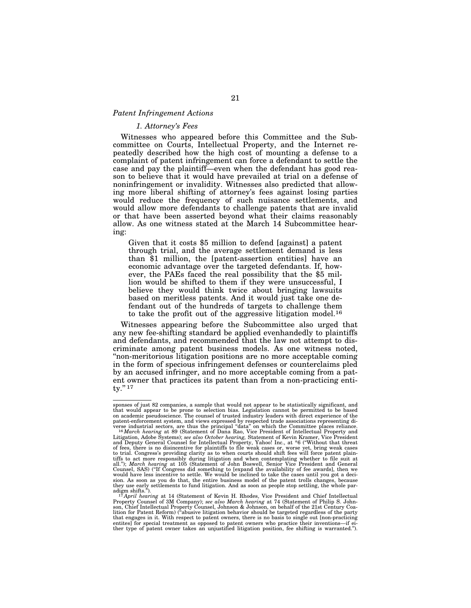## *Patent Infringement Actions*

# *1. Attorney's Fees*

Witnesses who appeared before this Committee and the Subcommittee on Courts, Intellectual Property, and the Internet repeatedly described how the high cost of mounting a defense to a complaint of patent infringement can force a defendant to settle the case and pay the plaintiff—even when the defendant has good reason to believe that it would have prevailed at trial on a defense of noninfringement or invalidity. Witnesses also predicted that allowing more liberal shifting of attorney's fees against losing parties would reduce the frequency of such nuisance settlements, and would allow more defendants to challenge patents that are invalid or that have been asserted beyond what their claims reasonably allow. As one witness stated at the March 14 Subcommittee hearing:

Given that it costs \$5 million to defend [against] a patent through trial, and the average settlement demand is less than \$1 million, the [patent-assertion entities] have an economic advantage over the targeted defendants. If, however, the PAEs faced the real possibility that the \$5 million would be shifted to them if they were unsuccessful, I believe they would think twice about bringing lawsuits based on meritless patents. And it would just take one defendant out of the hundreds of targets to challenge them to take the profit out of the aggressive litigation model.16

Witnesses appearing before the Subcommittee also urged that any new fee-shifting standard be applied evenhandedly to plaintiffs and defendants, and recommended that the law not attempt to discriminate among patent business models. As one witness noted, ''non-meritorious litigation positions are no more acceptable coming in the form of specious infringement defenses or counterclaims pled by an accused infringer, and no more acceptable coming from a patent owner that practices its patent than from a non-practicing entity."<sup>17</sup>

sponses of just 82 companies, a sample that would not appear to be statistically significant, and<br>that would appear to be prone to selection bias. Legislation cannot be permitted to be based<br>on academic pseudoscience. The patent-enforcement system, and views expressed by respected trade associations representing diverse industrial sectors, are thus the principal "data" on which the Committee places reliance.<br><sup>16</sup> March hearing at 89 (Statem

Litigation, Adobe Systems); *see also October hearing,* Statement of Kevin Kramer, Vice President and Deputy General Counsel for Intellectual Property, Yahoo! Inc., at \*6 (''Without that threat of fees, there is no disincentive for plaintiffs to file weak cases or, worse yet, bring weak cases to trial. Congress's providing clarity as to when courts should shift fees will force patent plain-<br>tiffs to act more responsibly during litigation and when contemplating whether to file suit at<br>all."); *March hearing* at Counsel, SAS) ("If Congress did something to [expand the availability of fee awards], then we<br>would have less incentive to settle. We would be inclined to take the cases until you got a deci-<br>sion. As soon as you do that, they use early settlements to fund litigation. And as soon as people stop settling, the whole par-adigm shifts.''). <sup>17</sup> *April hearing* at 14 (Statement of Kevin H. Rhodes, Vice President and Chief Intellectual

Property Counsel of 3M Company); see also *March hearing* at 74 (Statement of Philip S. John-<br>son, Chief Intellectual Property Counsel, Johnson & Johnson, on behalf of the 21st Century Coa-<br>lition for Patent Reform) ("abus that engages in it. With respect to patent owners, there is no basis to single out [non-practicing<br>entites] for special treatment as opposed to patent owners who practice their inventions—if ei-<br>ther type of patent owner t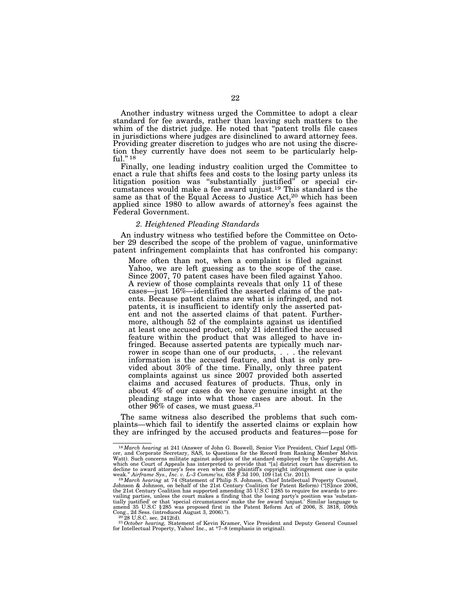Another industry witness urged the Committee to adopt a clear standard for fee awards, rather than leaving such matters to the whim of the district judge. He noted that ''patent trolls file cases in jurisdictions where judges are disinclined to award attorney fees. Providing greater discretion to judges who are not using the discretion they currently have does not seem to be particularly helpful.'' 18

Finally, one leading industry coalition urged the Committee to enact a rule that shifts fees and costs to the losing party unless its litigation position was ''substantially justified'' or special circumstances would make a fee award unjust.19 This standard is the same as that of the Equal Access to Justice Act,<sup>20</sup> which has been applied since 1980 to allow awards of attorney's fees against the Federal Government.

# *2. Heightened Pleading Standards*

An industry witness who testified before the Committee on October 29 described the scope of the problem of vague, uninformative patent infringement complaints that has confronted his company:

More often than not, when a complaint is filed against Yahoo, we are left guessing as to the scope of the case. Since 2007, 70 patent cases have been filed against Yahoo. A review of those complaints reveals that only 11 of these cases—just 16%—identified the asserted claims of the patents. Because patent claims are what is infringed, and not patents, it is insufficient to identify only the asserted patent and not the asserted claims of that patent. Furthermore, although 52 of the complaints against us identified at least one accused product, only 21 identified the accused feature within the product that was alleged to have infringed. Because asserted patents are typically much narrower in scope than one of our products, . . . the relevant information is the accused feature, and that is only provided about 30% of the time. Finally, only three patent complaints against us since 2007 provided both asserted claims and accused features of products. Thus, only in about 4% of our cases do we have genuine insight at the pleading stage into what those cases are about. In the other 96% of cases, we must guess.21

The same witness also described the problems that such complaints—which fail to identify the asserted claims or explain how they are infringed by the accused products and features—pose for

<sup>18</sup>*March hearing* at 241 (Answer of John G. Boswell, Senior Vice President, Chief Legal Officer, and Corporate Secretary, SAS, to Questions for the Record from Ranking Member Melvin<br>Watt). Such concerns militate against adoption of the standard employed by the Copyright Act,<br>which one Court of Appeals has interpr decline to award attorney's fees even when the plaintiff's copyright infringement case is quite weak." Airframe Sys., Inc. v. L-3 Commc'ns, 658 F.3d 100, 109 (1st Cir. 2011).<br><sup>19</sup> March hearing at 74 (Statement of Philip S

Johnson & Johnson, on behalf of the 21st Century Coalition for Patent Reform) ("[S]ince 2006, the 21st Century Coalition has supported amending 35 U.S.C § 285 to require fee awards to prevailing parties, unless the court m 20 28 U.S.C. sec. 2412(d).

<sup>21</sup>*October hearing,* Statement of Kevin Kramer, Vice President and Deputy General Counsel for Intellectual Property, Yahoo! Inc., at \*7–8 (emphasis in original).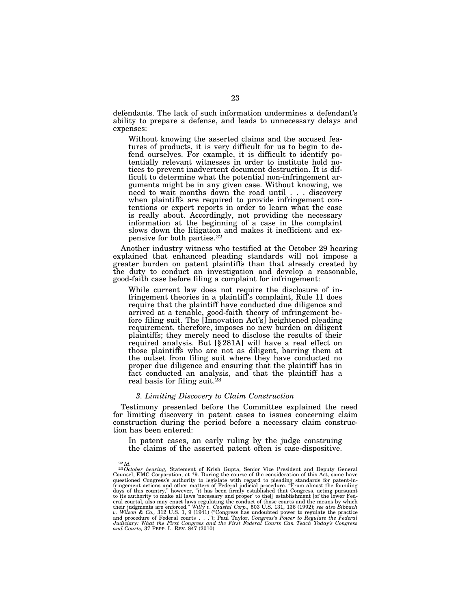defendants. The lack of such information undermines a defendant's ability to prepare a defense, and leads to unnecessary delays and expenses:

Without knowing the asserted claims and the accused features of products, it is very difficult for us to begin to defend ourselves. For example, it is difficult to identify potentially relevant witnesses in order to institute hold notices to prevent inadvertent document destruction. It is difficult to determine what the potential non-infringement arguments might be in any given case. Without knowing, we need to wait months down the road until . . . discovery when plaintiffs are required to provide infringement contentions or expert reports in order to learn what the case is really about. Accordingly, not providing the necessary information at the beginning of a case in the complaint slows down the litigation and makes it inefficient and expensive for both parties.22

Another industry witness who testified at the October 29 hearing explained that enhanced pleading standards will not impose a greater burden on patent plaintiffs than that already created by the duty to conduct an investigation and develop a reasonable, good-faith case before filing a complaint for infringement:

While current law does not require the disclosure of infringement theories in a plaintiff's complaint, Rule 11 does require that the plaintiff have conducted due diligence and arrived at a tenable, good-faith theory of infringement before filing suit. The [Innovation Act's] heightened pleading requirement, therefore, imposes no new burden on diligent plaintiffs; they merely need to disclose the results of their required analysis. But [§ 281A] will have a real effect on those plaintiffs who are not as diligent, barring them at the outset from filing suit where they have conducted no proper due diligence and ensuring that the plaintiff has in fact conducted an analysis, and that the plaintiff has a real basis for filing suit.<sup>23</sup>

# *3. Limiting Discovery to Claim Construction*

Testimony presented before the Committee explained the need for limiting discovery in patent cases to issues concerning claim construction during the period before a necessary claim construction has been entered:

In patent cases, an early ruling by the judge construing the claims of the asserted patent often is case-dispositive.

<sup>22</sup> *Id.* 

<sup>&</sup>lt;sup>23</sup> October hearing, Statement of Krish Gupta, Senior Vice President and Deputy General Counsel, EMC Corporation, at  $*9$ . During the course of the consideration of this Act, some have questioned Congress's authority to fringement actions and other matters of Federal judicial procedure. "From almost the founding<br>days of this country," however, "it has been firmly established that Congress, acting pursuant<br>to its authority to make all laws eral courts], also may enact laws regulating the conduct of those courts and the means by which<br>their judgments are enforced." Willy v. Coastal Corp., 503 U.S. 131, 136 (1992); see also Sibbach<br>v. Wilson & Co., 312 U.S. 1, and procedure of Federal courts . . ."); Paul Taylor, Congress's Power to Regulate the Federal<br>Judiciary: What the First Congress and the First Federal Courts Can Teach Today's Congress<br>and Courts, 37 PEPP. L. REV. 847 (20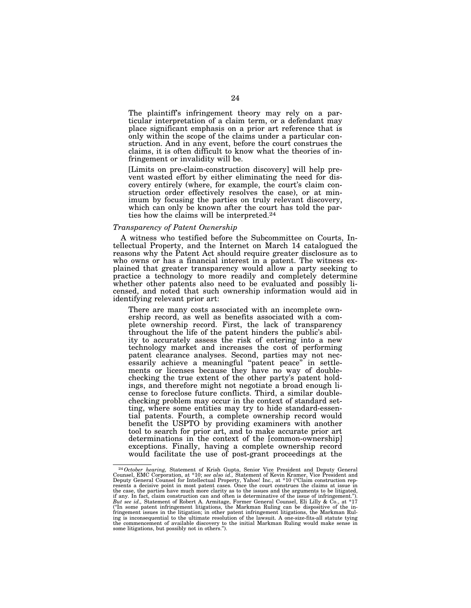The plaintiff's infringement theory may rely on a particular interpretation of a claim term, or a defendant may place significant emphasis on a prior art reference that is only within the scope of the claims under a particular construction. And in any event, before the court construes the claims, it is often difficult to know what the theories of infringement or invalidity will be.

[Limits on pre-claim-construction discovery] will help prevent wasted effort by either eliminating the need for discovery entirely (where, for example, the court's claim construction order effectively resolves the case), or at minimum by focusing the parties on truly relevant discovery, which can only be known after the court has told the parties how the claims will be interpreted.24

# *Transparency of Patent Ownership*

A witness who testified before the Subcommittee on Courts, Intellectual Property, and the Internet on March 14 catalogued the reasons why the Patent Act should require greater disclosure as to who owns or has a financial interest in a patent. The witness explained that greater transparency would allow a party seeking to practice a technology to more readily and completely determine whether other patents also need to be evaluated and possibly licensed, and noted that such ownership information would aid in identifying relevant prior art:

There are many costs associated with an incomplete ownership record, as well as benefits associated with a complete ownership record. First, the lack of transparency throughout the life of the patent hinders the public's ability to accurately assess the risk of entering into a new technology market and increases the cost of performing patent clearance analyses. Second, parties may not necessarily achieve a meaningful ''patent peace'' in settlements or licenses because they have no way of doublechecking the true extent of the other party's patent holdings, and therefore might not negotiate a broad enough license to foreclose future conflicts. Third, a similar doublechecking problem may occur in the context of standard setting, where some entities may try to hide standard-essential patents. Fourth, a complete ownership record would benefit the USPTO by providing examiners with another tool to search for prior art, and to make accurate prior art determinations in the context of the [common-ownership] exceptions. Finally, having a complete ownership record would facilitate the use of post-grant proceedings at the

<sup>&</sup>lt;sup>24</sup> October hearing, Statement of Krish Gupta, Senior Vice President and Deputy General Counsel, EMC Corporation, at  $*10$ ; see also id., Statement of Kevin Kramer, Vice President and Deputy General Counsel for Intellect resents a decisive point in most patent cases. Once the court construes the claims at issue in<br>the case, the parties have much more clarity as to the issues and the arguments to be litigated,<br>if any. In fact, claim constru *But see id.*, Statement of Robert A. Armitage, Former General Counsel, Eli Lilly & Co., at \*17<br>("In some patent infringement litigations, the Markman Ruling can be dispositive of the in-<br>fringement issues in the litigatio ing is inconsequential to the ultimate resolution of the lawsuit. A one-size-fits-all statute tying<br>the commencement of available discovery to the initial Markman Ruling would make sense in<br>some litigations, but possibly n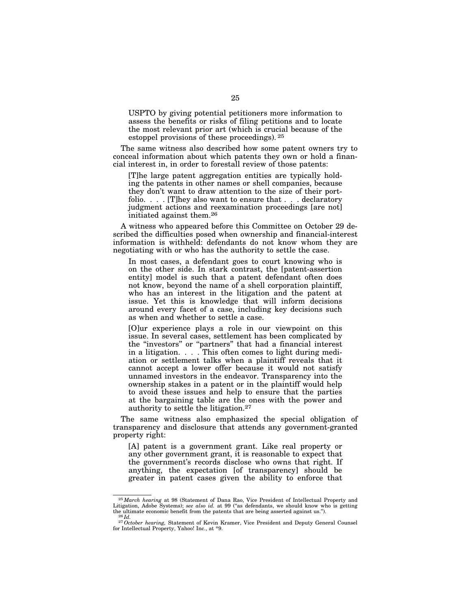USPTO by giving potential petitioners more information to assess the benefits or risks of filing petitions and to locate the most relevant prior art (which is crucial because of the estoppel provisions of these proceedings). 25

The same witness also described how some patent owners try to conceal information about which patents they own or hold a financial interest in, in order to forestall review of those patents:

[T]he large patent aggregation entities are typically holding the patents in other names or shell companies, because they don't want to draw attention to the size of their portfolio. . . . [T]hey also want to ensure that . . . declaratory judgment actions and reexamination proceedings [are not] initiated against them.26

A witness who appeared before this Committee on October 29 described the difficulties posed when ownership and financial-interest information is withheld: defendants do not know whom they are negotiating with or who has the authority to settle the case.

In most cases, a defendant goes to court knowing who is on the other side. In stark contrast, the [patent-assertion entity] model is such that a patent defendant often does not know, beyond the name of a shell corporation plaintiff, who has an interest in the litigation and the patent at issue. Yet this is knowledge that will inform decisions around every facet of a case, including key decisions such as when and whether to settle a case.

[O]ur experience plays a role in our viewpoint on this issue. In several cases, settlement has been complicated by the ''investors'' or ''partners'' that had a financial interest in a litigation. . . . This often comes to light during mediation or settlement talks when a plaintiff reveals that it cannot accept a lower offer because it would not satisfy unnamed investors in the endeavor. Transparency into the ownership stakes in a patent or in the plaintiff would help to avoid these issues and help to ensure that the parties at the bargaining table are the ones with the power and authority to settle the litigation.27

The same witness also emphasized the special obligation of transparency and disclosure that attends any government-granted property right:

[A] patent is a government grant. Like real property or any other government grant, it is reasonable to expect that the government's records disclose who owns that right. If anything, the expectation [of transparency] should be greater in patent cases given the ability to enforce that

<sup>25</sup>*March hearing* at 98 (Statement of Dana Rao, Vice President of Intellectual Property and Litigation, Adobe Systems); *see also id.* at 99 (''as defendants, we should know who is getting the ultimate economic benefit from the patents that are being asserted against us.''). <sup>26</sup> *Id.* 

<sup>&</sup>lt;sup>27</sup> October hearing, Statement of Kevin Kramer, Vice President and Deputy General Counsel for Intellectual Property, Yahoo! Inc., at \*9.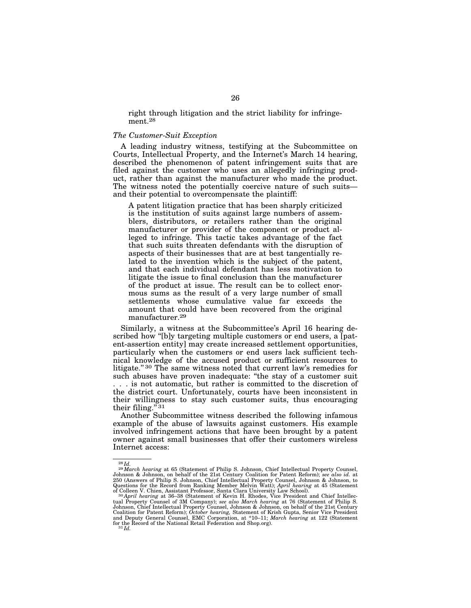right through litigation and the strict liability for infringement.28

# *The Customer-Suit Exception*

A leading industry witness, testifying at the Subcommittee on Courts, Intellectual Property, and the Internet's March 14 hearing, described the phenomenon of patent infringement suits that are filed against the customer who uses an allegedly infringing product, rather than against the manufacturer who made the product. The witness noted the potentially coercive nature of such suits and their potential to overcompensate the plaintiff:

A patent litigation practice that has been sharply criticized is the institution of suits against large numbers of assemblers, distributors, or retailers rather than the original manufacturer or provider of the component or product alleged to infringe. This tactic takes advantage of the fact that such suits threaten defendants with the disruption of aspects of their businesses that are at best tangentially related to the invention which is the subject of the patent, and that each individual defendant has less motivation to litigate the issue to final conclusion than the manufacturer of the product at issue. The result can be to collect enormous sums as the result of a very large number of small settlements whose cumulative value far exceeds the amount that could have been recovered from the original manufacturer.29

Similarly, a witness at the Subcommittee's April 16 hearing described how "[b]y targeting multiple customers or end users, a [patent-assertion entity] may create increased settlement opportunities, particularly when the customers or end users lack sufficient technical knowledge of the accused product or sufficient resources to litigate." 30 The same witness noted that current law's remedies for such abuses have proven inadequate: ''the stay of a customer suit . . . is not automatic, but rather is committed to the discretion of the district court. Unfortunately, courts have been inconsistent in their willingness to stay such customer suits, thus encouraging their filing." $31$ 

Another Subcommittee witness described the following infamous example of the abuse of lawsuits against customers. His example involved infringement actions that have been brought by a patent owner against small businesses that offer their customers wireless Internet access:

<sup>28</sup> *Id.* 

<sup>29</sup>*March hearing* at 65 (Statement of Philip S. Johnson, Chief Intellectual Property Counsel, Johnson & Johnson, on behalf of the 21st Century Coalition for Patent Reform); *see also id.* at 250 (Answers of Philip S. Johnson, Chief Intellectual Property Counsel, Johnson & Johnson, to Questions for the Record from Ranking Member Melvin Watt); April hearing at 45 (Statement of Colleen V. Chien, Assistant Professor, Santa Clara University Law School).<br><sup>30</sup>April hearing at 36–38 (Statement of Kevin H. Rhod

tual Property Counsel of 3M Company); *see also March hearing* at 76 (Statement of Philip S.<br>Johnson, Chief Intellectual Property Counsel, Johnson & Johnson, on behalf of the 21st Century<br>Coalition for Patent Reform); O*ct* and Deputy General Counsel, EMC Corporation, at \*10–11; *March hearing* at 122 (Statement for the Record of the National Retail Federation and Shop.org). <sup>31</sup> *Id.*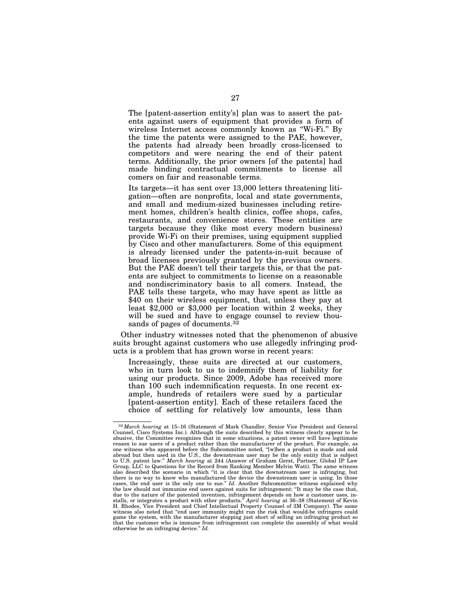The [patent-assertion entity's] plan was to assert the patents against users of equipment that provides a form of wireless Internet access commonly known as "Wi-Fi." By the time the patents were assigned to the PAE, however, the patents had already been broadly cross-licensed to competitors and were nearing the end of their patent terms. Additionally, the prior owners [of the patents] had made binding contractual commitments to license all comers on fair and reasonable terms.

Its targets—it has sent over 13,000 letters threatening litigation—often are nonprofits, local and state governments, and small and medium-sized businesses including retirement homes, children's health clinics, coffee shops, cafes, restaurants, and convenience stores. These entities are targets because they (like most every modern business) provide Wi-Fi on their premises, using equipment supplied by Cisco and other manufacturers. Some of this equipment is already licensed under the patents-in-suit because of broad licenses previously granted by the previous owners. But the PAE doesn't tell their targets this, or that the patents are subject to commitments to license on a reasonable and nondiscriminatory basis to all comers. Instead, the PAE tells these targets, who may have spent as little as \$40 on their wireless equipment, that, unless they pay at least \$2,000 or \$3,000 per location within 2 weeks, they will be sued and have to engage counsel to review thousands of pages of documents.<sup>32</sup>

Other industry witnesses noted that the phenomenon of abusive suits brought against customers who use allegedly infringing products is a problem that has grown worse in recent years:

Increasingly, these suits are directed at our customers, who in turn look to us to indemnify them of liability for using our products. Since 2009, Adobe has received more than 100 such indemnification requests. In one recent example, hundreds of retailers were sued by a particular [patent-assertion entity]. Each of these retailers faced the choice of settling for relatively low amounts, less than

<sup>32</sup>*March hearing* at 15–16 (Statement of Mark Chandler, Senior Vice President and General Counsel, Cisco Systems Inc.). Although the suits described by this witness clearly appear to be abusive, the Committee recognizes that in some situations, a patent owner will have legitimate reason to sue users of a product rather than the manufacturer of the product. For example, as one witness who appeared before the Subcommittee noted, ''[w]hen a product is made and sold abroad but then used in the U.S., the downstream user may be the only entity that is subject<br>to U.S. patent law." *March hearing* at 244 (Answer of Graham Gerst, Partner, Global IP Law<br>Group, LLC to Questions for the Recor also described the scenario in which "it is clear that the downstream user is infringing, but there is no way to know who manufactured the device the downstream user is using. In those cases, the end user is the only one to sue.'' *Id.* Another Subcommittee witness explained why the law should not immunize end users against suits for infringement: ''It may be the case that, due to the nature of the patented invention, infringement depends on how a customer uses, in-<br>stalls, or integrates a product with other products." A*pril hearing* at 36–38 (Statement of Kevin<br>H. Rhodes, Vice President and witness also noted that ''end user immunity might run the risk that would-be infringers could game the system, with the manufacturer stopping just short of selling an infringing product so<br>that the customer who is immune from infringement can complete the assembly of what would<br>otherwise be an infringing device."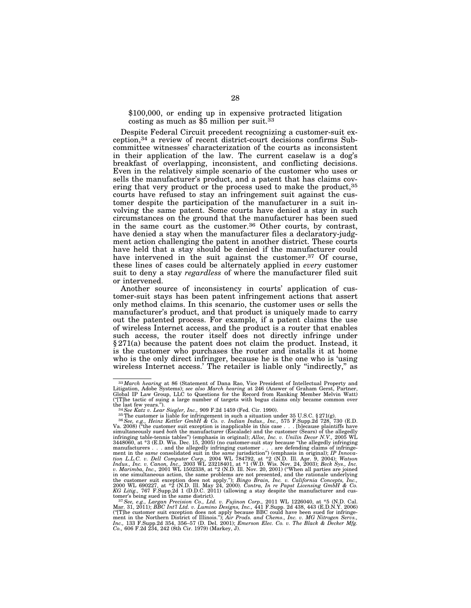\$100,000, or ending up in expensive protracted litigation costing as much as  $$5$  million per suit.<sup>33</sup>

Despite Federal Circuit precedent recognizing a customer-suit exception,34 a review of recent district-court decisions confirms Subcommittee witnesses' characterization of the courts as inconsistent in their application of the law. The current caselaw is a dog's breakfast of overlapping, inconsistent, and conflicting decisions. Even in the relatively simple scenario of the customer who uses or sells the manufacturer's product, and a patent that has claims covering that very product or the process used to make the product, 35 courts have refused to stay an infringement suit against the customer despite the participation of the manufacturer in a suit involving the same patent. Some courts have denied a stay in such circumstances on the ground that the manufacturer has been sued in the same court as the customer.36 Other courts, by contrast, have denied a stay when the manufacturer files a declaratory-judgment action challenging the patent in another district. These courts have held that a stay should be denied if the manufacturer could have intervened in the suit against the customer.<sup>37</sup> Of course, these lines of cases could be alternately applied in *every* customer suit to deny a stay *regardless* of where the manufacturer filed suit or intervened.

Another source of inconsistency in courts' application of customer-suit stays has been patent infringement actions that assert only method claims. In this scenario, the customer uses or sells the manufacturer's product, and that product is uniquely made to carry out the patented process. For example, if a patent claims the use of wireless Internet access, and the product is a router that enables such access, the router itself does not directly infringe under §271(a) because the patent does not claim the product. Instead, it is the customer who purchases the router and installs it at home who is the only direct infringer, because he is the one who is 'using wireless Internet access.' The retailer is liable only "indirectly," as

<sup>33</sup>*March hearing* at 86 (Statement of Dana Rao, Vice President of Intellectual Property and Litigation, Adobe Systems); *see also March hearing* at 246 (Answer of Graham Gerst, Partner,<br>Global IP Law Group, LLC to Questions for the Record from Ranking Member Melvin Watt)<br>("[T]he tactic of suing a large number of the last few years.").<br><sup>34</sup>*See Katz v. Lear Siegler, Inc.*, 909 F.2d 1459 (Fed. Cir. 1990).<br><sup>35</sup>The customer is liable for infringement in such a situation under 35 U.S.C. § 271(g).

<sup>&</sup>lt;sup>36</sup> See, e.g., *Heinz Kettler GmbH & Co. v. Indian Indus., Inc.*, 575 F.Supp.2d 728, 730 (E.D. Va. 2008) ("the customer suit exception is inapplicable in this case . . . [b] ecause plaintiffs have simultaneously sued *bo* infringing table-tennis tables") (emphasis in original); *Alloc, Inc. v. Unilin Decor N.V.*, 2005 WL 3448060, at \*3 (E.D. Wis. Dec. 15, 2005) (no customer-suit stay because "the allegedly infringing manufacturers... and t v. Marimba, Inc., 2001 WL 1502338, at \*2 (N.D. Ill. Nov. 20, 2001) ("When all parties are joined<br>in one simultaneous action, the same problems are not presented, and the rationale underlying<br>the customer suit exception do

<sup>&</sup>lt;sup>37</sup> See, e.g., Largan Precision Co., Ltd. v. Fujinon Corp., 2011 WL 1226040, at \*5 (N.D. Cal. Mar. 31, 2011); *BBC Int'l Ltd. v. Lumino Designs, Inc.*, 441 F.Supp. 2d 438, 443 (E.D.N.Y. 2006)<br>("[T]he customer suit except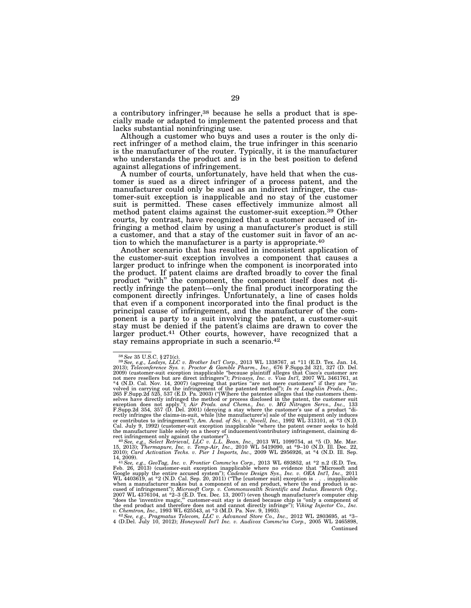a contributory infringer,<sup>38</sup> because he sells a product that is specially made or adapted to implement the patented process and that lacks substantial noninfringing use.

Although a customer who buys and uses a router is the only direct infringer of a method claim, the true infringer in this scenario is the manufacturer of the router. Typically, it is the manufacturer who understands the product and is in the best position to defend against allegations of infringement.

A number of courts, unfortunately, have held that when the customer is sued as a direct infringer of a process patent, and the manufacturer could only be sued as an indirect infringer, the customer-suit exception is inapplicable and no stay of the customer suit is permitted. These cases effectively immunize almost all method patent claims against the customer-suit exception.39 Other courts, by contrast, have recognized that a customer accused of infringing a method claim by using a manufacturer's product is still a customer, and that a stay of the customer suit in favor of an action to which the manufacturer is a party is appropriate.40

Another scenario that has resulted in inconsistent application of the customer-suit exception involves a component that causes a larger product to infringe when the component is incorporated into the product. If patent claims are drafted broadly to cover the final product ''with'' the component, the component itself does not directly infringe the patent—only the final product incorporating the component directly infringes. Unfortunately, a line of cases holds that even if a component incorporated into the final product is the principal cause of infringement, and the manufacturer of the component is a party to a suit involving the patent, a customer-suit stay must be denied if the patent's claims are drawn to cover the larger product.<sup>41</sup> Other courts, however, have recognized that a stay remains appropriate in such a scenario.42

<sup>38</sup>*See* 35 U.S.C. § 271(c).

<sup>&</sup>lt;sup>39</sup> See, e.g., Lodsys, LLC v. Brother Int'l Corp., 2013 WL 1338767, at \*11 (E.D. Tex. Jan. 14, 2013); *Teleconference Sys. v. Proctor & Gamble Pharm., Inc.*, 676 F.Supp.2d 321, 327 (D. Del. 2009) (customer-suit exception wolved in carrying out the infringement of the patented method''); *In re Laughlin Prods., Inc.*, volved in carrying out the infringement of the patented method''); *In re Laughlin Prods., Inc.*, 265 F.Supp.2d 525, 537 (E.D. Pa. 2003) ("[W]here the patentee alleges that the customers them-<br>selves have directly infringed the method or process disclosed in the patent, the customer suit<br>exception does not apply."); Ai or contributes to infringement"); Am. Acad. of Sci. v. Novell, Inc., 1992 WL 313101, at \*3 (N.D.<br>Cal. July 9, 1992) (customer-suit exception inapplicable "where the patent owner seeks to hold<br>the manufacturer liable solely

<sup>&</sup>lt;sup>40</sup> See, e.g., Select Retrieval, LLC v. L.L. Bean, Inc., 2013 WL 1099754, at \*5 (D. Me. Mar.<br>15, 2013); Thermapure, Inc. v. Temp-Air, Inc., 2010 WL 5419090, at \*9–10 (N.D. Ill. Dec. 22,<br>2010); Card Activation Techs. v. Pi

<sup>14, 2009).</sup> <sup>41</sup>*See, e.g., GeoTag, Inc. v. Frontier Commc'ns Corp.,* 2013 WL 693852, at \*2 n.2 (E.D. Tex. Feb. 26, 2013) (customer-suit exception inapplicable where no evidence that ''Microsoft and Google supply the entire accused system"); *Cadence Design Sys., Inc. v. OEA Int1, Inc.*, 2011<br>WL 4403619, at \*2 (N.D. Cal. Sep. 20, 2011) ("The [customer suit] execption is . . . inapplicable<br>when a manufacturer makes bu

Continued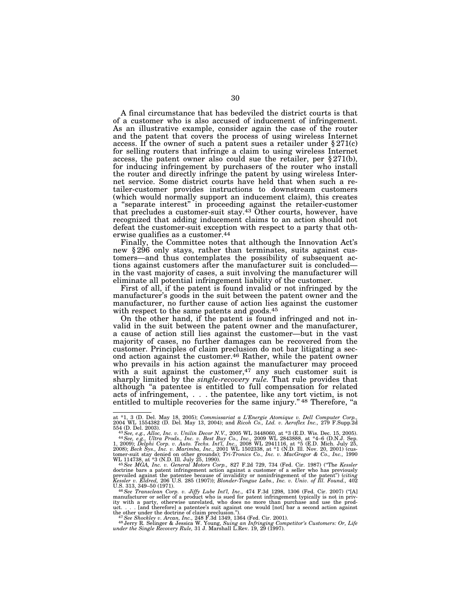A final circumstance that has bedeviled the district courts is that of a customer who is also accused of inducement of infringement. As an illustrative example, consider again the case of the router and the patent that covers the process of using wireless Internet access. If the owner of such a patent sues a retailer under  $\S 271(c)$ for selling routers that infringe a claim to using wireless Internet access, the patent owner also could sue the retailer, per § 271(b), for inducing infringement by purchasers of the router who install the router and directly infringe the patent by using wireless Internet service. Some district courts have held that when such a retailer-customer provides instructions to downstream customers (which would normally support an inducement claim), this creates a ''separate interest'' in proceeding against the retailer-customer that precludes a customer-suit stay.<sup>43</sup> Other courts, however, have recognized that adding inducement claims to an action should not defeat the customer-suit exception with respect to a party that otherwise qualifies as a customer.44

Finally, the Committee notes that although the Innovation Act's new § 296 only stays, rather than terminates, suits against customers—and thus contemplates the possibility of subsequent actions against customers after the manufacturer suit is concluded in the vast majority of cases, a suit involving the manufacturer will eliminate all potential infringement liability of the customer.

First of all, if the patent is found invalid or not infringed by the manufacturer's goods in the suit between the patent owner and the manufacturer, no further cause of action lies against the customer with respect to the same patents and goods.45

On the other hand, if the patent is found infringed and not invalid in the suit between the patent owner and the manufacturer, a cause of action still lies against the customer—but in the vast majority of cases, no further damages can be recovered from the customer. Principles of claim preclusion do not bar litigating a second action against the customer.46 Rather, while the patent owner who prevails in his action against the manufacturer may proceed with a suit against the customer,  $47$  any such customer suit is sharply limited by the *single-recovery rule.* That rule provides that although ''a patentee is entitled to full compensation for related acts of infringement, . . . the patentee, like any tort victim, is not entitled to multiple recoveries for the same injury." <sup>48</sup> Therefore, "a

U.S. 313, 349–50 (1971).<br>
"<sup>46</sup>See Transclean Corp. v. Jiffy Lube Int'l, Inc., 474 F.3d 1298, 1306 (Fed. Cir. 2007) ("[A]<br>
manufacturer or seller of a product who is sued for patent infringement typically is not in priv-<br>

at \*1, 3 (D. Del. May 18, 2005); *Commissariat a L'Energie Atomique v. Dell Computer Corp.,* 2004 WL 1554382 (D. Del. May 13, 2004); and *Ricoh Co., Ltd. v. Aeroflex Inc.,* 279 F.Supp.2d 554 (D. Del. 2003).

<sup>&</sup>lt;sup>43</sup> See, e.g., Alloc, Inc. v. Unilin Decor N.V., 2005 WL 3448060, at \*3 (E.D. Wis. Dec. 15, 2005).<br><sup>44</sup> See, e.g., Ultra Prods., Inc. v. Best Buy Co., Inc., 2009 WL 2843888, at \*4–6 (D.N.J. Sep.<br>1, 2009); Delphi Corp. v.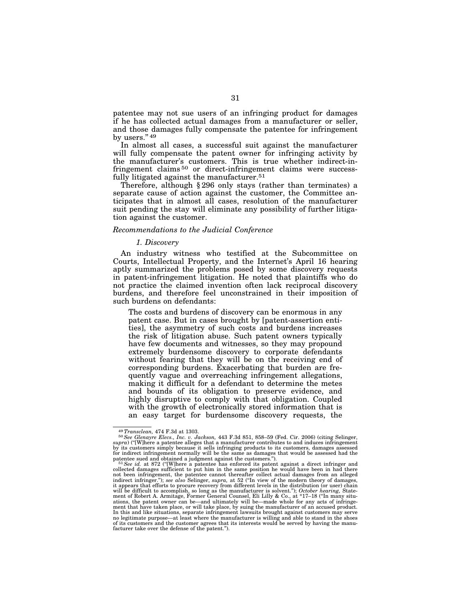patentee may not sue users of an infringing product for damages if he has collected actual damages from a manufacturer or seller, and those damages fully compensate the patentee for infringement by users."<sup>49</sup>

In almost all cases, a successful suit against the manufacturer will fully compensate the patent owner for infringing activity by the manufacturer's customers. This is true whether indirect-infringement claims<sup>50</sup> or direct-infringement claims were successfully litigated against the manufacturer.<sup>51</sup>

Therefore, although § 296 only stays (rather than terminates) a separate cause of action against the customer, the Committee anticipates that in almost all cases, resolution of the manufacturer suit pending the stay will eliminate any possibility of further litigation against the customer.

# *Recommendations to the Judicial Conference*

### *1. Discovery*

An industry witness who testified at the Subcommittee on Courts, Intellectual Property, and the Internet's April 16 hearing aptly summarized the problems posed by some discovery requests in patent-infringement litigation. He noted that plaintiffs who do not practice the claimed invention often lack reciprocal discovery burdens, and therefore feel unconstrained in their imposition of such burdens on defendants:

The costs and burdens of discovery can be enormous in any patent case. But in cases brought by [patent-assertion entities], the asymmetry of such costs and burdens increases the risk of litigation abuse. Such patent owners typically have few documents and witnesses, so they may propound extremely burdensome discovery to corporate defendants without fearing that they will be on the receiving end of corresponding burdens. Exacerbating that burden are frequently vague and overreaching infringement allegations, making it difficult for a defendant to determine the metes and bounds of its obligation to preserve evidence, and highly disruptive to comply with that obligation. Coupled with the growth of electronically stored information that is an easy target for burdensome discovery requests, the

<sup>49</sup>*Transclean,* 474 F.3d at 1303.

 $50\,$  See Glenayre Elecs., Inc. v. Jackson, 443 F.3d 851, 858–59 (Fed. Cir. 2006) (citing Selinger, supra) ("[W]here a patentee alleges that a manufacturer contributes to and induces infringement by its customers simply for indirect infringement normally will be the same as damages that would be assessed had the patentee sued and obtained a judgment against the customers.''). <sup>51</sup>*See id.* at 872 (''[W]here a patentee has enforced its patent against a direct infringer and

collected damages sufficient to put him in the same position he would have been in had there not been infringement, the patentee cannot thereafter collect actual damages from an alleged indirect infringer.''); *see also* Selinger, *supra,* at 52 (''In view of the modern theory of damages, it appears that efforts to procure recovery from different levels in the distribution (or user) chain<br>will be difficult to accomplish, so long as the manufacturer is solvent."); *October hearing*, State-<br>ment of Robert A. ations, the patent owner can be—and ultimately will be—made whole for any acts of infringe-<br>ment that have taken place, or will take place, by suing the manufacturer of an accused product.<br>In this and like situations, sepa no legitimate purpose—at least where the manufacturer is willing and able to stand in the shoes of its customers and the customer agrees that its interests would be served by having the manufacturer take over the defense of the patent.'').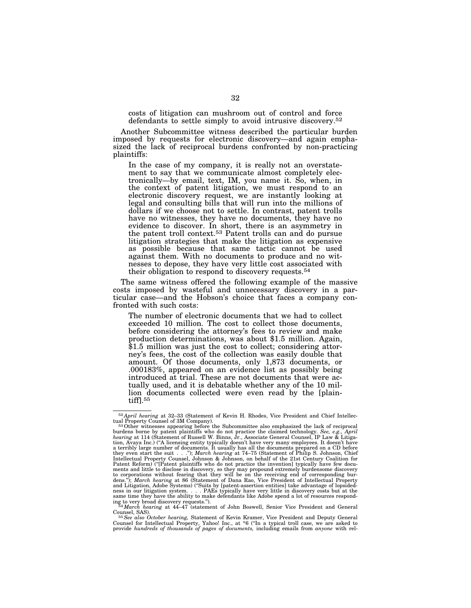costs of litigation can mushroom out of control and force defendants to settle simply to avoid intrusive discovery.52

Another Subcommittee witness described the particular burden imposed by requests for electronic discovery—and again emphasized the lack of reciprocal burdens confronted by non-practicing plaintiffs:

In the case of my company, it is really not an overstatement to say that we communicate almost completely electronically—by email, text, IM, you name it. So, when, in the context of patent litigation, we must respond to an electronic discovery request, we are instantly looking at legal and consulting bills that will run into the millions of dollars if we choose not to settle. In contrast, patent trolls have no witnesses, they have no documents, they have no evidence to discover. In short, there is an asymmetry in the patent troll context.53 Patent trolls can and do pursue litigation strategies that make the litigation as expensive as possible because that same tactic cannot be used against them. With no documents to produce and no witnesses to depose, they have very little cost associated with their obligation to respond to discovery requests.54

The same witness offered the following example of the massive costs imposed by wasteful and unnecessary discovery in a particular case—and the Hobson's choice that faces a company confronted with such costs:

The number of electronic documents that we had to collect exceeded 10 million. The cost to collect those documents, before considering the attorney's fees to review and make production determinations, was about \$1.5 million. Again, \$1.5 million was just the cost to collect; considering attorney's fees, the cost of the collection was easily double that amount. Of those documents, only 1,873 documents, or .000183%, appeared on an evidence list as possibly being introduced at trial. These are not documents that were actually used, and it is debatable whether any of the 10 million documents collected were even read by the [plain- $\text{diff}$ ].<sup>55</sup>

<sup>52</sup> *April hearing* at 32–33 (Statement of Kevin H. Rhodes, Vice President and Chief Intellec-

tual Property Counsel of 3M Company).<br><sup>53</sup>Other witnesses appearing before the Subcommittee also emphasized the lack of reciprocal<br>burdens borne by patent plaintiffs who do not practice the claimed technology. *See, e.g., hearing* at 114 (Statement of Russell W. Binns, Jr., Associate General Counsel, IP Law & Litiga-<br>tion, Avaya Inc.) ("A licensing entity typically doesn't have very many employees. It doesn't have<br>a terribly large number o they even start the suit . . ."); *March hearing* at 74–75 (Statement of Philip S. Johnson, Chief<br>Intellectual Property Counsel, Johnson & Johnson, on behalf of the 21st Century Coalition for<br>Patent Reform) ("[Patent plain ments and little to disclose in discovery, so they may propound extremely burdensome discovery<br>to corporations without fearing that they will be on the receiving end of corresponding bur-<br>dens."); *March hearing* at 86 (St and Litigation, Adobe Systems) ("Suits by [patent-assertion entities] take advantage of lopsided-<br>ness in our litigation system. . . . PAEs typically have very little in discovery costs but at the<br>same time they have the a ing to very broad discovery requests.''). <sup>54</sup>*March hearing* at 44–47 (statement of John Boswell, Senior Vice President and General

Counsel, SAS).

 $55\,$  See also October hearing, Statement of Kevin Kramer, Vice President and Deputy General Counsel for Intellectual Property, Yahoo! Inc., at  $*6$  ("In a typical troll case, we are asked to provide hundreds of thousand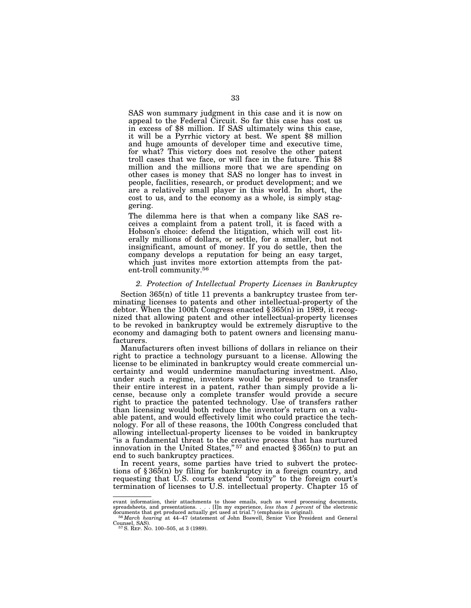SAS won summary judgment in this case and it is now on appeal to the Federal Circuit. So far this case has cost us in excess of \$8 million. If SAS ultimately wins this case, it will be a Pyrrhic victory at best. We spent \$8 million and huge amounts of developer time and executive time, for what? This victory does not resolve the other patent troll cases that we face, or will face in the future. This \$8 million and the millions more that we are spending on other cases is money that SAS no longer has to invest in people, facilities, research, or product development; and we are a relatively small player in this world. In short, the cost to us, and to the economy as a whole, is simply staggering.

The dilemma here is that when a company like SAS receives a complaint from a patent troll, it is faced with a Hobson's choice: defend the litigation, which will cost literally millions of dollars, or settle, for a smaller, but not insignificant, amount of money. If you do settle, then the company develops a reputation for being an easy target, which just invites more extortion attempts from the patent-troll community.56

# *2. Protection of Intellectual Property Licenses in Bankruptcy*

Section 365(n) of title 11 prevents a bankruptcy trustee from terminating licenses to patents and other intellectual-property of the debtor. When the 100th Congress enacted § 365(n) in 1989, it recognized that allowing patent and other intellectual-property licenses to be revoked in bankruptcy would be extremely disruptive to the economy and damaging both to patent owners and licensing manufacturers.

Manufacturers often invest billions of dollars in reliance on their right to practice a technology pursuant to a license. Allowing the license to be eliminated in bankruptcy would create commercial uncertainty and would undermine manufacturing investment. Also, under such a regime, inventors would be pressured to transfer their entire interest in a patent, rather than simply provide a license, because only a complete transfer would provide a secure right to practice the patented technology. Use of transfers rather than licensing would both reduce the inventor's return on a valuable patent, and would effectively limit who could practice the technology. For all of these reasons, the 100th Congress concluded that allowing intellectual-property licenses to be voided in bankruptcy ''is a fundamental threat to the creative process that has nurtured innovation in the United States,"<sup>57</sup> and enacted  $\S 365(n)$  to put an end to such bankruptcy practices.

In recent years, some parties have tried to subvert the protections of § 365(n) by filing for bankruptcy in a foreign country, and requesting that U.S. courts extend ''comity'' to the foreign court's termination of licenses to U.S. intellectual property. Chapter 15 of

evant information, their attachments to those emails, such as word processing documents, spreadsheets, and presentations. . . . [I]n my experience, less than 1 percent of the electronic documents that get produced actuall

 $57$ S. REP. No. 100–505, at 3 (1989).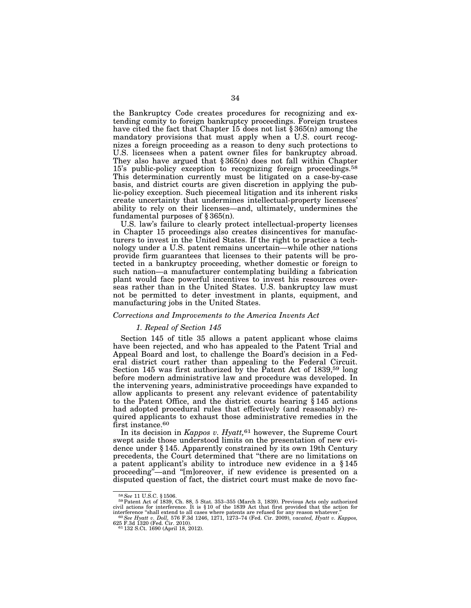the Bankruptcy Code creates procedures for recognizing and extending comity to foreign bankruptcy proceedings. Foreign trustees have cited the fact that Chapter 15 does not list  $\S 365(n)$  among the mandatory provisions that must apply when a U.S. court recognizes a foreign proceeding as a reason to deny such protections to U.S. licensees when a patent owner files for bankruptcy abroad. They also have argued that  $\S 365(n)$  does not fall within Chapter 15's public-policy exception to recognizing foreign proceedings.58 This determination currently must be litigated on a case-by-case basis, and district courts are given discretion in applying the public-policy exception. Such piecemeal litigation and its inherent risks create uncertainty that undermines intellectual-property licensees' ability to rely on their licenses—and, ultimately, undermines the fundamental purposes of § 365(n).

U.S. law's failure to clearly protect intellectual-property licenses in Chapter 15 proceedings also creates disincentives for manufacturers to invest in the United States. If the right to practice a technology under a U.S. patent remains uncertain—while other nations provide firm guarantees that licenses to their patents will be protected in a bankruptcy proceeding, whether domestic or foreign to such nation—a manufacturer contemplating building a fabrication plant would face powerful incentives to invest his resources overseas rather than in the United States. U.S. bankruptcy law must not be permitted to deter investment in plants, equipment, and manufacturing jobs in the United States.

# *Corrections and Improvements to the America Invents Act*

## *1. Repeal of Section 145*

Section 145 of title 35 allows a patent applicant whose claims have been rejected, and who has appealed to the Patent Trial and Appeal Board and lost, to challenge the Board's decision in a Federal district court rather than appealing to the Federal Circuit. Section 145 was first authorized by the Patent Act of 1839,<sup>59</sup> long before modern administrative law and procedure was developed. In the intervening years, administrative proceedings have expanded to allow applicants to present any relevant evidence of patentability to the Patent Office, and the district courts hearing § 145 actions had adopted procedural rules that effectively (and reasonably) required applicants to exhaust those administrative remedies in the first instance.<sup>60</sup>

In its decision in *Kappos v. Hyatt,*<sup>61</sup> however, the Supreme Court swept aside those understood limits on the presentation of new evidence under § 145. Apparently constrained by its own 19th Century precedents, the Court determined that ''there are no limitations on a patent applicant's ability to introduce new evidence in a § 145 proceeding''—and ''[m]oreover, if new evidence is presented on a disputed question of fact, the district court must make de novo fac-

<sup>&</sup>lt;sup>58</sup>See 11 U.S.C. § 1506.<br>
<sup>58</sup>See 11 U.S.C. § 1506.<br>
<sup>59</sup>Patent Act of 1839, Ch. 88, 5 Stat. 353–355 (March 3, 1839). Previous Acts only authorized<br>
civil actions for interference. It is § 10 of the 1839 Act that first p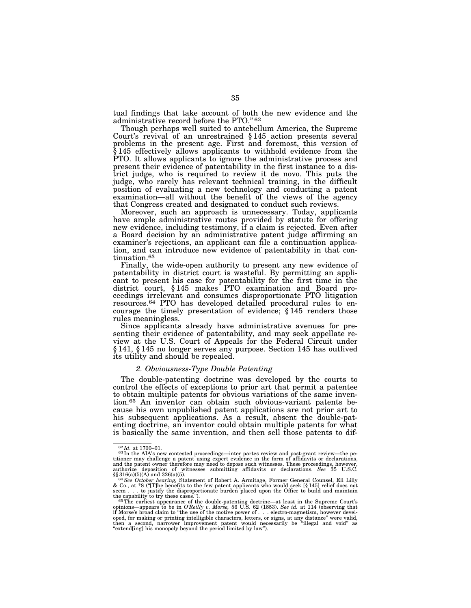tual findings that take account of both the new evidence and the administrative record before the PTO." 62

Though perhaps well suited to antebellum America, the Supreme Court's revival of an unrestrained §145 action presents several problems in the present age. First and foremost, this version of §145 effectively allows applicants to withhold evidence from the PTO. It allows applicants to ignore the administrative process and present their evidence of patentability in the first instance to a district judge, who is required to review it de novo. This puts the judge, who rarely has relevant technical training, in the difficult position of evaluating a new technology and conducting a patent examination—all without the benefit of the views of the agency that Congress created and designated to conduct such reviews.

Moreover, such an approach is unnecessary. Today, applicants have ample administrative routes provided by statute for offering new evidence, including testimony, if a claim is rejected. Even after a Board decision by an administrative patent judge affirming an examiner's rejections, an applicant can file a continuation application, and can introduce new evidence of patentability in that continuation.<sup>63</sup>

Finally, the wide-open authority to present any new evidence of patentability in district court is wasteful. By permitting an applicant to present his case for patentability for the first time in the district court, § 145 makes PTO examination and Board proceedings irrelevant and consumes disproportionate PTO litigation resources.64 PTO has developed detailed procedural rules to encourage the timely presentation of evidence; § 145 renders those rules meaningless.

Since applicants already have administrative avenues for presenting their evidence of patentability, and may seek appellate review at the U.S. Court of Appeals for the Federal Circuit under §141, § 145 no longer serves any purpose. Section 145 has outlived its utility and should be repealed.

# *2. Obviousness-Type Double Patenting*

The double-patenting doctrine was developed by the courts to control the effects of exceptions to prior art that permit a patentee to obtain multiple patents for obvious variations of the same invention.65 An inventor can obtain such obvious-variant patents because his own unpublished patent applications are not prior art to his subsequent applications. As a result, absent the double-patenting doctrine, an inventor could obtain multiple patents for what is basically the same invention, and then sell those patents to dif-

<sup>62</sup> *Id.* at 1700–01.

 $63$  In the AIA's new contested proceedings—inter partes review and post-grant review—the petitioner may challenge a patent using expert evidence in the form of affidavits or declarations, and the patent owner therefore m authorize deposition of witnesses submitting affidavits or declarations. *See* 35 U.S.C. §§ 316(a)(5)(A) and 326(a)(5). <sup>64</sup>*See October hearing,* Statement of Robert A. Armitage, Former General Counsel, Eli Lilly

<sup>&</sup>amp; Co., at \*8 ("[T]he benefits to the few patent applicants who would seek [§ 145] relief does not seem . . to justify the disproportionate burden placed upon the Office to build and maintain sthe capability to try these c

oped, for making or printing intelligible characters, letters, or signs, at any distance" were valid,<br>then a second, narrower improvement patent would necessarily be "illegal and void" as<br>"extend[ing] his monop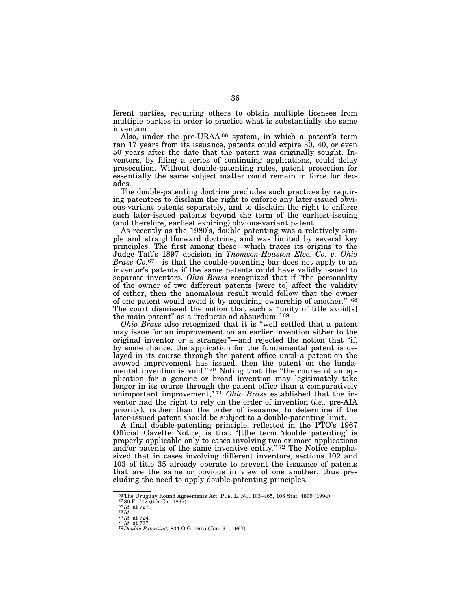ferent parties, requiring others to obtain multiple licenses from multiple parties in order to practice what is substantially the same invention.

Also, under the pre-URAA 66 system, in which a patent's term ran 17 years from its issuance, patents could expire 30, 40, or even 50 years after the date that the patent was originally sought. Inventors, by filing a series of continuing applications, could delay prosecution. Without double-patenting rules, patent protection for essentially the same subject matter could remain in force for decades.

The double-patenting doctrine precludes such practices by requiring patentees to disclaim the right to enforce any later-issued obvious-variant patents separately, and to disclaim the right to enforce such later-issued patents beyond the term of the earliest-issuing (and therefore, earliest expiring) obvious-variant patent.

As recently as the 1980's, double patenting was a relatively simple and straightforward doctrine, and was limited by several key principles. The first among these—which traces its origins to the Judge Taft's 1897 decision in *Thomson-Houston Elec. Co. v. Ohio Brass Co.*67—is that the double-patenting bar does not apply to an inventor's patents if the same patents could have validly issued to separate inventors. *Ohio Brass* recognized that if ''the personality of the owner of two different patents [were to] affect the validity of either, then the anomalous result would follow that the owner of one patent would avoid it by acquiring ownership of another." <sup>68</sup> The court dismissed the notion that such a "unity of title avoid[s] the main patent" as a "reductio ad absurdum." 69

*Ohio Brass* also recognized that it is ''well settled that a patent may issue for an improvement on an earlier invention either to the original inventor or a stranger''—and rejected the notion that ''if, by some chance, the application for the fundamental patent is delayed in its course through the patent office until a patent on the avowed improvement has issued, then the patent on the fundamental invention is void."<sup>70</sup> Noting that the "the course of an application for a generic or broad invention may legitimately take longer in its course through the patent office than a comparatively unimportant improvement,"<sup>71</sup> Ohio Brass established that the inventor had the right to rely on the order of invention (*i.e.,* pre-AIA priority), rather than the order of issuance, to determine if the later-issued patent should be subject to a double-patenting limit.

A final double-patenting principle, reflected in the PTO's 1967 Official Gazette Notice, is that ''[t]he term 'double patenting' is properly applicable only to cases involving two or more applications and/or patents of the same inventive entity."<sup>72</sup> The Notice emphasized that in cases involving different inventors, sections 102 and 103 of title 35 already operate to prevent the issuance of patents that are the same or obvious in view of one another, thus precluding the need to apply double-patenting principles.

<sup>66</sup>The Uruguay Round Agreements Act, PUB. L. NO. 103–465, 108 Stat. 4809 (1994).

<sup>67</sup> 80 F. 712 (6th Cir. 1897). <sup>68</sup> *Id.* at 727.

<sup>69</sup> *Id.* 

<sup>70</sup> *Id.* at 724. <sup>71</sup> *Id.* at 727.

<sup>72</sup>*Double Patenting,* 834 O.G. 1615 (Jan. 31, 1967).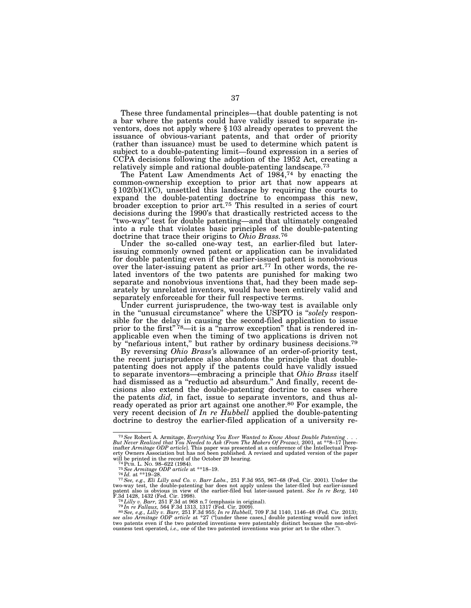These three fundamental principles—that double patenting is not a bar where the patents could have validly issued to separate inventors, does not apply where § 103 already operates to prevent the issuance of obvious-variant patents, and that order of priority (rather than issuance) must be used to determine which patent is subject to a double-patenting limit—found expression in a series of CCPA decisions following the adoption of the 1952 Act, creating a relatively simple and rational double-patenting landscape.73

The Patent Law Amendments Act of 1984,<sup>74</sup> by enacting the common-ownership exception to prior art that now appears at §102(b)(1)(C), unsettled this landscape by requiring the courts to expand the double-patenting doctrine to encompass this new, broader exception to prior art.75 This resulted in a series of court decisions during the 1990's that drastically restricted access to the ''two-way'' test for double patenting—and that ultimately congealed into a rule that violates basic principles of the double-patenting doctrine that trace their origins to *Ohio Brass.*<sup>76</sup>

Under the so-called one-way test, an earlier-filed but laterissuing commonly owned patent or application can be invalidated for double patenting even if the earlier-issued patent is nonobvious over the later-issuing patent as prior art.77 In other words, the related inventors of the two patents are punished for making two separate and nonobvious inventions that, had they been made separately by unrelated inventors, would have been entirely valid and separately enforceable for their full respective terms.

Under current jurisprudence, the two-way test is available only in the "unusual circumstance" where the USPTO is "*solely* responsible for the delay in causing the second-filed application to issue prior to the first"<sup>78</sup>—it is a "narrow exception" that is rendered inapplicable even when the timing of two applications is driven not by "nefarious intent," but rather by ordinary business decisions.<sup>79</sup>

By reversing *Ohio Brass'*s allowance of an order-of-priority test, the recent jurisprudence also abandons the principle that doublepatenting does not apply if the patents could have validly issued to separate inventors—embracing a principle that *Ohio Brass* itself had dismissed as a "reductio ad absurdum." And finally, recent decisions also extend the double-patenting doctrine to cases where the patents *did,* in fact, issue to separate inventors, and thus already operated as prior art against one another.80 For example, the very recent decision of *In re Hubbell* applied the double-patenting doctrine to destroy the earlier-filed application of a university re-

<sup>&</sup>lt;sup>73</sup> See Robert A. Armitage, *Everything You Ever Wanted to Know About Double Patenting But Never Realized that You Needed to Ask (From The Makers Of Prozac),* 2001, at \*\*8–17 [here-inafter *Armitage ODP article*]. This paper was presented at a conference of the Intellectual Property Owners Association but has not been published. A revised and updated version of the paper will be printed in the record of the October 29 hearing. 74PUB. L. NO. 98–622 (1984).

<sup>75</sup>*See Armitage ODP article* at \*\*18–19. <sup>76</sup> *Id.* at \*\*19–28.

<sup>77</sup>*See, e.g., Eli Lilly and Co. v. Barr Labs.,* 251 F.3d 955, 967–68 (Fed. Cir. 2001). Under the two-way test, the double-patenting bar does not apply unless the later-filed but earlier-issued<br>patent also is obvious in view of the earlier-filed but later-issued patent. *See In re Berg,* 140<br>F.3d 1428, 1432 (Fed. Cir.

<sup>&</sup>lt;sup>78</sup>Lilly v. Barr, 251 F.3d at 968 n.7 (emphasis in original).<br><sup>79</sup>In re Fallaux, 564 F.3d 1313, 1317 (Fed. Cir. 2009).<br><sup>80</sup> See, e.g., Lilly v. Barr, 251 F.3d 955; In re Hubbell, 709 F.3d 1140, 1146–48 (Fed. Cir. 2013); see also Armitage ODP article at \*27 ("[under these cases,] double patenting would now infect<br>two patents even if the two patented inventions were patentably distinct because the non-obvi-<br>ousness test operated, *i.e.*, on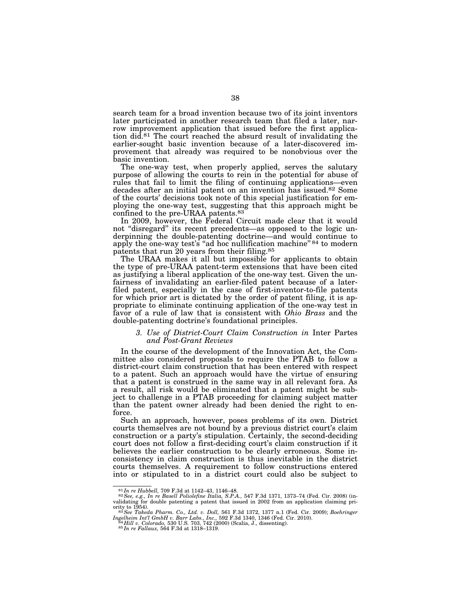search team for a broad invention because two of its joint inventors later participated in another research team that filed a later, narrow improvement application that issued before the first application did.81 The court reached the absurd result of invalidating the earlier-sought basic invention because of a later-discovered improvement that already was required to be nonobvious over the basic invention.

The one-way test, when properly applied, serves the salutary purpose of allowing the courts to rein in the potential for abuse of rules that fail to limit the filing of continuing applications—even decades after an initial patent on an invention has issued.82 Some of the courts' decisions took note of this special justification for employing the one-way test, suggesting that this approach might be confined to the pre-URAA patents.<sup>83</sup>

In 2009, however, the Federal Circuit made clear that it would not "disregard" its recent precedents—as opposed to the logic underpinning the double-patenting doctrine—and would continue to apply the one-way test's "ad hoc nullification machine" 84 to modern patents that run 20 years from their filing.85

The URAA makes it all but impossible for applicants to obtain the type of pre-URAA patent-term extensions that have been cited as justifying a liberal application of the one-way test. Given the unfairness of invalidating an earlier-filed patent because of a laterfiled patent, especially in the case of first-inventor-to-file patents for which prior art is dictated by the order of patent filing, it is appropriate to eliminate continuing application of the one-way test in favor of a rule of law that is consistent with *Ohio Brass* and the double-patenting doctrine's foundational principles.

#### *3. Use of District-Court Claim Construction in* Inter Partes *and Post-Grant Reviews*

In the course of the development of the Innovation Act, the Committee also considered proposals to require the PTAB to follow a district-court claim construction that has been entered with respect to a patent. Such an approach would have the virtue of ensuring that a patent is construed in the same way in all relevant fora. As a result, all risk would be eliminated that a patent might be subject to challenge in a PTAB proceeding for claiming subject matter than the patent owner already had been denied the right to enforce.

Such an approach, however, poses problems of its own. District courts themselves are not bound by a previous district court's claim construction or a party's stipulation. Certainly, the second-deciding court does not follow a first-deciding court's claim construction if it believes the earlier construction to be clearly erroneous. Some inconsistency in claim construction is thus inevitable in the district courts themselves. A requirement to follow constructions entered into or stipulated to in a district court could also be subject to

<sup>81</sup> *In re Hubbell,* 709 F.3d at 1142–43, 1146–48. <sup>82</sup>*See, e.g., In re Basell Poliolefine Italia, S.P.A.,* 547 F.3d 1371, 1373–74 (Fed. Cir. 2008) (invalidating for double patenting a patent that issued in 2002 from an application claiming pri-ority to 1954). <sup>83</sup>*See Takeda Pharm. Co., Ltd. v. Doll,* 561 F.3d 1372, 1377 n.1 (Fed. Cir. 2009); *Boehringer*

*Ingelheim Int'l GmbH v. Barr Labs., Inc.,* 592 F.3d 1340, 1346 (Fed. Cir. 2010). <sup>84</sup> *Hill v. Colorado,* 530 U.S. 703, 742 (2000) (Scalia, J., dissenting). <sup>85</sup> *In re Fallaux,* 564 F.3d at 1318–1319.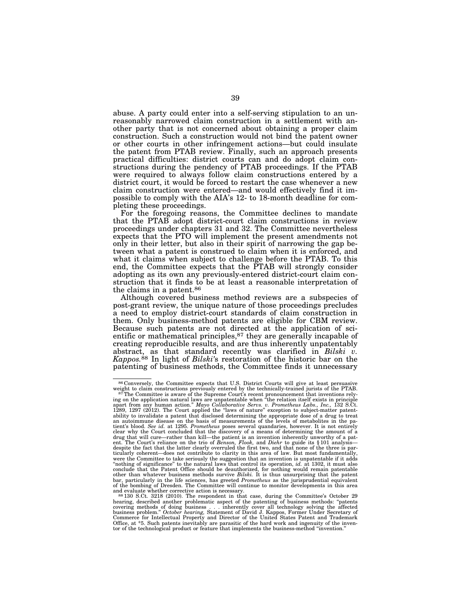abuse. A party could enter into a self-serving stipulation to an unreasonably narrowed claim construction in a settlement with another party that is not concerned about obtaining a proper claim construction. Such a construction would not bind the patent owner or other courts in other infringement actions—but could insulate the patent from PTAB review. Finally, such an approach presents practical difficulties: district courts can and do adopt claim constructions during the pendency of PTAB proceedings. If the PTAB were required to always follow claim constructions entered by a district court, it would be forced to restart the case whenever a new claim construction were entered—and would effectively find it impossible to comply with the AIA's 12- to 18-month deadline for completing these proceedings.

For the foregoing reasons, the Committee declines to mandate that the PTAB adopt district-court claim constructions in review proceedings under chapters 31 and 32. The Committee nevertheless expects that the PTO will implement the present amendments not only in their letter, but also in their spirit of narrowing the gap between what a patent is construed to claim when it is enforced, and what it claims when subject to challenge before the PTAB. To this end, the Committee expects that the PTAB will strongly consider adopting as its own any previously-entered district-court claim construction that it finds to be at least a reasonable interpretation of the claims in a patent.86

Although covered business method reviews are a subspecies of post-grant review, the unique nature of those proceedings precludes a need to employ district-court standards of claim construction in them. Only business-method patents are eligible for CBM review. Because such patents are not directed at the application of scientific or mathematical principles,<sup>87</sup> they are generally incapable of creating reproducible results, and are thus inherently unpatentably abstract, as that standard recently was clarified in *Bilski v. Kappos.*<sup>88</sup> In light of *Bilski'*s restoration of the historic bar on the patenting of business methods, the Committee finds it unnecessary

<sup>86</sup> Conversely, the Committee expects that U.S. District Courts will give at least persuasive

weight to claim constructions previously entered by the technically-trained jurists of the PTAB.<br><sup>87</sup>The Committee is aware of the Supreme Court's recent pronouncement that inventions rely-<br>ing on the application natural l apart from any human action." Mayo Collaborative Servs. v. Prometheus Labs., Inc., 132 S.Ct.<br>1289, 1297 (2012). The Court applied the "laws of nature" exception to subject-matter patent-<br>ability to invalidate a patent that an autoimmune disease on the basis of measurements of the levels of metabolites in the patient's blood. *See id.* at 1295. *Prometheus* poses several quandaries, however. It is not entirely clear why the Court concluded that the discovery of a means of determining the amount of a drug that will cure—rather than kill—the patient is an invention inherently unworthy of a pat-<br>ent. The Court's reliance on the trio of Benson, Flook, and Diehr to guide its § 101 analysis—<br>despite the fact that the latter ticularly coherent—does not contribute to clarity in this area of law. But most fundamentally, were the Committee to take seriously the suggestion that an invention is unpatentable if it adds ''nothing of significance'' to the natural laws that control its operation, *id.* at 1302, it must also conclude that the Patent Office should be deauthorized, for nothing would remain patentable<br>other than whatever business methods survive Bilski. It is thus unsurprising that the patent<br>bar, particularly in the life science of the bombing of Dresden. The Committee will continue to monitor developments in this area and evaluate whether corrective action is necessary.

<sup>88</sup> 130 S.Ct. 3218 (2010). The respondent in that case, during the Committee's October 29 hearing, described another problematic aspect of the patenting of business methods: "patents<br>covering methods of doing business . . . inherently cover all technology solving the affected<br>business problem." October hearing, Commerce for Intellectual Property and Director of the United States Patent and Trademark<br>Office, at \*5. Such patents inevitably are parasitic of the hard work and ingenuity of the inven-<br>tor of the technological product o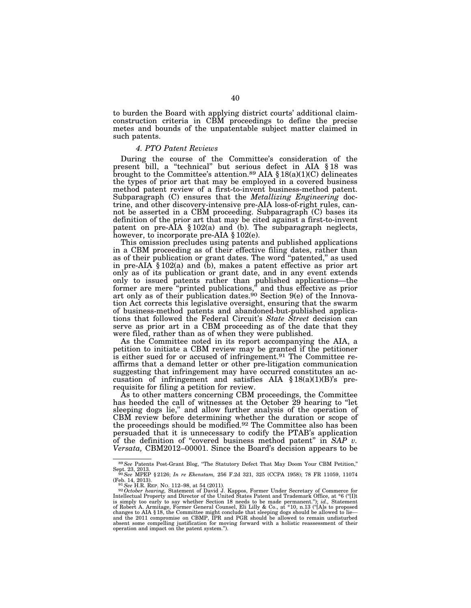to burden the Board with applying district courts' additional claimconstruction criteria in CBM proceedings to define the precise metes and bounds of the unpatentable subject matter claimed in such patents.

## *4. PTO Patent Reviews*

During the course of the Committee's consideration of the present bill, a "technical" but serious defect in AIA § 18 was brought to the Committee's attention.<sup>89</sup> AIA  $\S 18(a)(1)(C)$  delineates the types of prior art that may be employed in a covered business method patent review of a first-to-invent business-method patent. Subparagraph (C) ensures that the *Metallizing Engineering* doctrine, and other discovery-intensive pre-AIA loss-of-right rules, cannot be asserted in a CBM proceeding. Subparagraph (C) bases its definition of the prior art that may be cited against a first-to-invent patent on pre-AIA  $\S 102(a)$  and (b). The subparagraph neglects, however, to incorporate pre-AIA § 102(e).

This omission precludes using patents and published applications in a CBM proceeding as of their effective filing dates, rather than as of their publication or grant dates. The word ''patented,'' as used in pre-AIA § 102(a) and (b), makes a patent effective as prior art only as of its publication or grant date, and in any event extends only to issued patents rather than published applications—the former are mere ''printed publications,'' and thus effective as prior art only as of their publication dates.<sup>90</sup> Section 9(e) of the Innovation Act corrects this legislative oversight, ensuring that the swarm of business-method patents and abandoned-but-published applications that followed the Federal Circuit's *State Street* decision can serve as prior art in a CBM proceeding as of the date that they were filed, rather than as of when they were published.

As the Committee noted in its report accompanying the AIA, a petition to initiate a CBM review may be granted if the petitioner is either sued for or accused of infringement.91 The Committee reaffirms that a demand letter or other pre-litigation communication suggesting that infringement may have occurred constitutes an accusation of infringement and satisfies AIA  $§ 18(a)(1)(B)$ 's prerequisite for filing a petition for review.

As to other matters concerning CBM proceedings, the Committee has heeded the call of witnesses at the October 29 hearing to ''let sleeping dogs lie," and allow further analysis of the operation of CBM review before determining whether the duration or scope of the proceedings should be modified.92 The Committee also has been persuaded that it is unnecessary to codify the PTAB's application of the definition of ''covered business method patent'' in *SAP v. Versata,* CBM2012–00001. Since the Board's decision appears to be

<sup>89</sup>*See* Patents Post-Grant Blog, ''The Statutory Defect That May Doom Your CBM Petition,'' Sept. 23, 2013. <sup>90</sup>*See* MPEP § 2126; *In re Ekenstam,* 256 F.2d 321, 325 (CCPA 1958); 78 FR 11059, 11074

<sup>(</sup>Feb. 14, 2013).

<sup>&</sup>lt;sup>91</sup> See H.R. REP. No. 112–98, at 54 (2011).<br><sup>92</sup> October hearing, Statement of David J. Kappos, Former Under Secretary of Commerce for Intellectual Property and Director of the United States Patent and Trademark Office, is simply too early to say whether Section 18 needs to be made permanent."); *id.*, Statement<br>of Robert A. Armitage, Former General Counsel, Eli Lilly & Co., at \*10, n.13 ("[A]s to proposed<br>changes to AIA §18, the Committe and the 2011 compromise on CBMP, IPR and PGR should be allowed to remain undisturbed<br>absent some compelling justification for moving forward with a holistic reassessment of their<br>operation and impact on the patent system."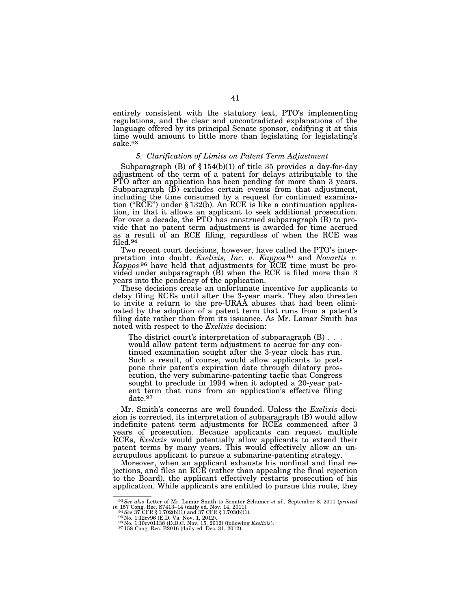entirely consistent with the statutory text, PTO's implementing regulations, and the clear and uncontradicted explanations of the language offered by its principal Senate sponsor, codifying it at this time would amount to little more than legislating for legislating's sake.93

## *5. Clarification of Limits on Patent Term Adjustment*

Subparagraph (B) of § 154(b)(1) of title 35 provides a day-for-day adjustment of the term of a patent for delays attributable to the PTO after an application has been pending for more than 3 years. Subparagraph  $(B)$  excludes certain events from that adjustment, including the time consumed by a request for continued examination ("RCE") under  $\S 132(b)$ . An RCE is like a continuation application, in that it allows an applicant to seek additional prosecution. For over a decade, the PTO has construed subparagraph (B) to provide that no patent term adjustment is awarded for time accrued as a result of an RCE filing, regardless of when the RCE was filed.94

Two recent court decisions, however, have called the PTO's interpretation into doubt. *Exelixis, Inc. v. Kappos* <sup>95</sup> and *Novartis v. Kappos* <sup>96</sup> have held that adjustments for RCE time must be provided under subparagraph (B) when the RCE is filed more than 3 years into the pendency of the application.

These decisions create an unfortunate incentive for applicants to delay filing RCEs until after the 3-year mark. They also threaten to invite a return to the pre-URAA abuses that had been eliminated by the adoption of a patent term that runs from a patent's filing date rather than from its issuance. As Mr. Lamar Smith has noted with respect to the *Exelixis* decision:

The district court's interpretation of subparagraph  $(B)$ ... would allow patent term adjustment to accrue for any continued examination sought after the 3-year clock has run. Such a result, of course, would allow applicants to postpone their patent's expiration date through dilatory prosecution, the very submarine-patenting tactic that Congress sought to preclude in 1994 when it adopted a 20-year patent term that runs from an application's effective filing date.97

Mr. Smith's concerns are well founded. Unless the *Exelixis* decision is corrected, its interpretation of subparagraph (B) would allow indefinite patent term adjustments for RCEs commenced after 3 years of prosecution. Because applicants can request multiple RCEs, *Exelixis* would potentially allow applicants to extend their patent terms by many years. This would effectively allow an unscrupulous applicant to pursue a submarine-patenting strategy.

Moreover, when an applicant exhausts his nonfinal and final rejections, and files an RCE (rather than appealing the final rejection to the Board), the applicant effectively restarts prosecution of his application. While applicants are entitled to pursue this route, they

<sup>&</sup>lt;sup>93</sup> See also Letter of Mr. Lamar Smith to Senator Schumer et al., September 8, 2011 (printed in 157 Cong. Rec. S7413-14 (daily ed. Nov. 14, 2011).<br><sup>94</sup> See 37 CFR § 1.702(b)(1) and 37 CFR § 1.703(b)(1).

<sup>95</sup> No. 1:12cv96 (E.D. Va. Nov. 1, 2012). <sup>96</sup> No. 1:10cv01138 (D.D.C. Nov. 15, 2012) (following *Exelixis*). 97 158 Cong. Rec. E2016 (daily ed. Dec. 31, 2012).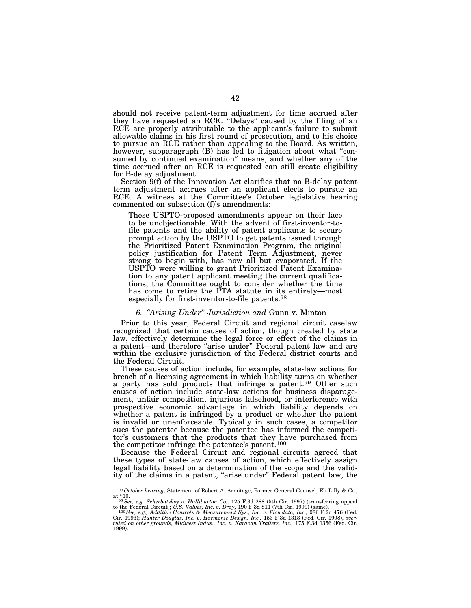should not receive patent-term adjustment for time accrued after they have requested an RCE. ''Delays'' caused by the filing of an RCE are properly attributable to the applicant's failure to submit allowable claims in his first round of prosecution, and to his choice to pursue an RCE rather than appealing to the Board. As written, however, subparagraph (B) has led to litigation about what "consumed by continued examination'' means, and whether any of the time accrued after an RCE is requested can still create eligibility for B-delay adjustment.

Section 9(f) of the Innovation Act clarifies that no B-delay patent term adjustment accrues after an applicant elects to pursue an RCE. A witness at the Committee's October legislative hearing commented on subsection (f)'s amendments:

These USPTO-proposed amendments appear on their face to be unobjectionable. With the advent of first-inventor-tofile patents and the ability of patent applicants to secure prompt action by the USPTO to get patents issued through the Prioritized Patent Examination Program, the original policy justification for Patent Term Adjustment, never strong to begin with, has now all but evaporated. If the USPTO were willing to grant Prioritized Patent Examination to any patent applicant meeting the current qualifications, the Committee ought to consider whether the time has come to retire the PTA statute in its entirety—most especially for first-inventor-to-file patents.98

#### *6. ''Arising Under'' Jurisdiction and* Gunn v. Minton

Prior to this year, Federal Circuit and regional circuit caselaw recognized that certain causes of action, though created by state law, effectively determine the legal force or effect of the claims in a patent—and therefore "arise under" Federal patent law and are within the exclusive jurisdiction of the Federal district courts and the Federal Circuit.

These causes of action include, for example, state-law actions for breach of a licensing agreement in which liability turns on whether a party has sold products that infringe a patent.99 Other such causes of action include state-law actions for business disparagement, unfair competition, injurious falsehood, or interference with prospective economic advantage in which liability depends on whether a patent is infringed by a product or whether the patent is invalid or unenforceable. Typically in such cases, a competitor sues the patentee because the patentee has informed the competitor's customers that the products that they have purchased from the competitor infringe the patentee's patent.100

Because the Federal Circuit and regional circuits agreed that these types of state-law causes of action, which effectively assign legal liability based on a determination of the scope and the validity of the claims in a patent, "arise under" Federal patent law, the

<sup>98</sup>*October hearing,* Statement of Robert A. Armitage, Former General Counsel, Eli Lilly & Co., at  $*10$ .<br>99 See,

<sup>&</sup>lt;sup>99</sup> See, e.g. Scherbatskoy v. Halliburton Co., 125 F.3d 288 (5th Cir. 1997) (transferring appeal to the Federal Circuit); U.S. Valves, Inc. v. Dray, 190 F.3d 811 (7th Cir. 1999) (same).<br><sup>100</sup> See, e.g., Additive Controls

Cir. 1993); *Hunter Douglas, Inc. v. Harmonic Design, Inc.,* 153 F.3d 1318 (Fed. Cir. 1998), *over-ruled on other grounds, Midwest Indus., Inc. v. Karavan Trailers, Inc.,* 175 F.3d 1356 (Fed. Cir. 1999).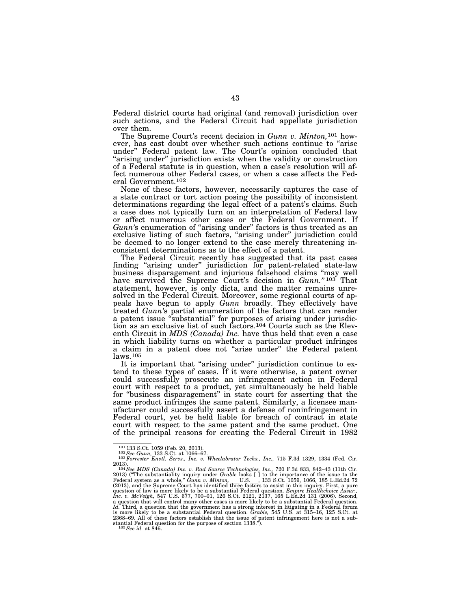Federal district courts had original (and removal) jurisdiction over such actions, and the Federal Circuit had appellate jurisdiction over them.

The Supreme Court's recent decision in *Gunn v. Minton,*<sup>101</sup> however, has cast doubt over whether such actions continue to ''arise under'' Federal patent law. The Court's opinion concluded that "arising under" jurisdiction exists when the validity or construction of a Federal statute is in question, when a case's resolution will affect numerous other Federal cases, or when a case affects the Federal Government.102

None of these factors, however, necessarily captures the case of a state contract or tort action posing the possibility of inconsistent determinations regarding the legal effect of a patent's claims. Such a case does not typically turn on an interpretation of Federal law or affect numerous other cases or the Federal Government. If Gunn's enumeration of "arising under" factors is thus treated as an exclusive listing of such factors, "arising under" jurisdiction could be deemed to no longer extend to the case merely threatening inconsistent determinations as to the effect of a patent.

The Federal Circuit recently has suggested that its past cases finding "arising under" jurisdiction for patent-related state-law business disparagement and injurious falsehood claims ''may well have survived the Supreme Court's decision in *Gunn.''* <sup>103</sup> That statement, however, is only dicta, and the matter remains unresolved in the Federal Circuit. Moreover, some regional courts of appeals have begun to apply *Gunn* broadly. They effectively have treated *Gunn'*s partial enumeration of the factors that can render a patent issue ''substantial'' for purposes of arising under jurisdiction as an exclusive list of such factors.104 Courts such as the Eleventh Circuit in *MDS (Canada) Inc.* have thus held that even a case in which liability turns on whether a particular product infringes a claim in a patent does not "arise under" the Federal patent laws.105

It is important that "arising under" jurisdiction continue to extend to these types of cases. If it were otherwise, a patent owner could successfully prosecute an infringement action in Federal court with respect to a product, yet simultaneously be held liable for ''business disparagement'' in state court for asserting that the same product infringes the same patent. Similarly, a licensee manufacturer could successfully assert a defense of noninfringement in Federal court, yet be held liable for breach of contract in state court with respect to the same patent and the same product. One of the principal reasons for creating the Federal Circuit in 1982

<sup>101</sup> 133 S.Ct. 1059 (Feb. 20, 2013). <sup>102</sup>*See Gunn,* 133 S.Ct. at 1066–67.

<sup>103</sup>*Forrester Envtl. Servs., Inc. v. Wheelabrator Techs., Inc.,* 715 F.3d 1329, 1334 (Fed. Cir. 2013).

<sup>&</sup>lt;sup>104</sup> See MDS (Canada) Inc. v. Rad Source Technologies, Inc., 720 F.3d 833, 842-43 (11th Cir. 2013) ("The substantiality inquiry under Grable looks [] to the importance of the issue to the Federal system as a whole," Gunn a question that will control many other cases is more likely to be a substantial Federal question.<br>Id. Third, a question that the government has a strong interest in litigating in a Federal forum<br>is more likely to be a sub 2368–69. All of these factors establish that the issue of patent infringement here is not a sub-stantial Federal question for the purpose of section 1338.''). <sup>105</sup>*See id.* at 846.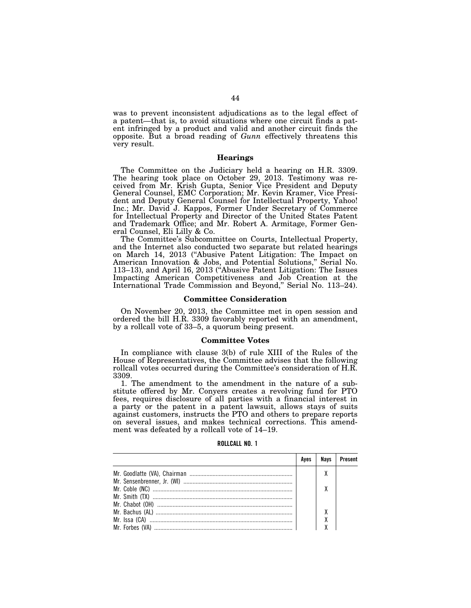was to prevent inconsistent adjudications as to the legal effect of a patent—that is, to avoid situations where one circuit finds a patent infringed by a product and valid and another circuit finds the opposite. But a broad reading of *Gunn* effectively threatens this very result.

#### **Hearings**

The Committee on the Judiciary held a hearing on H.R. 3309. The hearing took place on October 29, 2013. Testimony was received from Mr. Krish Gupta, Senior Vice President and Deputy General Counsel, EMC Corporation; Mr. Kevin Kramer, Vice President and Deputy General Counsel for Intellectual Property, Yahoo! Inc.; Mr. David J. Kappos, Former Under Secretary of Commerce for Intellectual Property and Director of the United States Patent and Trademark Office; and Mr. Robert A. Armitage, Former General Counsel, Eli Lilly & Co.

The Committee's Subcommittee on Courts, Intellectual Property, and the Internet also conducted two separate but related hearings on March 14, 2013 (''Abusive Patent Litigation: The Impact on American Innovation & Jobs, and Potential Solutions,'' Serial No. 113–13), and April 16, 2013 (''Abusive Patent Litigation: The Issues Impacting American Competitiveness and Job Creation at the International Trade Commission and Beyond,'' Serial No. 113–24).

## **Committee Consideration**

On November 20, 2013, the Committee met in open session and ordered the bill H.R. 3309 favorably reported with an amendment, by a rollcall vote of 33–5, a quorum being present.

#### **Committee Votes**

In compliance with clause 3(b) of rule XIII of the Rules of the House of Representatives, the Committee advises that the following rollcall votes occurred during the Committee's consideration of H.R. 3309.

1. The amendment to the amendment in the nature of a substitute offered by Mr. Conyers creates a revolving fund for PTO fees, requires disclosure of all parties with a financial interest in a party or the patent in a patent lawsuit, allows stays of suits against customers, instructs the PTO and others to prepare reports on several issues, and makes technical corrections. This amendment was defeated by a rollcall vote of 14–19.

#### **ROLLCALL NO. 1**

| Aves | Navs | <b>Present</b> |
|------|------|----------------|
|      |      |                |
|      |      |                |
|      |      |                |
|      |      |                |
|      |      |                |
|      |      |                |
|      | χ    |                |
|      |      |                |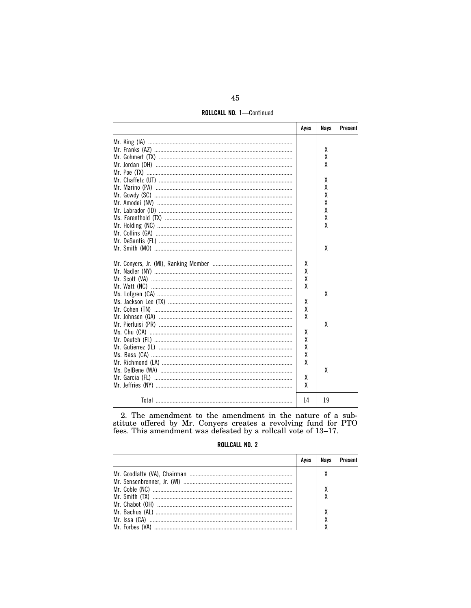ROLLCALL NO. 1-Continued

| Ayes | <b>Nays</b> | Present |
|------|-------------|---------|
|      |             |         |
|      | χ           |         |
|      | χ           |         |
|      | χ           |         |
|      |             |         |
|      | X           |         |
|      | χ           |         |
|      | χ           |         |
|      | χ           |         |
|      | χ           |         |
|      | χ           |         |
|      | χ           |         |
|      |             |         |
|      |             |         |
|      | χ           |         |
|      |             |         |
| χ    |             |         |
| χ    |             |         |
| χ    |             |         |
| χ    |             |         |
|      | χ           |         |
| χ    |             |         |
| χ    |             |         |
| χ    |             |         |
|      | χ           |         |
| χ    |             |         |
| χ    |             |         |
| χ    |             |         |
| χ    |             |         |
| χ    |             |         |
|      | χ           |         |
| χ    |             |         |
| χ    |             |         |
| 14   | 19          |         |

2. The amendment to the amendment in the nature of a substitute offered by Mr. Convers creates a revolving fund for PTO fees. This amendment was defeated by a rollcall vote of  $13-17$ .

| ROLLCALL NO. 2 |  |  |
|----------------|--|--|
|----------------|--|--|

| Aves | Navs | <b>Present</b> |
|------|------|----------------|
|      |      |                |
|      |      |                |
|      |      |                |
|      |      |                |
|      |      |                |
|      |      |                |
|      |      |                |
|      |      |                |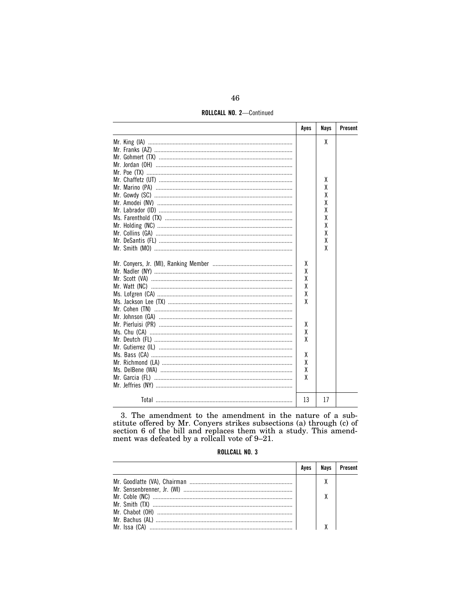ROLLCALL NO. 2-Continued

|                                    | Ayes                  | <b>Nays</b> | Present |
|------------------------------------|-----------------------|-------------|---------|
|                                    |                       | X           |         |
|                                    |                       |             |         |
|                                    |                       |             |         |
|                                    |                       |             |         |
|                                    |                       |             |         |
|                                    |                       | x           |         |
|                                    |                       | χ           |         |
|                                    |                       | χ           |         |
|                                    |                       | χ           |         |
|                                    |                       | χ           |         |
|                                    |                       | χ           |         |
|                                    |                       | χ           |         |
|                                    |                       | χ           |         |
|                                    |                       | χ           |         |
|                                    |                       | χ           |         |
|                                    | χ<br>χ<br>χ<br>χ<br>χ |             |         |
|                                    | χ                     |             |         |
|                                    |                       |             |         |
|                                    |                       |             |         |
|                                    | χ                     |             |         |
|                                    | χ                     |             |         |
|                                    | χ                     |             |         |
|                                    |                       |             |         |
|                                    | χ                     |             |         |
|                                    | χ                     |             |         |
|                                    | χ                     |             |         |
|                                    | χ                     |             |         |
|                                    |                       |             |         |
| Total ………………………………………………………………………… | 13                    | 17          |         |

3. The amendment to the amendment in the nature of a substitute offered by Mr. Convers strikes subsections (a) through (c) of section 6 of the bill and replaces them with a study. This amendment was defeated by a rollcall

| ROLLCALL NO. 3 |  |  |
|----------------|--|--|
|----------------|--|--|

| Aves | <b>Navs</b> | <b>Present</b> |
|------|-------------|----------------|
|      |             |                |
|      |             |                |
|      |             |                |
|      |             |                |
|      |             |                |
|      |             |                |
|      |             |                |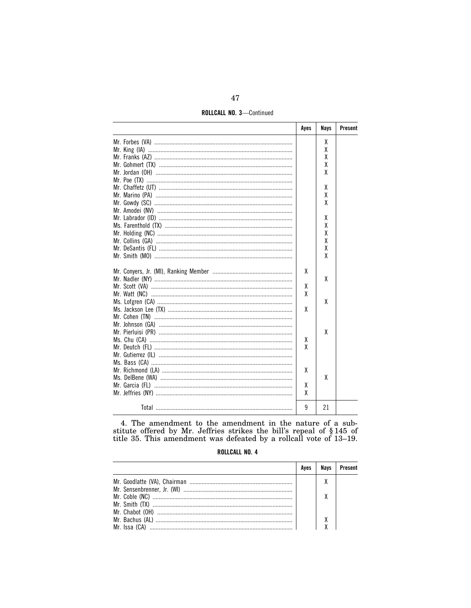ROLLCALL NO. 3-Continued

| χ<br>χ<br>χ<br>χ<br>χ<br>χ<br>χ<br>χ<br>χ<br>χ<br>χ<br>χ<br>χ<br>χ<br>χ<br>χ<br>χ<br>χ<br>χ<br>X<br>X<br>X<br>χ |  | Ayes | <b>Nays</b> | <b>Present</b> |
|-----------------------------------------------------------------------------------------------------------------|--|------|-------------|----------------|
|                                                                                                                 |  |      |             |                |
|                                                                                                                 |  |      |             |                |
|                                                                                                                 |  |      |             |                |
|                                                                                                                 |  |      |             |                |
|                                                                                                                 |  |      |             |                |
|                                                                                                                 |  |      |             |                |
|                                                                                                                 |  |      |             |                |
|                                                                                                                 |  |      |             |                |
|                                                                                                                 |  |      |             |                |
|                                                                                                                 |  |      |             |                |
|                                                                                                                 |  |      |             |                |
|                                                                                                                 |  |      |             |                |
|                                                                                                                 |  |      |             |                |
|                                                                                                                 |  |      |             |                |
|                                                                                                                 |  |      |             |                |
|                                                                                                                 |  |      |             |                |
|                                                                                                                 |  |      |             |                |
|                                                                                                                 |  |      |             |                |
|                                                                                                                 |  |      |             |                |
|                                                                                                                 |  |      |             |                |
|                                                                                                                 |  |      |             |                |
|                                                                                                                 |  |      |             |                |
|                                                                                                                 |  |      |             |                |
|                                                                                                                 |  |      |             |                |
|                                                                                                                 |  |      |             |                |
|                                                                                                                 |  |      |             |                |
|                                                                                                                 |  |      |             |                |
|                                                                                                                 |  |      |             |                |
|                                                                                                                 |  |      |             |                |
|                                                                                                                 |  |      |             |                |
|                                                                                                                 |  | χ    |             |                |
| X                                                                                                               |  |      |             |                |
| χ                                                                                                               |  |      |             |                |
| χ                                                                                                               |  |      |             |                |
|                                                                                                                 |  |      |             |                |
| 21<br>9<br>Total …………………………………………………………………………                                                                   |  |      |             |                |

4. The amendment to the amendment in the nature of a substitute offered by Mr. Jeffries strikes the bill's repeal of  $\S 145$  of title 35. This amendment was defeated by a rollcall vote of 13–19.

| ROLLCALL NO. 4 |  |  |
|----------------|--|--|
|----------------|--|--|

|  | Navs | Present |
|--|------|---------|
|  |      |         |
|  |      |         |
|  |      |         |
|  |      |         |
|  |      |         |
|  |      |         |
|  |      |         |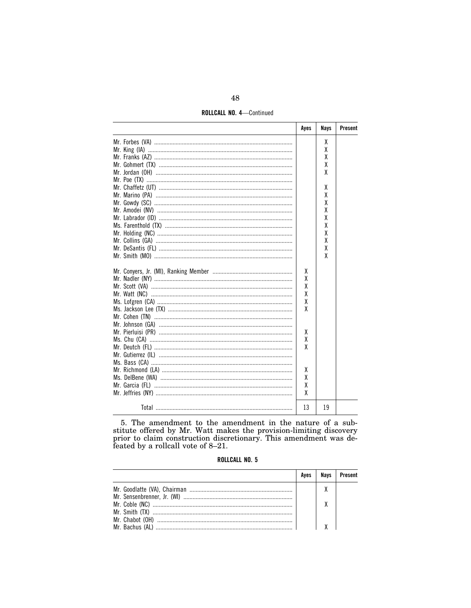ROLLCALL NO. 4-Continued

| Ayes | <b>Nays</b> | <b>Present</b> |
|------|-------------|----------------|
|      | χ           |                |
|      | χ           |                |
|      | χ           |                |
|      | χ           |                |
|      | χ           |                |
|      |             |                |
|      | χ           |                |
|      | χ           |                |
|      | χ           |                |
|      | χ           |                |
|      | χ           |                |
|      | χ           |                |
|      | χ           |                |
|      | χ           |                |
|      | χ           |                |
|      | χ           |                |
|      |             |                |
| χ    |             |                |
| χ    |             |                |
| χ    |             |                |
| χ    |             |                |
| χ    |             |                |
| χ    |             |                |
|      |             |                |
|      |             |                |
| χ    |             |                |
| χ    |             |                |
| χ    |             |                |
|      |             |                |
|      |             |                |
| χ    |             |                |
| χ    |             |                |
| χ    |             |                |
| χ    |             |                |
| 13   | 19          |                |

5. The amendment to the amendment in the nature of a substitute offered by Mr. Watt makes the provision-limiting discovery prior to claim construction discretionary. This amendment was defeated by a rollcall vote of  $8-21$ 

| ROLLCALL NO. 5 |
|----------------|
|----------------|

| Aves | Navs Present |
|------|--------------|
|      |              |
|      |              |
|      |              |
|      |              |
|      |              |
|      |              |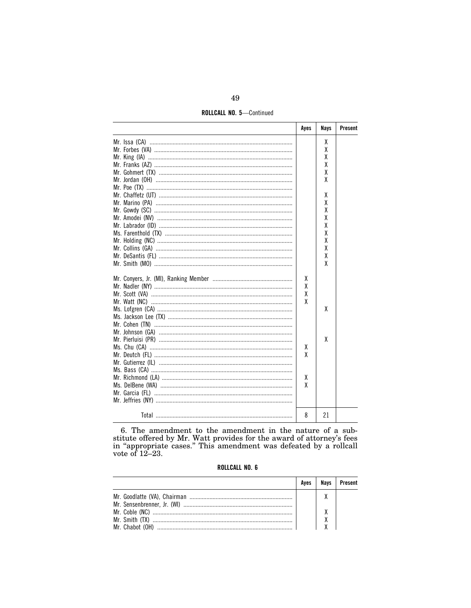ROLLCALL NO. 5-Continued

|                                    | Ayes | <b>Nays</b> | Present |
|------------------------------------|------|-------------|---------|
|                                    |      | χ           |         |
|                                    |      | χ           |         |
|                                    |      | χ           |         |
|                                    |      | χ           |         |
|                                    |      | χ           |         |
|                                    |      | χ           |         |
|                                    |      |             |         |
|                                    |      | χ           |         |
|                                    |      | χ           |         |
|                                    |      | χ           |         |
|                                    |      | χ           |         |
|                                    |      | χ           |         |
|                                    |      | χ           |         |
|                                    |      | χ           |         |
|                                    |      | χ           |         |
|                                    |      | χ           |         |
|                                    |      | χ           |         |
|                                    |      |             |         |
|                                    | χ    |             |         |
|                                    | χ    |             |         |
|                                    | χ    |             |         |
|                                    | χ    |             |         |
|                                    |      | χ           |         |
|                                    |      |             |         |
|                                    |      |             |         |
|                                    |      |             |         |
|                                    |      | X           |         |
|                                    | χ    |             |         |
|                                    | X    |             |         |
|                                    |      |             |         |
|                                    |      |             |         |
|                                    | χ    |             |         |
|                                    | χ    |             |         |
|                                    |      |             |         |
|                                    |      |             |         |
|                                    |      |             |         |
| Total ………………………………………………………………………… | 8    | 21          |         |

6. The amendment to the amendment in the nature of a substitute offered by Mr. Watt provides for the award of attorney's fees in "appropriate cases." This amendment was defeated by a rollcall vote of  $12-23$ .

| ROLLCALL NO. 6 |  |
|----------------|--|
|                |  |

|                 | Aves | Navs | <b>Present</b> |
|-----------------|------|------|----------------|
|                 |      |      |                |
|                 |      |      |                |
|                 |      |      |                |
| Mr. Chabot (OH) |      |      |                |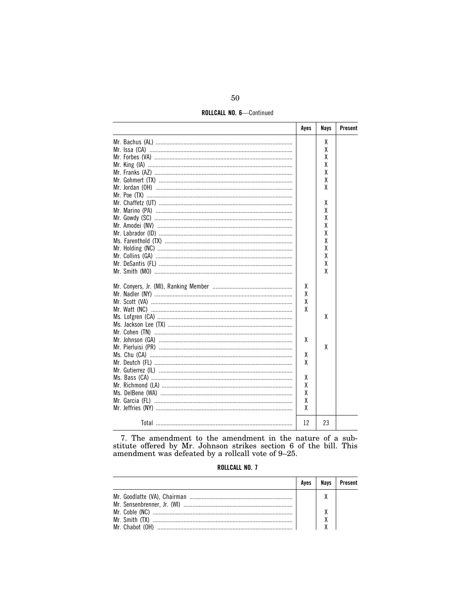ROLLCALL NO. 6-Continued

| Ayes                                                | <b>Nays</b> | Present |
|-----------------------------------------------------|-------------|---------|
|                                                     | χ           |         |
|                                                     | χ           |         |
|                                                     | χ           |         |
|                                                     | χ           |         |
|                                                     | χ           |         |
|                                                     | χ           |         |
|                                                     | χ           |         |
|                                                     |             |         |
|                                                     | χ           |         |
|                                                     | χ           |         |
|                                                     | χ           |         |
|                                                     | χ           |         |
|                                                     | χ           |         |
|                                                     | χ           |         |
|                                                     | χ           |         |
|                                                     | χ           |         |
|                                                     | χ           |         |
|                                                     | χ           |         |
| χ<br>χ<br>χ<br>χ<br>χ<br>χ<br>χ<br>χ<br>χ<br>χ<br>χ | x<br>χ      |         |
| χ                                                   |             |         |
| 12                                                  | 23          |         |

7. The amendment to the amendment in the nature of a substitute offered by Mr. Johnson strikes section 6 of the bill. This amendment was defeated by a rollcall vote of  $9-25$ .

| ROLLCALL NO. 7 |  |  |  |  |  |
|----------------|--|--|--|--|--|
|----------------|--|--|--|--|--|

| Aves | <b>Navs</b> | <b>Present</b> |
|------|-------------|----------------|
|      |             |                |
|      |             |                |
|      |             |                |
|      |             |                |
|      |             |                |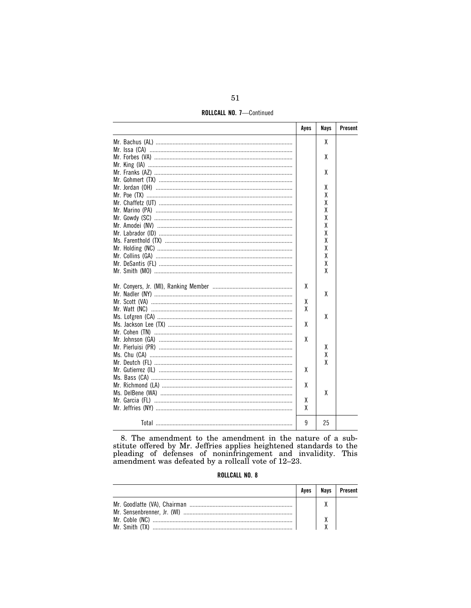ROLLCALL NO. 7-Continued

| Ayes                  | <b>Nays</b>           | Present |
|-----------------------|-----------------------|---------|
|                       | χ                     |         |
|                       |                       |         |
|                       | χ                     |         |
|                       |                       |         |
|                       | χ                     |         |
|                       |                       |         |
|                       | χ                     |         |
|                       | χ                     |         |
|                       | χ                     |         |
|                       | χ                     |         |
|                       | χ                     |         |
|                       | χ                     |         |
|                       | χ                     |         |
|                       | χ                     |         |
|                       | χ                     |         |
|                       | χ                     |         |
|                       | χ                     |         |
|                       | χ                     |         |
| χ<br>χ<br>χ<br>χ<br>χ | χ<br>χ<br>x<br>χ<br>χ |         |
| χ<br>χ<br>χ<br>χ      | X                     |         |
| 9                     | 25                    |         |

8. The amendment to the amendment in the nature of a substitute offered by Mr. Jeffries applies heightened standards to the pleading of defenses of noninfringement and invalidity. This amendment was defeated by a rollcall

ROLLCALL NO. 8

| Aves | <b>Navs</b> | Present |
|------|-------------|---------|
|      |             |         |
|      |             |         |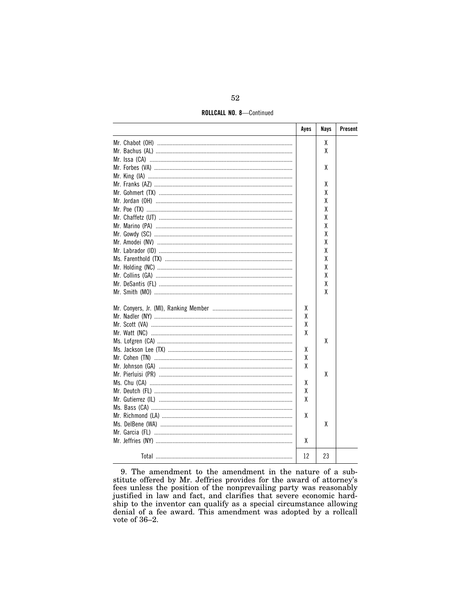ROLLCALL NO. 8-Continued

| Ayes | Nays | Present |
|------|------|---------|
|      | χ    |         |
|      | χ    |         |
|      |      |         |
|      | χ    |         |
|      |      |         |
|      | χ    |         |
|      | χ    |         |
|      | χ    |         |
|      | χ    |         |
|      | χ    |         |
|      | χ    |         |
|      | χ    |         |
|      | χ    |         |
|      | χ    |         |
|      | χ    |         |
|      | χ    |         |
|      | χ    |         |
|      | χ    |         |
|      | χ    |         |
|      |      |         |
| χ    |      |         |
| χ    |      |         |
| χ    |      |         |
| χ    |      |         |
|      | χ    |         |
| χ    |      |         |
| χ    |      |         |
| χ    |      |         |
|      | χ    |         |
| χ    |      |         |
| χ    |      |         |
| χ    |      |         |
|      |      |         |
|      |      |         |
| χ    |      |         |
|      | χ    |         |
|      |      |         |
| χ    |      |         |
|      |      |         |

9. The amendment to the amendment in the nature of a substitute offered by Mr. Jeffries provides for the award of attorney's stitute offered by Mr. Jeffres provides for the award of attorney's<br>fees unless the position of the nonprevailing party was reasonably<br>justified in law and fact, and clarifies that severe economic hard-<br>ship to the invento vote of  $36-2$ .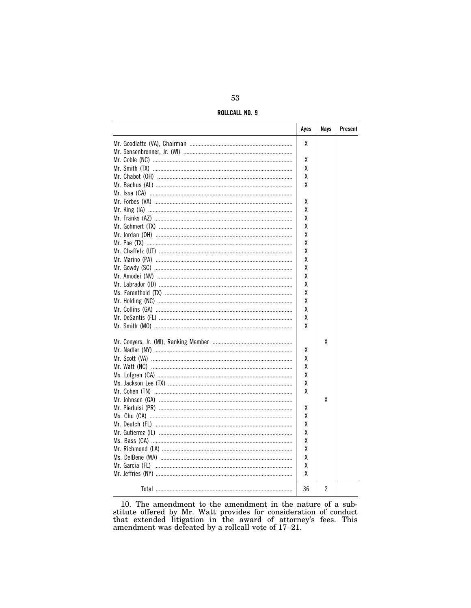ROLLCALL NO. 9

|                                    | Ayes | Nays | Present |
|------------------------------------|------|------|---------|
|                                    | X    |      |         |
|                                    |      |      |         |
|                                    | χ    |      |         |
|                                    | χ    |      |         |
|                                    | χ    |      |         |
|                                    | χ    |      |         |
|                                    |      |      |         |
|                                    | χ    |      |         |
|                                    | χ    |      |         |
|                                    | χ    |      |         |
|                                    | χ    |      |         |
|                                    | χ    |      |         |
|                                    | χ    |      |         |
|                                    | χ    |      |         |
|                                    | χ    |      |         |
|                                    | χ    |      |         |
|                                    | χ    |      |         |
|                                    | χ    |      |         |
|                                    |      |      |         |
|                                    | χ    |      |         |
|                                    | χ    |      |         |
|                                    | χ    |      |         |
|                                    | χ    |      |         |
|                                    | χ    |      |         |
|                                    |      | χ    |         |
|                                    | χ    |      |         |
|                                    | χ    |      |         |
|                                    | χ    |      |         |
|                                    | χ    |      |         |
|                                    | χ    |      |         |
|                                    | χ    |      |         |
|                                    |      | χ    |         |
|                                    | χ    |      |         |
|                                    | χ    |      |         |
|                                    | χ    |      |         |
|                                    | χ    |      |         |
|                                    | χ    |      |         |
|                                    | χ    |      |         |
|                                    | χ    |      |         |
|                                    | χ    |      |         |
|                                    | χ    |      |         |
|                                    |      |      |         |
| Total ………………………………………………………………………… | 36   | 2    |         |

10. The amendment to the amendment in the nature of a substitute offered by Mr. Watt provides for consideration of conduct that extended litigation in the award of attorney's fees. This amendment was defeated by a rollcal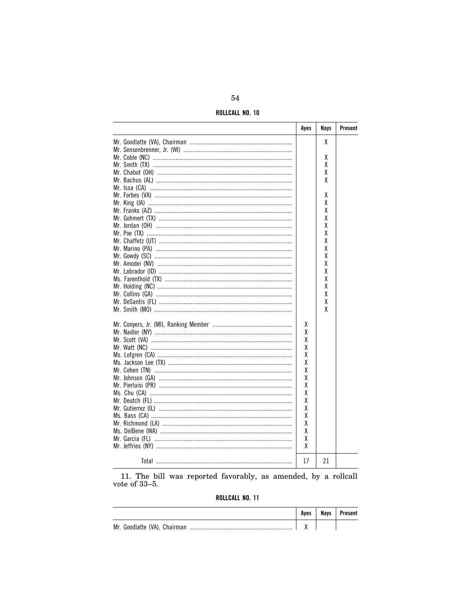ROLLCALL NO. 10

|                                              | Ayes | <b>Nays</b> | Present |
|----------------------------------------------|------|-------------|---------|
|                                              |      | x           |         |
|                                              |      |             |         |
|                                              |      | χ           |         |
|                                              |      | χ           |         |
|                                              |      | χ           |         |
|                                              |      | χ           |         |
|                                              |      |             |         |
|                                              |      | χ           |         |
|                                              |      | χ           |         |
|                                              |      | χ           |         |
|                                              |      | χ           |         |
|                                              |      | χ           |         |
|                                              |      | χ           |         |
|                                              |      | χ           |         |
|                                              |      | χ           |         |
|                                              |      | χ           |         |
|                                              |      | χ           |         |
|                                              |      | χ           |         |
|                                              |      | χ           |         |
|                                              |      | χ           |         |
|                                              |      | χ           |         |
|                                              |      | χ           |         |
|                                              |      | χ           |         |
|                                              |      |             |         |
|                                              | χ    |             |         |
|                                              | χ    |             |         |
|                                              | χ    |             |         |
| Mr. Watt (NC) ……………………………………………………………………………… | χ    |             |         |
|                                              | χ    |             |         |
|                                              | χ    |             |         |
|                                              | χ    |             |         |
|                                              | χ    |             |         |
|                                              | χ    |             |         |
|                                              | χ    |             |         |
|                                              | χ    |             |         |
|                                              | χ    |             |         |
|                                              | χ    |             |         |
|                                              | χ    |             |         |
|                                              | χ    |             |         |
|                                              | χ    |             |         |
|                                              | χ    |             |         |
|                                              |      |             |         |
| Total …………………………………………………………………………           | 17   | 21          |         |

11. The bill was reported favorably, as amended, by a rollcall vote of  $33\text{--}5.$ 

# ROLLCALL NO. 11

| Aves | Nays | Present |
|------|------|---------|
|      |      |         |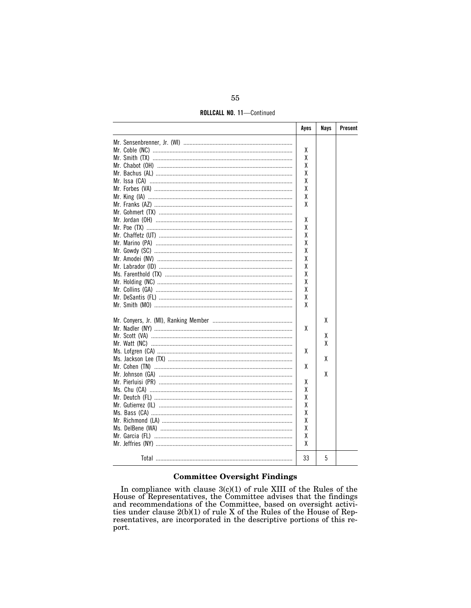ROLLCALL NO. 11-Continued

|                                              | Ayes                                                                         | Nays                  | Present |
|----------------------------------------------|------------------------------------------------------------------------------|-----------------------|---------|
|                                              | χ<br>χ<br>χ<br>χ<br>χ<br>χ<br>χ<br>χ<br>χ<br>χ<br>χ<br>χ<br>χ<br>χ<br>χ<br>χ |                       |         |
|                                              | χ<br>χ<br>χ<br>χ                                                             |                       |         |
| Mr. Watt (NC) ……………………………………………………………………………… | χ<br>χ<br>χ<br>χ<br>χ<br>χ<br>χ<br>χ<br>χ<br>χ<br>χ<br>χ                     | χ<br>χ<br>χ<br>χ<br>χ |         |
|                                              | 33                                                                           | 5                     |         |

# **Committee Oversight Findings**

In compliance with clause  $3(c)(1)$  of rule XIII of the Rules of the<br>House of Representatives, the Committee advises that the findings<br>and recommendations of the Committee, based on oversight activi-<br>ties under clause  $2(b)(1$ port.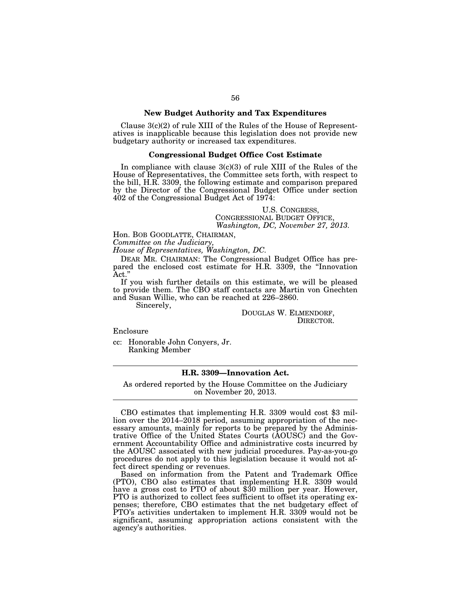## **New Budget Authority and Tax Expenditures**

Clause 3(c)(2) of rule XIII of the Rules of the House of Representatives is inapplicable because this legislation does not provide new budgetary authority or increased tax expenditures.

## **Congressional Budget Office Cost Estimate**

In compliance with clause 3(c)(3) of rule XIII of the Rules of the House of Representatives, the Committee sets forth, with respect to the bill, H.R. 3309, the following estimate and comparison prepared by the Director of the Congressional Budget Office under section 402 of the Congressional Budget Act of 1974:

> U.S. CONGRESS, CONGRESSIONAL BUDGET OFFICE, *Washington, DC, November 27, 2013.*

Hon. BOB GOODLATTE, CHAIRMAN,

*Committee on the Judiciary,*

*House of Representatives, Washington, DC.*

DEAR MR. CHAIRMAN: The Congressional Budget Office has prepared the enclosed cost estimate for H.R. 3309, the "Innovation Act.''

If you wish further details on this estimate, we will be pleased to provide them. The CBO staff contacts are Martin von Gnechten and Susan Willie, who can be reached at 226–2860.

Sincerely,

DOUGLAS W. ELMENDORF, DIRECTOR.

Enclosure

cc: Honorable John Conyers, Jr. Ranking Member

## **H.R. 3309—Innovation Act.**

As ordered reported by the House Committee on the Judiciary on November 20, 2013.

CBO estimates that implementing H.R. 3309 would cost \$3 million over the 2014–2018 period, assuming appropriation of the necessary amounts, mainly for reports to be prepared by the Administrative Office of the United States Courts (AOUSC) and the Government Accountability Office and administrative costs incurred by the AOUSC associated with new judicial procedures. Pay-as-you-go procedures do not apply to this legislation because it would not affect direct spending or revenues.

Based on information from the Patent and Trademark Office (PTO), CBO also estimates that implementing H.R. 3309 would have a gross cost to PTO of about \$30 million per year. However, PTO is authorized to collect fees sufficient to offset its operating expenses; therefore, CBO estimates that the net budgetary effect of PTO's activities undertaken to implement H.R. 3309 would not be significant, assuming appropriation actions consistent with the agency's authorities.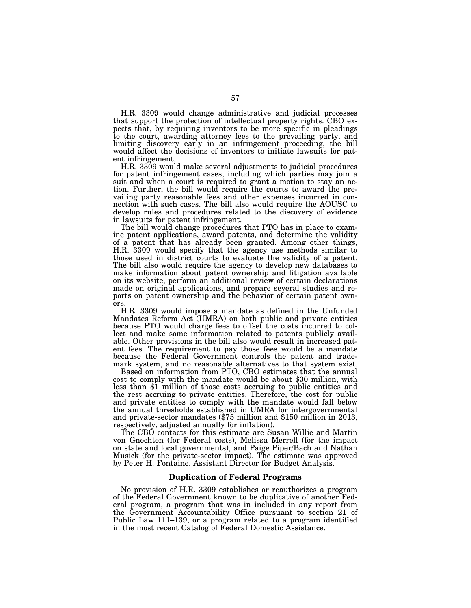H.R. 3309 would change administrative and judicial processes that support the protection of intellectual property rights. CBO expects that, by requiring inventors to be more specific in pleadings to the court, awarding attorney fees to the prevailing party, and limiting discovery early in an infringement proceeding, the bill would affect the decisions of inventors to initiate lawsuits for patent infringement.

H.R. 3309 would make several adjustments to judicial procedures for patent infringement cases, including which parties may join a suit and when a court is required to grant a motion to stay an action. Further, the bill would require the courts to award the prevailing party reasonable fees and other expenses incurred in connection with such cases. The bill also would require the AOUSC to develop rules and procedures related to the discovery of evidence in lawsuits for patent infringement.

The bill would change procedures that PTO has in place to examine patent applications, award patents, and determine the validity of a patent that has already been granted. Among other things, H.R. 3309 would specify that the agency use methods similar to those used in district courts to evaluate the validity of a patent. The bill also would require the agency to develop new databases to make information about patent ownership and litigation available on its website, perform an additional review of certain declarations made on original applications, and prepare several studies and reports on patent ownership and the behavior of certain patent owners.

H.R. 3309 would impose a mandate as defined in the Unfunded Mandates Reform Act (UMRA) on both public and private entities because PTO would charge fees to offset the costs incurred to collect and make some information related to patents publicly available. Other provisions in the bill also would result in increased patent fees. The requirement to pay those fees would be a mandate because the Federal Government controls the patent and trademark system, and no reasonable alternatives to that system exist.

Based on information from PTO, CBO estimates that the annual cost to comply with the mandate would be about \$30 million, with less than \$1 million of those costs accruing to public entities and the rest accruing to private entities. Therefore, the cost for public and private entities to comply with the mandate would fall below the annual thresholds established in UMRA for intergovernmental and private-sector mandates (\$75 million and \$150 million in 2013, respectively, adjusted annually for inflation).

The CBO contacts for this estimate are Susan Willie and Martin von Gnechten (for Federal costs), Melissa Merrell (for the impact on state and local governments), and Paige Piper/Bach and Nathan Musick (for the private-sector impact). The estimate was approved by Peter H. Fontaine, Assistant Director for Budget Analysis.

## **Duplication of Federal Programs**

No provision of H.R. 3309 establishes or reauthorizes a program of the Federal Government known to be duplicative of another Federal program, a program that was in included in any report from the Government Accountability Office pursuant to section 21 of Public Law 111–139, or a program related to a program identified in the most recent Catalog of Federal Domestic Assistance.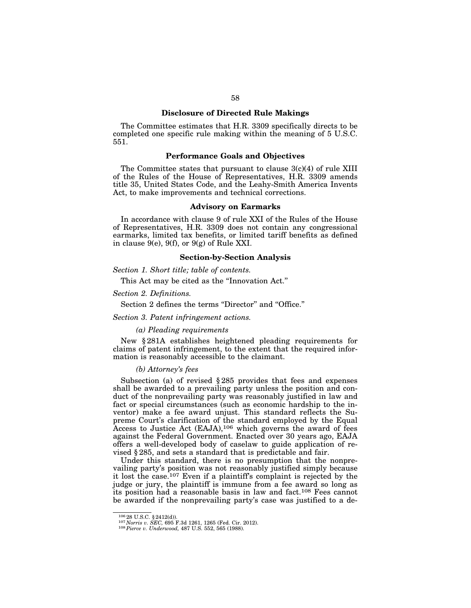## **Disclosure of Directed Rule Makings**

The Committee estimates that H.R. 3309 specifically directs to be completed one specific rule making within the meaning of 5 U.S.C. 551.

## **Performance Goals and Objectives**

The Committee states that pursuant to clause  $3(c)(4)$  of rule XIII of the Rules of the House of Representatives, H.R. 3309 amends title 35, United States Code, and the Leahy-Smith America Invents Act, to make improvements and technical corrections.

## **Advisory on Earmarks**

In accordance with clause 9 of rule XXI of the Rules of the House of Representatives, H.R. 3309 does not contain any congressional earmarks, limited tax benefits, or limited tariff benefits as defined in clause 9(e), 9(f), or 9(g) of Rule XXI.

## **Section-by-Section Analysis**

*Section 1. Short title; table of contents.*

This Act may be cited as the ''Innovation Act.''

*Section 2. Definitions.*

Section 2 defines the terms "Director" and "Office."

*Section 3. Patent infringement actions.*

#### *(a) Pleading requirements*

New § 281A establishes heightened pleading requirements for claims of patent infringement, to the extent that the required information is reasonably accessible to the claimant.

#### *(b) Attorney's fees*

Subsection (a) of revised  $\S 285$  provides that fees and expenses shall be awarded to a prevailing party unless the position and conduct of the nonprevailing party was reasonably justified in law and fact or special circumstances (such as economic hardship to the inventor) make a fee award unjust. This standard reflects the Supreme Court's clarification of the standard employed by the Equal Access to Justice Act (EAJA),106 which governs the award of fees against the Federal Government. Enacted over 30 years ago, EAJA offers a well-developed body of caselaw to guide application of revised § 285, and sets a standard that is predictable and fair.

Under this standard, there is no presumption that the nonprevailing party's position was not reasonably justified simply because it lost the case.107 Even if a plaintiff's complaint is rejected by the judge or jury, the plaintiff is immune from a fee award so long as its position had a reasonable basis in law and fact.108 Fees cannot be awarded if the nonprevailing party's case was justified to a de-

 $10628$  U.S.C. § 2412(d)).

<sup>107</sup> *Norris v. SEC,* 695 F.3d 1261, 1265 (Fed. Cir. 2012).

<sup>108</sup>*Pierce v. Underwood,* 487 U.S. 552, 565 (1988).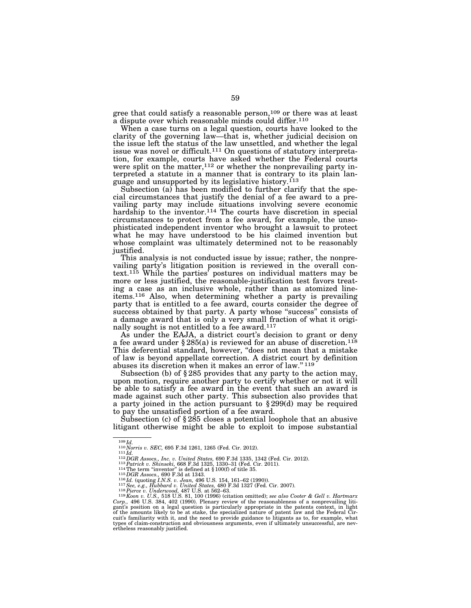gree that could satisfy a reasonable person,<sup>109</sup> or there was at least a dispute over which reasonable minds could differ.110

When a case turns on a legal question, courts have looked to the clarity of the governing law—that is, whether judicial decision on the issue left the status of the law unsettled, and whether the legal issue was novel or difficult.111 On questions of statutory interpretation, for example, courts have asked whether the Federal courts were split on the matter,<sup>112</sup> or whether the nonprevailing party interpreted a statute in a manner that is contrary to its plain language and unsupported by its legislative history.<sup>113</sup>

Subsection (a) has been modified to further clarify that the special circumstances that justify the denial of a fee award to a prevailing party may include situations involving severe economic hardship to the inventor.<sup>114</sup> The courts have discretion in special circumstances to protect from a fee award, for example, the unsophisticated independent inventor who brought a lawsuit to protect what he may have understood to be his claimed invention but whose complaint was ultimately determined not to be reasonably justified.

This analysis is not conducted issue by issue; rather, the nonprevailing party's litigation position is reviewed in the overall context.115 While the parties' postures on individual matters may be more or less justified, the reasonable-justification test favors treating a case as an inclusive whole, rather than as atomized lineitems.116 Also, when determining whether a party is prevailing party that is entitled to a fee award, courts consider the degree of success obtained by that party. A party whose "success" consists of a damage award that is only a very small fraction of what it originally sought is not entitled to a fee award.117

As under the EAJA, a district court's decision to grant or deny a fee award under  $\S 285(a)$  is reviewed for an abuse of discretion.<sup>118</sup> This deferential standard, however, ''does not mean that a mistake of law is beyond appellate correction. A district court by definition abuses its discretion when it makes an error of law.'' 119

Subsection (b) of § 285 provides that any party to the action may, upon motion, require another party to certify whether or not it will be able to satisfy a fee award in the event that such an award is made against such other party. This subsection also provides that a party joined in the action pursuant to § 299(d) may be required to pay the unsatisfied portion of a fee award.

Subsection (c) of § 285 closes a potential loophole that an abusive litigant otherwise might be able to exploit to impose substantial

 $109$  *Id.* 

<sup>110</sup> *Norris v. SEC,* 695 F.3d 1261, 1265 (Fed. Cir. 2012).

<sup>&</sup>lt;sup>111</sup>Id.<br><sup>112</sup>DGR Assocs., Inc. v. United States, 690 F.3d 1335, 1342 (Fed. Cir. 2012).<br><sup>113</sup>Patrick v. Shinseki, 668 F.3d 1325, 1330–31 (Fed. Cir. 2011).<br><sup>114</sup>The term "inventor" is defined at § 100(f) of title 35.<br><sup>115</sup>D *Corp.,* 496 U.S. 384, 402 (1990). Plenary review of the reasonableness of a nonprevailing liti-<br>gant's position on a legal question is particularly appropriate in the patents context, in light<br>of the amounts likely to be cuit's familiarity with it, and the need to provide guidance to litigants as to, for example, what types of claim-construction and obviousness arguments, even if ultimately unsuccessful, are nevertheless reasonably justified.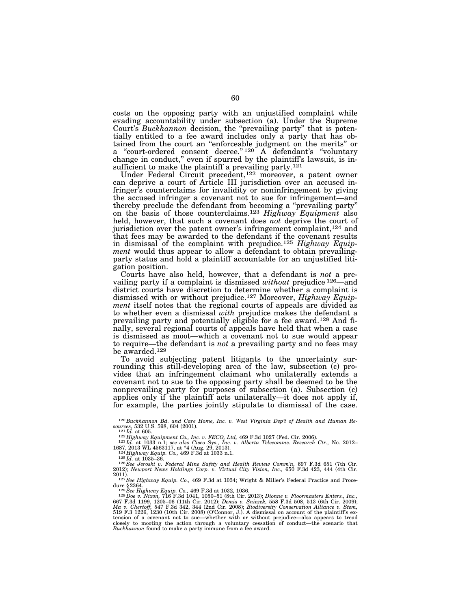costs on the opposing party with an unjustified complaint while evading accountability under subsection (a). Under the Supreme Court's *Buckhannon* decision, the ''prevailing party'' that is potentially entitled to a fee award includes only a party that has obtained from the court an ''enforceable judgment on the merits'' or a "court-ordered consent decree." <sup>120</sup> A defendant's "voluntary change in conduct,'' even if spurred by the plaintiff's lawsuit, is insufficient to make the plaintiff a prevailing party.<sup>121</sup>

Under Federal Circuit precedent,122 moreover, a patent owner can deprive a court of Article III jurisdiction over an accused infringer's counterclaims for invalidity or noninfringement by giving the accused infringer a covenant not to sue for infringement—and thereby preclude the defendant from becoming a ''prevailing party'' on the basis of those counterclaims.123 *Highway Equipment* also held, however, that such a covenant does *not* deprive the court of jurisdiction over the patent owner's infringement complaint,<sup>124</sup> and that fees may be awarded to the defendant if the covenant results in dismissal of the complaint with prejudice.<sup>125</sup> *Highway Equipment* would thus appear to allow a defendant to obtain prevailingparty status and hold a plaintiff accountable for an unjustified litigation position.

Courts have also held, however, that a defendant is *not* a prevailing party if a complaint is dismissed *without* prejudice <sup>126</sup>—and district courts have discretion to determine whether a complaint is dismissed with or without prejudice.<sup>127</sup> Moreover, *Highway Equipment* itself notes that the regional courts of appeals are divided as to whether even a dismissal *with* prejudice makes the defendant a prevailing party and potentially eligible for a fee award.128 And finally, several regional courts of appeals have held that when a case is dismissed as moot—which a covenant not to sue would appear to require—the defendant is *not* a prevailing party and no fees may be awarded.129

To avoid subjecting patent litigants to the uncertainty surrounding this still-developing area of the law, subsection (c) provides that an infringement claimant who unilaterally extends a covenant not to sue to the opposing party shall be deemed to be the nonprevailing party for purposes of subsection (a). Subsection (c) applies only if the plaintiff acts unilaterally—it does not apply if, for example, the parties jointly stipulate to dismissal of the case.

<sup>120</sup> *Buckhannon Bd. and Care Home, Inc. v. West Virginia Dep't of Health and Human Re-sources,* 532 U.S. 598, 604 (2001). <sup>121</sup> *Id.* at 605.

 $^{122}$  Highway Equipment Co., Inc. v. FECO, Ltd, 469 F.3d 1027 (Fed. Cir. 2006).<br> $^{123}$ Id. at 1033 n.1; see also Cisco Sys., Inc. v. Alberta Telecomms. Research Ctr., No. 2012–<br>1687, 2013 WL 4563117, at \*4 (Aug. 29, 201

<sup>124</sup> *Highway Equip. Co.,* 469 F.3d at 1033 n.1. <sup>125</sup> *Id.* at 1035–36.

<sup>126</sup>*See Jeroski v. Federal Mine Safety and Health Review Comm'n,* 697 F.3d 651 (7th Cir. 2012); *Newport News Holdings Corp. v. Virtual City Vision, Inc.,* 650 F.3d 423, 444 (4th Cir. 2011).

<sup>127</sup>*See Highway Equip. Co.,* 469 F.3d at 1034; Wright & Miller's Federal Practice and Proce-

dure § 2364. <sup>128</sup>*See Highway Equip. Co.,* 469 F.3d at 1032, 1036. <sup>129</sup>*Doe v. Nixon,* 716 F.3d 1041, 1050–51 (8th Cir. 2013); *Dionne v. Floormasters Enters., Inc.,* 667 F.3d 1199, 1205–06 (11th Cir. 2012); *Demis v. Sniezek,* 558 F.3d 508, 513 (6th Cir. 2009);<br>Ma v. Chertoff, 547 F.3d 342, 344 (2nd Cir. 2008); Biodiversity Conservation Alliance v. Stem,<br>519 F.3 1226, 1230 (10th Cir. 2 tension of a covenant not to sue—whether with or without prejudice—also appears to tread<br>closely to mooting the action through a voluntary cessation of conduct—the scenario that<br>*Buckhannon* found to make a party immune fr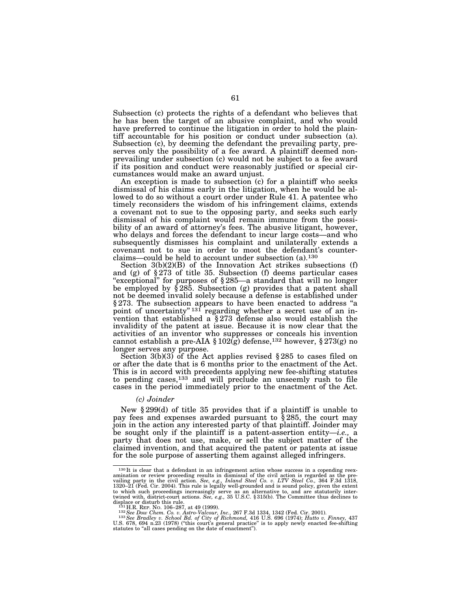Subsection (c) protects the rights of a defendant who believes that he has been the target of an abusive complaint, and who would have preferred to continue the litigation in order to hold the plaintiff accountable for his position or conduct under subsection (a). Subsection (c), by deeming the defendant the prevailing party, preserves only the possibility of a fee award. A plaintiff deemed nonprevailing under subsection (c) would not be subject to a fee award if its position and conduct were reasonably justified or special circumstances would make an award unjust.

An exception is made to subsection (c) for a plaintiff who seeks dismissal of his claims early in the litigation, when he would be allowed to do so without a court order under Rule 41. A patentee who timely reconsiders the wisdom of his infringement claims, extends a covenant not to sue to the opposing party, and seeks such early dismissal of his complaint would remain immune from the possibility of an award of attorney's fees. The abusive litigant, however, who delays and forces the defendant to incur large costs—and who subsequently dismisses his complaint and unilaterally extends a covenant not to sue in order to moot the defendant's counterclaims—could be held to account under subsection (a).130

Section 3(b)(2)(B) of the Innovation Act strikes subsections (f) and (g) of § 273 of title 35. Subsection (f) deems particular cases "exceptional" for purposes of  $\S\,285$ —a standard that will no longer be employed by § 285. Subsection (g) provides that a patent shall not be deemed invalid solely because a defense is established under §273. The subsection appears to have been enacted to address "a point of uncertainty"<sup>131</sup> regarding whether a secret use of an invention that established a § 273 defense also would establish the invalidity of the patent at issue. Because it is now clear that the activities of an inventor who suppresses or conceals his invention cannot establish a pre-AIA  $\S 102(g)$  defense,<sup>132</sup> however,  $\S 273(g)$  no longer serves any purpose.

Section 3(b)(3) of the Act applies revised § 285 to cases filed on or after the date that is 6 months prior to the enactment of the Act. This is in accord with precedents applying new fee-shifting statutes to pending cases,133 and will preclude an unseemly rush to file cases in the period immediately prior to the enactment of the Act.

#### *(c) Joinder*

New § 299(d) of title 35 provides that if a plaintiff is unable to pay fees and expenses awarded pursuant to § 285, the court may join in the action any interested party of that plaintiff. Joinder may be sought only if the plaintiff is a patent-assertion entity—*i.e.,* a party that does not use, make, or sell the subject matter of the claimed invention, and that acquired the patent or patents at issue for the sole purpose of asserting them against alleged infringers.

 $130$  It is clear that a defendant in an infringement action whose success in a copending reexamination or review proceeding results in dismissal of the civil action is regarded as the pre-<br>vailing party in the civil action. *See, e.g., Inland Steel Co. v. LTV Steel Co.*, 364 F.3d 1318,<br>1320–21 (Fed. Cir. 2004). T displace or disturb this rule. 131 H.R. REP. NO. 106–287, at 49 (1999).

<sup>&</sup>lt;sup>132</sup> See Dow Chem. Co. v. Astro-Valcour, Inc., 267 F.3d 1334, 1342 (Fed. Cir. 2001).<br><sup>133</sup> See Bradley v. School Bd. of City of Richmond, 416 U.S. 696 (1974); Hutto v. Finney, 437<br>U.S. 678, 694 n.23 (1978) ("this court's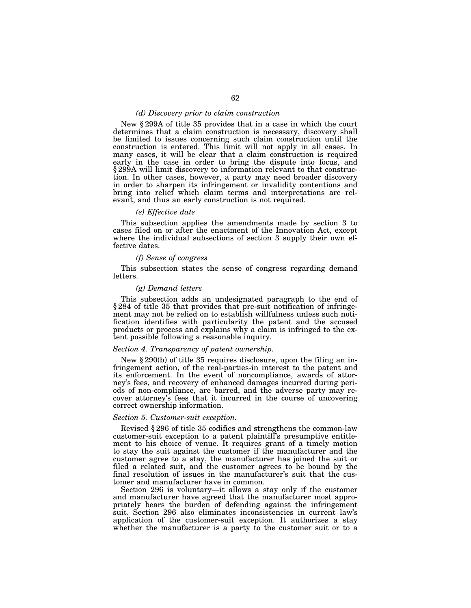#### *(d) Discovery prior to claim construction*

New § 299A of title 35 provides that in a case in which the court determines that a claim construction is necessary, discovery shall be limited to issues concerning such claim construction until the construction is entered. This limit will not apply in all cases. In many cases, it will be clear that a claim construction is required early in the case in order to bring the dispute into focus, and §299A will limit discovery to information relevant to that construction. In other cases, however, a party may need broader discovery in order to sharpen its infringement or invalidity contentions and bring into relief which claim terms and interpretations are relevant, and thus an early construction is not required.

#### *(e) Effective date*

This subsection applies the amendments made by section 3 to cases filed on or after the enactment of the Innovation Act, except where the individual subsections of section 3 supply their own effective dates.

#### *(f) Sense of congress*

This subsection states the sense of congress regarding demand letters.

#### *(g) Demand letters*

This subsection adds an undesignated paragraph to the end of §284 of title 35 that provides that pre-suit notification of infringement may not be relied on to establish willfulness unless such notification identifies with particularity the patent and the accused products or process and explains why a claim is infringed to the extent possible following a reasonable inquiry.

#### *Section 4. Transparency of patent ownership.*

New § 290(b) of title 35 requires disclosure, upon the filing an infringement action, of the real-parties-in interest to the patent and its enforcement. In the event of noncompliance, awards of attorney's fees, and recovery of enhanced damages incurred during periods of non-compliance, are barred, and the adverse party may recover attorney's fees that it incurred in the course of uncovering correct ownership information.

## *Section 5. Customer-suit exception.*

Revised § 296 of title 35 codifies and strengthens the common-law customer-suit exception to a patent plaintiff's presumptive entitlement to his choice of venue. It requires grant of a timely motion to stay the suit against the customer if the manufacturer and the customer agree to a stay, the manufacturer has joined the suit or filed a related suit, and the customer agrees to be bound by the final resolution of issues in the manufacturer's suit that the customer and manufacturer have in common.

Section 296 is voluntary—it allows a stay only if the customer and manufacturer have agreed that the manufacturer most appropriately bears the burden of defending against the infringement suit. Section 296 also eliminates inconsistencies in current law's application of the customer-suit exception. It authorizes a stay whether the manufacturer is a party to the customer suit or to a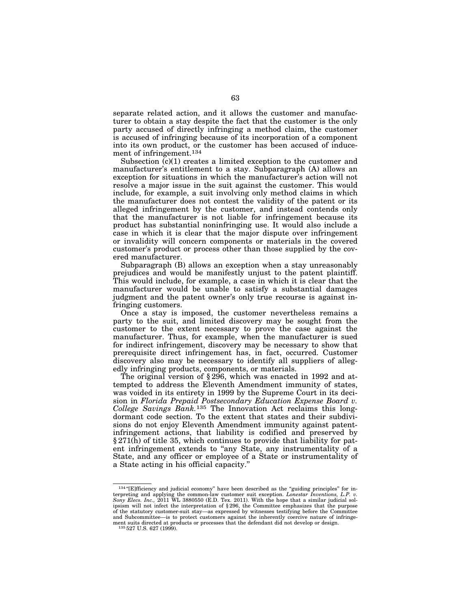separate related action, and it allows the customer and manufacturer to obtain a stay despite the fact that the customer is the only party accused of directly infringing a method claim, the customer is accused of infringing because of its incorporation of a component into its own product, or the customer has been accused of inducement of infringement.134

Subsection (c)(1) creates a limited exception to the customer and manufacturer's entitlement to a stay. Subparagraph (A) allows an exception for situations in which the manufacturer's action will not resolve a major issue in the suit against the customer. This would include, for example, a suit involving only method claims in which the manufacturer does not contest the validity of the patent or its alleged infringement by the customer, and instead contends only that the manufacturer is not liable for infringement because its product has substantial noninfringing use. It would also include a case in which it is clear that the major dispute over infringement or invalidity will concern components or materials in the covered customer's product or process other than those supplied by the covered manufacturer.

Subparagraph (B) allows an exception when a stay unreasonably prejudices and would be manifestly unjust to the patent plaintiff. This would include, for example, a case in which it is clear that the manufacturer would be unable to satisfy a substantial damages judgment and the patent owner's only true recourse is against infringing customers.

Once a stay is imposed, the customer nevertheless remains a party to the suit, and limited discovery may be sought from the customer to the extent necessary to prove the case against the manufacturer. Thus, for example, when the manufacturer is sued for indirect infringement, discovery may be necessary to show that prerequisite direct infringement has, in fact, occurred. Customer discovery also may be necessary to identify all suppliers of allegedly infringing products, components, or materials.

The original version of § 296, which was enacted in 1992 and attempted to address the Eleventh Amendment immunity of states, was voided in its entirety in 1999 by the Supreme Court in its decision in *Florida Prepaid Postsecondary Education Expense Board v. College Savings Bank.*<sup>135</sup> The Innovation Act reclaims this longdormant code section. To the extent that states and their subdivisions do not enjoy Eleventh Amendment immunity against patentinfringement actions, that liability is codified and preserved by §271(h) of title 35, which continues to provide that liability for patent infringement extends to "any State, any instrumentality of a State, and any officer or employee of a State or instrumentality of a State acting in his official capacity.''

<sup>&</sup>lt;sup>134</sup>"[E]fficiency and judicial economy" have been described as the "guiding principles" for interpreting and applying the common-law customer suit exception. *Lonestar Inventions, L.P. v. Sony Elecs. Inc.,* 2011 WL 3880550 (E.D. Tex. 2011). With the hope that a similar judicial solipsism will not infect the interpretation of § 296, the Committee emphasizes that the purpose of the statutory customer-suit stay—as expressed by witnesses testifying before the Committee and Subcommittee—is to protect customers against the inherently coercive nature of infringement suits directed at products or processes that the defendant did not develop or design.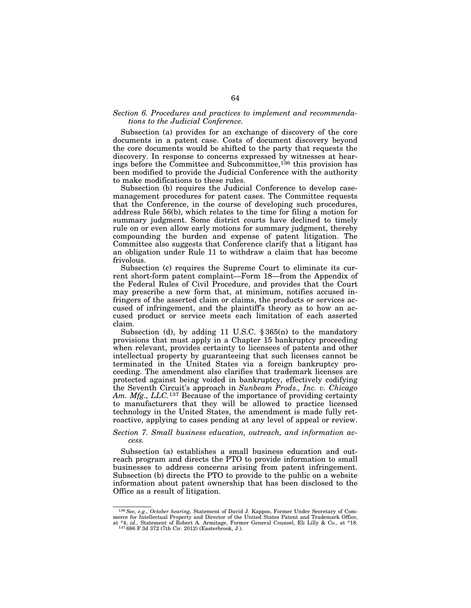## *Section 6. Procedures and practices to implement and recommendations to the Judicial Conference.*

Subsection (a) provides for an exchange of discovery of the core documents in a patent case. Costs of document discovery beyond the core documents would be shifted to the party that requests the discovery. In response to concerns expressed by witnesses at hearings before the Committee and Subcommittee,<sup>136</sup> this provision has been modified to provide the Judicial Conference with the authority to make modifications to these rules.

Subsection (b) requires the Judicial Conference to develop casemanagement procedures for patent cases. The Committee requests that the Conference, in the course of developing such procedures, address Rule 56(b), which relates to the time for filing a motion for summary judgment. Some district courts have declined to timely rule on or even allow early motions for summary judgment, thereby compounding the burden and expense of patent litigation. The Committee also suggests that Conference clarify that a litigant has an obligation under Rule 11 to withdraw a claim that has become frivolous.

Subsection (c) requires the Supreme Court to eliminate its current short-form patent complaint—Form 18—from the Appendix of the Federal Rules of Civil Procedure, and provides that the Court may prescribe a new form that, at minimum, notifies accused infringers of the asserted claim or claims, the products or services accused of infringement, and the plaintiff's theory as to how an accused product or service meets each limitation of each asserted claim.

Subsection (d), by adding 11 U.S.C. § 365(n) to the mandatory provisions that must apply in a Chapter 15 bankruptcy proceeding when relevant, provides certainty to licensees of patents and other intellectual property by guaranteeing that such licenses cannot be terminated in the United States via a foreign bankruptcy proceeding. The amendment also clarifies that trademark licenses are protected against being voided in bankruptcy, effectively codifying the Seventh Circuit's approach in *Sunbeam Prods., Inc. v. Chicago Am. Mfg., LLC.*<sup>137</sup> Because of the importance of providing certainty to manufacturers that they will be allowed to practice licensed technology in the United States, the amendment is made fully retroactive, applying to cases pending at any level of appeal or review.

## *Section 7. Small business education, outreach, and information access.*

Subsection (a) establishes a small business education and outreach program and directs the PTO to provide information to small businesses to address concerns arising from patent infringement. Subsection (b) directs the PTO to provide to the public on a website information about patent ownership that has been disclosed to the Office as a result of litigation.

<sup>136</sup>*See, e.g., October hearing,* Statement of David J. Kappos, Former Under Secretary of Com-merce for Intellectual Property and Director of the United States Patent and Trademark Office, at \*4; *id.,* Statement of Robert A. Armitage, Former General Counsel, Eli Lilly & Co., at \*18. 137 686 F.3d 372 (7th Cir. 2012) (Easterbrook, J.).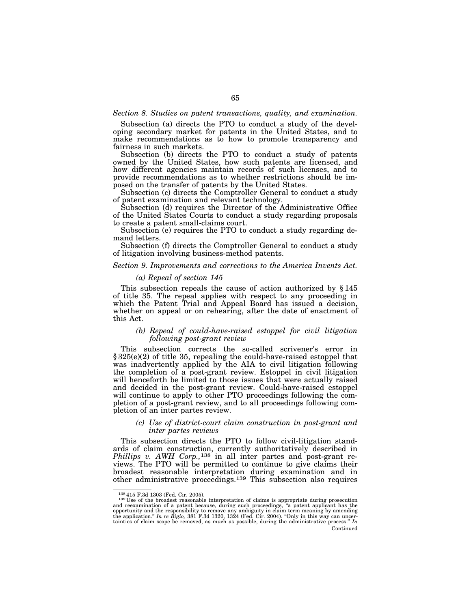## *Section 8. Studies on patent transactions, quality, and examination.*

Subsection (a) directs the PTO to conduct a study of the developing secondary market for patents in the United States, and to make recommendations as to how to promote transparency and fairness in such markets.

Subsection (b) directs the PTO to conduct a study of patents owned by the United States, how such patents are licensed, and how different agencies maintain records of such licenses, and to provide recommendations as to whether restrictions should be imposed on the transfer of patents by the United States.

Subsection (c) directs the Comptroller General to conduct a study of patent examination and relevant technology.

Subsection (d) requires the Director of the Administrative Office of the United States Courts to conduct a study regarding proposals to create a patent small-claims court.

Subsection (e) requires the PTO to conduct a study regarding demand letters.

Subsection (f) directs the Comptroller General to conduct a study of litigation involving business-method patents.

#### *Section 9. Improvements and corrections to the America Invents Act.*

#### *(a) Repeal of section 145*

This subsection repeals the cause of action authorized by § 145 of title 35. The repeal applies with respect to any proceeding in which the Patent Trial and Appeal Board has issued a decision, whether on appeal or on rehearing, after the date of enactment of this Act.

#### *(b) Repeal of could-have-raised estoppel for civil litigation following post-grant review*

This subsection corrects the so-called scrivener's error in §325(e)(2) of title 35, repealing the could-have-raised estoppel that was inadvertently applied by the AIA to civil litigation following the completion of a post-grant review. Estoppel in civil litigation will henceforth be limited to those issues that were actually raised and decided in the post-grant review. Could-have-raised estoppel will continue to apply to other PTO proceedings following the completion of a post-grant review, and to all proceedings following completion of an inter partes review.

## *(c) Use of district-court claim construction in post-grant and inter partes reviews*

This subsection directs the PTO to follow civil-litigation standards of claim construction, currently authoritatively described in *Phillips v. AWH Corp.,*<sup>138</sup> in all inter partes and post-grant reviews. The PTO will be permitted to continue to give claims their broadest reasonable interpretation during examination and in other administrative proceedings.139 This subsection also requires

<sup>&</sup>lt;sup>138</sup>415 F.3d 1303 (Fed. Cir. 2005).<br><sup>139</sup> Use of the broadest reasonable interpretation of claims is appropriate during prosecution<br>no reexamination of a patent because, during such proceedings, "a patent applicant has t tainties of claim scope be removed, as much as possible, during the administrative process.'' *In* Continued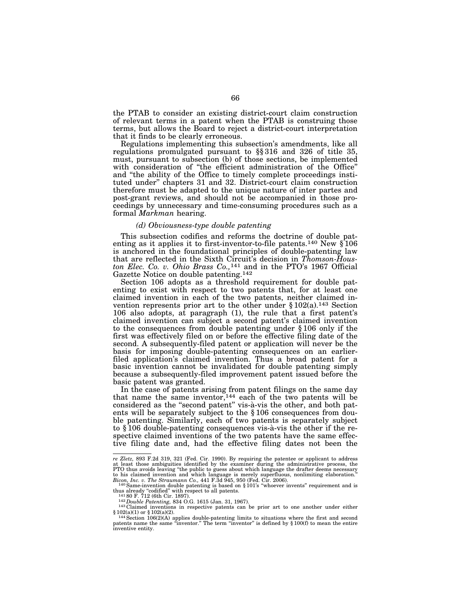the PTAB to consider an existing district-court claim construction of relevant terms in a patent when the PTAB is construing those terms, but allows the Board to reject a district-court interpretation that it finds to be clearly erroneous.

Regulations implementing this subsection's amendments, like all regulations promulgated pursuant to §§ 316 and 326 of title 35, must, pursuant to subsection (b) of those sections, be implemented with consideration of "the efficient administration of the Office" and ''the ability of the Office to timely complete proceedings instituted under'' chapters 31 and 32. District-court claim construction therefore must be adapted to the unique nature of inter partes and post-grant reviews, and should not be accompanied in those proceedings by unnecessary and time-consuming procedures such as a formal *Markman* hearing.

#### *(d) Obviousness-type double patenting*

This subsection codifies and reforms the doctrine of double patenting as it applies it to first-inventor-to-file patents.<sup>140</sup> New  $\S$ 106 is anchored in the foundational principles of double-patenting law that are reflected in the Sixth Circuit's decision in *Thomson-Houston Elec. Co. v. Ohio Brass Co.,*<sup>141</sup> and in the PTO's 1967 Official Gazette Notice on double patenting.142

Section 106 adopts as a threshold requirement for double patenting to exist with respect to two patents that, for at least one claimed invention in each of the two patents, neither claimed invention represents prior art to the other under  $\S 102(a)$ .<sup>143</sup> Section 106 also adopts, at paragraph (1), the rule that a first patent's claimed invention can subject a second patent's claimed invention to the consequences from double patenting under § 106 only if the first was effectively filed on or before the effective filing date of the second. A subsequently-filed patent or application will never be the basis for imposing double-patenting consequences on an earlierfiled application's claimed invention. Thus a broad patent for a basic invention cannot be invalidated for double patenting simply because a subsequently-filed improvement patent issued before the basic patent was granted.

In the case of patents arising from patent filings on the same day that name the same inventor,<sup>144</sup> each of the two patents will be considered as the "second patent" vis-à-vis the other, and both patents will be separately subject to the § 106 consequences from double patenting. Similarly, each of two patents is separately subject to §106 double-patenting consequences vis-à-vis the other if the respective claimed inventions of the two patents have the same effective filing date and, had the effective filing dates not been the

*re Zletz,* 893 F.2d 319, 321 (Fed. Cir. 1990). By requiring the patentee or applicant to address at least those ambiguities identified by the examiner during the administrative process, the PTO thus avoids leaving ''the public to guess about which language the drafter deems necessary

to his claimed invention and which language is merely superfluous, nonlimiting elaboration."<br>Bicon, Inc. v. The Straumann Co., 441 F.3d 945, 950 (Fed. Cir. 2006).<br><sup>140</sup> Same-invention double patenting is based on § 101's

<sup>142</sup>*Double Patenting,* 834 O.G. 1615 (Jan. 31, 1967).

<sup>143</sup> Claimed inventions in respective patents can be prior art to one another under either  $\frac{102(a)(1) \text{ or } 102(a)(2)}{2}$ .

<sup>&</sup>lt;sup>144</sup> Section 106(2)(A) applies double-patenting limits to situations where the first and second patents name the same "inventor." The term "inventor" is defined by  $\S 100(f)$  to mean the entire inventive entity.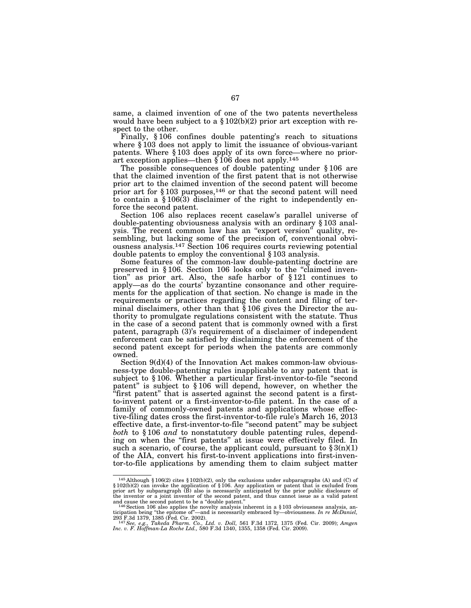same, a claimed invention of one of the two patents nevertheless would have been subject to a  $\S 102(b)(2)$  prior art exception with respect to the other.

Finally, § 106 confines double patenting's reach to situations where § 103 does not apply to limit the issuance of obvious-variant patents. Where § 103 does apply of its own force—where no priorart exception applies—then § 106 does not apply.145

The possible consequences of double patenting under § 106 are that the claimed invention of the first patent that is not otherwise prior art to the claimed invention of the second patent will become prior art for  $§ 103$  purposes,<sup>146</sup> or that the second patent will need to contain a § 106(3) disclaimer of the right to independently enforce the second patent.

Section 106 also replaces recent caselaw's parallel universe of double-patenting obviousness analysis with an ordinary § 103 analysis. The recent common law has an ''export version'' quality, resembling, but lacking some of the precision of, conventional obviousness analysis.147 Section 106 requires courts reviewing potential double patents to employ the conventional § 103 analysis.

Some features of the common-law double-patenting doctrine are preserved in § 106. Section 106 looks only to the ''claimed invention'' as prior art. Also, the safe harbor of § 121 continues to apply—as do the courts' byzantine consonance and other requirements for the application of that section. No change is made in the requirements or practices regarding the content and filing of terminal disclaimers, other than that § 106 gives the Director the authority to promulgate regulations consistent with the statute. Thus in the case of a second patent that is commonly owned with a first patent, paragraph (3)'s requirement of a disclaimer of independent enforcement can be satisfied by disclaiming the enforcement of the second patent except for periods when the patents are commonly owned.

Section 9(d)(4) of the Innovation Act makes common-law obviousness-type double-patenting rules inapplicable to any patent that is subject to § 106. Whether a particular first-inventor-to-file ''second patent'' is subject to § 106 will depend, however, on whether the "first patent" that is asserted against the second patent is a firstto-invent patent or a first-inventor-to-file patent. In the case of a family of commonly-owned patents and applications whose effective-filing dates cross the first-inventor-to-file rule's March 16, 2013 effective date, a first-inventor-to-file ''second patent'' may be subject *both* to § 106 *and* to nonstatutory double patenting rules, depending on when the ''first patents'' at issue were effectively filed. In such a scenario, of course, the applicant could, pursuant to  $\S 3(n)(1)$ of the AIA, convert his first-to-invent applications into first-inventor-to-file applications by amending them to claim subject matter

<sup>145</sup> Although § 106(2) cites § 102(b)(2), only the exclusions under subparagraphs (A) and (C) of § 102(b)(2) can invoke the application of § 106. Any application or patent that is excluded from<br>prior art by subparagraph (B) also is necessarily anticipated by the prior public disclosure of<br>the inventor or a joint inven

and cause the second patent to be a "double patent."<br><sup>146</sup> Section 106 also applies the novelty analysis inherent in a § 103 obviousness analysis, an-<br>ticipation being "the epitome of"—and is necessarily embraced by—obvio

<sup>293</sup> F.3d 1379, 1385 (Fed. Cir. 2002).<br>- <sup>147</sup> See, e.g., *Takeda Pharm. Co., Ltd. v. Doll,* 561 F.3d 1372, 1375 (Fed. Cir. 2009); *Amgen*<br>Inc. v. F. Hoffman-La Roche Ltd., 580 F.3d 1340, 1355, 1358 (Fed. Cir. 2009).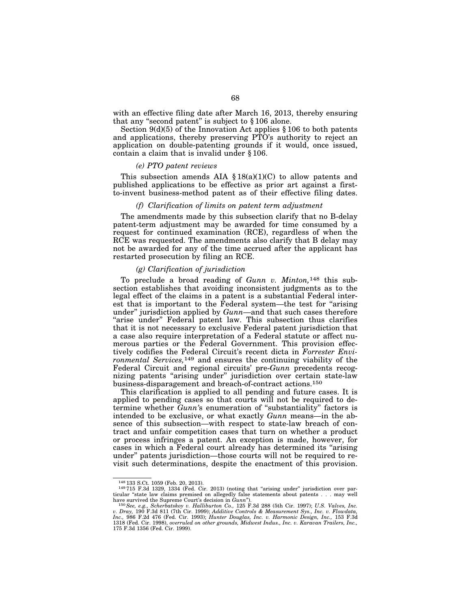with an effective filing date after March 16, 2013, thereby ensuring that any "second patent" is subject to  $§ 106$  alone.

Section  $9(d)(5)$  of the Innovation Act applies § 106 to both patents and applications, thereby preserving PTO's authority to reject an application on double-patenting grounds if it would, once issued, contain a claim that is invalid under § 106.

#### *(e) PTO patent reviews*

This subsection amends AIA  $\S 18(a)(1)(C)$  to allow patents and published applications to be effective as prior art against a firstto-invent business-method patent as of their effective filing dates.

#### *(f) Clarification of limits on patent term adjustment*

The amendments made by this subsection clarify that no B-delay patent-term adjustment may be awarded for time consumed by a request for continued examination (RCE), regardless of when the RCE was requested. The amendments also clarify that B delay may not be awarded for any of the time accrued after the applicant has restarted prosecution by filing an RCE.

#### *(g) Clarification of jurisdiction*

To preclude a broad reading of *Gunn v. Minton,*<sup>148</sup> this subsection establishes that avoiding inconsistent judgments as to the legal effect of the claims in a patent is a substantial Federal interest that is important to the Federal system—the test for "arising under'' jurisdiction applied by *Gunn*—and that such cases therefore "arise under" Federal patent law. This subsection thus clarifies that it is not necessary to exclusive Federal patent jurisdiction that a case also require interpretation of a Federal statute or affect numerous parties or the Federal Government. This provision effectively codifies the Federal Circuit's recent dicta in *Forrester Environmental Services,*<sup>149</sup> and ensures the continuing viability of the Federal Circuit and regional circuits' pre-*Gunn* precedents recognizing patents "arising under" jurisdiction over certain state-law business-disparagement and breach-of-contract actions.150

This clarification is applied to all pending and future cases. It is applied to pending cases so that courts will not be required to determine whether *Gunn'*s enumeration of ''substantiality'' factors is intended to be exclusive, or what exactly *Gunn* means—in the absence of this subsection—with respect to state-law breach of contract and unfair competition cases that turn on whether a product or process infringes a patent. An exception is made, however, for cases in which a Federal court already has determined its ''arising under'' patents jurisdiction—those courts will not be required to revisit such determinations, despite the enactment of this provision.

<sup>148</sup> 133 S.Ct. 1059 (Feb. 20, 2013).

 $149\overline{715}$  F.3d 1329, 1334 (Fed. Cir. 2013) (noting that "arising under" jurisdiction over particular ''state law claims premised on allegedly false statements about patents . . . may well have survived the Supreme Court's decision in *Gunn*'').

<sup>&</sup>lt;sup>150</sup> See, e.g., Scherbatskoy v. Halliburton Co., 125 F.3d 288 (5th Cir. 1997); U.S. Valves, Inc.<br>v. Dray, 190 F.3d 811 (7th Cir. 1999); Additive Controls & Measurement Sys., Inc. v. Flowdata,<br>Inc., 986 F.2d 476 (Fed. Cir. 1318 (Fed. Cir. 1998), *overruled on other grounds, Midwest Indus., Inc. v. Karavan Trailers, Inc.,* 175 F.3d 1356 (Fed. Cir. 1999).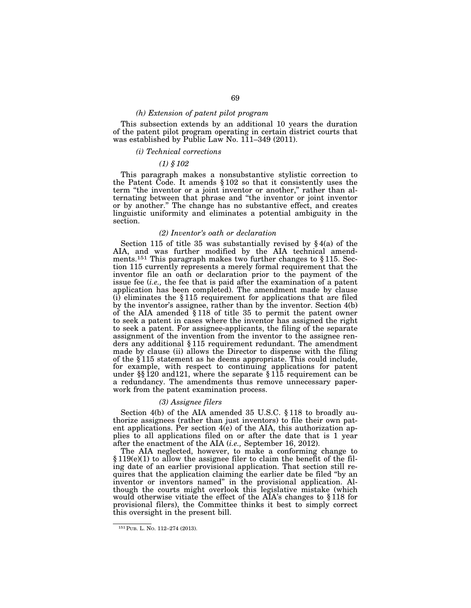#### *(h) Extension of patent pilot program*

This subsection extends by an additional 10 years the duration of the patent pilot program operating in certain district courts that was established by Public Law No. 111-349 (2011).

## *(i) Technical corrections*

#### *(1) § 102*

This paragraph makes a nonsubstantive stylistic correction to the Patent Code. It amends § 102 so that it consistently uses the term "the inventor or a joint inventor or another," rather than alternating between that phrase and ''the inventor or joint inventor or by another.'' The change has no substantive effect, and creates linguistic uniformity and eliminates a potential ambiguity in the section.

#### *(2) Inventor's oath or declaration*

Section 115 of title 35 was substantially revised by § 4(a) of the AIA, and was further modified by the AIA technical amendments.151 This paragraph makes two further changes to § 115. Section 115 currently represents a merely formal requirement that the inventor file an oath or declaration prior to the payment of the issue fee (*i.e.,* the fee that is paid after the examination of a patent application has been completed). The amendment made by clause (i) eliminates the § 115 requirement for applications that are filed by the inventor's assignee, rather than by the inventor. Section 4(b) of the AIA amended § 118 of title 35 to permit the patent owner to seek a patent in cases where the inventor has assigned the right to seek a patent. For assignee-applicants, the filing of the separate assignment of the invention from the inventor to the assignee renders any additional § 115 requirement redundant. The amendment made by clause (ii) allows the Director to dispense with the filing of the § 115 statement as he deems appropriate. This could include, for example, with respect to continuing applications for patent under §§ 120 and121, where the separate § 115 requirement can be a redundancy. The amendments thus remove unnecessary paperwork from the patent examination process.

#### *(3) Assignee filers*

Section 4(b) of the AIA amended 35 U.S.C. § 118 to broadly authorize assignees (rather than just inventors) to file their own patent applications. Per section 4(e) of the AIA, this authorization applies to all applications filed on or after the date that is 1 year after the enactment of the AIA (*i.e.,* September 16, 2012).

The AIA neglected, however, to make a conforming change to §119(e)(1) to allow the assignee filer to claim the benefit of the filing date of an earlier provisional application. That section still requires that the application claiming the earlier date be filed ''by an inventor or inventors named'' in the provisional application. Although the courts might overlook this legislative mistake (which would otherwise vitiate the effect of the AIA's changes to § 118 for provisional filers), the Committee thinks it best to simply correct this oversight in the present bill.

<sup>151</sup>PUB. L. NO. 112–274 (2013).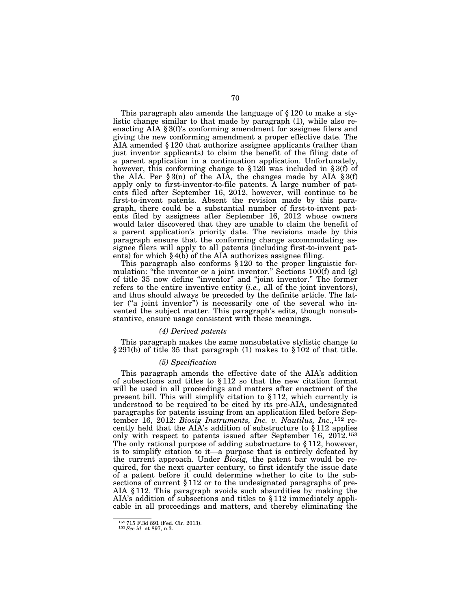This paragraph also amends the language of § 120 to make a stylistic change similar to that made by paragraph (1), while also reenacting AIA § 3(f)'s conforming amendment for assignee filers and giving the new conforming amendment a proper effective date. The AIA amended § 120 that authorize assignee applicants (rather than just inventor applicants) to claim the benefit of the filing date of a parent application in a continuation application. Unfortunately, however, this conforming change to § 120 was included in § 3(f) of the AIA. Per  $\S 3(n)$  of the AIA, the changes made by AIA  $\S 3(f)$ apply only to first-inventor-to-file patents. A large number of patents filed after September 16, 2012, however, will continue to be first-to-invent patents. Absent the revision made by this paragraph, there could be a substantial number of first-to-invent patents filed by assignees after September 16, 2012 whose owners would later discovered that they are unable to claim the benefit of a parent application's priority date. The revisions made by this paragraph ensure that the conforming change accommodating assignee filers will apply to all patents (including first-to-invent patents) for which  $\S 4(b)$  of the AIA authorizes assignee filing.

This paragraph also conforms § 120 to the proper linguistic formulation: "the inventor or a joint inventor." Sections 100(f) and (g) of title 35 now define ''inventor'' and ''joint inventor.'' The former refers to the entire inventive entity (*i.e.,* all of the joint inventors), and thus should always be preceded by the definite article. The latter (''a joint inventor'') is necessarily one of the several who invented the subject matter. This paragraph's edits, though nonsubstantive, ensure usage consistent with these meanings.

#### *(4) Derived patents*

This paragraph makes the same nonsubstative stylistic change to §291(b) of title 35 that paragraph (1) makes to § 102 of that title.

#### *(5) Specification*

This paragraph amends the effective date of the AIA's addition of subsections and titles to § 112 so that the new citation format will be used in all proceedings and matters after enactment of the present bill. This will simplify citation to § 112, which currently is understood to be required to be cited by its pre-AIA, undesignated paragraphs for patents issuing from an application filed before September 16, 2012: *Biosig Instruments, Inc. v. Nautilus, Inc.,*<sup>152</sup> recently held that the AIA's addition of substructure to § 112 applies only with respect to patents issued after September 16, 2012.<sup>153</sup> The only rational purpose of adding substructure to § 112, however, is to simplify citation to it—a purpose that is entirely defeated by the current approach. Under *Biosig,* the patent bar would be required, for the next quarter century, to first identify the issue date of a patent before it could determine whether to cite to the subsections of current § 112 or to the undesignated paragraphs of pre-AIA § 112. This paragraph avoids such absurdities by making the AIA's addition of subsections and titles to § 112 immediately applicable in all proceedings and matters, and thereby eliminating the

<sup>152</sup> 715 F.3d 891 (Fed. Cir. 2013).

<sup>153</sup>*See id.* at 897, n.3.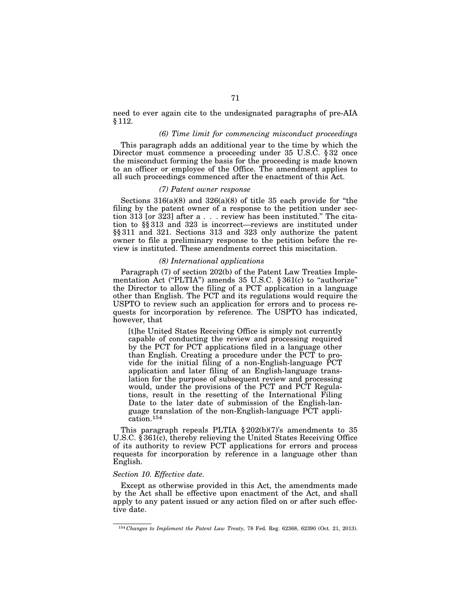need to ever again cite to the undesignated paragraphs of pre-AIA § 112.

#### *(6) Time limit for commencing misconduct proceedings*

This paragraph adds an additional year to the time by which the Director must commence a proceeding under 35 U.S.C. § 32 once the misconduct forming the basis for the proceeding is made known to an officer or employee of the Office. The amendment applies to all such proceedings commenced after the enactment of this Act.

## *(7) Patent owner response*

Sections  $316(a)(8)$  and  $326(a)(8)$  of title 35 each provide for "the filing by the patent owner of a response to the petition under section 313 [or 323] after a . . . review has been instituted.'' The citation to §§ 313 and 323 is incorrect—reviews are instituted under §§311 and 321. Sections 313 and 323 only authorize the patent owner to file a preliminary response to the petition before the review is instituted. These amendments correct this miscitation.

## *(8) International applications*

Paragraph (7) of section 202(b) of the Patent Law Treaties Implementation Act ("PLTIA") amends 35 U.S.C. § 361(c) to "authorize" the Director to allow the filing of a PCT application in a language other than English. The PCT and its regulations would require the USPTO to review such an application for errors and to process requests for incorporation by reference. The USPTO has indicated, however, that

[t]he United States Receiving Office is simply not currently capable of conducting the review and processing required by the PCT for PCT applications filed in a language other than English. Creating a procedure under the PCT to provide for the initial filing of a non-English-language PCT application and later filing of an English-language translation for the purpose of subsequent review and processing would, under the provisions of the PCT and PCT Regulations, result in the resetting of the International Filing Date to the later date of submission of the English-language translation of the non-English-language PCT application.154

This paragraph repeals PLTIA  $\S 202(b)(7)$ 's amendments to 35 U.S.C. § 361(c), thereby relieving the United States Receiving Office of its authority to review PCT applications for errors and process requests for incorporation by reference in a language other than English.

#### *Section 10. Effective date.*

Except as otherwise provided in this Act, the amendments made by the Act shall be effective upon enactment of the Act, and shall apply to any patent issued or any action filed on or after such effective date.

<sup>154</sup> *Changes to Implement the Patent Law Treaty,* 78 Fed. Reg. 62368, 62390 (Oct. 21, 2013).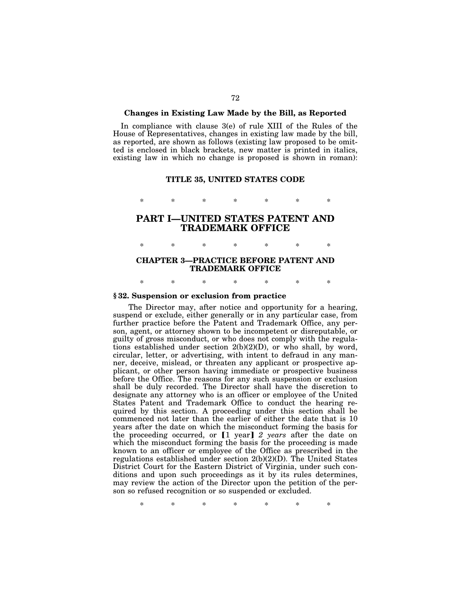#### **Changes in Existing Law Made by the Bill, as Reported**

In compliance with clause 3(e) of rule XIII of the Rules of the House of Representatives, changes in existing law made by the bill, as reported, are shown as follows (existing law proposed to be omitted is enclosed in black brackets, new matter is printed in italics, existing law in which no change is proposed is shown in roman):

## **TITLE 35, UNITED STATES CODE**

# **PART I—UNITED STATES PATENT AND TRADEMARK OFFICE**

\* \* \* \* \* \* \*

# \* \* \* \* \* \* \* **CHAPTER 3—PRACTICE BEFORE PATENT AND TRADEMARK OFFICE**

\* \* \* \* \* \* \*

## **§ 32. Suspension or exclusion from practice**

The Director may, after notice and opportunity for a hearing, suspend or exclude, either generally or in any particular case, from further practice before the Patent and Trademark Office, any person, agent, or attorney shown to be incompetent or disreputable, or guilty of gross misconduct, or who does not comply with the regulations established under section 2(b)(2)(D), or who shall, by word, circular, letter, or advertising, with intent to defraud in any manner, deceive, mislead, or threaten any applicant or prospective applicant, or other person having immediate or prospective business before the Office. The reasons for any such suspension or exclusion shall be duly recorded. The Director shall have the discretion to designate any attorney who is an officer or employee of the United States Patent and Trademark Office to conduct the hearing required by this section. A proceeding under this section shall be commenced not later than the earlier of either the date that is 10 years after the date on which the misconduct forming the basis for the proceeding occurred, or [1 year] 2 years after the date on which the misconduct forming the basis for the proceeding is made known to an officer or employee of the Office as prescribed in the regulations established under section 2(b)(2)(D). The United States District Court for the Eastern District of Virginia, under such conditions and upon such proceedings as it by its rules determines, may review the action of the Director upon the petition of the person so refused recognition or so suspended or excluded.

\* \* \* \* \* \* \*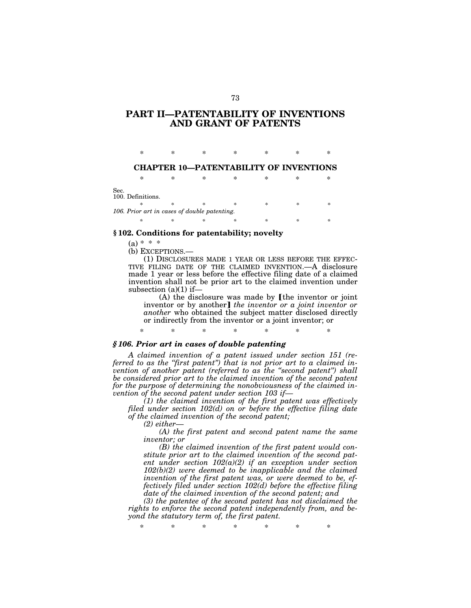# **PART II—PATENTABILITY OF INVENTIONS AND GRANT OF PATENTS**

\* \* \* \* \* \* \*

# **CHAPTER 10—PATENTABILITY OF INVENTIONS**

*\* \* \* \* \* \* \**

\* \* \* \* \* \* \* Sec. 100. Definitions. \* \* \* \* \* \* \* *106. Prior art in cases of double patenting.*

## **§ 102. Conditions for patentability; novelty**

 $(a) * * *$ 

(b) EXCEPTIONS.—

(1) DISCLOSURES MADE 1 YEAR OR LESS BEFORE THE EFFEC-TIVE FILING DATE OF THE CLAIMED INVENTION.—A disclosure made 1 year or less before the effective filing date of a claimed invention shall not be prior art to the claimed invention under subsection (a)(1) if—

 $(A)$  the disclosure was made by [the inventor or joint inventor or by another] the inventor or a joint inventor or *another* who obtained the subject matter disclosed directly or indirectly from the inventor or a joint inventor; or

\* \* \* \* \* \* \*

#### *§ 106. Prior art in cases of double patenting*

*A claimed invention of a patent issued under section 151 (referred to as the ''first patent'') that is not prior art to a claimed invention of another patent (referred to as the ''second patent'') shall be considered prior art to the claimed invention of the second patent for the purpose of determining the nonobviousness of the claimed invention of the second patent under section 103 if—*

*(1) the claimed invention of the first patent was effectively filed under section 102(d) on or before the effective filing date of the claimed invention of the second patent;*

*(2) either—*

*(A) the first patent and second patent name the same inventor; or*

*(B) the claimed invention of the first patent would constitute prior art to the claimed invention of the second patent under section 102(a)(2) if an exception under section 102(b)(2) were deemed to be inapplicable and the claimed invention of the first patent was, or were deemed to be, effectively filed under section 102(d) before the effective filing date of the claimed invention of the second patent; and*

*(3) the patentee of the second patent has not disclaimed the rights to enforce the second patent independently from, and beyond the statutory term of, the first patent.*

\* \* \* \* \* \* \*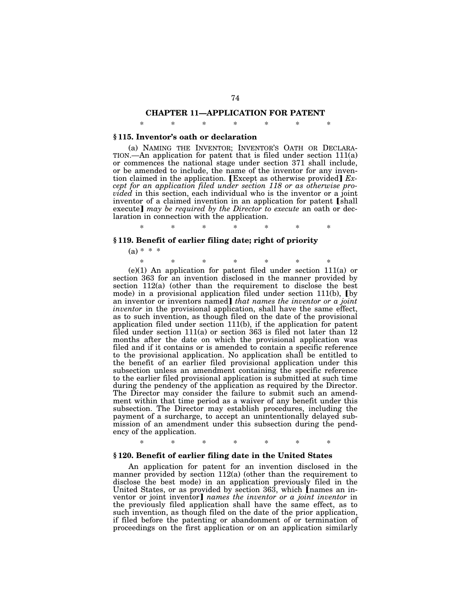# **CHAPTER 11—APPLICATION FOR PATENT** \* \* \* \* \* \* \*

#### **§ 115. Inventor's oath or declaration**

(a) NAMING THE INVENTOR; INVENTOR'S OATH OR DECLARA-TION.—An application for patent that is filed under section 111(a) or commences the national stage under section 371 shall include, or be amended to include, the name of the inventor for any invention claimed in the application. [Except as otherwise provided]  $Ex$ *cept for an application filed under section 118 or as otherwise provided* in this section, each individual who is the inventor or a joint inventor of a claimed invention in an application for patent [shall] execute] may be required by the Director to execute an oath or declaration in connection with the application.

\* \* \* \* \* \* \*

#### **§ 119. Benefit of earlier filing date; right of priority**

 $(a) * * *$ 

\* \* \* \* \* \* \* (e)(1) An application for patent filed under section 111(a) or section 363 for an invention disclosed in the manner provided by section 112(a) (other than the requirement to disclose the best mode) in a provisional application filed under section  $111(b)$ , [by an inventor or inventors named *that names the inventor or a joint inventor* in the provisional application, shall have the same effect, as to such invention, as though filed on the date of the provisional application filed under section 111(b), if the application for patent filed under section 111(a) or section 363 is filed not later than 12 months after the date on which the provisional application was filed and if it contains or is amended to contain a specific reference to the provisional application. No application shall be entitled to the benefit of an earlier filed provisional application under this subsection unless an amendment containing the specific reference to the earlier filed provisional application is submitted at such time during the pendency of the application as required by the Director. The Director may consider the failure to submit such an amendment within that time period as a waiver of any benefit under this subsection. The Director may establish procedures, including the payment of a surcharge, to accept an unintentionally delayed submission of an amendment under this subsection during the pendency of the application.

# \* \* \* \* \* \* \*

# **§ 120. Benefit of earlier filing date in the United States**

An application for patent for an invention disclosed in the manner provided by section 112(a) (other than the requirement to disclose the best mode) in an application previously filed in the United States, or as provided by section 363, which [names an inventor or joint inventor] *names the inventor or a joint inventor* in the previously filed application shall have the same effect, as to such invention, as though filed on the date of the prior application, if filed before the patenting or abandonment of or termination of proceedings on the first application or on an application similarly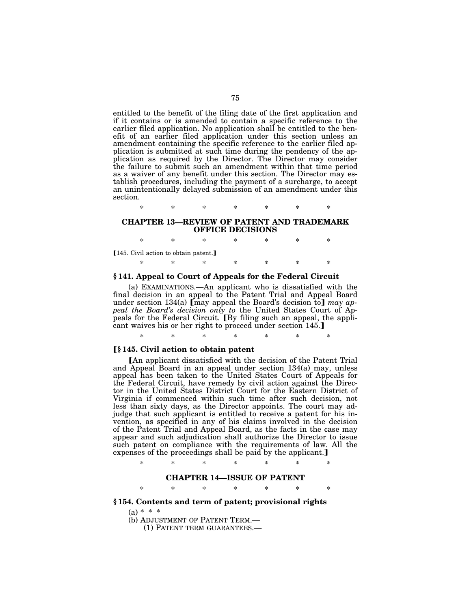entitled to the benefit of the filing date of the first application and if it contains or is amended to contain a specific reference to the earlier filed application. No application shall be entitled to the benefit of an earlier filed application under this section unless an amendment containing the specific reference to the earlier filed application is submitted at such time during the pendency of the application as required by the Director. The Director may consider the failure to submit such an amendment within that time period as a waiver of any benefit under this section. The Director may establish procedures, including the payment of a surcharge, to accept an unintentionally delayed submission of an amendment under this section.

\* \* \* \* \* \* \*

### **CHAPTER 13—REVIEW OF PATENT AND TRADEMARK OFFICE DECISIONS**

\* \* \* \* \* \* \*

[145. Civil action to obtain patent.]

\* \* \* \* \* \* \*

#### **§ 141. Appeal to Court of Appeals for the Federal Circuit**

(a) EXAMINATIONS.—An applicant who is dissatisfied with the final decision in an appeal to the Patent Trial and Appeal Board under section 134(a) [may appeal the Board's decision to] *may appeal the Board's decision only to* the United States Court of Appeals for the Federal Circuit. [By filing such an appeal, the applicant waives his or her right to proceed under section 145.

\* \* \* \* \* \* \*

# ø**§ 145. Civil action to obtain patent**

**An applicant dissatisfied with the decision of the Patent Trial** and Appeal Board in an appeal under section 134(a) may, unless appeal has been taken to the United States Court of Appeals for the Federal Circuit, have remedy by civil action against the Director in the United States District Court for the Eastern District of Virginia if commenced within such time after such decision, not less than sixty days, as the Director appoints. The court may adjudge that such applicant is entitled to receive a patent for his invention, as specified in any of his claims involved in the decision of the Patent Trial and Appeal Board, as the facts in the case may appear and such adjudication shall authorize the Director to issue such patent on compliance with the requirements of law. All the expenses of the proceedings shall be paid by the applicant.

\* \* \* \* \* \* \*

# **CHAPTER 14—ISSUE OF PATENT**

\* \* \* \* \* \* \*

# **§ 154. Contents and term of patent; provisional rights**

 $(a) * * * *$ 

(b) ADJUSTMENT OF PATENT TERM.— (1) PATENT TERM GUARANTEES.—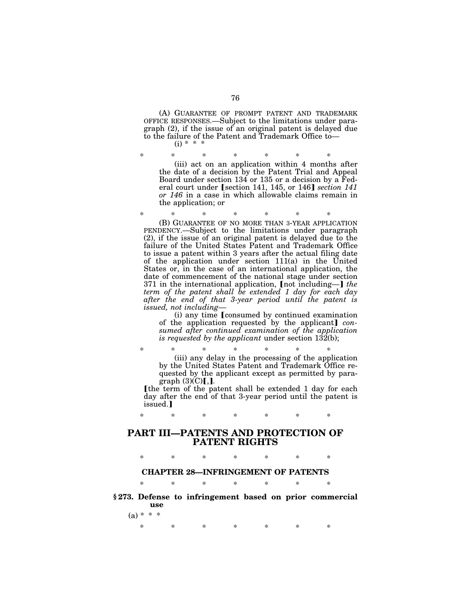(A) GUARANTEE OF PROMPT PATENT AND TRADEMARK OFFICE RESPONSES.—Subject to the limitations under paragraph (2), if the issue of an original patent is delayed due to the failure of the Patent and Trademark Office to— (i) \* \* \*

\* \* \* \* \* \* \* (iii) act on an application within 4 months after the date of a decision by the Patent Trial and Appeal Board under section 134 or 135 or a decision by a Federal court under [section 141, 145, or 146] *section 141 or 146* in a case in which allowable claims remain in the application; or

\* \* \* \* \* \* \* (B) GUARANTEE OF NO MORE THAN 3-YEAR APPLICATION PENDENCY.—Subject to the limitations under paragraph (2), if the issue of an original patent is delayed due to the failure of the United States Patent and Trademark Office to issue a patent within 3 years after the actual filing date of the application under section 111(a) in the United States or, in the case of an international application, the date of commencement of the national stage under section 371 in the international application, [not including-] the *term of the patent shall be extended 1 day for each day after the end of that 3-year period until the patent is issued, not including—*

 $(i)$  any time [consumed by continued examination] of the application requested by the applicant] *consumed after continued examination of the application is requested by the applicant* under section  $13\overline{2}$ (b);

\* \* \* \* \* \* \* (iii) any delay in the processing of the application by the United States Patent and Trademark Office requested by the applicant except as permitted by para $graph (3)(C)[,].$ 

øthe term of the patent shall be extended 1 day for each day after the end of that 3-year period until the patent is issued.]

\* \* \* \* \* \* \*

# **PART III—PATENTS AND PROTECTION OF PATENT RIGHTS**

\* \* \* \* \* \* \*

# **CHAPTER 28—INFRINGEMENT OF PATENTS**

\* \* \* \* \* \* \*

# **§ 273. Defense to infringement based on prior commercial use**

(a) \* \* \*

\* \* \* \* \* \* \*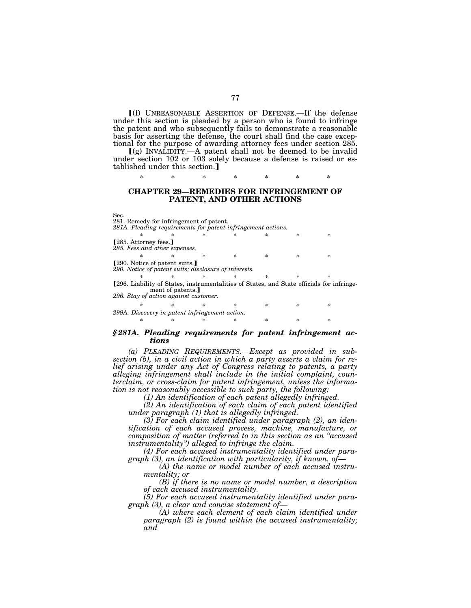ø(f) UNREASONABLE ASSERTION OF DEFENSE.—If the defense under this section is pleaded by a person who is found to infringe the patent and who subsequently fails to demonstrate a reasonable basis for asserting the defense, the court shall find the case exceptional for the purpose of awarding attorney fees under section 285.

 $(q)$  INVALIDITY.—A patent shall not be deemed to be invalid under section 102 or 103 solely because a defense is raised or established under this section.]

\* \* \* \* \* \* \*

## **CHAPTER 29—REMEDIES FOR INFRINGEMENT OF PATENT, AND OTHER ACTIONS**

Sec. 281. Remedy for infringement of patent. *281A. Pleading requirements for patent infringement actions.* \* \* \* \* \* \* \* **[285. Attorney fees.]** *285. Fees and other expenses.* \* \* \* \* \* \* \* [290. Notice of patent suits.] *290. Notice of patent suits; disclosure of interests.* \* \* \* \* \* \* \* ø296. Liability of States, instrumentalities of States, and State officials for infringement of patents. *296. Stay of action against customer. \* \* \* \* \* \* \* 299A. Discovery in patent infringement action.*

### *§ 281A. Pleading requirements for patent infringement actions*

\* \* \* \* \* \* \*

*(a) PLEADING REQUIREMENTS.—Except as provided in subsection (b), in a civil action in which a party asserts a claim for relief arising under any Act of Congress relating to patents, a party alleging infringement shall include in the initial complaint, counterclaim, or cross-claim for patent infringement, unless the information is not reasonably accessible to such party, the following:*

*(1) An identification of each patent allegedly infringed.*

*(2) An identification of each claim of each patent identified under paragraph (1) that is allegedly infringed.*

*(3) For each claim identified under paragraph (2), an identification of each accused process, machine, manufacture, or composition of matter (referred to in this section as an ''accused instrumentality'') alleged to infringe the claim.*

*(4) For each accused instrumentality identified under paragraph (3), an identification with particularity, if known, of—*

*(A) the name or model number of each accused instrumentality; or*

*(B) if there is no name or model number, a description of each accused instrumentality.*

*(5) For each accused instrumentality identified under paragraph (3), a clear and concise statement of—*

*(A) where each element of each claim identified under paragraph (2) is found within the accused instrumentality; and*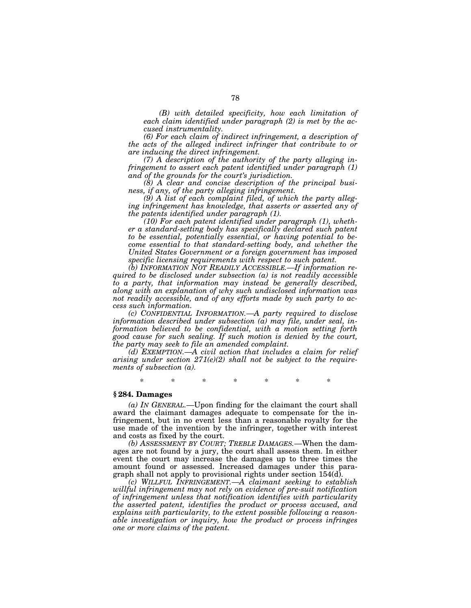*(B) with detailed specificity, how each limitation of each claim identified under paragraph (2) is met by the accused instrumentality.*

*(6) For each claim of indirect infringement, a description of the acts of the alleged indirect infringer that contribute to or are inducing the direct infringement.*

*(7) A description of the authority of the party alleging infringement to assert each patent identified under paragraph (1) and of the grounds for the court's jurisdiction.*

*(8) A clear and concise description of the principal business, if any, of the party alleging infringement.*

*(9) A list of each complaint filed, of which the party alleging infringement has knowledge, that asserts or asserted any of the patents identified under paragraph (1).*

*(10) For each patent identified under paragraph (1), whether a standard-setting body has specifically declared such patent to be essential, potentially essential, or having potential to become essential to that standard-setting body, and whether the United States Government or a foreign government has imposed specific licensing requirements with respect to such patent.*

*(b) INFORMATION NOT READILY ACCESSIBLE.—If information required to be disclosed under subsection (a) is not readily accessible to a party, that information may instead be generally described, along with an explanation of why such undisclosed information was not readily accessible, and of any efforts made by such party to access such information.*

*(c) CONFIDENTIAL INFORMATION.—A party required to disclose information described under subsection (a) may file, under seal, information believed to be confidential, with a motion setting forth good cause for such sealing. If such motion is denied by the court, the party may seek to file an amended complaint.*

*(d) EXEMPTION.—A civil action that includes a claim for relief arising under section 271(e)(2) shall not be subject to the requirements of subsection (a).*

\* \* \* \* \* \* \*

#### **§ 284. Damages**

*(a) IN GENERAL.—*Upon finding for the claimant the court shall award the claimant damages adequate to compensate for the infringement, but in no event less than a reasonable royalty for the use made of the invention by the infringer, together with interest and costs as fixed by the court.

*(b) ASSESSMENT BY COURT; TREBLE DAMAGES.—*When the damages are not found by a jury, the court shall assess them. In either event the court may increase the damages up to three times the amount found or assessed. Increased damages under this paragraph shall not apply to provisional rights under section 154(d).

*(c) WILLFUL INFRINGEMENT.—A claimant seeking to establish willful infringement may not rely on evidence of pre-suit notification of infringement unless that notification identifies with particularity the asserted patent, identifies the product or process accused, and explains with particularity, to the extent possible following a reasonable investigation or inquiry, how the product or process infringes one or more claims of the patent.*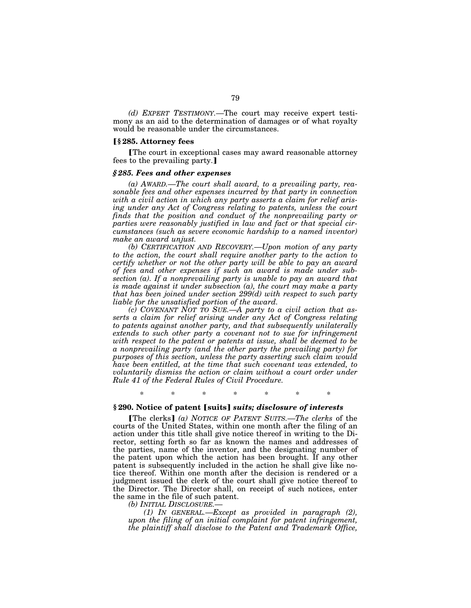*(d) EXPERT TESTIMONY.—*The court may receive expert testimony as an aid to the determination of damages or of what royalty would be reasonable under the circumstances.

#### ø**§ 285. Attorney fees**

øThe court in exceptional cases may award reasonable attorney fees to the prevailing party.]

# *§ 285. Fees and other expenses*

*(a) AWARD.—The court shall award, to a prevailing party, reasonable fees and other expenses incurred by that party in connection with a civil action in which any party asserts a claim for relief arising under any Act of Congress relating to patents, unless the court finds that the position and conduct of the nonprevailing party or parties were reasonably justified in law and fact or that special circumstances (such as severe economic hardship to a named inventor) make an award unjust.*

*(b) CERTIFICATION AND RECOVERY.—Upon motion of any party to the action, the court shall require another party to the action to certify whether or not the other party will be able to pay an award of fees and other expenses if such an award is made under subsection (a). If a nonprevailing party is unable to pay an award that is made against it under subsection (a), the court may make a party that has been joined under section 299(d) with respect to such party liable for the unsatisfied portion of the award.*

*(c) COVENANT NOT TO SUE.—A party to a civil action that asserts a claim for relief arising under any Act of Congress relating to patents against another party, and that subsequently unilaterally extends to such other party a covenant not to sue for infringement with respect to the patent or patents at issue, shall be deemed to be a nonprevailing party (and the other party the prevailing party) for purposes of this section, unless the party asserting such claim would have been entitled, at the time that such covenant was extended, to voluntarily dismiss the action or claim without a court order under Rule 41 of the Federal Rules of Civil Procedure.*

\* \* \* \* \* \* \*

## § 290. Notice of patent [suits] *suits; disclosure of interests*

øThe clerks¿ *(a) NOTICE OF PATENT SUITS.—The clerks* of the courts of the United States, within one month after the filing of an action under this title shall give notice thereof in writing to the Director, setting forth so far as known the names and addresses of the parties, name of the inventor, and the designating number of the patent upon which the action has been brought. If any other patent is subsequently included in the action he shall give like notice thereof. Within one month after the decision is rendered or a judgment issued the clerk of the court shall give notice thereof to the Director. The Director shall, on receipt of such notices, enter the same in the file of such patent.

*(b) INITIAL DISCLOSURE.—*

*(1) IN GENERAL.—Except as provided in paragraph (2), upon the filing of an initial complaint for patent infringement, the plaintiff shall disclose to the Patent and Trademark Office,*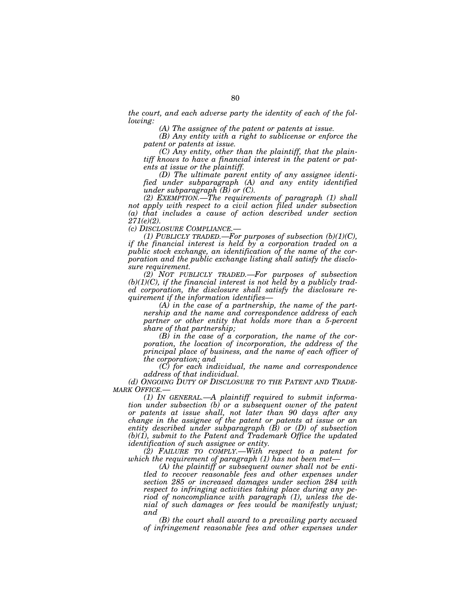*the court, and each adverse party the identity of each of the following:*

*(A) The assignee of the patent or patents at issue.*

*(B) Any entity with a right to sublicense or enforce the patent or patents at issue.*

*(C) Any entity, other than the plaintiff, that the plaintiff knows to have a financial interest in the patent or patents at issue or the plaintiff.*

*(D) The ultimate parent entity of any assignee identified under subparagraph (A) and any entity identified under subparagraph (B) or (C).*

*(2) EXEMPTION.—The requirements of paragraph (1) shall not apply with respect to a civil action filed under subsection (a) that includes a cause of action described under section 271(e)(2).* 

*(c) DISCLOSURE COMPLIANCE.—*

*(1) PUBLICLY TRADED.—For purposes of subsection (b)(1)(C), if the financial interest is held by a corporation traded on a public stock exchange, an identification of the name of the corporation and the public exchange listing shall satisfy the disclosure requirement.*

*(2) NOT PUBLICLY TRADED.—For purposes of subsection (b)(1)(C), if the financial interest is not held by a publicly traded corporation, the disclosure shall satisfy the disclosure requirement if the information identifies—*

*(A) in the case of a partnership, the name of the partnership and the name and correspondence address of each partner or other entity that holds more than a 5-percent share of that partnership;*

*(B) in the case of a corporation, the name of the corporation, the location of incorporation, the address of the principal place of business, and the name of each officer of the corporation; and*

*(C) for each individual, the name and correspondence address of that individual.*

*(d) ONGOING DUTY OF DISCLOSURE TO THE PATENT AND TRADE-MARK OFFICE.—*

*(1) IN GENERAL.—A plaintiff required to submit information under subsection (b) or a subsequent owner of the patent or patents at issue shall, not later than 90 days after any change in the assignee of the patent or patents at issue or an entity described under subparagraph (B) or (D) of subsection (b)(1), submit to the Patent and Trademark Office the updated identification of such assignee or entity.*

*(2) FAILURE TO COMPLY.—With respect to a patent for which the requirement of paragraph (1) has not been met—*

*(A) the plaintiff or subsequent owner shall not be entitled to recover reasonable fees and other expenses under section 285 or increased damages under section 284 with respect to infringing activities taking place during any period of noncompliance with paragraph (1), unless the denial of such damages or fees would be manifestly unjust; and* 

*(B) the court shall award to a prevailing party accused of infringement reasonable fees and other expenses under*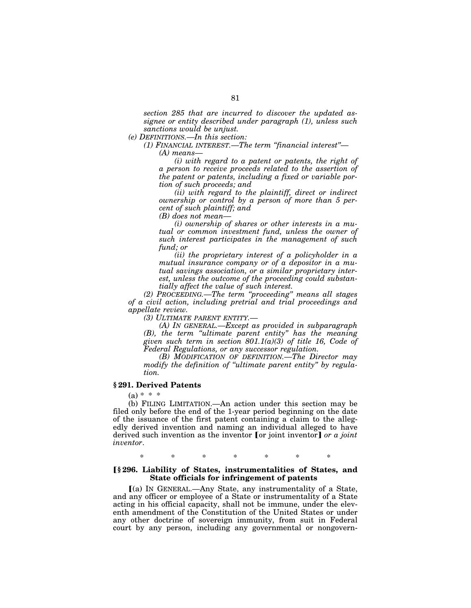*section 285 that are incurred to discover the updated assignee or entity described under paragraph (1), unless such sanctions would be unjust.*

*(e) DEFINITIONS.—In this section:*

*(1) FINANCIAL INTEREST.—The term ''financial interest''— (A) means—*

*(i) with regard to a patent or patents, the right of a person to receive proceeds related to the assertion of the patent or patents, including a fixed or variable portion of such proceeds; and*

*(ii) with regard to the plaintiff, direct or indirect ownership or control by a person of more than 5 percent of such plaintiff; and*

*(B) does not mean—*

*(i) ownership of shares or other interests in a mutual or common investment fund, unless the owner of such interest participates in the management of such fund; or*

*(ii) the proprietary interest of a policyholder in a mutual insurance company or of a depositor in a mutual savings association, or a similar proprietary interest, unless the outcome of the proceeding could substantially affect the value of such interest.*

*(2) PROCEEDING.—The term ''proceeding'' means all stages of a civil action, including pretrial and trial proceedings and appellate review.*

*(3) ULTIMATE PARENT ENTITY.—*

*(A) IN GENERAL.—Except as provided in subparagraph (B), the term ''ultimate parent entity'' has the meaning given such term in section 801.1(a)(3) of title 16, Code of Federal Regulations, or any successor regulation.*

*(B) MODIFICATION OF DEFINITION.—The Director may modify the definition of ''ultimate parent entity'' by regulation.*

# **§ 291. Derived Patents**

 $(a) * * * *$ 

(b) FILING LIMITATION.—An action under this section may be filed only before the end of the 1-year period beginning on the date of the issuance of the first patent containing a claim to the allegedly derived invention and naming an individual alleged to have derived such invention as the inventor [or joint inventor] *or a joint inventor*.

\* \* \* \* \* \* \*

## ø**§ 296. Liability of States, instrumentalities of States, and State officials for infringement of patents**

ø(a) IN GENERAL.—Any State, any instrumentality of a State, and any officer or employee of a State or instrumentality of a State acting in his official capacity, shall not be immune, under the eleventh amendment of the Constitution of the United States or under any other doctrine of sovereign immunity, from suit in Federal court by any person, including any governmental or nongovern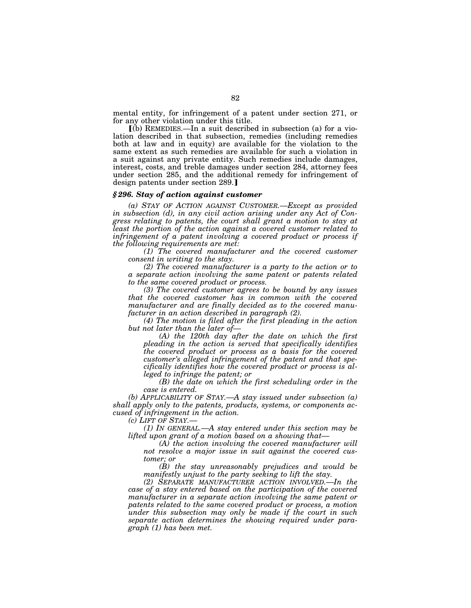mental entity, for infringement of a patent under section 271, or for any other violation under this title.

 $\tilde{I(b)}$  REMEDIES.—In a suit described in subsection (a) for a violation described in that subsection, remedies (including remedies both at law and in equity) are available for the violation to the same extent as such remedies are available for such a violation in a suit against any private entity. Such remedies include damages, interest, costs, and treble damages under section 284, attorney fees under section 285, and the additional remedy for infringement of design patents under section 289.

#### *§ 296. Stay of action against customer*

*(a) STAY OF ACTION AGAINST CUSTOMER.—Except as provided in subsection (d), in any civil action arising under any Act of Congress relating to patents, the court shall grant a motion to stay at least the portion of the action against a covered customer related to infringement of a patent involving a covered product or process if the following requirements are met:*

*(1) The covered manufacturer and the covered customer consent in writing to the stay.*

*(2) The covered manufacturer is a party to the action or to a separate action involving the same patent or patents related to the same covered product or process.*

*(3) The covered customer agrees to be bound by any issues that the covered customer has in common with the covered manufacturer and are finally decided as to the covered manufacturer in an action described in paragraph (2).*

*(4) The motion is filed after the first pleading in the action but not later than the later of—*

*(A) the 120th day after the date on which the first pleading in the action is served that specifically identifies the covered product or process as a basis for the covered customer's alleged infringement of the patent and that specifically identifies how the covered product or process is alleged to infringe the patent; or*

*(B) the date on which the first scheduling order in the case is entered.*

*(b) APPLICABILITY OF STAY.—A stay issued under subsection (a) shall apply only to the patents, products, systems, or components accused of infringement in the action.*

*(c) LIFT OF STAY.—*

*(1) IN GENERAL.—A stay entered under this section may be lifted upon grant of a motion based on a showing that—*

*(A) the action involving the covered manufacturer will not resolve a major issue in suit against the covered customer; or*

*(B) the stay unreasonably prejudices and would be manifestly unjust to the party seeking to lift the stay.*

*(2) SEPARATE MANUFACTURER ACTION INVOLVED.—In the case of a stay entered based on the participation of the covered manufacturer in a separate action involving the same patent or patents related to the same covered product or process, a motion under this subsection may only be made if the court in such separate action determines the showing required under paragraph (1) has been met.*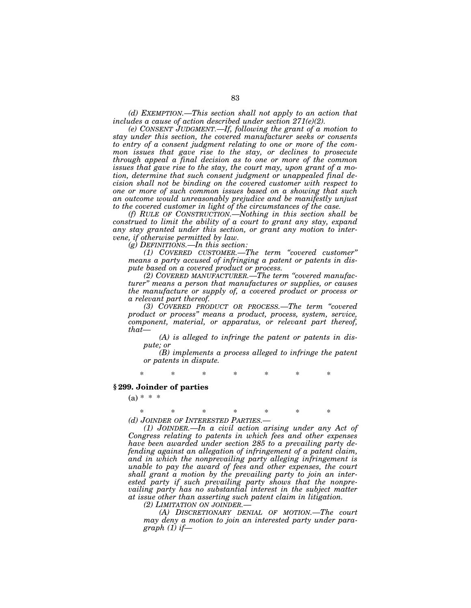*(d) EXEMPTION.—This section shall not apply to an action that includes a cause of action described under section 271(e)(2).*

*(e) CONSENT JUDGMENT.—If, following the grant of a motion to stay under this section, the covered manufacturer seeks or consents to entry of a consent judgment relating to one or more of the common issues that gave rise to the stay, or declines to prosecute through appeal a final decision as to one or more of the common issues that gave rise to the stay, the court may, upon grant of a motion, determine that such consent judgment or unappealed final decision shall not be binding on the covered customer with respect to one or more of such common issues based on a showing that such an outcome would unreasonably prejudice and be manifestly unjust to the covered customer in light of the circumstances of the case.*

*(f) RULE OF CONSTRUCTION.—Nothing in this section shall be construed to limit the ability of a court to grant any stay, expand any stay granted under this section, or grant any motion to intervene, if otherwise permitted by law.*

*(g) DEFINITIONS.—In this section:*

*(1) COVERED CUSTOMER.—The term ''covered customer'' means a party accused of infringing a patent or patents in dispute based on a covered product or process.*

*(2) COVERED MANUFACTURER.—The term ''covered manufacturer'' means a person that manufactures or supplies, or causes the manufacture or supply of, a covered product or process or a relevant part thereof.*

*(3) COVERED PRODUCT OR PROCESS.—The term ''covered product or process'' means a product, process, system, service, component, material, or apparatus, or relevant part thereof, that—* 

*(A) is alleged to infringe the patent or patents in dispute; or*

*(B) implements a process alleged to infringe the patent or patents in dispute.*

\* \* \* \* \* \* \*

# **§ 299. Joinder of parties**

 $(a) * * *$ 

\* \* \* \* \* \* \*

*(d) JOINDER OF INTERESTED PARTIES.—*

*(1) JOINDER.—In a civil action arising under any Act of Congress relating to patents in which fees and other expenses have been awarded under section 285 to a prevailing party defending against an allegation of infringement of a patent claim, and in which the nonprevailing party alleging infringement is unable to pay the award of fees and other expenses, the court shall grant a motion by the prevailing party to join an interested party if such prevailing party shows that the nonprevailing party has no substantial interest in the subject matter at issue other than asserting such patent claim in litigation.*

*(2) LIMITATION ON JOINDER.—*

*(A) DISCRETIONARY DENIAL OF MOTION.—The court may deny a motion to join an interested party under paragraph (1) if—*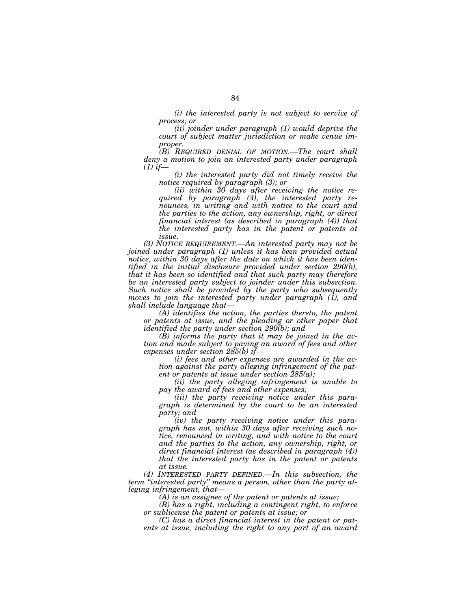*(i) the interested party is not subject to service of process; or*

*(ii) joinder under paragraph (1) would deprive the court of subject matter jurisdiction or make venue improper.*

*(B) REQUIRED DENIAL OF MOTION.—The court shall deny a motion to join an interested party under paragraph (1) if—*

*(i) the interested party did not timely receive the notice required by paragraph (3); or*

*(ii) within 30 days after receiving the notice required by paragraph (3), the interested party renounces, in writing and with notice to the court and the parties to the action, any ownership, right, or direct financial interest (as described in paragraph (4)) that the interested party has in the patent or patents at issue.* 

*(3) NOTICE REQUIREMENT.—An interested party may not be joined under paragraph (1) unless it has been provided actual notice, within 30 days after the date on which it has been identified in the initial disclosure provided under section 290(b), that it has been so identified and that such party may therefore be an interested party subject to joinder under this subsection. Such notice shall be provided by the party who subsequently moves to join the interested party under paragraph (1), and shall include language that—*

*(A) identifies the action, the parties thereto, the patent or patents at issue, and the pleading or other paper that identified the party under section 290(b); and*

*(B) informs the party that it may be joined in the action and made subject to paying an award of fees and other expenses under section 285(b) if—*

*(i) fees and other expenses are awarded in the action against the party alleging infringement of the patent or patents at issue under section 285(a);*

*(ii) the party alleging infringement is unable to pay the award of fees and other expenses;*

*(iii) the party receiving notice under this paragraph is determined by the court to be an interested party; and*

*(iv) the party receiving notice under this paragraph has not, within 30 days after receiving such notice, renounced in writing, and with notice to the court and the parties to the action, any ownership, right, or direct financial interest (as described in paragraph (4)) that the interested party has in the patent or patents at issue.*

*(4) INTERESTED PARTY DEFINED.—In this subsection, the term ''interested party'' means a person, other than the party alleging infringement, that—*

*(A) is an assignee of the patent or patents at issue;*

*(B) has a right, including a contingent right, to enforce or sublicense the patent or patents at issue; or*

*(C) has a direct financial interest in the patent or patents at issue, including the right to any part of an award*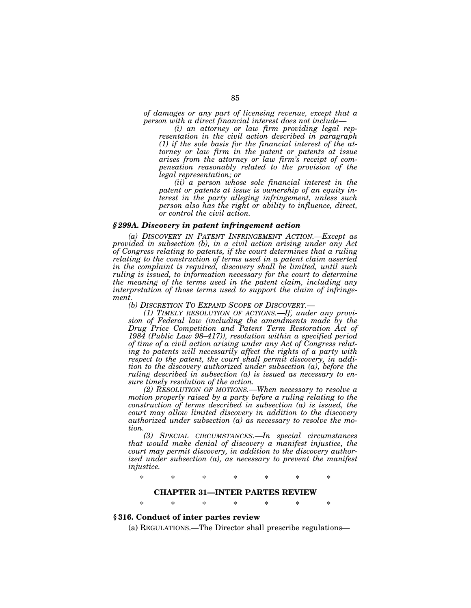*of damages or any part of licensing revenue, except that a person with a direct financial interest does not include—*

*(i) an attorney or law firm providing legal representation in the civil action described in paragraph (1) if the sole basis for the financial interest of the attorney or law firm in the patent or patents at issue arises from the attorney or law firm's receipt of compensation reasonably related to the provision of the legal representation; or*

*(ii) a person whose sole financial interest in the patent or patents at issue is ownership of an equity interest in the party alleging infringement, unless such person also has the right or ability to influence, direct, or control the civil action.*

#### *§ 299A. Discovery in patent infringement action*

*(a) DISCOVERY IN PATENT INFRINGEMENT ACTION.—Except as provided in subsection (b), in a civil action arising under any Act of Congress relating to patents, if the court determines that a ruling relating to the construction of terms used in a patent claim asserted in the complaint is required, discovery shall be limited, until such ruling is issued, to information necessary for the court to determine the meaning of the terms used in the patent claim, including any interpretation of those terms used to support the claim of infringement.*

*(b) DISCRETION TO EXPAND SCOPE OF DISCOVERY.—*

*(1) TIMELY RESOLUTION OF ACTIONS.—If, under any provision of Federal law (including the amendments made by the Drug Price Competition and Patent Term Restoration Act of 1984 (Public Law 98–417)), resolution within a specified period of time of a civil action arising under any Act of Congress relating to patents will necessarily affect the rights of a party with respect to the patent, the court shall permit discovery, in addition to the discovery authorized under subsection (a), before the ruling described in subsection (a) is issued as necessary to ensure timely resolution of the action.*

*(2) RESOLUTION OF MOTIONS.—When necessary to resolve a motion properly raised by a party before a ruling relating to the construction of terms described in subsection (a) is issued, the court may allow limited discovery in addition to the discovery authorized under subsection (a) as necessary to resolve the motion.*

*(3) SPECIAL CIRCUMSTANCES.—In special circumstances that would make denial of discovery a manifest injustice, the court may permit discovery, in addition to the discovery authorized under subsection (a), as necessary to prevent the manifest injustice.* 

\* \* \* \* \* \* \*

## **CHAPTER 31—INTER PARTES REVIEW**

\* \* \* \* \* \* \*

# **§ 316. Conduct of inter partes review**

(a) REGULATIONS.—The Director shall prescribe regulations—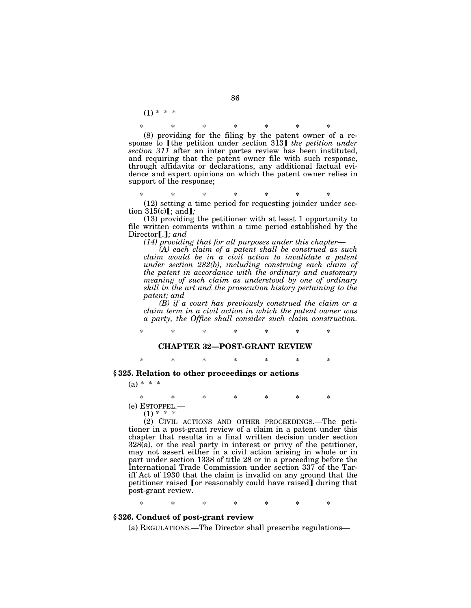$(1) * * *$ 

\* \* \* \* \* \* \* (8) providing for the filing by the patent owner of a response to **[the petition under section 313]** *the petition under section 311* after an inter partes review has been instituted, and requiring that the patent owner file with such response, through affidavits or declarations, any additional factual evidence and expert opinions on which the patent owner relies in support of the response;

\* \* \* \* \* \* \* (12) setting a time period for requesting joinder under sec- $\text{tion } 315(c)$  [; and ]*;* 

(13) providing the petitioner with at least 1 opportunity to file written comments within a time period established by the Director**[.]**; and

*(14) providing that for all purposes under this chapter—*

*(A) each claim of a patent shall be construed as such claim would be in a civil action to invalidate a patent under section 282(b), including construing each claim of the patent in accordance with the ordinary and customary meaning of such claim as understood by one of ordinary skill in the art and the prosecution history pertaining to the patent; and*

*(B) if a court has previously construed the claim or a claim term in a civil action in which the patent owner was a party, the Office shall consider such claim construction.*

\* \* \* \* \* \* \*

# **CHAPTER 32—POST-GRANT REVIEW**

\* \* \* \* \* \* \*

#### **§ 325. Relation to other proceedings or actions**

(a) \* \* \*

\* \* \* \* \* \* \* (e) ESTOPPEL.—

 $(1) * * *$ 

(2) CIVIL ACTIONS AND OTHER PROCEEDINGS.—The petitioner in a post-grant review of a claim in a patent under this chapter that results in a final written decision under section 328(a), or the real party in interest or privy of the petitioner, may not assert either in a civil action arising in whole or in part under section 1338 of title 28 or in a proceeding before the International Trade Commission under section 337 of the Tariff Act of 1930 that the claim is invalid on any ground that the petitioner raised [or reasonably could have raised] during that post-grant review.

\* \* \* \* \* \* \*

# **§ 326. Conduct of post-grant review**

(a) REGULATIONS.—The Director shall prescribe regulations—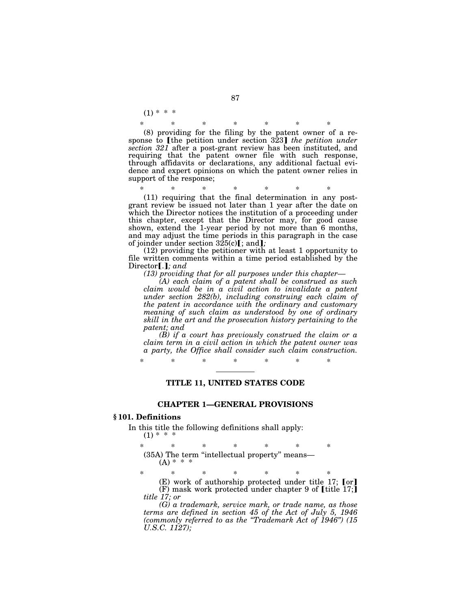$(1) * *$ 

\* \* \* \* \* \* \* (8) providing for the filing by the patent owner of a response to [the petition under section 323] *the petition under section 321* after a post-grant review has been instituted, and requiring that the patent owner file with such response, through affidavits or declarations, any additional factual evidence and expert opinions on which the patent owner relies in support of the response;

\* \* \* \* \* \* \* (11) requiring that the final determination in any postgrant review be issued not later than 1 year after the date on which the Director notices the institution of a proceeding under this chapter, except that the Director may, for good cause shown, extend the 1-year period by not more than 6 months, and may adjust the time periods in this paragraph in the case of joinder under section  $325(c)$  [; and ]*;* 

(12) providing the petitioner with at least 1 opportunity to file written comments within a time period established by the Director[.]; and

*(13) providing that for all purposes under this chapter—*

*(A) each claim of a patent shall be construed as such claim would be in a civil action to invalidate a patent under section 282(b), including construing each claim of the patent in accordance with the ordinary and customary meaning of such claim as understood by one of ordinary skill in the art and the prosecution history pertaining to the patent; and*

*(B) if a court has previously construed the claim or a claim term in a civil action in which the patent owner was a party, the Office shall consider such claim construction.*

\* \* \* \* \* \* \*

# **TITLE 11, UNITED STATES CODE**

# **CHAPTER 1—GENERAL PROVISIONS**

# **§ 101. Definitions**

In this title the following definitions shall apply:

 $(1)$  \* \* \*

\* \* \* \* \* \* \* (35A) The term ''intellectual property'' means—  $(A) * * * *$ 

\* \* \* \* \* \* \*  $(E)$  work of authorship protected under title 17; [or] (F) mask work protected under chapter 9 of [title  $17;$ ] *title 17; or*

*(G) a trademark, service mark, or trade name, as those terms are defined in section 45 of the Act of July 5, 1946 (commonly referred to as the ''Trademark Act of 1946'') (15 U.S.C. 1127);*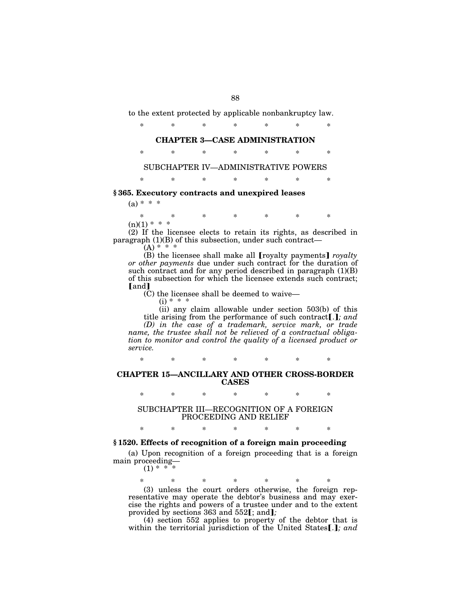to the extent protected by applicable nonbankruptcy law.

# \* \* \* \* \* \* \* **CHAPTER 3—CASE ADMINISTRATION** \* \* \* \* \* \* \* SUBCHAPTER IV—ADMINISTRATIVE POWERS \* \* \* \* \* \* \*

# **§ 365. Executory contracts and unexpired leases**

 $(a) * * *$ 

\* \* \* \* \* \* \*  $(n)(1)$  \* \* \*

(2) If the licensee elects to retain its rights, as described in paragraph (1)(B) of this subsection, under such contract—  $(A) * * * *$ 

(B) the licensee shall make all **[**royalty payments**]** *royalty or other payments* due under such contract for the duration of such contract and for any period described in paragraph (1)(B) of this subsection for which the licensee extends such contract; [and]

(C) the licensee shall be deemed to waive—

 $(i) * * * *$ 

(ii) any claim allowable under section 503(b) of this title arising from the performance of such contract[.]; and *(D) in the case of a trademark, service mark, or trade name, the trustee shall not be relieved of a contractual obligation to monitor and control the quality of a licensed product or service.* 

\* \* \* \* \* \* \*

# **CHAPTER 15—ANCILLARY AND OTHER CROSS-BORDER CASES**

\* \* \* \* \* \* \*

SUBCHAPTER III—RECOGNITION OF A FOREIGN PROCEEDING AND RELIEF

\* \* \* \* \* \* \*

# **§ 1520. Effects of recognition of a foreign main proceeding**

(a) Upon recognition of a foreign proceeding that is a foreign main proceeding—  $(1) * *$ 

\* \* \* \* \* \* \*

(3) unless the court orders otherwise, the foreign representative may operate the debtor's business and may exercise the rights and powers of a trustee under and to the extent provided by sections  $363$  and  $552$ *[; and];* 

(4) section 552 applies to property of the debtor that is within the territorial jurisdiction of the United States[.]; and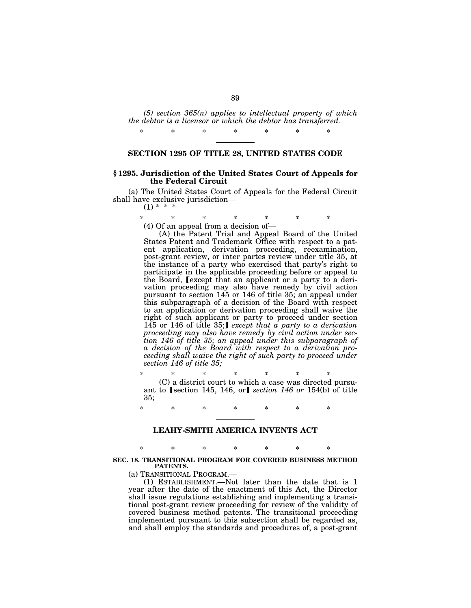*(5) section 365(n) applies to intellectual property of which the debtor is a licensor or which the debtor has transferred.*

# **SECTION 1295 OF TITLE 28, UNITED STATES CODE**

\* \* \* \* \* \* \*

# **§ 1295. Jurisdiction of the United States Court of Appeals for the Federal Circuit**

(a) The United States Court of Appeals for the Federal Circuit shall have exclusive jurisdiction—  $(1) * * * *$ 

\* \* \* \* \* \* \* (4) Of an appeal from a decision of—

(A) the Patent Trial and Appeal Board of the United States Patent and Trademark Office with respect to a patent application, derivation proceeding, reexamination, post-grant review, or inter partes review under title 35, at the instance of a party who exercised that party's right to participate in the applicable proceeding before or appeal to the Board, I except that an applicant or a party to a derivation proceeding may also have remedy by civil action pursuant to section 145 or 146 of title 35; an appeal under this subparagraph of a decision of the Board with respect to an application or derivation proceeding shall waive the right of such applicant or party to proceed under section 145 or 146 of title 35;¿ *except that a party to a derivation proceeding may also have remedy by civil action under section 146 of title 35; an appeal under this subparagraph of a decision of the Board with respect to a derivation proceeding shall waive the right of such party to proceed under section 146 of title 35;*

\* \* \* \* \* \* \* (C) a district court to which a case was directed pursuant to Section 145, 146, or<sup> $\vert$ </sup> *section 146 or* 154(b) of title 35;

# **LEAHY-SMITH AMERICA INVENTS ACT**

\* \* \* \* \* \* \*

## \* \* \* \* \* \* \* **SEC. 18. TRANSITIONAL PROGRAM FOR COVERED BUSINESS METHOD PATENTS.**

(a) TRANSITIONAL PROGRAM.—

(1) ESTABLISHMENT.—Not later than the date that is 1 year after the date of the enactment of this Act, the Director shall issue regulations establishing and implementing a transitional post-grant review proceeding for review of the validity of covered business method patents. The transitional proceeding implemented pursuant to this subsection shall be regarded as, and shall employ the standards and procedures of, a post-grant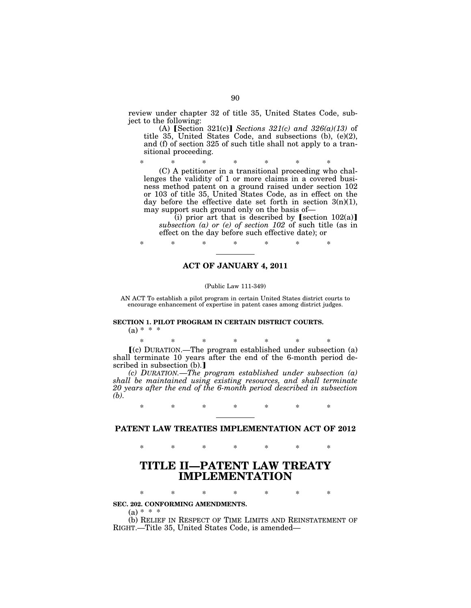review under chapter 32 of title 35, United States Code, subject to the following:

(A)  $[Section 321(c)]$  *Sections 321(c) and 326(a)(13)* of title 35, United States Code, and subsections (b), (e)(2), and (f) of section 325 of such title shall not apply to a transitional proceeding.

\* \* \* \* \* \* \* (C) A petitioner in a transitional proceeding who challenges the validity of 1 or more claims in a covered business method patent on a ground raised under section 102 or 103 of title 35, United States Code, as in effect on the day before the effective date set forth in section  $3(n)(1)$ , may support such ground only on the basis of—

(i) prior art that is described by  $[section 102(a)]$ *subsection (a) or (e) of section 102* of such title (as in effect on the day before such effective date); or

# \* \* \* \* \* \* \*

# **ACT OF JANUARY 4, 2011**

## (Public Law 111-349)

AN ACT To establish a pilot program in certain United States district courts to encourage enhancement of expertise in patent cases among district judges.

# **SECTION 1. PILOT PROGRAM IN CERTAIN DISTRICT COURTS.**

 $(a) * * * *$ 

\* \* \* \* \* \* \* ø(c) DURATION.—The program established under subsection (a) shall terminate 10 years after the end of the 6-month period described in subsection (b).]

*(c) DURATION.—The program established under subsection (a) shall be maintained using existing resources, and shall terminate 20 years after the end of the 6-month period described in subsection (b).* 

\* \* \* \* \* \* \*

# **PATENT LAW TREATIES IMPLEMENTATION ACT OF 2012**

\* \* \* \* \* \* \*

# **TITLE II—PATENT LAW TREATY IMPLEMENTATION**

\* \* \* \* \* \* \*

# **SEC. 202. CONFORMING AMENDMENTS.**

 $(a) * * * *$ 

(b) RELIEF IN RESPECT OF TIME LIMITS AND REINSTATEMENT OF RIGHT.—Title 35, United States Code, is amended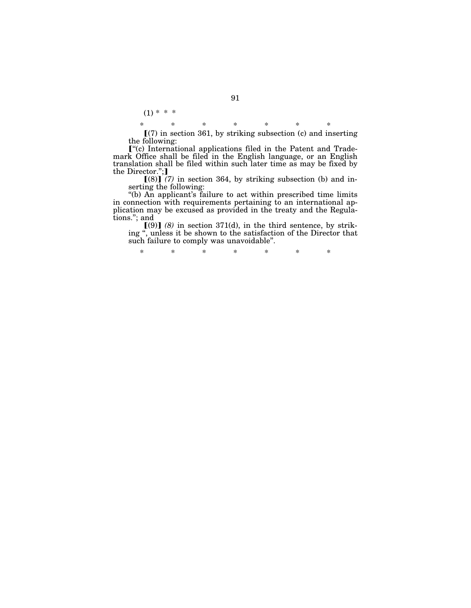$(1) * * * *$ 

\* \* \* \* \* \* \*

 $(7)$  in section 361, by striking subsection (c) and inserting the following:

ø''(c) International applications filed in the Patent and Trademark Office shall be filed in the English language, or an English translation shall be filed within such later time as may be fixed by the Director.";]

 $[(8)]$  (7) in section 364, by striking subsection (b) and inserting the following:

''(b) An applicant's failure to act within prescribed time limits in connection with requirements pertaining to an international application may be excused as provided in the treaty and the Regulations.''; and

 $[(9)]$   $(8)$  in section 371(d), in the third sentence, by striking '', unless it be shown to the satisfaction of the Director that such failure to comply was unavoidable''.

\* \* \* \* \* \* \*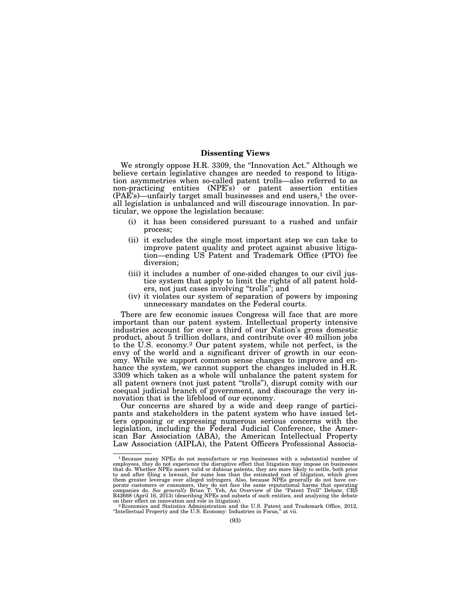# **Dissenting Views**

We strongly oppose H.R. 3309, the "Innovation Act." Although we believe certain legislative changes are needed to respond to litigation asymmetries when so-called patent trolls—also referred to as non-practicing entities (NPE's) or patent assertion entities  $(PAE's)$ —unfairly target small businesses and end users,<sup>1</sup> the overall legislation is unbalanced and will discourage innovation. In particular, we oppose the legislation because:

- (i) it has been considered pursuant to a rushed and unfair process;
- (ii) it excludes the single most important step we can take to improve patent quality and protect against abusive litigation—ending US Patent and Trademark Office (PTO) fee diversion;
- (iii) it includes a number of one-sided changes to our civil justice system that apply to limit the rights of all patent holders, not just cases involving ''trolls''; and
- (iv) it violates our system of separation of powers by imposing unnecessary mandates on the Federal courts.

There are few economic issues Congress will face that are more important than our patent system. Intellectual property intensive industries account for over a third of our Nation's gross domestic product, about 5 trillion dollars, and contribute over 40 million jobs to the U.S. economy.2 Our patent system, while not perfect, is the envy of the world and a significant driver of growth in our economy. While we support common sense changes to improve and enhance the system, we cannot support the changes included in H.R. 3309 which taken as a whole will unbalance the patent system for all patent owners (not just patent ''trolls''), disrupt comity with our coequal judicial branch of government, and discourage the very innovation that is the lifeblood of our economy.

Our concerns are shared by a wide and deep range of participants and stakeholders in the patent system who have issued letters opposing or expressing numerous serious concerns with the legislation, including the Federal Judicial Conference, the American Bar Association (ABA), the American Intellectual Property Law Association (AIPLA), the Patent Officers Professional Associa-

<sup>1</sup> Because many NPEs do not manufacture or run businesses with a substantial number of employees, they do not experience the disruptive effect that litigation may impose on businesses<br>that do. Whether NPEs assert valid or dubious patents, they are more likely to settle, both prior<br>to and after filing a lawsu them greater leverage over alleged infringers. Also, because NPEs generally do not have cor-<br>porate customers or consumers, they do not face the same reputational harms that operating<br>companies do. See generally Brian T. Y

<sup>2</sup> Economics and Statistics Administration and the U.S. Patent and Trademark Office, 2012, ''Intellectual Property and the U.S. Economy: Industries in Focus,'' at vii.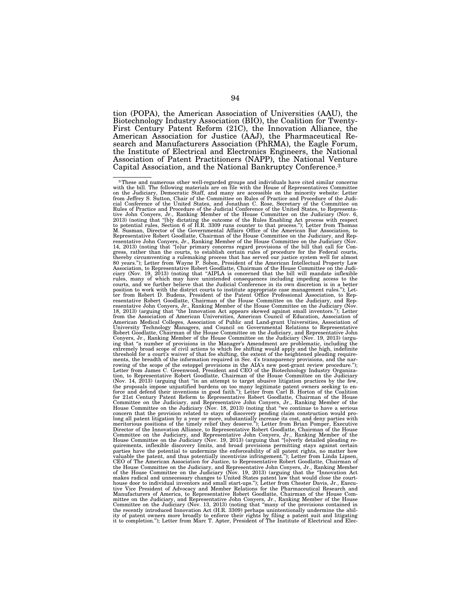tion (POPA), the American Association of Universities (AAU), the Biotechnology Industry Association (BIO), the Coalition for Twenty-First Century Patent Reform (21C), the Innovation Alliance, the American Association for Justice (AAJ), the Pharmaceutical Research and Manufacturers Association (PhRMA), the Eagle Forum, the Institute of Electrical and Electronics Engineers, the National Association of Patent Practitioners (NAPP), the National Venture Capital Association, and the National Bankruptcy Conference.3

<sup>3</sup>These and numerous other well-regarded groups and individuals have cited similar concerns with the bill. The following materials are on file with the House of Representatives Committee on the Judiciary, Democratic Staff, and many are accessible on the minority website: Letter<br>from Jeffrey S. Sutton, Chair of the Committee on Rules of Practice and Procedure of the Judi-<br>cial Conference of the United State tive John Conyers, Jr., Ranking Member of the House Committee on the Judiciary (Nov. 6,<br>2013) (noting that "bly dictating the outcome of the Rules Enabling Act process with respect<br>to potential rules, Section 6 of H.R. 330 14, 2013) (noting that "[o]ur primary concerns regard provisions of the bill that call for Congress, rather than the courts, to establish certain rules of procedure for the Federal courts, thereby circumventing a rulemakin ciary (Nov. 19, 2013) (noting that "AIPLA is concerned that the bill will mandate inflexible<br>rules, many of which may have unintended consequences including impeding access to the<br>courts, and we further believe that the Ju position to work with the district courts to institute appropriate case management rules."); Let-<br>frem Robert D. Budens, President of the Patent Office Professional Association, to Rep-<br>resentative Robert Goodlatte, Chairm University Technology Managers, and Council on Governmental Relations to Representative Robert Goodlatte, Chairman of the House Committee on the Judiciary, and Representative John Conyers, Jr., Ranking Member of the House Committee on the Judiciary (Nov. 19, 2013) (argu-<br>ing that "a number of provisions in the Manager's Amendment are problematic, including the<br>extremely broad scope of civil actions threshold for a court's waiver of that fee shifting, the extent of the heightened pleading require-<br>ments, the breadth of the information required in Sec. 4's transparency provisions, and the nar-<br>rowing of the scope of th Letter from James C. Greenwood, President and CEO of the Biotechnology Industry Organization, to Representative Robert Goodlatte, Chairman of the House Committee on the Judiciary (Nov. 14, 2013) (arguing that ''in an attempt to target abusive litigation practices by the few, the proposals impose unjustified burdens on too many legitimate patent owners seeking to en-<br>force and defend their inventions in good faith.''); Letter from Carl B. Horton of the Coalition<br>for 21st Century Patent Reform t Committee on the Judiciary, and Representative John Conyers, Jr., Ranking Member of the<br>House Committee on the Judiciary (Nov. 18, 2013) (noting that "we continue to have a serious<br>concern that the provision related to sta long all patent litigation by a year or more, substantially increase its cost, and deny parties with<br>meritorious positions of the timely relief they deserve."); Letter from Brian Pomper, Executive<br>Director of the Innovatio Committee on the Judiciary, and Representative John Conyers, Jr., Ranking Member of the House Committee on the Judiciary (Nov. 19, 2013) (arguing that ''[o]verly detailed pleading requirements, inflexible discovery limits, and broad provisions permitting stays against certain parties have the potential to undermine the enforceability of all patent rights, no matter how valuable the patent, and thus potentially incentivize infringement.''); Letter from Linda Lipsen, CEO of The American Association for Justice, to Representative Robert Goodlatte, Chairman of the House Committee on the Judiciary, and Representative John Conyers, Jr., Ranking Member<br>of the House Committee on the Judiciary (Nov. 19, 2013) (arguing that the "Innovation Act<br>makes radical and unnecessary changes to house door to individual inventors and small start-ups.''); Letter from Chester Davis, Jr., Execu-tive Vice President of Advocacy and Member Relations for the Pharmaceutical Research and Manufacturers of America, to Representative Robert Goodlatte, Chairman of the House Committee on the Judiciary, and Representative John Conyers, Jr., Ranking Member of the House<br>Committee on the Judiciary (Nov. 13, 2013) (noting that "many of the provisions contained in<br>the recently introduced Innovation Act ity of patent owners more broadly to enforce their rights by filing a patent suit and litigating it to completion.''); Letter from Marc T. Apter, President of The Institute of Electrical and Elec-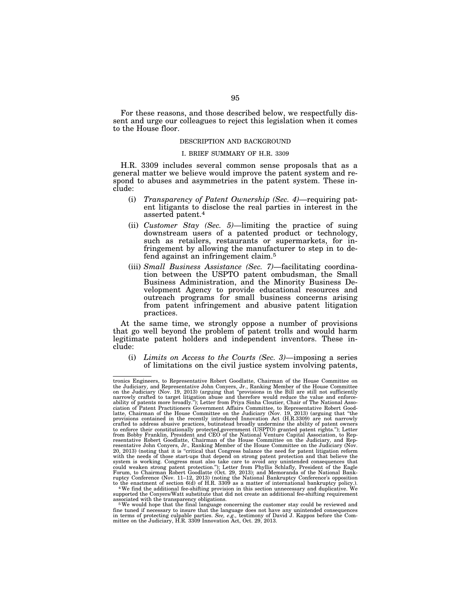For these reasons, and those described below, we respectfully dissent and urge our colleagues to reject this legislation when it comes to the House floor.

# DESCRIPTION AND BACKGROUND

#### I. BRIEF SUMMARY OF H.R. 3309

H.R. 3309 includes several common sense proposals that as a general matter we believe would improve the patent system and respond to abuses and asymmetries in the patent system. These include:

- (i) *Transparency of Patent Ownership (Sec. 4)*—requiring patent litigants to disclose the real parties in interest in the asserted patent.4
- (ii) *Customer Stay (Sec. 5)*—limiting the practice of suing downstream users of a patented product or technology, such as retailers, restaurants or supermarkets, for infringement by allowing the manufacturer to step in to defend against an infringement claim.5
- (iii) *Small Business Assistance (Sec. 7)*—facilitating coordination between the USPTO patent ombudsman, the Small Business Administration, and the Minority Business Development Agency to provide educational resources and outreach programs for small business concerns arising from patent infringement and abusive patent litigation practices.

At the same time, we strongly oppose a number of provisions that go well beyond the problem of patent trolls and would harm legitimate patent holders and independent inventors. These include:

(i) *Limits on Access to the Courts (Sec. 3)*—imposing a series of limitations on the civil justice system involving patents,

to the enactment of section 6(d) of H.R. 3309 as a matter of international bankruptcy policy.).<br>4 We find the additional fee-shifting provision in this section unnecessary and duplicative. We<br>supported the Conyers/Watt sub

tronics Engineers, to Representative Robert Goodlatte, Chairman of the House Committee on the Judiciary, and Representative John Conyers, Jr., Ranking Member of the House Committee<br>on the Judiciary (Nov. 19, 2013) (arguing that "provisions in the Bill are still not sufficiently<br>narrowly crafted to target litiga ability of patents more broadly."); Letter from Priya Sinha Cloutier, Chair of The National Asso-<br>ciation of Patent Practitioners Government Affairs Committee, to Representative Robert Good-<br>latte, Chairman of the House Co provisions contained in the recently introduced Innovation Act (H.R.3309) are not narrowly crafted to address abusive practices, butinstead broadly undermine the ability of patent owners to enforce their constitutionally protected,government (USPTO) granted patent rights.''); Letter from Bobby Franklin, President and CEO of the National Venture Capital Association, to Rep-<br>resentative Robert Goodlatte, Chairman of the House Committee on the Judiciary, and Rep-<br>resentative John Conyers, Jr., Ranking Me 20, 2013) (noting that it is "critical that Congress balance the need for patent litigation reform<br>with the needs of those start-ups that depend on strong patent protection and that believe the<br>system is working. Congress

associated with the transparency obligations.<br><sup>5</sup> We would hope that the final language concerning the customer stay could be reviewed and<br>fine tuned if necessary to insure that the language does not have any unintended co in terms of protecting culpable parties. *See, e.g.,* testimony of David J. Kappos before the Com-mittee on the Judiciary, H.R. 3309 Innovation Act, Oct. 29, 2013.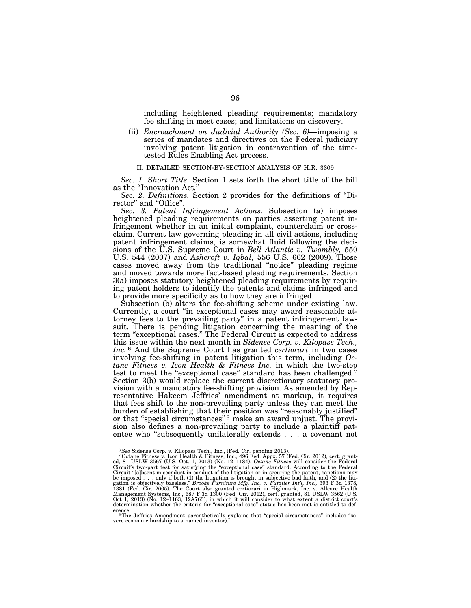including heightened pleading requirements; mandatory fee shifting in most cases; and limitations on discovery.

(ii) *Encroachment on Judicial Authority (Sec. 6)*—imposing a series of mandates and directives on the Federal judiciary involving patent litigation in contravention of the timetested Rules Enabling Act process.

#### II. DETAILED SECTION-BY-SECTION ANALYSIS OF H.R. 3309

*Sec. 1. Short Title.* Section 1 sets forth the short title of the bill as the ''Innovation Act.''

*Sec. 2. Definitions.* Section 2 provides for the definitions of ''Director" and "Office".

*Sec. 3. Patent Infringement Actions.* Subsection (a) imposes heightened pleading requirements on parties asserting patent infringement whether in an initial complaint, counterclaim or crossclaim. Current law governing pleading in all civil actions, including patent infringement claims, is somewhat fluid following the decisions of the U.S. Supreme Court in *Bell Atlantic v. Twombly,* 550 U.S. 544 (2007) and *Ashcroft v. Iqbal,* 556 U.S. 662 (2009). Those cases moved away from the traditional ''notice'' pleading regime and moved towards more fact-based pleading requirements. Section 3(a) imposes statutory heightened pleading requirements by requiring patent holders to identify the patents and claims infringed and to provide more specificity as to how they are infringed.

Subsection (b) alters the fee-shifting scheme under existing law. Currently, a court ''in exceptional cases may award reasonable attorney fees to the prevailing party'' in a patent infringement lawsuit. There is pending litigation concerning the meaning of the term ''exceptional cases.'' The Federal Circuit is expected to address this issue within the next month in *Sidense Corp. v. Kilopass Tech., Inc.* <sup>6</sup> And the Supreme Court has granted *certiorari* in two cases involving fee-shifting in patent litigation this term, including *Octane Fitness v. Icon Health & Fitness Inc.* in which the two-step test to meet the "exceptional case" standard has been challenged.<sup>7</sup> Section 3(b) would replace the current discretionary statutory provision with a mandatory fee-shifting provision. As amended by Representative Hakeem Jeffries' amendment at markup, it requires that fees shift to the non-prevailing party unless they can meet the burden of establishing that their position was ''reasonably justified'' or that "special circumstances"<sup>8</sup> make an award unjust. The provision also defines a non-prevailing party to include a plaintiff patentee who "subsequently unilaterally extends . . . a covenant not

 $6.6$  See Sidense Corp. v. Kilopass Tech., Inc., (Fed. Cir. pending 2013).<br><sup>7</sup> Octane Fitness v. Icon Health & Fitness, Inc., 496 Fed. Appx. 57 (Fed. Cir. 2012), cert. grant-<br>ed, 81 USLW 3567 (U.S. Oct. 1, 2013) (No. 12–1 Circuit's two-part test for satisfying the "exceptional case" standard. According to the Federal<br>Circuit "[albsent misconduct in conduct of the litigation or in securing the patent, sanctions may<br>be imposed . . . only if b gation is objectively baseless." *Brooks Furniture Mfg. Inc. v. Futailer Int'l, Inc.,* 393 F.3d 1378,<br>1381 (Fed. Cir. 2005). The Court also granted certiorari in Highmark, Inc. v. Allcare Health<br>Management Systems, Inc., 6 Oct 1, 2013) (No. 12–1163, 12A763), in which it will consider to what extent a district court's determination whether the criteria for ''exceptional case'' status has been met is entitled to deference.

<sup>&</sup>lt;sup>8</sup>The Jeffries Amendment parenthetically explains that "special circumstances" includes "se-<br>vere economic hardship to a named inventor)."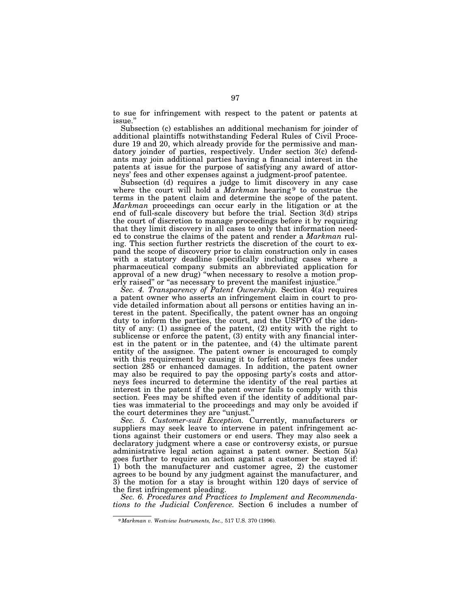to sue for infringement with respect to the patent or patents at issue.''

Subsection (c) establishes an additional mechanism for joinder of additional plaintiffs notwithstanding Federal Rules of Civil Procedure 19 and 20, which already provide for the permissive and mandatory joinder of parties, respectively. Under section 3(c) defendants may join additional parties having a financial interest in the patents at issue for the purpose of satisfying any award of attorneys' fees and other expenses against a judgment-proof patentee.

Subsection (d) requires a judge to limit discovery in any case where the court will hold a *Markman* hearing<sup>9</sup> to construe the terms in the patent claim and determine the scope of the patent. *Markman* proceedings can occur early in the litigation or at the end of full-scale discovery but before the trial. Section 3(d) strips the court of discretion to manage proceedings before it by requiring that they limit discovery in all cases to only that information needed to construe the claims of the patent and render a *Markman* ruling. This section further restricts the discretion of the court to expand the scope of discovery prior to claim construction only in cases with a statutory deadline (specifically including cases where a pharmaceutical company submits an abbreviated application for approval of a new drug) ''when necessary to resolve a motion properly raised" or "as necessary to prevent the manifest injustice.'

*Sec. 4. Transparency of Patent Ownership.* Section 4(a) requires a patent owner who asserts an infringement claim in court to provide detailed information about all persons or entities having an interest in the patent. Specifically, the patent owner has an ongoing duty to inform the parties, the court, and the USPTO of the identity of any: (1) assignee of the patent, (2) entity with the right to sublicense or enforce the patent, (3) entity with any financial interest in the patent or in the patentee, and (4) the ultimate parent entity of the assignee. The patent owner is encouraged to comply with this requirement by causing it to forfeit attorneys fees under section 285 or enhanced damages. In addition, the patent owner may also be required to pay the opposing party's costs and attorneys fees incurred to determine the identity of the real parties at interest in the patent if the patent owner fails to comply with this section. Fees may be shifted even if the identity of additional parties was immaterial to the proceedings and may only be avoided if the court determines they are "unjust.

*Sec. 5. Customer-suit Exception.* Currently, manufacturers or suppliers may seek leave to intervene in patent infringement actions against their customers or end users. They may also seek a declaratory judgment where a case or controversy exists, or pursue administrative legal action against a patent owner. Section 5(a) goes further to require an action against a customer be stayed if: 1) both the manufacturer and customer agree, 2) the customer agrees to be bound by any judgment against the manufacturer, and 3) the motion for a stay is brought within 120 days of service of the first infringement pleading.

*Sec. 6. Procedures and Practices to Implement and Recommendations to the Judicial Conference.* Section 6 includes a number of

<sup>9</sup>*Markman v. Westview Instruments, Inc.,* 517 U.S. 370 (1996).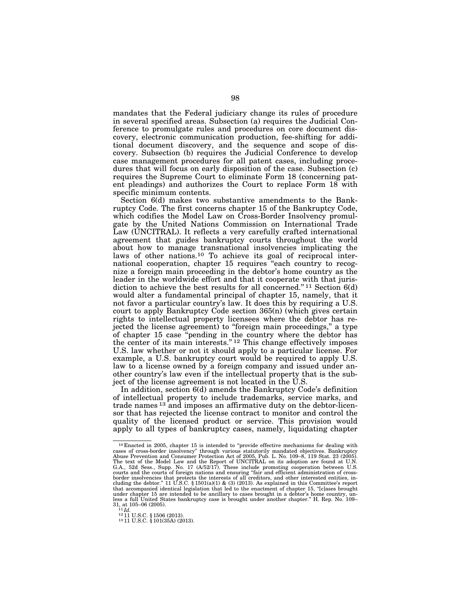mandates that the Federal judiciary change its rules of procedure in several specified areas. Subsection (a) requires the Judicial Conference to promulgate rules and procedures on core document discovery, electronic communication production, fee-shifting for additional document discovery, and the sequence and scope of discovery. Subsection (b) requires the Judicial Conference to develop case management procedures for all patent cases, including procedures that will focus on early disposition of the case. Subsection (c) requires the Supreme Court to eliminate Form 18 (concerning patent pleadings) and authorizes the Court to replace Form 18 with specific minimum contents.

Section 6(d) makes two substantive amendments to the Bankruptcy Code. The first concerns chapter 15 of the Bankruptcy Code, which codifies the Model Law on Cross-Border Insolvency promulgate by the United Nations Commission on International Trade Law (UNCITRAL). It reflects a very carefully crafted international agreement that guides bankruptcy courts throughout the world about how to manage transnational insolvencies implicating the laws of other nations.10 To achieve its goal of reciprocal international cooperation, chapter 15 requires "each country to recognize a foreign main proceeding in the debtor's home country as the leader in the worldwide effort and that it cooperate with that jurisdiction to achieve the best results for all concerned."<sup>11</sup> Section 6(d) would alter a fundamental principal of chapter 15, namely, that it not favor a particular country's law. It does this by requiring a U.S. court to apply Bankruptcy Code section 365(n) (which gives certain rights to intellectual property licensees where the debtor has rejected the license agreement) to "foreign main proceedings," a type of chapter 15 case ''pending in the country where the debtor has the center of its main interests."<sup>12</sup> This change effectively imposes U.S. law whether or not it should apply to a particular license. For example, a U.S. bankruptcy court would be required to apply U.S. law to a license owned by a foreign company and issued under another country's law even if the intellectual property that is the subject of the license agreement is not located in the U.S.

In addition, section 6(d) amends the Bankruptcy Code's definition of intellectual property to include trademarks, service marks, and trade names 13 and imposes an affirmative duty on the debtor-licensor that has rejected the license contract to monitor and control the quality of the licensed product or service. This provision would apply to all types of bankruptcy cases, namely, liquidating chapter

 $^{11}Id.$ 

<sup>10</sup> Enacted in 2005, chapter 15 is intended to ''provide effective mechanisms for dealing with cases of cross-border insolvency" through various statutorily mandated objectives. Bankruptcy<br>Abuse Prevention and Consumer Protection Act of 2005, Pub. L. No. 109–8, 119 Stat. 23 (2005).<br>The text of the Model Law and the G.A., 52d Sess., Supp. No. 17 (A/52/17). These include promoting cooperation between U.S.<br>courts and the courts of foreign nations and ensuring "fair and efficient administration of cross-<br>border insolvencies that protects cluding the debtor.'' 11 U.S.C. § 1501(a)(1) & (3) (2013). As explained in this Committee's report that accompanied identical legislation that led to the enactment of chapter 15, ''[c]ases brought under chapter 15 are intended to be ancillary to cases brought in a debtor's home country, unless a full United States bankruptcy case is brought under another chapter.'' H. Rep. No. 109– 31, at 105–06 (2005).

<sup>12</sup> 11 U.S.C. § 1506 (2013). 13 11 U.S.C. § 101(35A) (2013).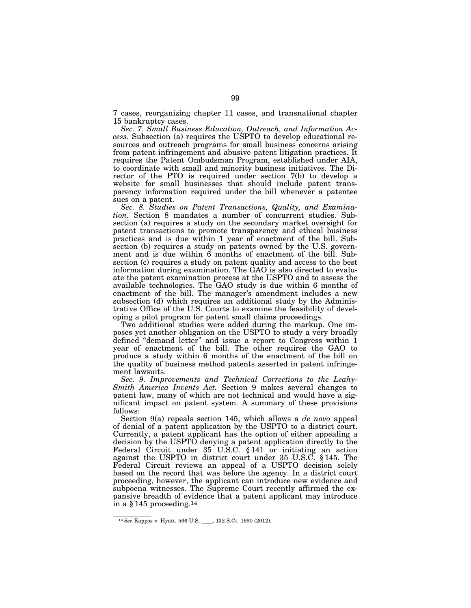7 cases, reorganizing chapter 11 cases, and transnational chapter 15 bankruptcy cases.

*Sec. 7. Small Business Education, Outreach, and Information Access.* Subsection (a) requires the USPTO to develop educational resources and outreach programs for small business concerns arising from patent infringement and abusive patent litigation practices. It requires the Patent Ombudsman Program, established under AIA, to coordinate with small and minority business initiatives. The Director of the PTO is required under section 7(b) to develop a website for small businesses that should include patent transparency information required under the bill whenever a patentee sues on a patent.

*Sec. 8. Studies on Patent Transactions, Quality, and Examination.* Section 8 mandates a number of concurrent studies. Subsection (a) requires a study on the secondary market oversight for patent transactions to promote transparency and ethical business practices and is due within 1 year of enactment of the bill. Subsection (b) requires a study on patents owned by the U.S. government and is due within 6 months of enactment of the bill. Subsection (c) requires a study on patent quality and access to the best information during examination. The GAO is also directed to evaluate the patent examination process at the USPTO and to assess the available technologies. The GAO study is due within 6 months of enactment of the bill. The manager's amendment includes a new subsection (d) which requires an additional study by the Administrative Office of the U.S. Courts to examine the feasibility of developing a pilot program for patent small claims proceedings.

Two additional studies were added during the markup. One imposes yet another obligation on the USPTO to study a very broadly defined ''demand letter'' and issue a report to Congress within 1 year of enactment of the bill. The other requires the GAO to produce a study within 6 months of the enactment of the bill on the quality of business method patents asserted in patent infringement lawsuits.

*Sec. 9. Improvements and Technical Corrections to the Leahy-Smith America Invents Act.* Section 9 makes several changes to patent law, many of which are not technical and would have a significant impact on patent system. A summary of these provisions follows:

Section 9(a) repeals section 145, which allows a *de novo* appeal of denial of a patent application by the USPTO to a district court. Currently, a patent applicant has the option of either appealing a decision by the USPTO denying a patent application directly to the Federal Circuit under 35 U.S.C. § 141 or initiating an action against the USPTO in district court under 35 U.S.C. § 145. The Federal Circuit reviews an appeal of a USPTO decision solely based on the record that was before the agency. In a district court proceeding, however, the applicant can introduce new evidence and subpoena witnesses. The Supreme Court recently affirmed the expansive breadth of evidence that a patent applicant may introduce in a  $§ 145$  proceeding.<sup>14</sup>

<sup>&</sup>lt;sup>14</sup> See Kappos v. Hyatt. 566 U.S. (132 S.Ct. 1690 (2012).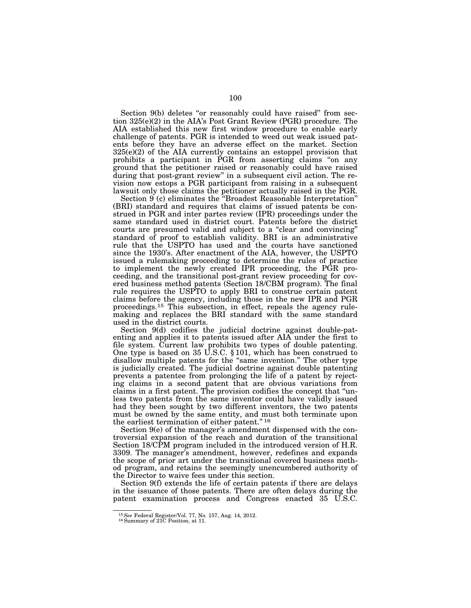Section 9(b) deletes "or reasonably could have raised" from section 325(e)(2) in the AIA's Post Grant Review (PGR) procedure. The AIA established this new first window procedure to enable early challenge of patents. PGR is intended to weed out weak issued patents before they have an adverse effect on the market. Section 325(e)(2) of the AIA currently contains an estoppel provision that prohibits a participant in PGR from asserting claims ''on any ground that the petitioner raised or reasonably could have raised during that post-grant review'' in a subsequent civil action. The revision now estops a PGR participant from raising in a subsequent lawsuit only those claims the petitioner actually raised in the PGR.

Section 9 (c) eliminates the ''Broadest Reasonable Interpretation'' (BRI) standard and requires that claims of issued patents be construed in PGR and inter partes review (IPR) proceedings under the same standard used in district court. Patents before the district courts are presumed valid and subject to a ''clear and convincing'' standard of proof to establish validity. BRI is an administrative rule that the USPTO has used and the courts have sanctioned since the 1930's. After enactment of the AIA, however, the USPTO issued a rulemaking proceeding to determine the rules of practice to implement the newly created IPR proceeding, the PGR proceeding, and the transitional post-grant review proceeding for covered business method patents (Section 18/CBM program). The final rule requires the USPTO to apply BRI to construe certain patent claims before the agency, including those in the new IPR and PGR proceedings.15 This subsection, in effect, repeals the agency rulemaking and replaces the BRI standard with the same standard used in the district courts.

Section 9(d) codifies the judicial doctrine against double-patenting and applies it to patents issued after AIA under the first to file system. Current law prohibits two types of double patenting. One type is based on 35 U.S.C. § 101, which has been construed to disallow multiple patents for the "same invention." The other type is judicially created. The judicial doctrine against double patenting prevents a patentee from prolonging the life of a patent by rejecting claims in a second patent that are obvious variations from claims in a first patent. The provision codifies the concept that ''unless two patents from the same inventor could have validly issued had they been sought by two different inventors, the two patents must be owned by the same entity, and must both terminate upon the earliest termination of either patent."<sup>16</sup>

Section 9(e) of the manager's amendment dispensed with the controversial expansion of the reach and duration of the transitional Section 18/CPM program included in the introduced version of H.R. 3309. The manager's amendment, however, redefines and expands the scope of prior art under the transitional covered business method program, and retains the seemingly unencumbered authority of the Director to waive fees under this section.

Section 9(f) extends the life of certain patents if there are delays in the issuance of those patents. There are often delays during the patent examination process and Congress enacted 35 U.S.C.

<sup>&</sup>lt;sup>15</sup> See Federal Register/Vol. 77, No. 157, Aug. 14, 2012.<br><sup>16</sup> Summary of 21C Position, at 11.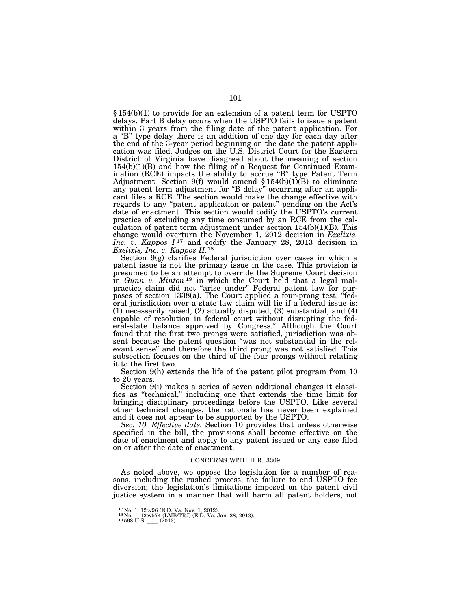§154(b)(1) to provide for an extension of a patent term for USPTO delays. Part B delay occurs when the USPTO fails to issue a patent within 3 years from the filing date of the patent application. For a "B" type delay there is an addition of one day for each day after the end of the 3-year period beginning on the date the patent application was filed. Judges on the U.S. District Court for the Eastern District of Virginia have disagreed about the meaning of section 154(b)(1)(B) and how the filing of a Request for Continued Examination (RCE) impacts the ability to accrue "B" type Patent Term Adjustment. Section 9(f) would amend § 154(b)(1)(B) to eliminate any patent term adjustment for ''B delay'' occurring after an applicant files a RCE. The section would make the change effective with regards to any ''patent application or patent'' pending on the Act's date of enactment. This section would codify the USPTO's current practice of excluding any time consumed by an RCE from the calculation of patent term adjustment under section 154(b)(1)(B). This change would overturn the November 1, 2012 decision in *Exelixis, Inc. v. Kappos I* <sup>17</sup> and codify the January 28, 2013 decision in *Exelixis, Inc. v. Kappos II.*<sup>18</sup>

Section 9(g) clarifies Federal jurisdiction over cases in which a patent issue is not the primary issue in the case. This provision is presumed to be an attempt to override the Supreme Court decision in *Gunn v. Minton* <sup>19</sup> in which the Court held that a legal malpractice claim did not "arise under" Federal patent law for purposes of section 1338(a). The Court applied a four-prong test: ''federal jurisdiction over a state law claim will lie if a federal issue is: (1) necessarily raised, (2) actually disputed, (3) substantial, and (4) capable of resolution in federal court without disrupting the federal-state balance approved by Congress.'' Although the Court found that the first two prongs were satisfied, jurisdiction was absent because the patent question "was not substantial in the relevant sense'' and therefore the third prong was not satisfied. This subsection focuses on the third of the four prongs without relating it to the first two.

Section 9(h) extends the life of the patent pilot program from 10 to 20 years.

Section 9(i) makes a series of seven additional changes it classifies as ''technical,'' including one that extends the time limit for bringing disciplinary proceedings before the USPTO. Like several other technical changes, the rationale has never been explained and it does not appear to be supported by the USPTO.

*Sec. 10. Effective date.* Section 10 provides that unless otherwise specified in the bill, the provisions shall become effective on the date of enactment and apply to any patent issued or any case filed on or after the date of enactment.

#### CONCERNS WITH H.R. 3309

As noted above, we oppose the legislation for a number of reasons, including the rushed process; the failure to end USPTO fee diversion; the legislation's limitations imposed on the patent civil justice system in a manner that will harm all patent holders, not

<sup>&</sup>lt;sup>17</sup> No. 1: 12cv96 (E.D. Va. Nov. 1, 2012).<br><sup>18</sup> No. 1: 12cv574 (LMB/TRJ) (E.D. Va. Jan. 28, 2013).<br><sup>19</sup> 568 U.S. \_\_\_\_ (2013).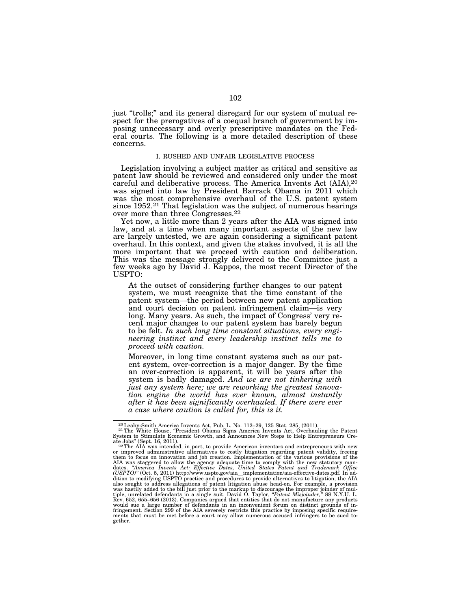just "trolls;" and its general disregard for our system of mutual respect for the prerogatives of a coequal branch of government by imposing unnecessary and overly prescriptive mandates on the Federal courts. The following is a more detailed description of these concerns.

# I. RUSHED AND UNFAIR LEGISLATIVE PROCESS

Legislation involving a subject matter as critical and sensitive as patent law should be reviewed and considered only under the most careful and deliberative process. The America Invents Act (AIA),20 was signed into law by President Barrack Obama in 2011 which was the most comprehensive overhaul of the U.S. patent system since 1952.<sup>21</sup> That legislation was the subject of numerous hearings over more than three Congresses.22

Yet now, a little more than 2 years after the AIA was signed into law, and at a time when many important aspects of the new law are largely untested, we are again considering a significant patent overhaul. In this context, and given the stakes involved, it is all the more important that we proceed with caution and deliberation. This was the message strongly delivered to the Committee just a few weeks ago by David J. Kappos, the most recent Director of the USPTO:

At the outset of considering further changes to our patent system, we must recognize that the time constant of the patent system—the period between new patent application and court decision on patent infringement claim—is very long. Many years. As such, the impact of Congress' very recent major changes to our patent system has barely begun to be felt. *In such long time constant situations, every engineering instinct and every leadership instinct tells me to proceed with caution.*

Moreover, in long time constant systems such as our patent system, over-correction is a major danger. By the time an over-correction is apparent, it will be years after the system is badly damaged. *And we are not tinkering with just any system here; we are reworking the greatest innovation engine the world has ever known, almost instantly after it has been significantly overhauled. If there were ever a case where caution is called for, this is it.*

 $^{20}$  Leahy-Smith America Invents Act, Pub. L. No. 112–29, 125 Stat. 285, (2011).<br><sup>21</sup> The White House, "President Obama Signs America Invents Act, Overhauling the Patent System to Stimulate Economic Growth, and Announce

ate Jobs'' (Sept. 16, 2011). 22The AIA was intended, in part, to provide American inventors and entrepreneurs with new or improved administrative alternatives to costly litigation regarding patent validity, freeing them to focus on innovation and job creation. Implementation of the various provisions of the AIA was staggered to allow the agency adequate time to comply with the new statutory mandates. "America Invents Act: Effective Dates, United States Patent and Trademark Office (USPTO) "(Oct. 5, 2011) http://www.uspto.gov/ was hastily added to the bill just prior to the markup to discourage the improper joinder of mul-<br>tiple, unrelated defendants in a single suit. David O. Taylor, "*Patent Misjoinder*," 88 N.Y.U. L.<br>Rev. 652, 655–656 (2013). fringement. Section 299 of the AIA severely restricts this practice by imposing specific requirements that must be met before a court may allow numerous accused infringers to be sued together.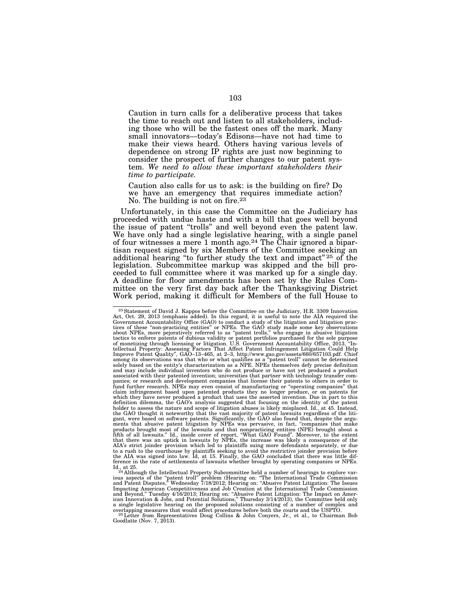Caution in turn calls for a deliberative process that takes the time to reach out and listen to all stakeholders, including those who will be the fastest ones off the mark. Many small innovators—today's Edisons—have not had time to make their views heard. Others having various levels of dependence on strong IP rights are just now beginning to consider the prospect of further changes to our patent system. *We need to allow these important stakeholders their time to participate.*

Caution also calls for us to ask: is the building on fire? Do we have an emergency that requires immediate action? No. The building is not on fire.23

Unfortunately, in this case the Committee on the Judiciary has proceeded with undue haste and with a bill that goes well beyond the issue of patent ''trolls'' and well beyond even the patent law. We have only had a single legislative hearing, with a single panel of four witnesses a mere 1 month ago.24 The Chair ignored a bipartisan request signed by six Members of the Committee seeking an additional hearing "to further study the text and impact"<sup>25</sup> of the legislation. Subcommittee markup was skipped and the bill proceeded to full committee where it was marked up for a single day. A deadline for floor amendments has been set by the Rules Committee on the very first day back after the Thanksgiving District Work period, making it difficult for Members of the full House to

<sup>&</sup>lt;sup>23</sup>Statement of David J. Kappos before the Committee on the Judiciary, H.R. 3309 Innovation Act, Oct. 29, 2013 (emphasis added). In this regard, it is useful to note the AIA required the Act, Oct. 29, 2013 (emphasis added). In this regard, it is useful to note the AIA required the Government Accountability Office (GAO) to conduct a study of the litigation and litigation reac-<br>tices of these "non-practicing and may include individual inventors who do not produce or have not yet produced a product associated with their patented invention; universities that partner with technology transfer com-panies; or research and development companies that license their patents to others in order to fund further research. NPEs may even consist of manufacturing or ''operating companies'' that claim infringement based upon patented products they no longer produce, or on patents for which they have never produced a product that uses the asserted invention. Due in part to this definition dilemma, the GAO's analysis suggested that focusing on the identity of the patent<br>holder to assess the nature and scope of litigation abuses is likely misplaced. Id., at 45. Instead,<br>the GAO thought it noteworth gant, were based on software patents. Significantly, the GAO also found that, despite the argu-<br>ments that abusive patent litigation by NPEs was pervasive, in fact, "companies that make<br>products brought most of the lawsuit fifth of all lawsuits." Id., inside cover of report, "What GAO Found". Moreover, to the extent<br>that there was an uptick in lawsuits by NPEs, the increase was likely a consequence of the<br>AIA's strict joinder provision which to a rush to the courthouse by plaintiffs seeking to avoid the restrictive joinder provision before the AIA was signed into law. Id, at 15. Finally, the GAO concluded that there was little difference in the rate of settlements of lawsuits whether brought by operating companies or NPEs.

Id., at 25.<br><sup>24</sup> Although the Intellectual Property Subcommittee held a number of hearings to explore var-<br><sup>24</sup> Although the Intellectual Property Subcommittee held a number of hearings to explore var-<br>ious aspects of the overlapping measures that would affect procedures before both the courts and the USPTO.

<sup>25</sup>Letter from Representatives Doug Collins & John Conyers, Jr., et al., to Chairman Bob Goodlatte (Nov. 7, 2013).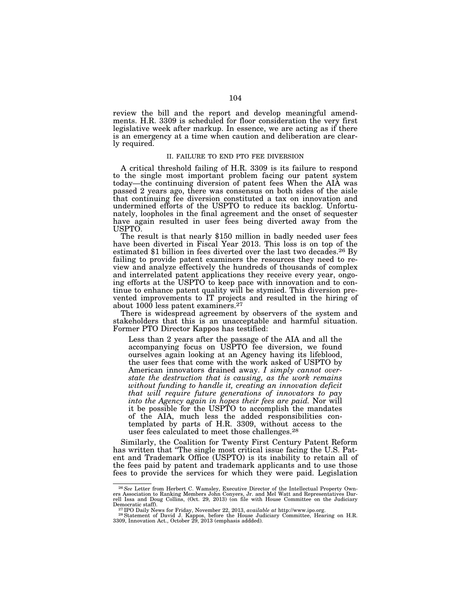review the bill and the report and develop meaningful amendments. H.R. 3309 is scheduled for floor consideration the very first legislative week after markup. In essence, we are acting as if there is an emergency at a time when caution and deliberation are clearly required.

## II. FAILURE TO END PTO FEE DIVERSION

A critical threshold failing of H.R. 3309 is its failure to respond to the single most important problem facing our patent system today—the continuing diversion of patent fees When the AIA was passed 2 years ago, there was consensus on both sides of the aisle that continuing fee diversion constituted a tax on innovation and undermined efforts of the USPTO to reduce its backlog. Unfortunately, loopholes in the final agreement and the onset of sequester have again resulted in user fees being diverted away from the USPTO.

The result is that nearly \$150 million in badly needed user fees have been diverted in Fiscal Year 2013. This loss is on top of the estimated \$1 billion in fees diverted over the last two decades.<sup>26</sup> By failing to provide patent examiners the resources they need to review and analyze effectively the hundreds of thousands of complex and interrelated patent applications they receive every year, ongoing efforts at the USPTO to keep pace with innovation and to continue to enhance patent quality will be stymied. This diversion prevented improvements to IT projects and resulted in the hiring of about 1000 less patent examiners.27

There is widespread agreement by observers of the system and stakeholders that this is an unacceptable and harmful situation. Former PTO Director Kappos has testified:

Less than 2 years after the passage of the AIA and all the accompanying focus on USPTO fee diversion, we found ourselves again looking at an Agency having its lifeblood, the user fees that come with the work asked of USPTO by American innovators drained away. *I simply cannot overstate the destruction that is causing, as the work remains without funding to handle it, creating an innovation deficit that will require future generations of innovators to pay into the Agency again in hopes their fees are paid.* Nor will it be possible for the USPTO to accomplish the mandates of the AIA, much less the added responsibilities contemplated by parts of H.R. 3309, without access to the user fees calculated to meet those challenges.28

Similarly, the Coalition for Twenty First Century Patent Reform has written that ''The single most critical issue facing the U.S. Patent and Trademark Office (USPTO) is its inability to retain all of the fees paid by patent and trademark applicants and to use those fees to provide the services for which they were paid. Legislation

 $^{26}$  See Letter from Herbert C. Wamsley, Executive Director of the Intellectual Property Owners Association to Ranking Members John Convers, Jr. and Mel Watt and Representatives Darrell Issa and Doug Collins, (Oct. 29,

<sup>27</sup> IPO Daily News for Friday, November 22, 2013, *available at* http://www.ipo.org.

<sup>28</sup>Statement of David J. Kappos, before the House Judiciary Committee, Hearing on H.R. 3309, Innovation Act., October 29, 2013 (emphasis addded).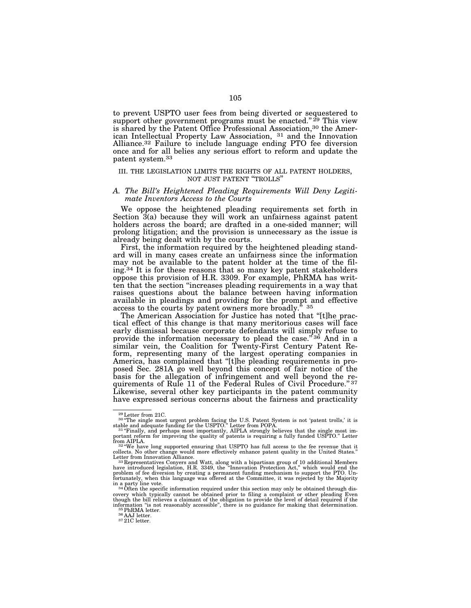to prevent USPTO user fees from being diverted or sequestered to support other government programs must be enacted."<sup>29</sup> This view is shared by the Patent Office Professional Association,30 the American Intellectual Property Law Association, 31 and the Innovation Alliance.32 Failure to include language ending PTO fee diversion once and for all belies any serious effort to reform and update the patent system.33

#### III. THE LEGISLATION LIMITS THE RIGHTS OF ALL PATENT HOLDERS, NOT JUST PATENT ''TROLLS''

#### *A. The Bill's Heightened Pleading Requirements Will Deny Legitimate Inventors Access to the Courts*

We oppose the heightened pleading requirements set forth in Section  $3(a)$  because they will work an unfairness against patent holders across the board; are drafted in a one-sided manner; will prolong litigation; and the provision is unnecessary as the issue is already being dealt with by the courts.

First, the information required by the heightened pleading standard will in many cases create an unfairness since the information may not be available to the patent holder at the time of the filing.34 It is for these reasons that so many key patent stakeholders oppose this provision of H.R. 3309. For example, PhRMA has written that the section ''increases pleading requirements in a way that raises questions about the balance between having information available in pleadings and providing for the prompt and effective access to the courts by patent owners more broadly." 35

The American Association for Justice has noted that ''[t]he practical effect of this change is that many meritorious cases will face early dismissal because corporate defendants will simply refuse to provide the information necessary to plead the case."<sup>36</sup> And in a similar vein, the Coalition for Twenty-First Century Patent Reform, representing many of the largest operating companies in America, has complained that ''[t]he pleading requirements in proposed Sec. 281A go well beyond this concept of fair notice of the basis for the allegation of infringement and well beyond the requirements of Rule 11 of the Federal Rules of Civil Procedure." 37 Likewise, several other key participants in the patent community have expressed serious concerns about the fairness and practicality

36 AAJ letter. 37 21C letter.

<sup>&</sup>lt;sup>29</sup> Letter from 21C.<br><sup>30</sup> "The single most urgent problem facing the U.S. Patent System is not 'patent trolls,' it is<br>stable and adequate funding for the USPTO." Letter from POPA.<br><sup>31</sup> "Finally, and perhaps most importan

portant reform for improving the quality of patents is requiring a fully funded USPTO." Letter

from AIPLA. 32 ''We have long supported ensuring that USPTO has full access to the fee revenue that it collects. No other change would more effectively enhance patent quality in the United States.''

Letter from Innovation Alliance.<br>
<sup>33</sup> Representatives Convers and Watt, along with a bipartisan group of 10 additional Members<br>
<sup>33</sup> Representatives Convers and Watt, along with a bipartisan group of 10 additional Members

<sup>35</sup>PhRMA letter.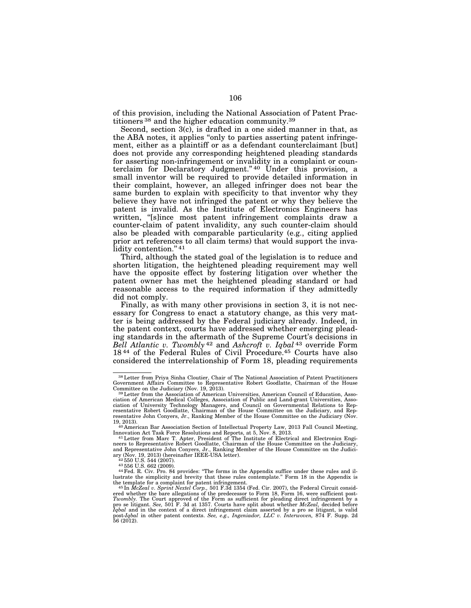of this provision, including the National Association of Patent Practitioners 38 and the higher education community.39

Second, section 3(c), is drafted in a one sided manner in that, as the ABA notes, it applies "only to parties asserting patent infringement, either as a plaintiff or as a defendant counterclaimant [but] does not provide any corresponding heightened pleading standards for asserting non-infringement or invalidity in a complaint or counterclaim for Declaratory Judgment."<sup>40</sup> Under this provision, a small inventor will be required to provide detailed information in their complaint, however, an alleged infringer does not bear the same burden to explain with specificity to that inventor why they believe they have not infringed the patent or why they believe the patent is invalid. As the Institute of Electronics Engineers has written, "[s]ince most patent infringement complaints draw a counter-claim of patent invalidity, any such counter-claim should also be pleaded with comparable particularity (e.g., citing applied prior art references to all claim terms) that would support the invalidity contention."<sup>41</sup>

Third, although the stated goal of the legislation is to reduce and shorten litigation, the heightened pleading requirement may well have the opposite effect by fostering litigation over whether the patent owner has met the heightened pleading standard or had reasonable access to the required information if they admittedly did not comply.

Finally, as with many other provisions in section 3, it is not necessary for Congress to enact a statutory change, as this very matter is being addressed by the Federal judiciary already. Indeed, in the patent context, courts have addressed whether emerging pleading standards in the aftermath of the Supreme Court's decisions in *Bell Atlantic v. Twombly* <sup>42</sup> and *Ashcroft v. Iqbal* <sup>43</sup> override Form 1844 of the Federal Rules of Civil Procedure.45 Courts have also considered the interrelationship of Form 18, pleading requirements

<sup>38</sup>Letter from Priya Sinha Cloutier, Chair of The National Association of Patent Practitioners Government Affairs Committee to Representative Robert Goodlatte, Chairman of the House Committee on the Judiciary (Nov. 19, 2013).

<sup>39</sup>Letter from the Association of American Universities, American Council of Education, Asso-ciation of American Medical Colleges, Association of Public and Land-grant Universities, Association of University Technology Managers, and Council on Governmental Relations to Representative Robert Goodlatte, Chairman of the House Committee on the Judiciary, and Rep-resentative John Conyers, Jr., Ranking Member of the House Committee on the Judiciary (Nov.

<sup>19, 2013).</sup> 40 American Bar Association Section of Intellectual Property Law, 2013 Fall Council Meeting, Innovation Act Task Force Resolutions and Reports, at 5, Nov. 8, 2013.

<sup>41</sup>Letter from Marc T. Apter, President of The Institute of Electrical and Electronics Engi-neers to Representative Robert Goodlatte, Chairman of the House Committee on the Judiciary, and Representative John Conyers, Jr., Ranking Member of the House Committee on the Judici-ary (Nov. 19, 2013) (hereinafter IEEE-USA letter). 42 550 U.S. 544 (2007).

<sup>43</sup> 556 U.S. 662 (2009).

<sup>44</sup>Fed. R. Civ. Pro. 84 provides: ''The forms in the Appendix suffice under these rules and illustrate the simplicity and brevity that these rules contemplate.'' Form 18 in the Appendix is the template for a complaint for patent infringement.

<sup>45</sup> In *McZeal v. Sprint Nextel Corp.,* 501 F.3d 1354 (Fed. Cir. 2007), the Federal Circuit considered whether the bare allegations of the predecessor to Form 18, Form 16, were sufficient post-<br>Twombly. The Court approved of the Form as sufficient for pleading direct infringement by a<br>pro se litigant. See, 501 F. 3d at *Iqbal* and in the context of a direct infringement claim asserted by a pro se litigant, is valid post-*Iqbal* in other patent contexts. *See, e.g., Ingeniador, LLC v. Interwoven,* 874 F. Supp. 2d 56 (2012).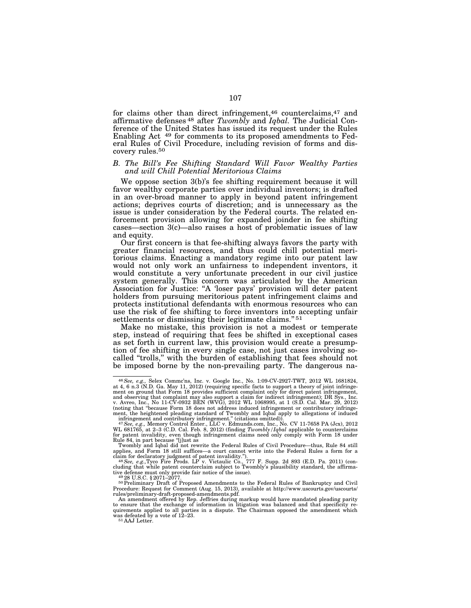for claims other than direct infringement,  $46$  counterclaims,  $47$  and affirmative defenses <sup>48</sup> after *Twombly* and *Iqbal.* The Judicial Conference of the United States has issued its request under the Rules Enabling Act 49 for comments to its proposed amendments to Federal Rules of Civil Procedure, including revision of forms and discovery rules.50

#### *B. The Bill's Fee Shifting Standard Will Favor Wealthy Parties and will Chill Potential Meritorious Claims*

We oppose section 3(b)'s fee shifting requirement because it will favor wealthy corporate parties over individual inventors; is drafted in an over-broad manner to apply in beyond patent infringement actions; deprives courts of discretion; and is unnecessary as the issue is under consideration by the Federal courts. The related enforcement provision allowing for expanded joinder in fee shifting cases—section 3(c)—also raises a host of problematic issues of law and equity.

Our first concern is that fee-shifting always favors the party with greater financial resources, and thus could chill potential meritorious claims. Enacting a mandatory regime into our patent law would not only work an unfairness to independent inventors, it would constitute a very unfortunate precedent in our civil justice system generally. This concern was articulated by the American Association for Justice: ''A 'loser pays' provision will deter patent holders from pursuing meritorious patent infringement claims and protects institutional defendants with enormous resources who can use the risk of fee shifting to force inventors into accepting unfair settlements or dismissing their legitimate claims."<sup>51</sup>

Make no mistake, this provision is not a modest or temperate step, instead of requiring that fees be shifted in exceptional cases as set forth in current law, this provision would create a presumption of fee shifting in every single case, not just cases involving socalled ''trolls,'' with the burden of establishing that fees should not be imposed borne by the non-prevailing party. The dangerous na-

<sup>46</sup>*See, e.g.,* Selex Commc'ns, Inc. v. Google Inc., No. 1:09-CV-2927-TWT, 2012 WL 1681824, at 4, 6 n.3 (N.D. Ga. May 11, 2012) (requiring specific facts to support a theory of joint infringe-<br>ment on ground that Form 18 provides sufficient complaint only for direct patent infringement,<br>and observing that complai v. Avreo, Inc., No 11-CV-0932 BEN (WVG), 2012 WL 1068995, at 1 (S.D. Cal. Mar. 29, 2012) (noting that ''because Form 18 does not address induced infringement or contributory infringement, the heightened pleading standard of Twombly and Iqbal apply to allegations of induced

infringement and contributory infringement." (citations omitted)).<br><sup>47</sup> See, e.g., Memory Control Enter., LLC v. Edmunds.com, Inc., No. CV 11-7658 PA (Jcx), 2012<br>WL 681765, at 2–3 (C.D. Cal. Feb. 8, 2012) (finding *Twombl* for patent invalidity, even though infringement claims need only comply with Form 18 under<br>Rule 84, in part because "[j]ust as<br>Twombly and Iqbal did not rewrite the Federal Rules of Civil Procedure—thus, Rule 84 still

applies, and Form 18 still suffices—a court cannot write into the Federal Rules a form for a claim for claim of patent invalidity.").<br>  $^{48}$ See, e.g.,Tyco Fire Prods. LP v. Victaulic Co., 777 F. Supp. 2d 893 (E.D. Pa. 20

rules/preliminary-draft-proposed-amendments.pdf.

An amendment offered by Rep. Jeffries during markup would have mandated pleading parity<br>to ensure that the exchange of information in litigation was balanced and that specificity re-<br>quirements applied to all parties in a was defeated by a vote of 12–23. 51 AAJ Letter.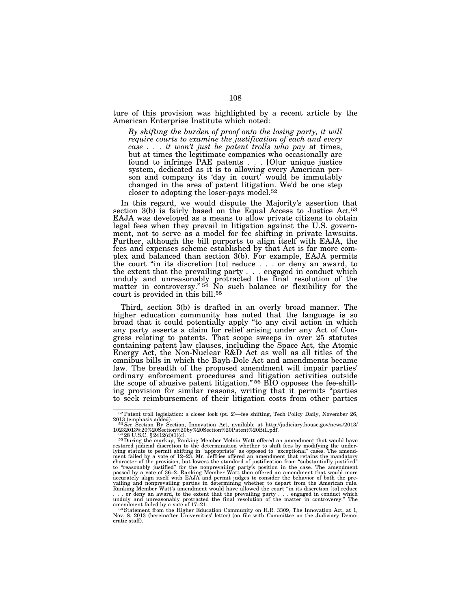ture of this provision was highlighted by a recent article by the American Enterprise Institute which noted:

*By shifting the burden of proof onto the losing party, it will require courts to examine the justification of each and every case . . . it won't just be patent trolls who pay* at times, but at times the legitimate companies who occasionally are found to infringe PAE patents . . . [O]ur unique justice system, dedicated as it is to allowing every American person and company its 'day in court' would be immutably changed in the area of patent litigation. We'd be one step closer to adopting the loser-pays model.52

In this regard, we would dispute the Majority's assertion that section 3(b) is fairly based on the Equal Access to Justice Act.<sup>53</sup> EAJA was developed as a means to allow private citizens to obtain legal fees when they prevail in litigation against the U.S. government, not to serve as a model for fee shifting in private lawsuits. Further, although the bill purports to align itself with EAJA, the fees and expenses scheme established by that Act is far more complex and balanced than section 3(b). For example, EAJA permits the court ''in its discretion [to] reduce . . . or deny an award, to the extent that the prevailing party . . . engaged in conduct which unduly and unreasonably protracted the final resolution of the matter in controversy."<sup>54</sup> No such balance or flexibility for the court is provided in this bill.<sup>55</sup>

Third, section 3(b) is drafted in an overly broad manner. The higher education community has noted that the language is so broad that it could potentially apply ''to any civil action in which any party asserts a claim for relief arising under any Act of Congress relating to patents. That scope sweeps in over 25 statutes containing patent law clauses, including the Space Act, the Atomic Energy Act, the Non-Nuclear R&D Act as well as all titles of the omnibus bills in which the Bayh-Dole Act and amendments became law. The breadth of the proposed amendment will impair parties' ordinary enforcement procedures and litigation activities outside the scope of abusive patent litigation."<sup>56</sup> BIO opposes the fee-shifting provision for similar reasons, writing that it permits ''parties to seek reimbursement of their litigation costs from other parties

<sup>52</sup>Patent troll legislation: a closer look (pt. 2)—fee shifting, Tech Policy Daily, November 26, 2013 (emphasis added).

<sup>53</sup>*See* Section By Section, Innovation Act, available at http://judiciary.house.gov/news/2013/ 10232013%20%20Section%20by%20Section%20Patent%20Bill.pdf.

<sup>54</sup> 28 U.S.C. § 2412(d)(1)(c).

<sup>55</sup>During the markup, Ranking Member Melvin Watt offered an amendment that would have restored judicial discretion to the determination whether to shift fees by modifying the under-<br>lying statute to permit shifting in "appropriate" as opposed to "exceptional" cases. The amend-<br>ment failed by a vote of 12–23 to "reasonably justified" for the nonprevailing party's position in the case. The amendment<br>passed by a vote of 36–2. Ranking Member Watt then offered an amendment that would more<br>accurately align itself with EAJA and perm vailing and nonprevailing parties in determining whether to depart from the American rule.<br>Ranking Member Watt's amendment would have allowed the court "in its discretion [to] reduce<br>. . . or deny an award, to the extent t unduly and unreasonably protracted the final resolution of the matter in controversy.'' The amendment failed by a vote of 17–21.

<sup>56</sup>Statement from the Higher Education Community on H.R. 3309, The Innovation Act, at 1, Nov. 8, 2013 (hereinafter Universities' letter) (on file with Committee on the Judiciary Democratic staff).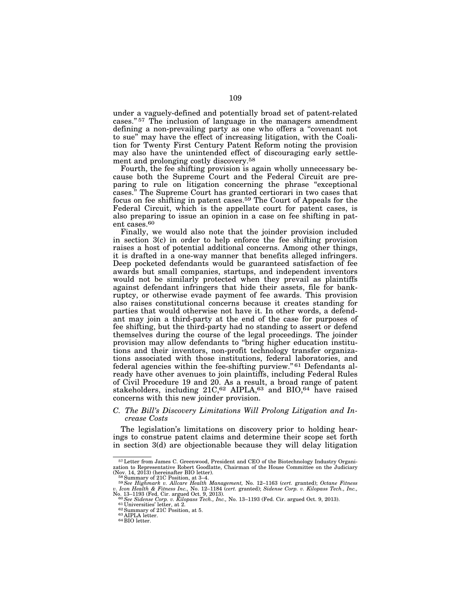under a vaguely-defined and potentially broad set of patent-related cases."<sup>57</sup> The inclusion of language in the managers amendment defining a non-prevailing party as one who offers a ''covenant not to sue'' may have the effect of increasing litigation, with the Coalition for Twenty First Century Patent Reform noting the provision may also have the unintended effect of discouraging early settlement and prolonging costly discovery.58

Fourth, the fee shifting provision is again wholly unnecessary because both the Supreme Court and the Federal Circuit are preparing to rule on litigation concerning the phrase "exceptional cases.'' The Supreme Court has granted certiorari in two cases that focus on fee shifting in patent cases.59 The Court of Appeals for the Federal Circuit, which is the appellate court for patent cases, is also preparing to issue an opinion in a case on fee shifting in patent cases.60

Finally, we would also note that the joinder provision included in section 3(c) in order to help enforce the fee shifting provision raises a host of potential additional concerns. Among other things, it is drafted in a one-way manner that benefits alleged infringers. Deep pocketed defendants would be guaranteed satisfaction of fee awards but small companies, startups, and independent inventors would not be similarly protected when they prevail as plaintiffs against defendant infringers that hide their assets, file for bankruptcy, or otherwise evade payment of fee awards. This provision also raises constitutional concerns because it creates standing for parties that would otherwise not have it. In other words, a defendant may join a third-party at the end of the case for purposes of fee shifting, but the third-party had no standing to assert or defend themselves during the course of the legal proceedings. The joinder provision may allow defendants to ''bring higher education institutions and their inventors, non-profit technology transfer organizations associated with those institutions, federal laboratories, and federal agencies within the fee-shifting purview."<sup>61</sup> Defendants already have other avenues to join plaintiffs, including Federal Rules of Civil Procedure 19 and 20. As a result, a broad range of patent stakeholders, including  $21C$ ,<sup>62</sup> AIPLA,<sup>63</sup> and BIO,<sup>64</sup> have raised concerns with this new joinder provision.

#### *C. The Bill's Discovery Limitations Will Prolong Litigation and Increase Costs*

The legislation's limitations on discovery prior to holding hearings to construe patent claims and determine their scope set forth in section 3(d) are objectionable because they will delay litigation

<sup>57</sup>Letter from James C. Greenwood, President and CEO of the Biotechnology Industry Organization to Representative Robert Goodlatte, Chairman of the House Committee on the Judiciary (Nov. 14, 2013) (hereinafter BIO letter).

<sup>58</sup>Summary of 21C Position, at 3–4.

<sup>&</sup>lt;sup>59</sup> See Highmark v. Allcare Health Management, No. 12–1163 (cert. granted); Octane Fitness v. Icon Health & Fitness Inc., No. 12–1184 (cert. granted); Sidense Corp. v. Kilopass Tech., Inc., No. 13–1193 (Fed. Cir. argued

<sup>62</sup>Summary of 21C Position, at 5.

<sup>63</sup> AIPLA letter. 64 BIO letter.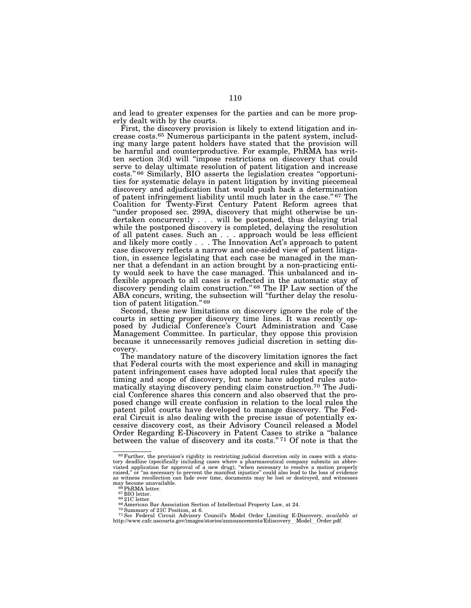and lead to greater expenses for the parties and can be more properly dealt with by the courts.

First, the discovery provision is likely to extend litigation and increase costs.65 Numerous participants in the patent system, including many large patent holders have stated that the provision will be harmful and counterproductive. For example, PhRMA has written section 3(d) will ''impose restrictions on discovery that could serve to delay ultimate resolution of patent litigation and increase costs.'' 66 Similarly, BIO asserts the legislation creates ''opportunities for systematic delays in patent litigation by inviting piecemeal discovery and adjudication that would push back a determination of patent infringement liability until much later in the case."<sup>67</sup> The Coalition for Twenty-First Century Patent Reform agrees that ''under proposed sec. 299A, discovery that might otherwise be undertaken concurrently . . . will be postponed, thus delaying trial while the postponed discovery is completed, delaying the resolution of all patent cases. Such an . . . approach would be less efficient and likely more costly . . . The Innovation Act's approach to patent case discovery reflects a narrow and one-sided view of patent litigation, in essence legislating that each case be managed in the manner that a defendant in an action brought by a non-practicing entity would seek to have the case managed. This unbalanced and inflexible approach to all cases is reflected in the automatic stay of discovery pending claim construction.'' 68 The IP Law section of the ABA concurs, writing, the subsection will "further delay the resolution of patent litigation."<sup>69</sup>

Second, these new limitations on discovery ignore the role of the courts in setting proper discovery time lines. It was recently opposed by Judicial Conference's Court Administration and Case Management Committee. In particular, they oppose this provision because it unnecessarily removes judicial discretion in setting discovery.

The mandatory nature of the discovery limitation ignores the fact that Federal courts with the most experience and skill in managing patent infringement cases have adopted local rules that specify the timing and scope of discovery, but none have adopted rules automatically staying discovery pending claim construction.70 The Judicial Conference shares this concern and also observed that the proposed change will create confusion in relation to the local rules the patent pilot courts have developed to manage discovery. The Federal Circuit is also dealing with the precise issue of potentially excessive discovery cost, as their Advisory Council released a Model Order Regarding E-Discovery in Patent Cases to strike a ''balance between the value of discovery and its costs."<sup>71</sup> Of note is that the

 $^{65}$  Further, the provision's rigidity in restricting judicial discretion only in cases with a statu-<br>tory deadline (specifically including cases where a pharmaceutical company submits an abbre-<br>viated application for a

may become unavailable. 66PhRMA letter.

<sup>67</sup> BIO letter.

<sup>68</sup> 21C letter.

<sup>69</sup> American Bar Association Section of Intellectual Property Law, at 24.

<sup>70</sup>Summary of 21C Position, at 6.

<sup>&</sup>lt;sup>71</sup> See Federal Circuit Advisory Council's Model Order Limiting E-Discovery, *available at* http://www.cafc.uscourts.gov/images/stories/announcements/Ediscovery\_Model\_Order.pdf.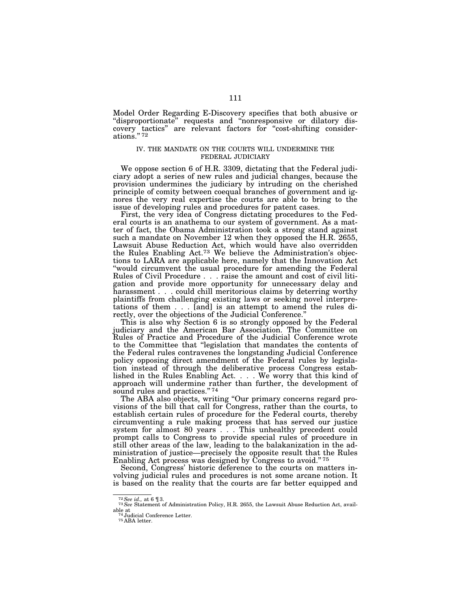Model Order Regarding E-Discovery specifies that both abusive or ''disproportionate'' requests and ''nonresponsive or dilatory discovery tactics'' are relevant factors for ''cost-shifting considerations.'' 72

#### IV. THE MANDATE ON THE COURTS WILL UNDERMINE THE FEDERAL JUDICIARY

We oppose section 6 of H.R. 3309, dictating that the Federal judiciary adopt a series of new rules and judicial changes, because the provision undermines the judiciary by intruding on the cherished principle of comity between coequal branches of government and ignores the very real expertise the courts are able to bring to the issue of developing rules and procedures for patent cases.

First, the very idea of Congress dictating procedures to the Federal courts is an anathema to our system of government. As a matter of fact, the Obama Administration took a strong stand against such a mandate on November 12 when they opposed the H.R. 2655, Lawsuit Abuse Reduction Act, which would have also overridden the Rules Enabling Act.73 We believe the Administration's objections to LARA are applicable here, namely that the Innovation Act ''would circumvent the usual procedure for amending the Federal Rules of Civil Procedure . . . raise the amount and cost of civil litigation and provide more opportunity for unnecessary delay and harassment . . . could chill meritorious claims by deterring worthy plaintiffs from challenging existing laws or seeking novel interpretations of them . . . [and] is an attempt to amend the rules directly, over the objections of the Judicial Conference.''

This is also why Section 6 is so strongly opposed by the Federal judiciary and the American Bar Association. The Committee on Rules of Practice and Procedure of the Judicial Conference wrote to the Committee that ''legislation that mandates the contents of the Federal rules contravenes the longstanding Judicial Conference policy opposing direct amendment of the Federal rules by legislation instead of through the deliberative process Congress established in the Rules Enabling Act. . . . We worry that this kind of approach will undermine rather than further, the development of sound rules and practices." 74

The ABA also objects, writing "Our primary concerns regard provisions of the bill that call for Congress, rather than the courts, to establish certain rules of procedure for the Federal courts, thereby circumventing a rule making process that has served our justice system for almost 80 years . . . This unhealthy precedent could prompt calls to Congress to provide special rules of procedure in still other areas of the law, leading to the balakanization in the administration of justice—precisely the opposite result that the Rules Enabling Act process was designed by Congress to avoid." $75$ 

Second, Congress' historic deference to the courts on matters involving judicial rules and procedures is not some arcane notion. It is based on the reality that the courts are far better equipped and

<sup>72</sup>*See id.,* at 6 ¶ 3.

<sup>73</sup>*See* Statement of Administration Policy, H.R. 2655, the Lawsuit Abuse Reduction Act, available at 74 Judicial Conference Letter.

<sup>75</sup> ABA letter.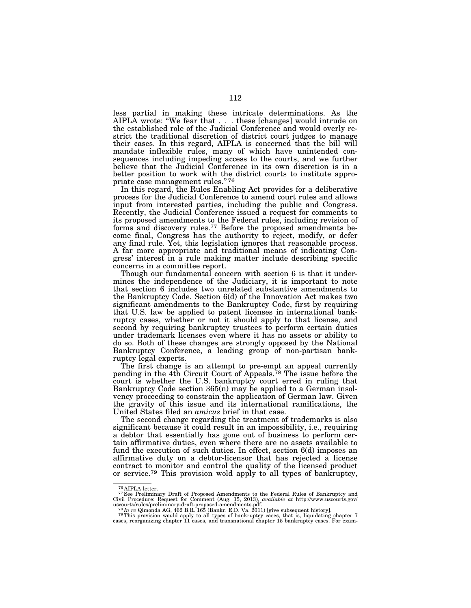less partial in making these intricate determinations. As the AIPLA wrote: ''We fear that . . . these [changes] would intrude on the established role of the Judicial Conference and would overly restrict the traditional discretion of district court judges to manage their cases. In this regard, AIPLA is concerned that the bill will mandate inflexible rules, many of which have unintended consequences including impeding access to the courts, and we further believe that the Judicial Conference in its own discretion is in a better position to work with the district courts to institute appropriate case management rules.'' 76

In this regard, the Rules Enabling Act provides for a deliberative process for the Judicial Conference to amend court rules and allows input from interested parties, including the public and Congress. Recently, the Judicial Conference issued a request for comments to its proposed amendments to the Federal rules, including revision of forms and discovery rules.77 Before the proposed amendments become final, Congress has the authority to reject, modify, or defer any final rule. Yet, this legislation ignores that reasonable process. A far more appropriate and traditional means of indicating Congress' interest in a rule making matter include describing specific concerns in a committee report.

Though our fundamental concern with section 6 is that it undermines the independence of the Judiciary, it is important to note that section 6 includes two unrelated substantive amendments to the Bankruptcy Code. Section 6(d) of the Innovation Act makes two significant amendments to the Bankruptcy Code, first by requiring that U.S. law be applied to patent licenses in international bankruptcy cases, whether or not it should apply to that license, and second by requiring bankruptcy trustees to perform certain duties under trademark licenses even where it has no assets or ability to do so. Both of these changes are strongly opposed by the National Bankruptcy Conference, a leading group of non-partisan bankruptcy legal experts.

The first change is an attempt to pre-empt an appeal currently pending in the 4th Circuit Court of Appeals.78 The issue before the court is whether the U.S. bankruptcy court erred in ruling that Bankruptcy Code section 365(n) may be applied to a German insolvency proceeding to constrain the application of German law. Given the gravity of this issue and its international ramifications, the United States filed an *amicus* brief in that case.

The second change regarding the treatment of trademarks is also significant because it could result in an impossibility, i.e., requiring a debtor that essentially has gone out of business to perform certain affirmative duties, even where there are no assets available to fund the execution of such duties. In effect, section 6(d) imposes an affirmative duty on a debtor-licensor that has rejected a license contract to monitor and control the quality of the licensed product or service.79 This provision wold apply to all types of bankruptcy,

<sup>76</sup> AIPLA letter.

<sup>&</sup>lt;sup>77</sup>See Preliminary Draft of Proposed Amendments to the Federal Rules of Bankruptcy and Civil Procedure: Request for Comment (Aug. 15, 2013), *available at* http://www.uscourts.gov/<br>uscourts/rules/preliminary-draft-proposed-amendments.pdf.<br><sup>78</sup>*In re* Qimonda AG, 462 B.R. 165 (Bankr. E.D. Va. 2011) [give subs

<sup>79</sup>This provision would apply to all types of bankruptcy cases, that is, liquidating chapter 7 cases, reorganizing chapter 11 cases, and transnational chapter 15 bankruptcy cases. For exam-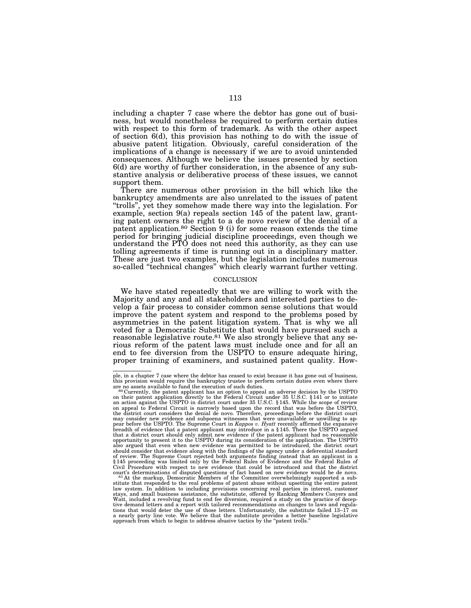including a chapter 7 case where the debtor has gone out of business, but would nonetheless be required to perform certain duties with respect to this form of trademark. As with the other aspect of section 6(d), this provision has nothing to do with the issue of abusive patent litigation. Obviously, careful consideration of the implications of a change is necessary if we are to avoid unintended consequences. Although we believe the issues presented by section 6(d) are worthy of further consideration, in the absence of any substantive analysis or deliberative process of these issues, we cannot support them.

There are numerous other provision in the bill which like the bankruptcy amendments are also unrelated to the issues of patent ''trolls'', yet they somehow made there way into the legislation. For example, section 9(a) repeals section 145 of the patent law, granting patent owners the right to a de novo review of the denial of a patent application.80 Section 9 (i) for some reason extends the time period for bringing judicial discipline proceedings, even though we understand the PTO does not need this authority, as they can use tolling agreements if time is running out in a disciplinary matter. These are just two examples, but the legislation includes numerous so-called ''technical changes'' which clearly warrant further vetting.

#### **CONCLUSION**

We have stated repeatedly that we are willing to work with the Majority and any and all stakeholders and interested parties to develop a fair process to consider common sense solutions that would improve the patent system and respond to the problems posed by asymmetries in the patent litigation system. That is why we all voted for a Democratic Substitute that would have pursued such a reasonable legislative route.<sup>81</sup> We also strongly believe that any serious reform of the patent laws must include once and for all an end to fee diversion from the USPTO to ensure adequate hiring, proper training of examiners, and sustained patent quality. How-

ple, in a chapter 7 case where the debtor has ceased to exist because it has gone out of business, this provision would require the bankruptcy trustee to perform certain duties even where there

are no assets available to fund the execution of such duties.<br><sup>80</sup>Currently, the patent applicant has an option to appeal an adverse decision by the USPTO<br>on their patent application directly to the Federal Circuit under 3 an action against the USPTO in district court under 35 U.S.C. § 145. While the scope of review<br>on appeal to Federal Circuit is narrowly based upon the record that was before the USPTO,<br>the district court considers the deni may consider new evidence and subpoena witnesses that were unavailable or unwilling to ap-<br>pear before the USPTO. The Supreme Court in Kappos v. Hyatt recently affirmed the expansive<br>breadth of evidence that a patent appli that a district court should only admit new evidence if the patent applicant had no reasonable<br>opportunity to present it to the USPTO during its consideration of the application. The USPTO<br>also argued that even when new ev should consider that evidence along with the findings of the agency under a deferential standard<br>of review. The Supreme Court rejected both arguments finding instead that an applicant in a<br>§ 145 proceeding was limited only Civil Procedure with respect to new evidence that could be introduced and that the district court's determinations of disputed questions of fact based on new evidence would be de novo.

<sup>81</sup> At the markup, Democratic Members of the Committee overwhelmingly supported a substitute that responded to the real problems of patent abuse without upsetting the entire patent<br>law system. In addition to including provisions concerning real parties in interest, customer<br>stays, and small business assist Watt, included a revolving fund to end fee diversion, required a study on the practice of decep-tive demand letters and a report with tailored recommendations on changes to laws and regulations that would deter the use of those letters. Unfortunately, the substitute failed 13–17 on<br>a nearly party line vote. We believe that the substitute provides a better baseline legislative<br>approach from which to begin to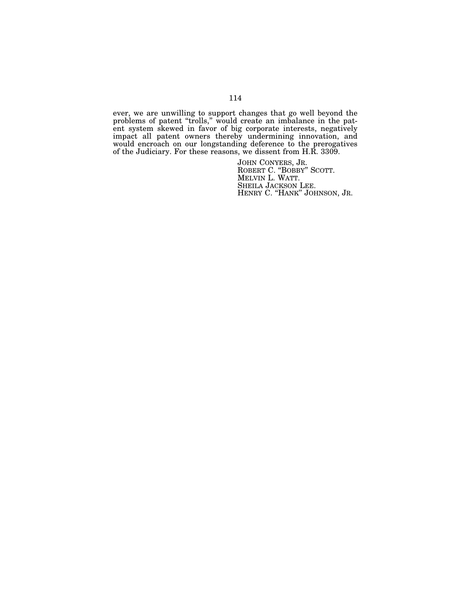ever, we are unwilling to support changes that go well beyond the problems of patent ''trolls,'' would create an imbalance in the patent system skewed in favor of big corporate interests, negatively impact all patent owners thereby undermining innovation, and would encroach on our longstanding deference to the prerogatives of the Judiciary. For these reasons, we dissent from H.R. 3309.

> JOHN CONYERS, JR. ROBERT C. "BOBBY" SCOTT. MELVIN L. WATT. SHEILA JACKSON LEE. Henry C. "Hank" Johnson, Jr.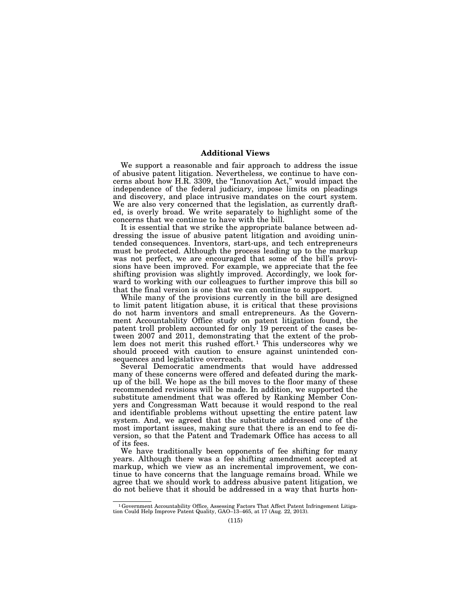### **Additional Views**

We support a reasonable and fair approach to address the issue of abusive patent litigation. Nevertheless, we continue to have concerns about how H.R. 3309, the ''Innovation Act,'' would impact the independence of the federal judiciary, impose limits on pleadings and discovery, and place intrusive mandates on the court system. We are also very concerned that the legislation, as currently drafted, is overly broad. We write separately to highlight some of the concerns that we continue to have with the bill.

It is essential that we strike the appropriate balance between addressing the issue of abusive patent litigation and avoiding unintended consequences. Inventors, start-ups, and tech entrepreneurs must be protected. Although the process leading up to the markup was not perfect, we are encouraged that some of the bill's provisions have been improved. For example, we appreciate that the fee shifting provision was slightly improved. Accordingly, we look forward to working with our colleagues to further improve this bill so that the final version is one that we can continue to support.

While many of the provisions currently in the bill are designed to limit patent litigation abuse, it is critical that these provisions do not harm inventors and small entrepreneurs. As the Government Accountability Office study on patent litigation found, the patent troll problem accounted for only 19 percent of the cases between 2007 and 2011, demonstrating that the extent of the problem does not merit this rushed effort.<sup>1</sup> This underscores why we should proceed with caution to ensure against unintended consequences and legislative overreach.

Several Democratic amendments that would have addressed many of these concerns were offered and defeated during the markup of the bill. We hope as the bill moves to the floor many of these recommended revisions will be made. In addition, we supported the substitute amendment that was offered by Ranking Member Conyers and Congressman Watt because it would respond to the real and identifiable problems without upsetting the entire patent law system. And, we agreed that the substitute addressed one of the most important issues, making sure that there is an end to fee diversion, so that the Patent and Trademark Office has access to all of its fees.

We have traditionally been opponents of fee shifting for many years. Although there was a fee shifting amendment accepted at markup, which we view as an incremental improvement, we continue to have concerns that the language remains broad. While we agree that we should work to address abusive patent litigation, we do not believe that it should be addressed in a way that hurts hon-

<sup>1</sup>Government Accountability Office, Assessing Factors That Affect Patent Infringement Litiga-tion Could Help Improve Patent Quality, GAO–13–465, at 17 (Aug. 22, 2013).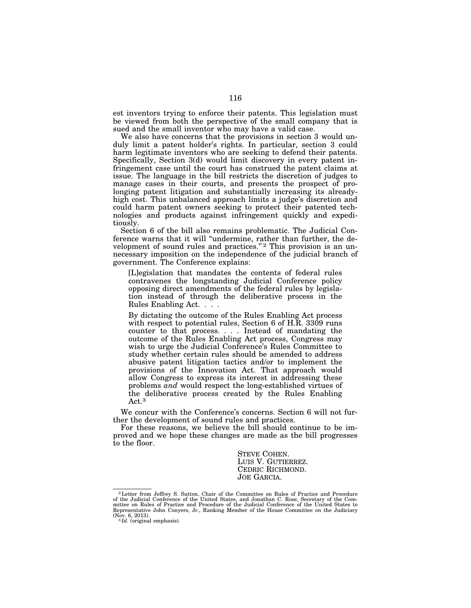est inventors trying to enforce their patents. This legislation must be viewed from both the perspective of the small company that is sued and the small inventor who may have a valid case.

We also have concerns that the provisions in section 3 would unduly limit a patent holder's rights. In particular, section 3 could harm legitimate inventors who are seeking to defend their patents. Specifically, Section 3(d) would limit discovery in every patent infringement case until the court has construed the patent claims at issue. The language in the bill restricts the discretion of judges to manage cases in their courts, and presents the prospect of prolonging patent litigation and substantially increasing its alreadyhigh cost. This unbalanced approach limits a judge's discretion and could harm patent owners seeking to protect their patented technologies and products against infringement quickly and expeditiously.

Section 6 of the bill also remains problematic. The Judicial Conference warns that it will ''undermine, rather than further, the development of sound rules and practices."<sup>2</sup> This provision is an unnecessary imposition on the independence of the judicial branch of government. The Conference explains:

[L]egislation that mandates the contents of federal rules contravenes the longstanding Judicial Conference policy opposing direct amendments of the federal rules by legislation instead of through the deliberative process in the Rules Enabling Act. . . .

By dictating the outcome of the Rules Enabling Act process with respect to potential rules, Section 6 of H.R. 3309 runs counter to that process. . . . Instead of mandating the outcome of the Rules Enabling Act process, Congress may wish to urge the Judicial Conference's Rules Committee to study whether certain rules should be amended to address abusive patent litigation tactics and/or to implement the provisions of the Innovation Act. That approach would allow Congress to express its interest in addressing these problems *and* would respect the long-established virtues of the deliberative process created by the Rules Enabling Act.3

We concur with the Conference's concerns. Section 6 will not further the development of sound rules and practices.

For these reasons, we believe the bill should continue to be improved and we hope these changes are made as the bill progresses to the floor.

> STEVE COHEN. LUIS V. GUTIERREZ. CEDRIC RICHMOND. JOE GARCIA.

<sup>2</sup>Letter from Jeffrey S. Sutton, Chair of the Committee on Rules of Practice and Procedure of the Judicial Conference of the United States, and Jonathan C. Rose, Secretary of the Com-mittee on Rules of Practice and Procedure of the Judicial Conference of the United States to Representative John Conyers, Jr., Ranking Member of the House Committee on the Judiciary (Nov. 6, 2013). <sup>3</sup> *Id.* (original emphasis).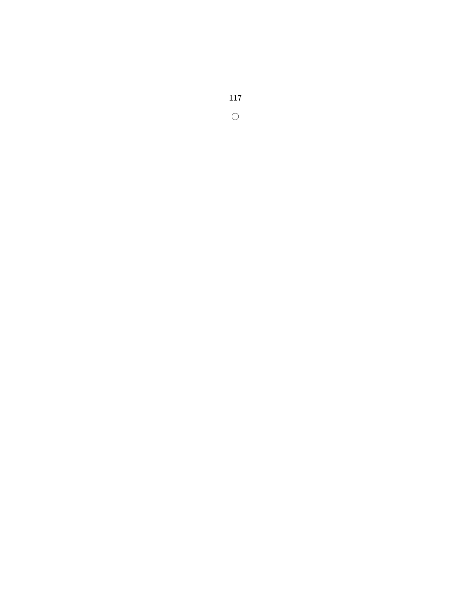

 $\bigcirc$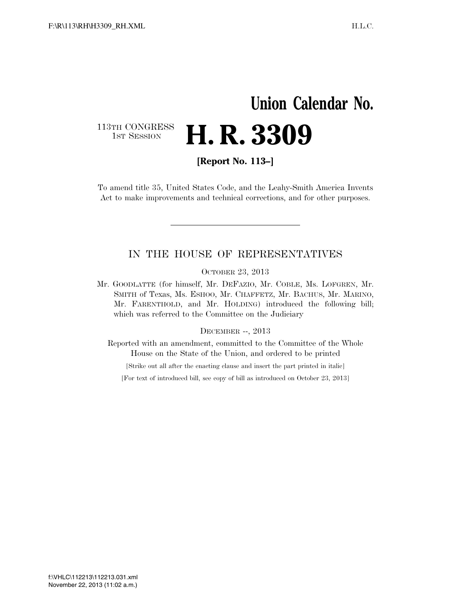# **Union Calendar No.**  113TH CONGRESS<br>1st Session 1ST SESSION **H. R. 3309**

**[Report No. 113–]** 

To amend title 35, United States Code, and the Leahy-Smith America Invents Act to make improvements and technical corrections, and for other purposes.

## IN THE HOUSE OF REPRESENTATIVES

OCTOBER 23, 2013

Mr. GOODLATTE (for himself, Mr. DEFAZIO, Mr. COBLE, Ms. LOFGREN, Mr. SMITH of Texas, Ms. ESHOO, Mr. CHAFFETZ, Mr. BACHUS, Mr. MARINO, Mr. FARENTHOLD, and Mr. HOLDING) introduced the following bill; which was referred to the Committee on the Judiciary

### DECEMBER --, 2013

Reported with an amendment, committed to the Committee of the Whole House on the State of the Union, and ordered to be printed

[Strike out all after the enacting clause and insert the part printed in italic]

[For text of introduced bill, see copy of bill as introduced on October 23, 2013]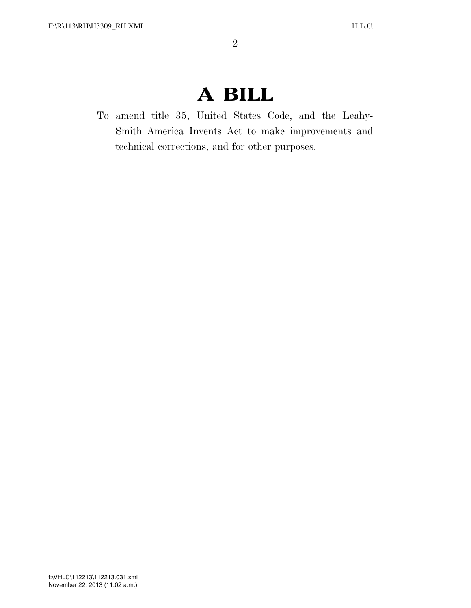# **A BILL**

To amend title 35, United States Code, and the Leahy-Smith America Invents Act to make improvements and technical corrections, and for other purposes.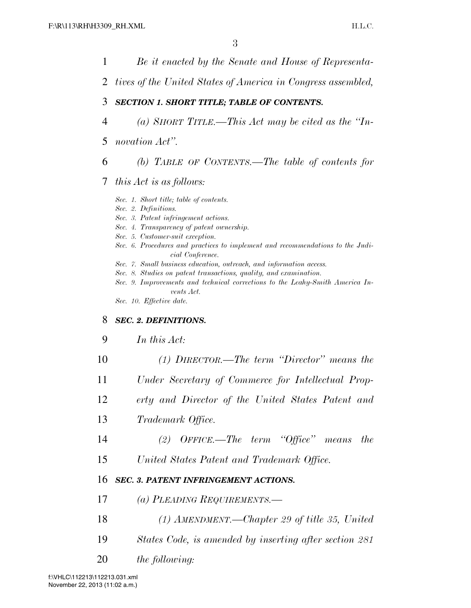| L  | Be it enacted by the Senate and House of Representa-                                                                                                                                                                                                                                                                                                                                                                                                                                                                                                                  |
|----|-----------------------------------------------------------------------------------------------------------------------------------------------------------------------------------------------------------------------------------------------------------------------------------------------------------------------------------------------------------------------------------------------------------------------------------------------------------------------------------------------------------------------------------------------------------------------|
| 2  | tives of the United States of America in Congress assembled,                                                                                                                                                                                                                                                                                                                                                                                                                                                                                                          |
| 3  | <b>SECTION 1. SHORT TITLE; TABLE OF CONTENTS.</b>                                                                                                                                                                                                                                                                                                                                                                                                                                                                                                                     |
| 4  | (a) SHORT TITLE.—This Act may be cited as the "In-                                                                                                                                                                                                                                                                                                                                                                                                                                                                                                                    |
| 5  | novation Act".                                                                                                                                                                                                                                                                                                                                                                                                                                                                                                                                                        |
| 6  | (b) TABLE OF CONTENTS.—The table of contents for                                                                                                                                                                                                                                                                                                                                                                                                                                                                                                                      |
| 7  | <i>this Act is as follows:</i>                                                                                                                                                                                                                                                                                                                                                                                                                                                                                                                                        |
|    | Sec. 1. Short title; table of contents.<br>Sec. 2. Definitions.<br>Sec. 3. Patent infringement actions.<br>Sec. 4. Transparency of patent ownership.<br>Sec. 5. Customer-suit exception.<br>Sec. 6. Procedures and practices to implement and recommendations to the Judi-<br>cial Conference.<br>Sec. 7. Small business education, outreach, and information access.<br>Sec. 8. Studies on patent transactions, quality, and examination.<br>Sec. 9. Improvements and technical corrections to the Leahy-Smith America In-<br>vents Act.<br>Sec. 10. Effective date. |
| 8  | <b>SEC. 2. DEFINITIONS.</b>                                                                                                                                                                                                                                                                                                                                                                                                                                                                                                                                           |
|    |                                                                                                                                                                                                                                                                                                                                                                                                                                                                                                                                                                       |
| 9  | In this Act:                                                                                                                                                                                                                                                                                                                                                                                                                                                                                                                                                          |
| 10 | (1) DIRECTOR.—The term "Director" means the                                                                                                                                                                                                                                                                                                                                                                                                                                                                                                                           |
| 11 | Under Secretary of Commerce for Intellectual Prop-                                                                                                                                                                                                                                                                                                                                                                                                                                                                                                                    |
| 12 | erty and Director of the United States Patent and                                                                                                                                                                                                                                                                                                                                                                                                                                                                                                                     |
| 13 | Trademark Office.                                                                                                                                                                                                                                                                                                                                                                                                                                                                                                                                                     |
| 14 | OFFICE.—The term "Office" means<br><i>the</i><br>(2)                                                                                                                                                                                                                                                                                                                                                                                                                                                                                                                  |
| 15 | United States Patent and Trademark Office.                                                                                                                                                                                                                                                                                                                                                                                                                                                                                                                            |
| 16 | <b>SEC. 3. PATENT INFRINGEMENT ACTIONS.</b>                                                                                                                                                                                                                                                                                                                                                                                                                                                                                                                           |
| 17 | (a) PLEADING REQUIREMENTS.—                                                                                                                                                                                                                                                                                                                                                                                                                                                                                                                                           |
| 18 | $(1)$ AMENDMENT.—Chapter 29 of title 35, United                                                                                                                                                                                                                                                                                                                                                                                                                                                                                                                       |
| 19 | States Code, is amended by inserting after section 281                                                                                                                                                                                                                                                                                                                                                                                                                                                                                                                |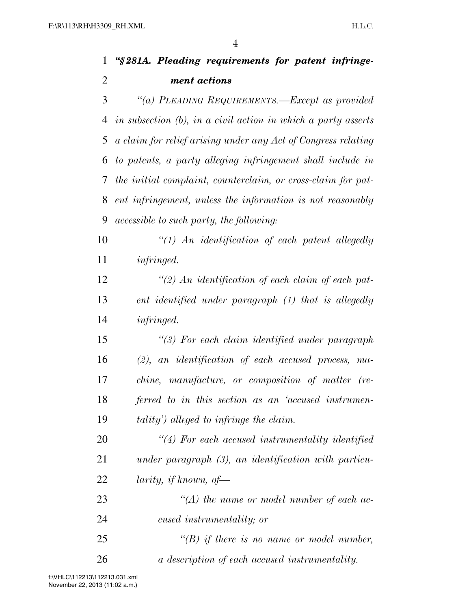| $\mathbf{1}$ | "§281A. Pleading requirements for patent infringe-               |
|--------------|------------------------------------------------------------------|
| 2            | ment actions                                                     |
| 3            | "(a) PLEADING REQUIREMENTS.—Except as provided                   |
| 4            | in subsection $(b)$ , in a civil action in which a party asserts |
| 5            | a claim for relief arising under any Act of Congress relating    |
| 6            | to patents, a party alleging infringement shall include in       |
| 7            | the initial complaint, counterclaim, or cross-claim for pat-     |
| 8            | ent infringement, unless the information is not reasonably       |
| 9            | <i>accessible to such party, the following:</i>                  |
| 10           | $"(1)$ An identification of each patent allegedly                |
| 11           | <i>infringed.</i>                                                |
| 12           | $\lq(2)$ An identification of each claim of each pat-            |
| 13           | ent identified under paragraph (1) that is allegedly             |
| 14           | infringed.                                                       |
| 15           | "(3) For each claim identified under paragraph                   |
| 16           | $(2)$ , an identification of each accused process, ma-           |
| 17           | chine, manufacture, or composition of matter (re-                |
| 18           | ferred to in this section as an 'accused instrumen-              |
| 19           | tality') alleged to infringe the claim.                          |
| 20           | $\lq(4)$ For each accused instrumentality identified             |
| 21           | under paragraph $(3)$ , an identification with particu-          |
| 22           | <i>larity, if known, of</i> —                                    |
| 23           | $\lq (A)$ the name or model number of each ac-                   |
| 24           | cused instrumentality; or                                        |
| 25           | $\lq\lq(B)$ if there is no name or model number,                 |
| 26           | a description of each accused instrumentality.                   |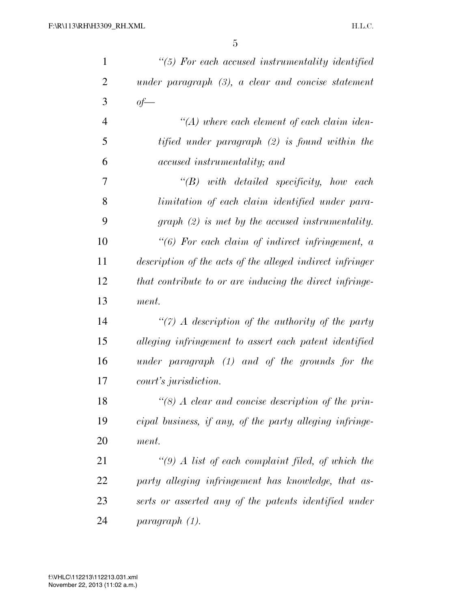| $\mathbf{1}$   | $\lq(5)$ For each accused instrumentality identified      |
|----------------|-----------------------------------------------------------|
| $\overline{2}$ | under paragraph $(3)$ , a clear and concise statement     |
| 3              | $of$ —                                                    |
| $\overline{4}$ | $\lq (A)$ where each element of each claim iden-          |
| 5              | tified under paragraph (2) is found within the            |
| 6              | accused instrumentality; and                              |
| 7              | $\lq\lq B$ with detailed specificity, how each            |
| 8              | limitation of each claim identified under para-           |
| 9              | $graph (2)$ is met by the accused instrumentality.        |
| 10             | $\lq(6)$ For each claim of indirect infringement, a       |
| 11             | description of the acts of the alleged indirect infringer |
| 12             | that contribute to or are inducing the direct infringe-   |
| 13             | ment.                                                     |
| 14             | $\lq(7)$ A description of the authority of the party      |
| 15             | alleging infringement to assert each patent identified    |
| 16             | under paragraph $(1)$ and of the grounds for the          |
| 17             | court's jurisdiction.                                     |
| 18             | $\lq(8)$ A clear and concise description of the prin-     |
| 19             | cipal business, if any, of the party alleging infringe-   |
| <b>20</b>      | ment.                                                     |
| 21             | "(9) A list of each complaint filed, of which the         |
| 22             | party alleging infringement has knowledge, that as-       |
| 23             | serts or asserted any of the patents identified under     |
| 24             | paragraph (1).                                            |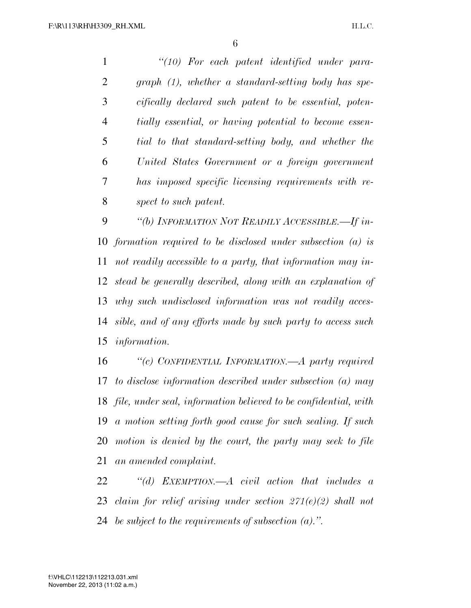*''(10) For each patent identified under para- graph (1), whether a standard-setting body has spe- cifically declared such patent to be essential, poten- tially essential, or having potential to become essen- tial to that standard-setting body, and whether the United States Government or a foreign government has imposed specific licensing requirements with re-spect to such patent.* 

 *''(b) INFORMATION NOT READILY ACCESSIBLE.—If in- formation required to be disclosed under subsection (a) is not readily accessible to a party, that information may in- stead be generally described, along with an explanation of why such undisclosed information was not readily acces- sible, and of any efforts made by such party to access such information.* 

 *''(c) CONFIDENTIAL INFORMATION.—A party required to disclose information described under subsection (a) may file, under seal, information believed to be confidential, with a motion setting forth good cause for such sealing. If such motion is denied by the court, the party may seek to file an amended complaint.* 

 *''(d) EXEMPTION.—A civil action that includes a claim for relief arising under section 271(e)(2) shall not be subject to the requirements of subsection (a).''.*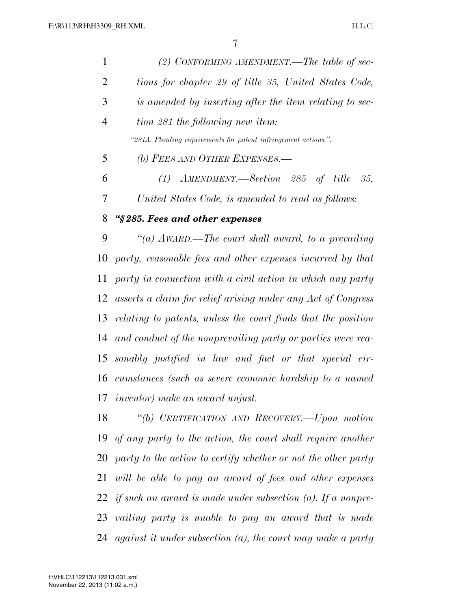$\overline{7}$ 

| $\mathbf{1}$   | (2) CONFORMING AMENDMENT.—The table of sec-                     |
|----------------|-----------------------------------------------------------------|
| $\overline{2}$ | tions for chapter 29 of title 35, United States Code,           |
| 3              | is amended by inserting after the item relating to sec-         |
| $\overline{4}$ | tion 281 the following new item:                                |
|                | "281A. Pleading requirements for patent infringement actions.". |
| 5              | (b) FEES AND OTHER EXPENSES.-                                   |
| 6              | $(1)$ AMENDMENT.—Section 285 of title 35,                       |
| 7              | United States Code, is amended to read as follows:              |
| 8              | "§285. Fees and other expenses                                  |
| 9              | "(a) $A$ WARD.—The court shall award, to a prevailing           |
| 10             | party, reasonable fees and other expenses incurred by that      |
| 11             | party in connection with a civil action in which any party      |
| 12             | asserts a claim for relief arising under any Act of Congress    |
| 13             | relating to patents, unless the court finds that the position   |
| 14             | and conduct of the nonprevailing party or parties were rea-     |
| 15             | sonably justified in law and fact or that special cir-          |
| 16             | cumstances (such as severe economic hardship to a named         |
| 17             | <i>inventor</i> ) make an award unjust.                         |
| 18             | "(b) CERTIFICATION AND RECOVERY.—Upon motion                    |
| 19             | of any party to the action, the court shall require another     |
| 20             | party to the action to certify whether or not the other party   |
| 21             | will be able to pay an award of fees and other expenses         |
| 22             | if such an award is made under subsection $(a)$ . If a nonpre-  |

- *vailing party is unable to pay an award that is made*
- *against it under subsection (a), the court may make a party*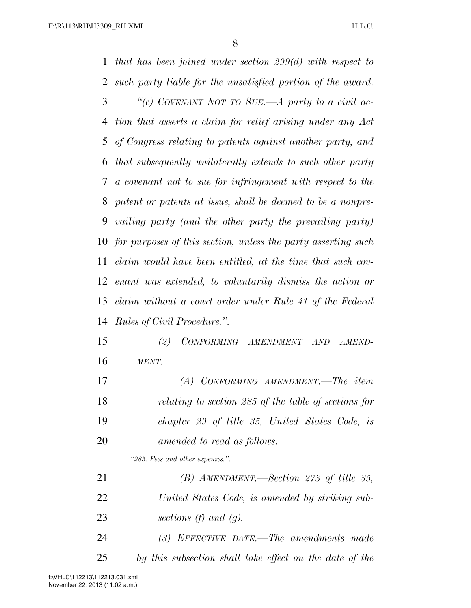*that has been joined under section 299(d) with respect to such party liable for the unsatisfied portion of the award. ''(c) COVENANT NOT TO SUE.—A party to a civil ac- tion that asserts a claim for relief arising under any Act of Congress relating to patents against another party, and that subsequently unilaterally extends to such other party a covenant not to sue for infringement with respect to the patent or patents at issue, shall be deemed to be a nonpre- vailing party (and the other party the prevailing party) for purposes of this section, unless the party asserting such claim would have been entitled, at the time that such cov- enant was extended, to voluntarily dismiss the action or claim without a court order under Rule 41 of the Federal Rules of Civil Procedure.''. (2) CONFORMING AMENDMENT AND AMEND- MENT.— (A) CONFORMING AMENDMENT.—The item relating to section 285 of the table of sections for chapter 29 of title 35, United States Code, is amended to read as follows: ''285. Fees and other expenses.''. (B) AMENDMENT.—Section 273 of title 35, United States Code, is amended by striking sub-sections (f) and (g).* 

 *(3) EFFECTIVE DATE.—The amendments made by this subsection shall take effect on the date of the*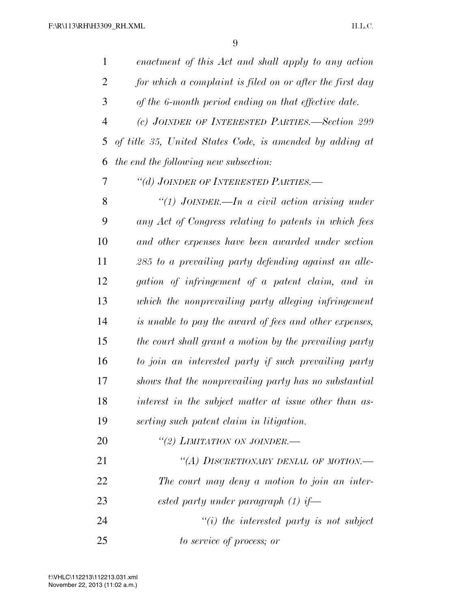| $\mathbf{1}$   | enactment of this Act and shall apply to any action      |
|----------------|----------------------------------------------------------|
| $\overline{2}$ | for which a complaint is filed on or after the first day |
| 3              | of the 6-month period ending on that effective date.     |
| $\overline{4}$ | (c) JOINDER OF INTERESTED PARTIES.-Section 299           |
| 5              | of title 35, United States Code, is amended by adding at |
| 6              | the end the following new subsection:                    |
| 7              | "(d) JOINDER OF INTERESTED PARTIES.-                     |
| 8              | "(1) JOINDER.—In a civil action arising under            |
| 9              | any Act of Congress relating to patents in which fees    |
| 10             | and other expenses have been awarded under section       |
| 11             | 285 to a prevailing party defending against an alle-     |
| 12             | gation of infringement of a patent claim, and in         |
| 13             | which the nonprevailing party alleging infringement      |
| 14             | is unable to pay the award of fees and other expenses,   |
| 15             | the court shall grant a motion by the prevailing party   |
| 16             | to join an interested party if such prevailing party     |
| 17             | shows that the nonprevailing party has no substantial    |
| 18             | interest in the subject matter at issue other than as-   |
| 19             | serting such patent claim in litigation.                 |
| 20             | "(2) LIMITATION ON JOINDER.-                             |
| 21             | "(A) DISCRETIONARY DENIAL OF MOTION.-                    |
| 22             | The court may deny a motion to join an inter-            |
| 23             | ested party under paragraph $(1)$ if—                    |
| 24             | $``(i)$ the interested party is not subject              |
|                |                                                          |

*to service of process; or*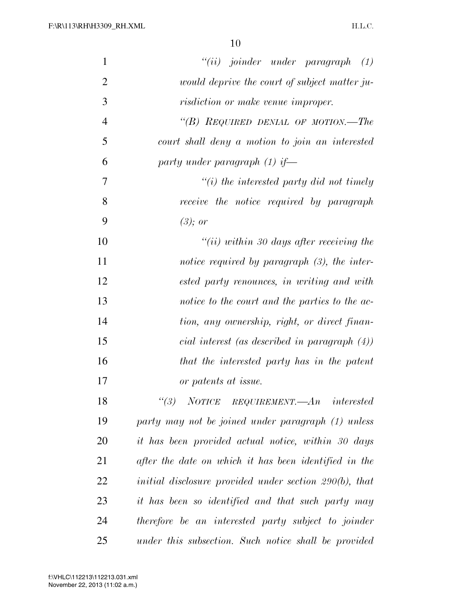| $\mathbf{1}$   | $"(ii)$ joinder under paragraph $(1)$                  |
|----------------|--------------------------------------------------------|
| $\overline{2}$ | would deprive the court of subject matter ju-          |
| 3              | risdiction or make venue improper.                     |
| $\overline{4}$ | "(B) REQUIRED DENIAL OF MOTION.—The                    |
| 5              | court shall deny a motion to join an interested        |
| 6              | party under paragraph $(1)$ if—                        |
| 7              | $"(i)$ the interested party did not timely             |
| 8              | receive the notice required by paragraph               |
| 9              | $(3)$ ; or                                             |
| 10             | $``(ii)$ within 30 days after receiving the            |
| 11             | notice required by paragraph $(3)$ , the inter-        |
| 12             | ested party renounces, in writing and with             |
| 13             | notice to the court and the parties to the ac-         |
| 14             | tion, any ownership, right, or direct finan-           |
| 15             | cial interest (as described in paragraph $(4)$ )       |
| 16             | that the interested party has in the patent            |
| 17             | or patents at issue.                                   |
| 18             | (3)<br>$NOTICE$ $REQUIREMENT. - An$ interested         |
| 19             | party may not be joined under paragraph (1) unless     |
| 20             | it has been provided actual notice, within 30 days     |
| 21             | after the date on which it has been identified in the  |
| 22             | initial disclosure provided under section 290(b), that |
| 23             | it has been so identified and that such party may      |
| 24             | therefore be an interested party subject to joinder    |
| 25             | under this subsection. Such notice shall be provided   |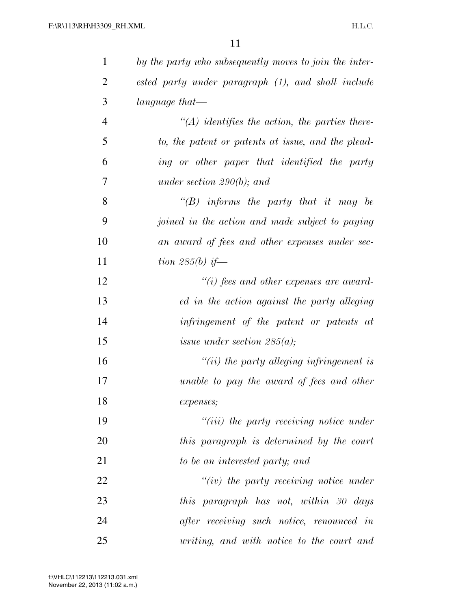| $\mathbf{1}$   | by the party who subsequently moves to join the inter- |
|----------------|--------------------------------------------------------|
| $\overline{2}$ | ested party under paragraph (1), and shall include     |
| 3              | language that-                                         |
| $\overline{4}$ | $\lq (A)$ identifies the action, the parties there-    |
| 5              | to, the patent or patents at issue, and the plead-     |
| 6              | ing or other paper that identified the party           |
| 7              | under section $290(b)$ ; and                           |
| 8              | "(B) informs the party that it may be                  |
| 9              | joined in the action and made subject to paying        |
| 10             | an award of fees and other expenses under sec-         |
| 11             | tion 285(b) if—                                        |
| 12             | $``(i)$ fees and other expenses are award-             |
| 13             | ed in the action against the party alleging            |
| 14             | infringement of the patent or patents at               |
| 15             | issue under section $285(a)$ ;                         |
| 16             | $"(ii)$ the party alleging infringement is             |
| 17             | unable to pay the award of fees and other              |
| 18             | expenses;                                              |
| 19             | $"(iii)$ the party receiving notice under              |
| 20             | this paragraph is determined by the court              |
| 21             | to be an interested party; and                         |
| 22             | $``(iv)$ the party receiving notice under              |
| 23             | this paragraph has not, within 30 days                 |
| 24             | after receiving such notice, renounced in              |
| 25             | writing, and with notice to the court and              |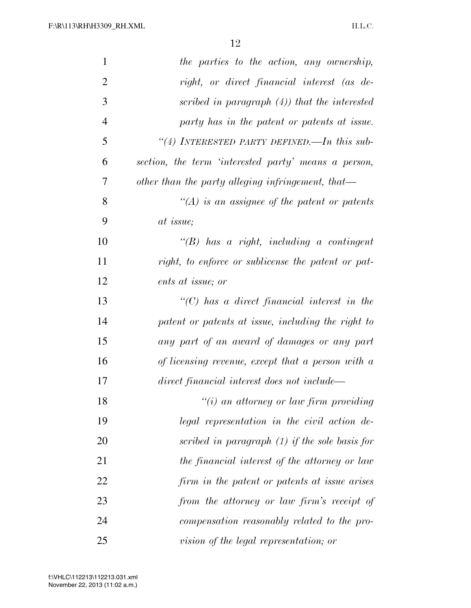| $\mathbf{1}$   | the parties to the action, any ownership,            |
|----------------|------------------------------------------------------|
| $\overline{2}$ | right, or direct financial interest (as de-          |
| 3              | scribed in paragraph $(4)$ ) that the interested     |
| $\overline{4}$ | party has in the patent or patents at issue.         |
| 5              | "(4) INTERESTED PARTY DEFINED.—In this sub-          |
| 6              | section, the term 'interested party' means a person, |
| 7              | other than the party alleging infringement, that—    |
| 8              | $\lq (A)$ is an assignee of the patent or patents    |
| 9              | at issue:                                            |
| 10             | $\lq\lq B$ has a right, including a contingent       |
| 11             | right, to enforce or sublicense the patent or pat-   |
| 12             | ents at issue; or                                    |
| 13             | $\lq\lq C$ ) has a direct financial interest in the  |
| 14             | patent or patents at issue, including the right to   |
| 15             | any part of an award of damages or any part          |
| 16             | of licensing revenue, except that a person with a    |
| 17             | direct financial interest does not include—          |
| 18             | $\lq\lq(i)$ an attorney or law firm providing        |
| 19             | legal representation in the civil action de-         |
| 20             | scribed in paragraph $(1)$ if the sole basis for     |
| 21             | the financial interest of the attorney or law        |
| 22             | firm in the patent or patents at issue arises        |
| 23             | from the attorney or law firm's receipt of           |
| 24             | compensation reasonably related to the pro-          |
| 25             | vision of the legal representation; or               |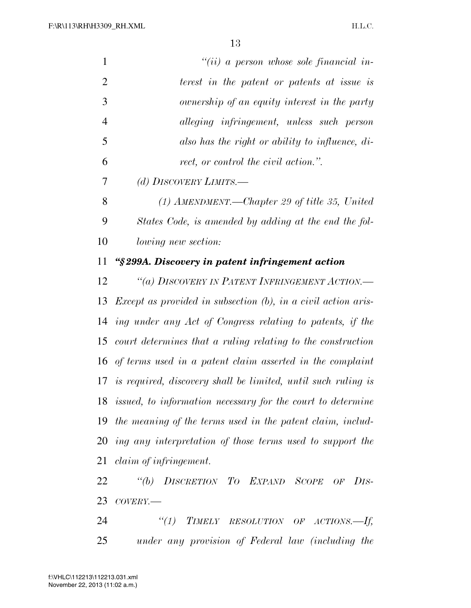| $\mathbf{1}$   | $``(ii)$ a person whose sole financial in-                                        |
|----------------|-----------------------------------------------------------------------------------|
| $\overline{2}$ | terest in the patent or patents at issue is                                       |
| 3              | ownership of an equity interest in the party                                      |
| $\overline{4}$ | alleging infringement, unless such person                                         |
| 5              | also has the right or ability to influence, di-                                   |
| 6              | rect, or control the civil action.".                                              |
| 7              | (d) DISCOVERY LIMITS.-                                                            |
| 8              | $(1)$ AMENDMENT.—Chapter 29 of title 35, United                                   |
| 9              | States Code, is amended by adding at the end the fol-                             |
| 10             | <i>lowing new section:</i>                                                        |
|                |                                                                                   |
| 11             | "§299A. Discovery in patent infringement action                                   |
| 12             | "(a) DISCOVERY IN PATENT INFRINGEMENT ACTION.—                                    |
| 13             | <i>Except as provided in subsection <math>(b)</math>, in a civil action aris-</i> |
| 14             | ing under any Act of Congress relating to patents, if the                         |
|                | 15 court determines that a ruling relating to the construction                    |
|                | 16 of terms used in a patent claim asserted in the complaint                      |
|                | 17 is required, discovery shall be limited, until such ruling is                  |
| 18             | issued, to information necessary for the court to determine                       |
| 19             | the meaning of the terms used in the patent claim, includ-                        |

*claim of infringement.* 

 *''(b) DISCRETION TO EXPAND SCOPE OF DIS-COVERY.—* 

 *''(1) TIMELY RESOLUTION OF ACTIONS.—If, under any provision of Federal law (including the*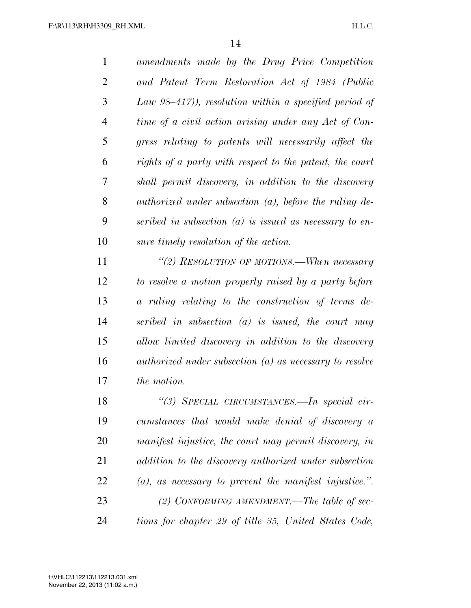| $\mathbf{1}$   | amendments made by the Drug Price Competition             |
|----------------|-----------------------------------------------------------|
| 2              | and Patent Term Restoration Act of 1984 (Public           |
| 3              | Law 98–417), resolution within a specified period of      |
| $\overline{4}$ | time of a civil action arising under any Act of Con-      |
| 5              | gress relating to patents will necessarily affect the     |
| 6              | rights of a party with respect to the patent, the court   |
| 7              | shall permit discovery, in addition to the discovery      |
| 8              | authorized under subsection $(a)$ , before the ruling de- |
| 9              | scribed in subsection $(a)$ is issued as necessary to en- |
| 10             | sure timely resolution of the action.                     |
|                |                                                           |

 *''(2) RESOLUTION OF MOTIONS.—When necessary to resolve a motion properly raised by a party before a ruling relating to the construction of terms de- scribed in subsection (a) is issued, the court may allow limited discovery in addition to the discovery authorized under subsection (a) as necessary to resolve the motion.* 

 *''(3) SPECIAL CIRCUMSTANCES.—In special cir- cumstances that would make denial of discovery a manifest injustice, the court may permit discovery, in addition to the discovery authorized under subsection (a), as necessary to prevent the manifest injustice.''. (2) CONFORMING AMENDMENT.—The table of sec-tions for chapter 29 of title 35, United States Code,*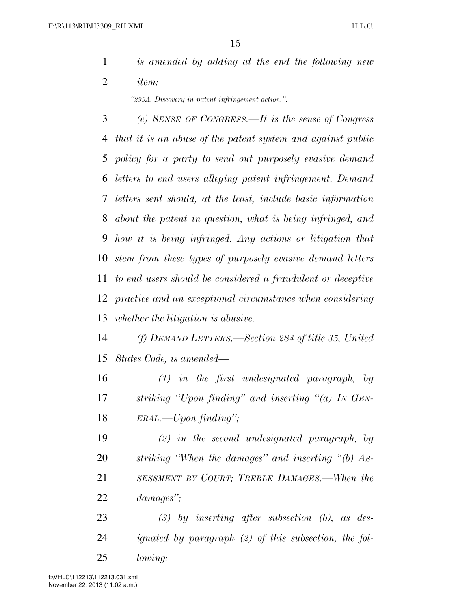*is amended by adding at the end the following new item:* 

*''299A. Discovery in patent infringement action.''.* 

 *(e) SENSE OF CONGRESS.—It is the sense of Congress that it is an abuse of the patent system and against public policy for a party to send out purposely evasive demand letters to end users alleging patent infringement. Demand letters sent should, at the least, include basic information about the patent in question, what is being infringed, and how it is being infringed. Any actions or litigation that stem from these types of purposely evasive demand letters to end users should be considered a fraudulent or deceptive practice and an exceptional circumstance when considering whether the litigation is abusive.* 

- *(f) DEMAND LETTERS.—Section 284 of title 35, United States Code, is amended—*
- *(1) in the first undesignated paragraph, by striking ''Upon finding'' and inserting ''(a) IN GEN-ERAL.—Upon finding'';*
- *(2) in the second undesignated paragraph, by striking ''When the damages'' and inserting ''(b) AS- SESSMENT BY COURT; TREBLE DAMAGES.—When the damages'';*
- *(3) by inserting after subsection (b), as des- ignated by paragraph (2) of this subsection, the fol-lowing:*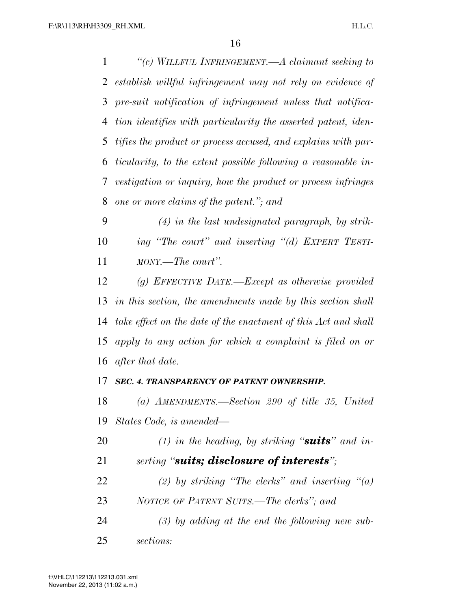*''(c) WILLFUL INFRINGEMENT.—A claimant seeking to establish willful infringement may not rely on evidence of pre-suit notification of infringement unless that notifica- tion identifies with particularity the asserted patent, iden- tifies the product or process accused, and explains with par- ticularity, to the extent possible following a reasonable in- vestigation or inquiry, how the product or process infringes one or more claims of the patent.''; and* 

 *(4) in the last undesignated paragraph, by strik- ing ''The court'' and inserting ''(d) EXPERT TESTI-MONY.—The court''.* 

 *(g) EFFECTIVE DATE.—Except as otherwise provided in this section, the amendments made by this section shall take effect on the date of the enactment of this Act and shall apply to any action for which a complaint is filed on or after that date.* 

## *SEC. 4. TRANSPARENCY OF PATENT OWNERSHIP.*

 *(a) AMENDMENTS.—Section 290 of title 35, United States Code, is amended—* 

*(1) in the heading, by striking ''suits'' and in-*

- *serting ''suits; disclosure of interests'';*
- *(2) by striking ''The clerks'' and inserting ''(a)*
- *NOTICE OF PATENT SUITS.—The clerks''; and*
- *(3) by adding at the end the following new sub-*
- *sections:*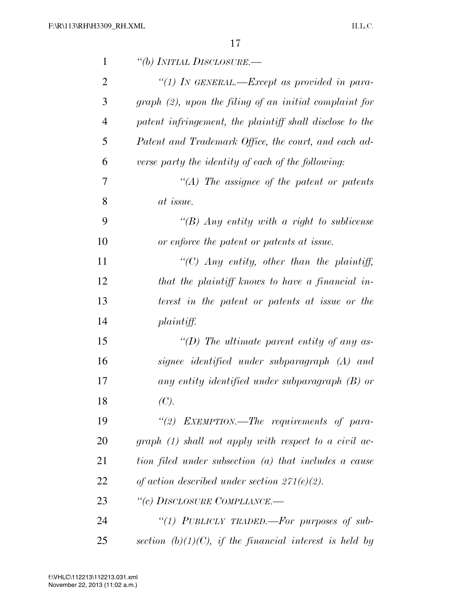| $\mathbf{1}$   | "(b) INITIAL DISCLOSURE.—                                  |
|----------------|------------------------------------------------------------|
| $\overline{2}$ | "(1) In GENERAL.—Except as provided in para-               |
| 3              | $graph (2)$ , upon the filing of an initial complaint for  |
| 4              | patent infringement, the plaintiff shall disclose to the   |
| 5              | Patent and Trademark Office, the court, and each ad-       |
| 6              | verse party the identity of each of the following:         |
| 7              | "(A) The assignee of the patent or patents                 |
| 8              | at issue.                                                  |
| 9              | "(B) Any entity with a right to sublicense                 |
| 10             | or enforce the patent or patents at issue.                 |
| 11             | "(C) Any entity, other than the plaintiff,                 |
| 12             | that the plaintiff knows to have a financial in-           |
| 13             | terest in the patent or patents at issue or the            |
| 14             | plaintiff.                                                 |
| 15             | $\lq (D)$ The ultimate parent entity of any as-            |
| 16             | signee identified under subparagraph (A) and               |
| 17             | any entity identified under subparagraph $(B)$ or          |
| 18             | (C).                                                       |
| 19             | "(2) EXEMPTION.—The requirements of para-                  |
| 20             | $graph (1) shall not apply with respect to a civil ac-$    |
| 21             | tion filed under subsection (a) that includes a cause      |
| 22             | of action described under section $271(e)(2)$ .            |
| 23             | "(c) DISCLOSURE COMPLIANCE.-                               |
| 24             | "(1) PUBLICLY TRADED.—For purposes of sub-                 |
| 25             | section $(b)(1)(C)$ , if the financial interest is held by |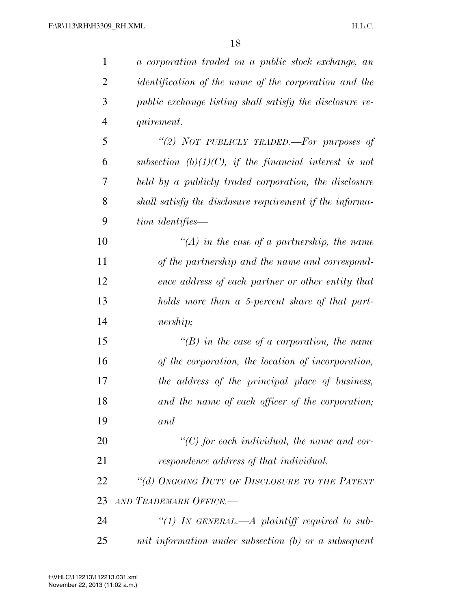| $\mathbf{1}$   | a corporation traded on a public stock exchange, an          |
|----------------|--------------------------------------------------------------|
| 2              | <i>identification of the name of the corporation and the</i> |
| 3              | public exchange listing shall satisfy the disclosure re-     |
| $\overline{4}$ | <i>quirement.</i>                                            |
| 5              | "(2) NOT PUBLICLY TRADED.—For purposes of                    |
| 6              | subsection $(b)(1)(C)$ , if the financial interest is not    |
| 7              | held by a publicly traded corporation, the disclosure        |
| 8              | shall satisfy the disclosure requirement if the informa-     |
| 9              | tion identifies—                                             |
| 10             | $\lq (A)$ in the case of a partnership, the name             |
| 11             | of the partnership and the name and correspond-              |
| 12             | ence address of each partner or other entity that            |
| 13             | holds more than a 5-percent share of that part-              |
| 14             | <i>nership</i> ;                                             |
| 15             | $\lq (B)$ in the case of a corporation, the name             |
| 16             | of the corporation, the location of incorporation,           |
| 17             | the address of the principal place of business,              |
| 18             | and the name of each officer of the corporation;             |
| 19             | and                                                          |
| 20             | $\lq\lq C$ for each individual, the name and cor-            |
| 21             | respondence address of that individual.                      |
| 22             | "(d) ONGOING DUTY OF DISCLOSURE TO THE PATENT                |
| 23             | AND TRADEMARK OFFICE.-                                       |
| 24             | "(1) IN GENERAL.—A plaintiff required to sub-                |
| 25             | mit information under subsection $(b)$ or a subsequent       |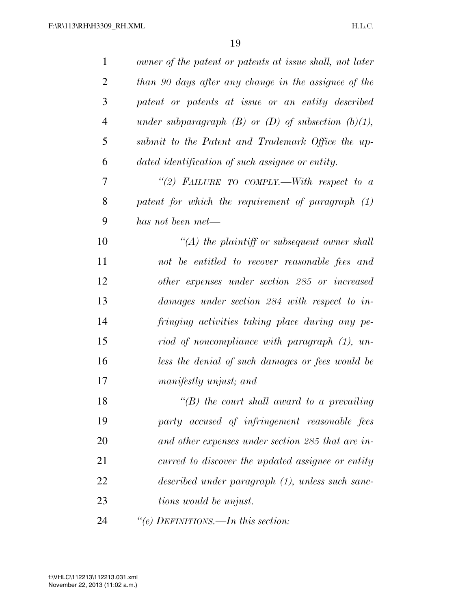| $\mathbf{1}$   | owner of the patent or patents at issue shall, not later   |
|----------------|------------------------------------------------------------|
| 2              | than 90 days after any change in the assignee of the       |
| 3              | patent or patents at issue or an entity described          |
| $\overline{4}$ | under subparagraph $(B)$ or $(D)$ of subsection $(b)(1)$ , |
| 5              | submit to the Patent and Trademark Office the up-          |
| 6              | dated identification of such assignee or entity.           |
| 7              | "(2) FAILURE TO COMPLY.—With respect to $a$                |
| 8              | patent for which the requirement of paragraph $(1)$        |
| 9              | has not been met—                                          |
| 10             | $\lq (A)$ the plaintiff or subsequent owner shall          |
| 11             | not be entitled to recover reasonable fees and             |
| 12             | other expenses under section 285 or increased              |
| 13             | damages under section 284 with respect to in-              |
| 14             | fringing activities taking place during any pe-            |
| 15             | riod of noncompliance with paragraph (1), un-              |
| 16             | less the denial of such damages or fees would be           |
| 17             | manifestly unjust; and                                     |
| 18             | "(B) the court shall award to a prevailing                 |
| 19             | party accused of infringement reasonable fees              |
| 20             | and other expenses under section 285 that are in-          |
| 21             | curred to discover the updated assignee or entity          |
| 22             | described under paragraph (1), unless such sanc-           |
| 23             | <i>tions would be unjust.</i>                              |
| 24             | "(e) DEFINITIONS.—In this section:                         |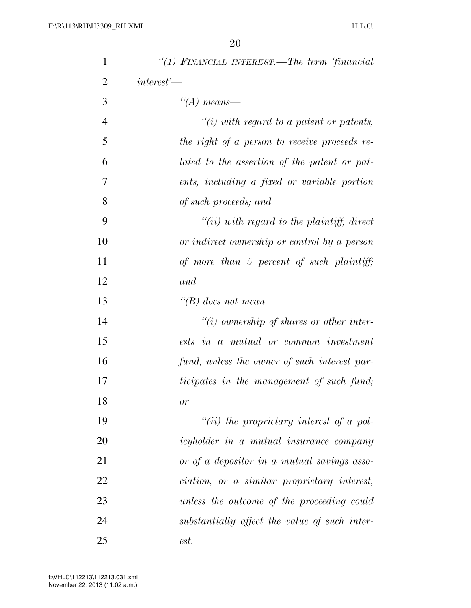| $\mathbf{1}$   | "(1) FINANCIAL INTEREST.—The term 'financial    |
|----------------|-------------------------------------------------|
| $\overline{2}$ | interest'                                       |
| 3              | $\lq\lq (A)$ means—                             |
| $\overline{4}$ | $\lq\lq(i)$ with regard to a patent or patents, |
| 5              | the right of a person to receive proceeds re-   |
| 6              | lated to the assertion of the patent or pat-    |
| 7              | ents, including a fixed or variable portion     |
| 8              | of such proceeds; and                           |
| 9              | $``(ii)$ with regard to the plaintiff, direct   |
| 10             | or indirect ownership or control by a person    |
| 11             | of more than 5 percent of such plaintiff;       |
| 12             | and                                             |
| 13             | "(B) does not mean—                             |
| 14             | $\lq\lq(i)$ ownership of shares or other inter- |
| 15             | ests in a mutual or common investment           |
| 16             | fund, unless the owner of such interest par-    |
| 17             | ticipates in the management of such fund;       |
| 18             | or                                              |
| 19             | "(ii) the proprietary interest of a pol-        |
| 20             | <i>icyholder</i> in a mutual insurance company  |
| 21             | or of a depositor in a mutual savings asso-     |
| 22             | ciation, or a similar proprietary interest,     |
| 23             | unless the outcome of the proceeding could      |
| 24             | substantially affect the value of such inter-   |
| 25             | est.                                            |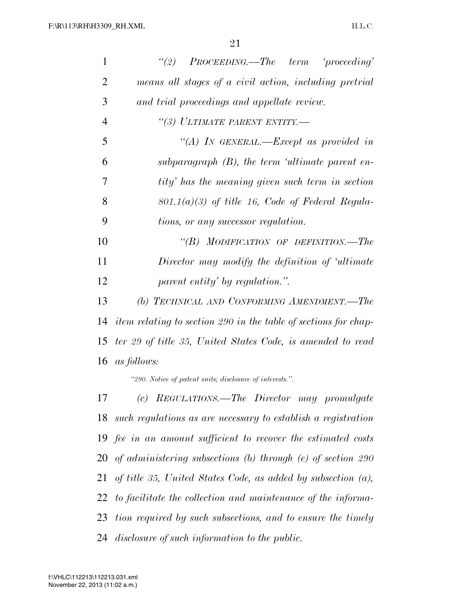| $\mathbf{1}$   | "(2) $PROCEEDING.$ The term 'proceeding'                        |
|----------------|-----------------------------------------------------------------|
| $\overline{2}$ | means all stages of a civil action, including pretrial          |
| 3              | and trial proceedings and appellate review.                     |
| $\overline{4}$ | "(3) ULTIMATE PARENT ENTITY.-                                   |
| 5              | "(A) IN GENERAL.—Except as provided in                          |
| 6              | subparagraph $(B)$ , the term 'ultimate parent en-              |
| 7              | tity' has the meaning given such term in section                |
| 8              | $801.1(a)(3)$ of title 16, Code of Federal Regula-              |
| 9              | tions, or any successor regulation.                             |
| 10             | "(B) MODIFICATION OF DEFINITION.-The                            |
| 11             | Director may modify the definition of 'ultimate                 |
| 12             | parent entity' by regulation.".                                 |
| 13             | (b) TECHNICAL AND CONFORMING AMENDMENT.—The                     |
| 14             | item relating to section 290 in the table of sections for chap- |
| 15             | ter 29 of title 35, United States Code, is amended to read      |
| 16             | as follows:                                                     |
|                | "290. Notice of patent suits; disclosure of interests.".        |
| 17             | (c) REGULATIONS.—The Director may promulgate                    |
| 18             | such regulations as are necessary to establish a registration   |
|                | 19 fee in an amount sufficient to recover the estimated costs   |

*of administering subsections (b) through (e) of section 290* 

*of title 35, United States Code, as added by subsection (a),* 

*to facilitate the collection and maintenance of the informa-*

*tion required by such subsections, and to ensure the timely* 

*disclosure of such information to the public.*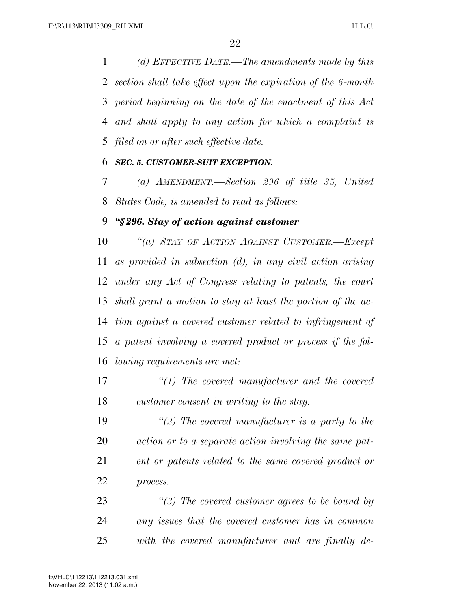*(d) EFFECTIVE DATE.—The amendments made by this section shall take effect upon the expiration of the 6-month period beginning on the date of the enactment of this Act and shall apply to any action for which a complaint is filed on or after such effective date.* 

## *SEC. 5. CUSTOMER-SUIT EXCEPTION.*

 *(a) AMENDMENT.—Section 296 of title 35, United States Code, is amended to read as follows:* 

## *''§ 296. Stay of action against customer*

 *''(a) STAY OF ACTION AGAINST CUSTOMER.—Except as provided in subsection (d), in any civil action arising under any Act of Congress relating to patents, the court shall grant a motion to stay at least the portion of the ac- tion against a covered customer related to infringement of a patent involving a covered product or process if the fol-lowing requirements are met:* 

 *''(1) The covered manufacturer and the covered customer consent in writing to the stay.* 

 *''(2) The covered manufacturer is a party to the action or to a separate action involving the same pat- ent or patents related to the same covered product or process.* 

 *''(3) The covered customer agrees to be bound by any issues that the covered customer has in common with the covered manufacturer and are finally de-*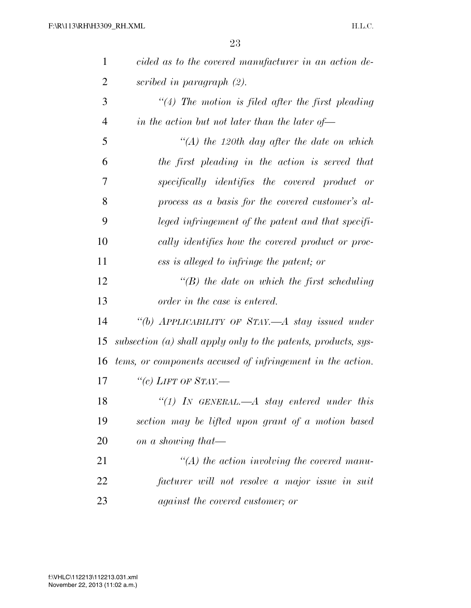| $\mathbf{1}$   | cided as to the covered manufacturer in an action de-            |
|----------------|------------------------------------------------------------------|
| 2              | scribed in paragraph (2).                                        |
| 3              | $\lq(4)$ The motion is filed after the first pleading            |
| $\overline{4}$ | in the action but not later than the later of $-$                |
| 5              | $\lq (A)$ the 120th day after the date on which                  |
| 6              | the first pleading in the action is served that                  |
| 7              | specifically identifies the covered product or                   |
| 8              | process as a basis for the covered customer's al-                |
| 9              | leged infringement of the patent and that specifi-               |
| 10             | cally identifies how the covered product or proc-                |
| 11             | ess is alleged to infringe the patent; or                        |
| 12             | $\lq$ (B) the date on which the first scheduling                 |
| 13             | order in the case is entered.                                    |
| 14             | "(b) APPLICABILITY OF STAY.—A stay issued under                  |
| 15             | subsection $(a)$ shall apply only to the patents, products, sys- |
| 16             | tems, or components accused of infringement in the action.       |
| 17             | "(c) LIFT OF STAY.—                                              |
| 18             | "(1) IN GENERAL.—A stay entered under this                       |
| 19             | section may be lifted upon grant of a motion based               |
| 20             | on a showing that-                                               |
| 21             | $\lq (A)$ the action involving the covered manu-                 |
| 22             | facturer will not resolve a major issue in suit                  |
| 23             | <i>against the covered customer; or</i>                          |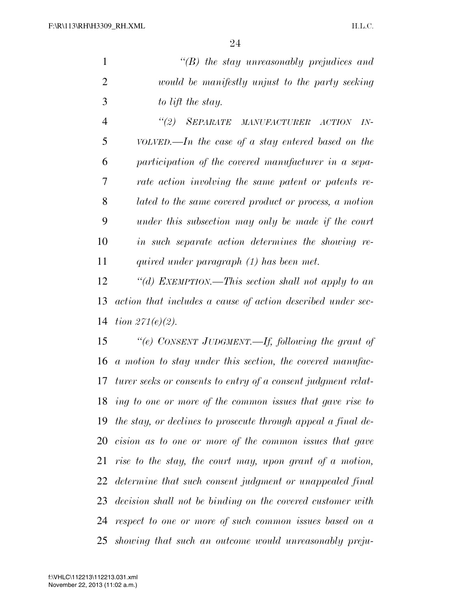|               | $\lq\lq B$ the stay unreasonably prejudices and |
|---------------|-------------------------------------------------|
|               | would be manifestly unjust to the party seeking |
| $\mathcal{R}$ | to lift the stay.                               |

 *''(2) SEPARATE MANUFACTURER ACTION IN- VOLVED.—In the case of a stay entered based on the participation of the covered manufacturer in a sepa- rate action involving the same patent or patents re- lated to the same covered product or process, a motion under this subsection may only be made if the court in such separate action determines the showing re-quired under paragraph (1) has been met.* 

 *''(d) EXEMPTION.—This section shall not apply to an action that includes a cause of action described under sec-tion 271(e)(2).* 

 *''(e) CONSENT JUDGMENT.—If, following the grant of a motion to stay under this section, the covered manufac- turer seeks or consents to entry of a consent judgment relat- ing to one or more of the common issues that gave rise to the stay, or declines to prosecute through appeal a final de- cision as to one or more of the common issues that gave rise to the stay, the court may, upon grant of a motion, determine that such consent judgment or unappealed final decision shall not be binding on the covered customer with respect to one or more of such common issues based on a showing that such an outcome would unreasonably preju-*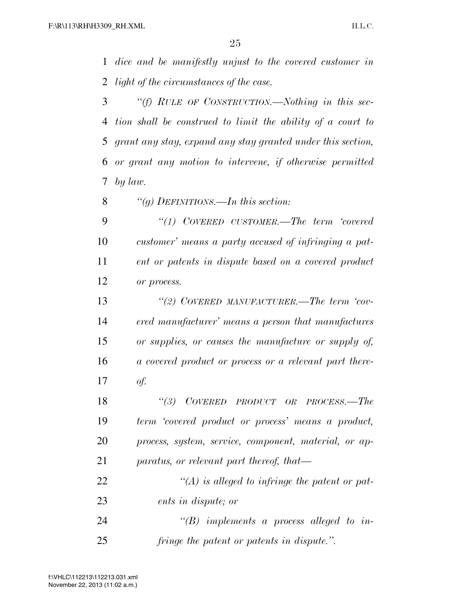*dice and be manifestly unjust to the covered customer in light of the circumstances of the case.* 

 *''(f) RULE OF CONSTRUCTION.—Nothing in this sec- tion shall be construed to limit the ability of a court to grant any stay, expand any stay granted under this section, or grant any motion to intervene, if otherwise permitted by law.* 

*''(g) DEFINITIONS.—In this section:* 

 *''(1) COVERED CUSTOMER.—The term 'covered customer' means a party accused of infringing a pat- ent or patents in dispute based on a covered product or process.* 

 *''(2) COVERED MANUFACTURER.—The term 'cov- ered manufacturer' means a person that manufactures or supplies, or causes the manufacture or supply of, a covered product or process or a relevant part there-of.* 

 *''(3) COVERED PRODUCT OR PROCESS.—The term 'covered product or process' means a product, process, system, service, component, material, or ap-paratus, or relevant part thereof, that—* 

 *''(A) is alleged to infringe the patent or pat-ents in dispute; or* 

 *''(B) implements a process alleged to in-fringe the patent or patents in dispute.''.* 

November 22, 2013 (11:02 a.m.) f:\VHLC\112213\112213.031.xml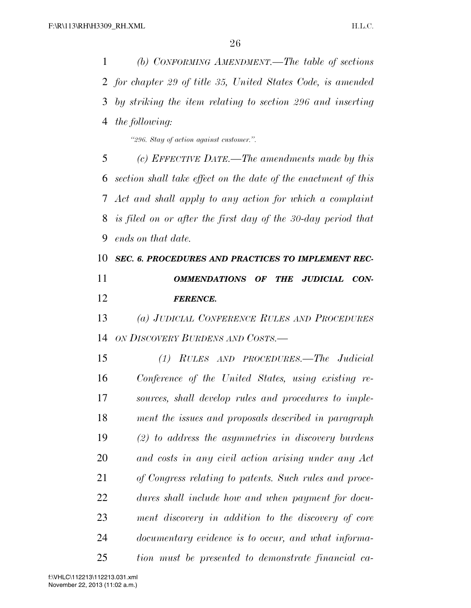*(b) CONFORMING AMENDMENT.—The table of sections for chapter 29 of title 35, United States Code, is amended by striking the item relating to section 296 and inserting the following:* 

*''296. Stay of action against customer.''.* 

 *(c) EFFECTIVE DATE.—The amendments made by this section shall take effect on the date of the enactment of this Act and shall apply to any action for which a complaint is filed on or after the first day of the 30-day period that ends on that date.* 

 *SEC. 6. PROCEDURES AND PRACTICES TO IMPLEMENT REC- OMMENDATIONS OF THE JUDICIAL CON-FERENCE.* 

 *(a) JUDICIAL CONFERENCE RULES AND PROCEDURES ON DISCOVERY BURDENS AND COSTS.—* 

 *(1) RULES AND PROCEDURES.—The Judicial Conference of the United States, using existing re- sources, shall develop rules and procedures to imple- ment the issues and proposals described in paragraph (2) to address the asymmetries in discovery burdens and costs in any civil action arising under any Act of Congress relating to patents. Such rules and proce- dures shall include how and when payment for docu- ment discovery in addition to the discovery of core documentary evidence is to occur, and what informa-tion must be presented to demonstrate financial ca-*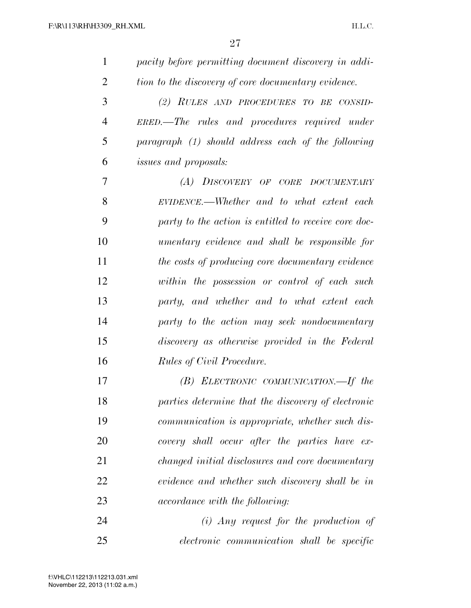| 1              | pacity before permitting document discovery in addi- |
|----------------|------------------------------------------------------|
| $\overline{2}$ | tion to the discovery of core documentary evidence.  |
| 3              | (2) RULES AND PROCEDURES TO BE CONSID-               |
| $\overline{4}$ | ERED.—The rules and procedures required under        |
| 5              | paragraph (1) should address each of the following   |
| 6              | <i>issues and proposals:</i>                         |
| 7              | (A) DISCOVERY OF CORE DOCUMENTARY                    |
| 8              | EVIDENCE.—Whether and to what extent each            |
| 9              | party to the action is entitled to receive core doc- |
| 10             | umentary evidence and shall be responsible for       |
| 11             | the costs of producing core documentary evidence     |
| 12             | within the possession or control of each such        |
| 13             | party, and whether and to what extent each           |
| 14             | party to the action may seek nondocumentary          |
| 15             | discovery as otherwise provided in the Federal       |
| 16             | <i>Rules of Civil Procedure.</i>                     |
| 17             | $(B)$ ELECTRONIC COMMUNICATION.—If the               |
| 18             | parties determine that the discovery of electronic   |
| 19             | communication is appropriate, whether such dis-      |
| 20             | covery shall occur after the parties have ex-        |
| 21             | changed initial disclosures and core documentary     |
| 22             | evidence and whether such discovery shall be in      |
| 23             | <i>accordance with the following:</i>                |
| 24             | $(i)$ Any request for the production of              |
| 25             | electronic communication shall be specific           |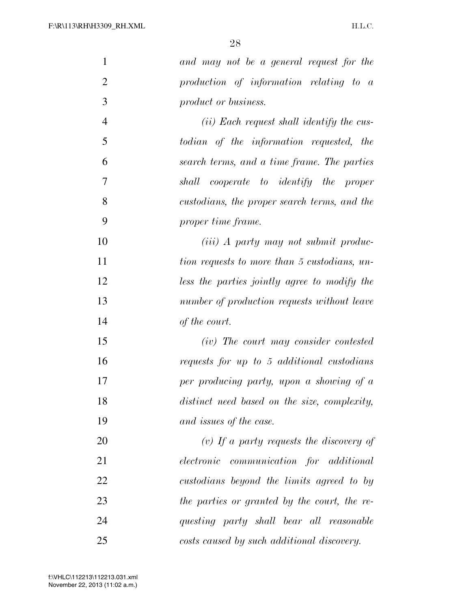| $\mathbf{1}$   | and may not be a general request for the     |
|----------------|----------------------------------------------|
| $\overline{2}$ | production of information relating to $a$    |
| 3              | product or business.                         |
| $\overline{4}$ | $(ii)$ Each request shall identify the cus-  |
| 5              | todian of the information requested, the     |
| 6              | search terms, and a time frame. The parties  |
| 7              | cooperate to identify the proper<br>shall    |
| 8              | custodians, the proper search terms, and the |
| 9              | proper time frame.                           |
| 10             | $(iii)$ A party may not submit produc-       |
| 11             | tion requests to more than 5 custodians, un- |
| 12             | less the parties jointly agree to modify the |
| 13             | number of production requests without leave  |
| 14             | of the court.                                |
| 15             | (iv) The court may consider contested        |
| 16             | requests for up to 5 additional custodians   |
| 17             | per producing party, upon a showing of a     |
| 18             | distinct need based on the size, complexity, |
| 19             | and issues of the case.                      |
| 20             | (v) If a party requests the discovery of     |
| 21             | electronic communication for additional      |
| 22             | custodians beyond the limits agreed to by    |
| 23             | the parties or granted by the court, the re- |
| 24             | questing party shall bear all reasonable     |
| 25             | costs caused by such additional discovery.   |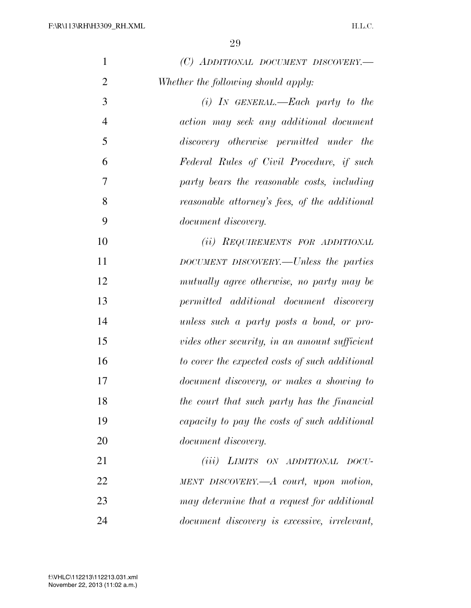| $\mathbf{1}$   | (C) ADDITIONAL DOCUMENT DISCOVERY.-            |
|----------------|------------------------------------------------|
| $\overline{2}$ | Whether the following should apply:            |
| 3              | $(i)$ In GENERAL.—Each party to the            |
| $\overline{4}$ | action may seek any additional document        |
| 5              | discovery otherwise permitted under the        |
| 6              | Federal Rules of Civil Procedure, if such      |
| 7              | party bears the reasonable costs, including    |
| 8              | reasonable attorney's fees, of the additional  |
| 9              | document discovery.                            |
| 10             | (ii) REQUIREMENTS FOR ADDITIONAL               |
| 11             | DOCUMENT DISCOVERY.—Unless the parties         |
| 12             | mutually agree otherwise, no party may be      |
| 13             | permitted additional document discovery        |
| 14             | unless such a party posts a bond, or pro-      |
| 15             | vides other security, in an amount sufficient  |
| 16             | to cover the expected costs of such additional |
| 17             | document discovery, or makes a showing to      |
| 18             | the court that such party has the financial    |
| 19             | capacity to pay the costs of such additional   |
| 20             | <i>document discovery.</i>                     |
| 21             | (iii) LIMITS ON ADDITIONAL DOCU-               |
| 22             | MENT DISCOVERY.—A court, upon motion,          |
| 23             | may determine that a request for additional    |
| 24             | document discovery is excessive, irrelevant,   |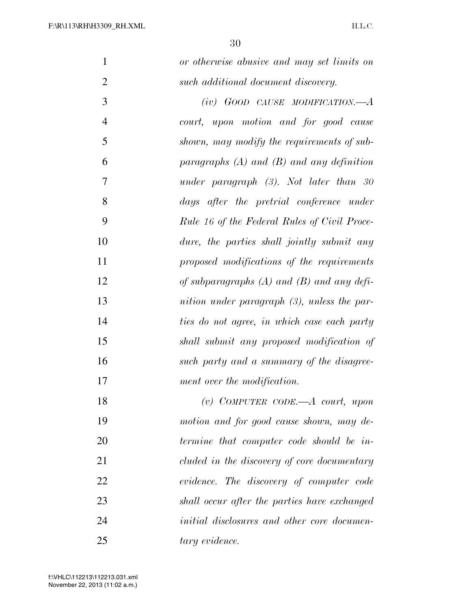| $\mathbf{1}$   | or otherwise abusive and may set limits on         |
|----------------|----------------------------------------------------|
| $\overline{2}$ | such additional document discovery.                |
| 3              | $(iv)$ GOOD CAUSE MODIFICATION.— $A$               |
| $\overline{4}$ | court, upon motion and for good cause              |
| 5              | shown, may modify the requirements of sub-         |
| 6              | paragraphs $(A)$ and $(B)$ and any definition      |
| 7              | under paragraph $(3)$ . Not later than 30          |
| 8              | days after the pretrial conference under           |
| 9              | Rule 16 of the Federal Rules of Civil Proce-       |
| 10             | dure, the parties shall jointly submit any         |
| 11             | proposed modifications of the requirements         |
| 12             | of subparagraphs $(A)$ and $(B)$ and any defi-     |
| 13             | nition under paragraph $(3)$ , unless the par-     |
| 14             | ties do not agree, in which case each party        |
| 15             | shall submit any proposed modification of          |
| 16             | such party and a summary of the disagree-          |
| 17             | ment over the modification.                        |
| 18             | (v) COMPUTER CODE.—A court, upon                   |
| 19             | motion and for good cause shown, may de-           |
| 20             | termine that computer code should be in-           |
| 21             | cluded in the discovery of core documentary        |
| 22             | evidence. The discovery of computer code           |
| 23             | shall occur after the parties have exchanged       |
| 24             | <i>initial disclosures and other core documen-</i> |
| 25             | tary evidence.                                     |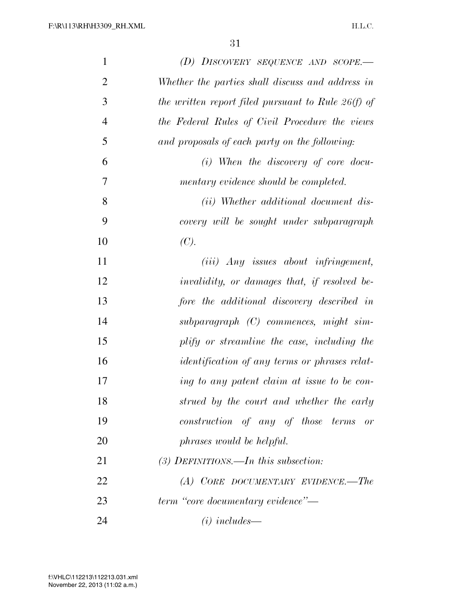| $\mathbf{1}$   | (D) DISCOVERY SEQUENCE AND SCOPE.—                   |
|----------------|------------------------------------------------------|
| $\overline{2}$ | Whether the parties shall discuss and address in     |
| 3              | the written report filed pursuant to Rule 26(f) of   |
| $\overline{4}$ | the Federal Rules of Civil Procedure the views       |
| 5              | and proposals of each party on the following:        |
| 6              | $(i)$ When the discovery of core docu-               |
| 7              | mentary evidence should be completed.                |
| 8              | ( <i>ii</i> ) Whether additional document dis-       |
| 9              | covery will be sought under subparagraph             |
| 10             | (C).                                                 |
| 11             | $(iii)$ Any issues about infringement,               |
| 12             | <i>invalidity, or damages that, if resolved be-</i>  |
| 13             | fore the additional discovery described in           |
| 14             | $subparagnph$ (C) commences, might sim-              |
| 15             | plify or streamline the case, including the          |
| 16             | <i>identification of any terms or phrases relat-</i> |
| 17             | ing to any patent claim at issue to be con-          |
| 18             | strued by the court and whether the early            |
| 19             | construction of any of those terms<br>or             |
| 20             | phrases would be helpful.                            |
| 21             | $(3)$ DEFINITIONS.—In this subsection:               |
| 22             | (A) CORE DOCUMENTARY EVIDENCE.-The                   |
| 23             | term "core documentary evidence"—                    |
| 24             | $(i)$ includes—                                      |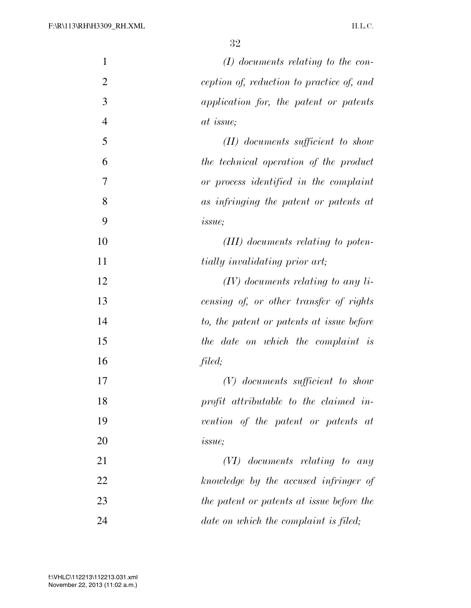| $\mathbf{1}$   | $(I)$ documents relating to the con-      |
|----------------|-------------------------------------------|
| $\overline{2}$ | ception of, reduction to practice of, and |
| 3              | application for, the patent or patents    |
| $\overline{4}$ | at issue;                                 |
| 5              | $(II)$ documents sufficient to show       |
| 6              | the technical operation of the product    |
| 7              | or process identified in the complaint    |
| 8              | as infringing the patent or patents at    |
| 9              | <i>issue</i> ;                            |
| 10             | (III) documents relating to poten-        |
| 11             | tially invalidating prior art;            |
| 12             | $(IV)$ documents relating to any li-      |
| 13             | censing of, or other transfer of rights   |
| 14             | to, the patent or patents at issue before |
| 15             | the date on which the complaint is        |
| 16             | filed;                                    |
| 17             | $(V)$ documents sufficient to show        |
| 18             | profit attributable to the claimed in-    |
| 19             | vention of the patent or patents at       |
| 20             | <i>issue</i> ;                            |
| 21             | $(VI)$ documents relating to any          |
| 22             | knowledge by the accused infringer of     |
| 23             | the patent or patents at issue before the |
| 24             | date on which the complaint is filed;     |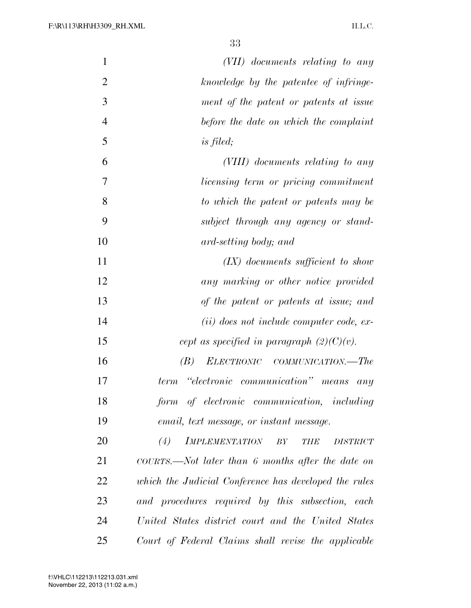| 1              | (VII) documents relating to any                                                  |
|----------------|----------------------------------------------------------------------------------|
| $\overline{2}$ | knowledge by the patentee of infringe-                                           |
| 3              | ment of the patent or patents at issue                                           |
| $\overline{4}$ | before the date on which the complaint                                           |
| 5              | <i>is filed</i> ;                                                                |
| 6              | (VIII) documents relating to any                                                 |
| 7              | <i>licensing term or pricing commitment</i>                                      |
| 8              | to which the patent or patents may be                                            |
| 9              | subject through any agency or stand-                                             |
| 10             | ard-setting body; and                                                            |
| 11             | $(IX)$ documents sufficient to show                                              |
| 12             | any marking or other notice provided                                             |
| 13             | of the patent or patents at issue; and                                           |
| 14             | $(ii)$ does not include computer code, ex-                                       |
| 15             | cept as specified in paragraph $(2)(C)(v)$ .                                     |
| 16             | ELECTRONIC COMMUNICATION.—The<br>(B)                                             |
| 17             | "electronic communication" means<br><i>term</i><br>any                           |
| 18             | form of electronic communication, including                                      |
| 19             | <i>email, text message, or instant message.</i>                                  |
| 20             | <i>IMPLEMENTATION</i><br>(4)<br>BY<br>THE<br><b>DISTRICT</b>                     |
| 21             | $\textit{COURTS}. \text{---} \textit{Not later}$ than 6 months after the date on |
| 22             | which the Judicial Conference has developed the rules                            |
| 23             | and procedures required by this subsection, each                                 |
| 24             | United States district court and the United States                               |
| 25             | Court of Federal Claims shall revise the applicable                              |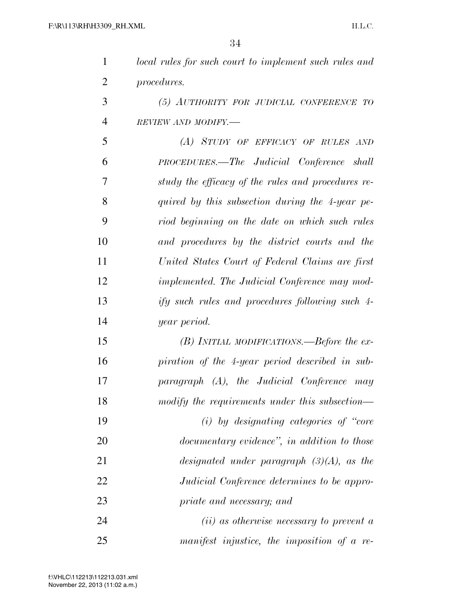| 1              | local rules for such court to implement such rules and |
|----------------|--------------------------------------------------------|
| $\overline{2}$ | procedures.                                            |
| 3              | (5) AUTHORITY FOR JUDICIAL CONFERENCE TO               |
| $\overline{4}$ | REVIEW AND MODIFY.-                                    |
| 5              | (A) STUDY OF EFFICACY OF RULES AND                     |
| 6              | PROCEDURES.—The Judicial Conference shall              |
| 7              | study the efficacy of the rules and procedures re-     |
| 8              | quired by this subsection during the 4-year pe-        |
| 9              | riod beginning on the date on which such rules         |
| 10             | and procedures by the district courts and the          |
| 11             | United States Court of Federal Claims are first        |
| 12             | implemented. The Judicial Conference may mod-          |
| 13             | ify such rules and procedures following such 4-        |
| 14             | year period.                                           |
| 15             | $(B)$ INITIAL MODIFICATIONS.—Before the ex-            |
| 16             | piration of the 4-year period described in sub-        |
| 17             | $paramph$ $(A)$ , the Judicial Conference may          |
| 18             | modify the requirements under this subsection—         |
| 19             | $(i)$ by designating categories of "core"              |
| 20             | documentary evidence", in addition to those            |
| 21             | designated under paragraph $(3)(A)$ , as the           |
| 22             | Judicial Conference determines to be appro-            |
| 23             | priate and necessary; and                              |
| 24             | $(ii)$ as otherwise necessary to prevent a             |
| 25             | manifest injustice, the imposition of a re-            |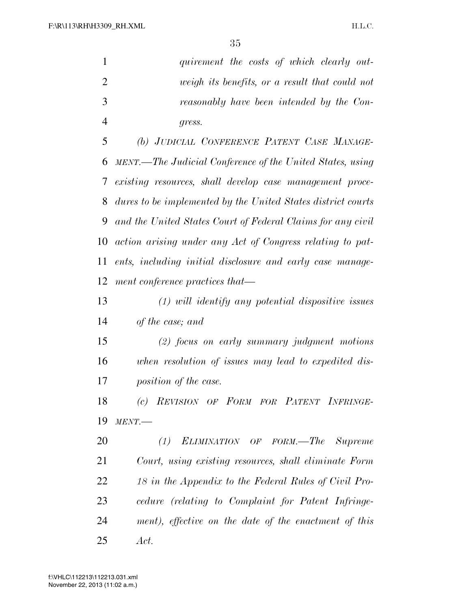| 1              | quirement the costs of which clearly out-                    |
|----------------|--------------------------------------------------------------|
| $\overline{2}$ | weigh its benefits, or a result that could not               |
| 3              | reasonably have been intended by the Con-                    |
| 4              | gress.                                                       |
| 5              | (b) JUDICIAL CONFERENCE PATENT CASE MANAGE-                  |
| 6              | MENT.—The Judicial Conference of the United States, using    |
| 7              | existing resources, shall develop case management proce-     |
| 8              | dures to be implemented by the United States district courts |
| 9              | and the United States Court of Federal Claims for any civil  |
|                | 10 action arising under any Act of Congress relating to pat- |
| 11             | ents, including initial disclosure and early case manage-    |
| 12             | ment conference practices that—                              |
| 13             | $(1)$ will identify any potential dispositive issues         |
| 14             | of the case; and                                             |
| 15             | $(2)$ focus on early summary judgment motions                |

 *when resolution of issues may lead to expedited dis-position of the case.* 

 *(c) REVISION OF FORM FOR PATENT INFRINGE-MENT.—* 

 *(1) ELIMINATION OF FORM.—The Supreme Court, using existing resources, shall eliminate Form 18 in the Appendix to the Federal Rules of Civil Pro- cedure (relating to Complaint for Patent Infringe- ment), effective on the date of the enactment of this Act.*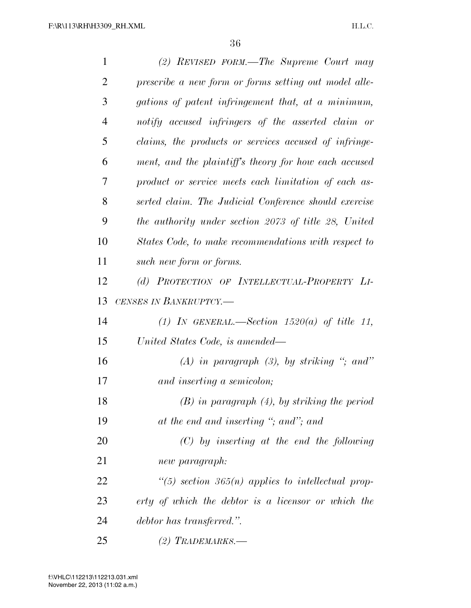| $\mathbf{1}$   | (2) REVISED FORM.—The Supreme Court may               |
|----------------|-------------------------------------------------------|
| $\overline{2}$ | prescribe a new form or forms setting out model alle- |
| 3              | gations of patent infringement that, at a minimum,    |
| $\overline{4}$ | notify accused infringers of the asserted claim or    |
| 5              | claims, the products or services accused of infringe- |
| 6              | ment, and the plaintiff's theory for how each accused |
| 7              | product or service meets each limitation of each as-  |
| 8              | serted claim. The Judicial Conference should exercise |
| 9              | the authority under section 2073 of title 28, United  |
| 10             | States Code, to make recommendations with respect to  |
| 11             | such new form or forms.                               |
| 12             | (d) PROTECTION OF INTELLECTUAL-PROPERTY LI-           |
| 13             | CENSES IN BANKRUPTCY.-                                |
| 14             | (1) IN GENERAL.—Section $1520(a)$ of title 11,        |
| 15             | United States Code, is amended—                       |
| 16             | $(A)$ in paragraph $(B)$ , by striking "; and"        |
| 17             | and inserting a semicolon;                            |
| 18             | $(B)$ in paragraph $(4)$ , by striking the period     |
| 19             | at the end and inserting "; and"; and                 |
| 20             | $(C)$ by inserting at the end the following           |
| 21             | new paragraph:                                        |
| 22             | $\lq(5)$ section 365(n) applies to intellectual prop- |
| 23             | erty of which the debtor is a licensor or which the   |
| 24             | debtor has transferred.".                             |
| 25             | (2) TRADEMARKS.—                                      |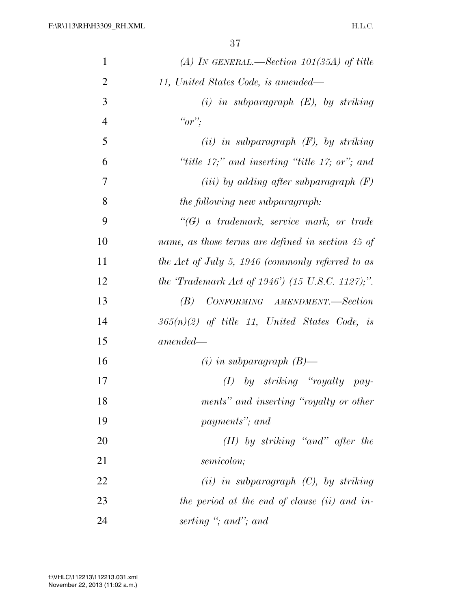| $\mathbf{1}$   | (A) IN GENERAL.—Section $101(35A)$ of title         |
|----------------|-----------------------------------------------------|
| $\overline{2}$ | 11, United States Code, is amended—                 |
| 3              | $(i)$ in subparagraph $(E)$ , by striking           |
| $\overline{4}$ | $\lq or$ .                                          |
| 5              | $(ii)$ in subparagraph $(F)$ , by striking          |
| 6              | "title $17$ ," and inserting "title $17$ ; or"; and |
| 7              | (iii) by adding after subparagraph $(F)$            |
| 8              | the following new subparagraph:                     |
| 9              | $\lq\lq(G)$ a trademark, service mark, or trade     |
| 10             | name, as those terms are defined in section 45 of   |
| 11             | the Act of July 5, 1946 (commonly referred to as    |
| 12             | the 'Trademark Act of 1946') (15 U.S.C. 1127);".    |
| 13             | CONFORMING AMENDMENT.—Section<br>(B)                |
| 14             | $365(n)(2)$ of title 11, United States Code, is     |
| 15             | $amended -$                                         |
| 16             | $(i)$ in subparagraph $(B)$ —                       |
| 17             | by striking "royalty<br>$\left( I\right)$<br>$pay-$ |
| 18             | ments" and inserting "royalty or other              |
| 19             | payments"; and                                      |
| 20             | $(II)$ by striking "and" after the                  |
| 21             | semicolon;                                          |
| 22             | $(ii)$ in subparagraph $(C)$ , by striking          |
| 23             | the period at the end of clause (ii) and in-        |
| 24             | serting "; and"; and                                |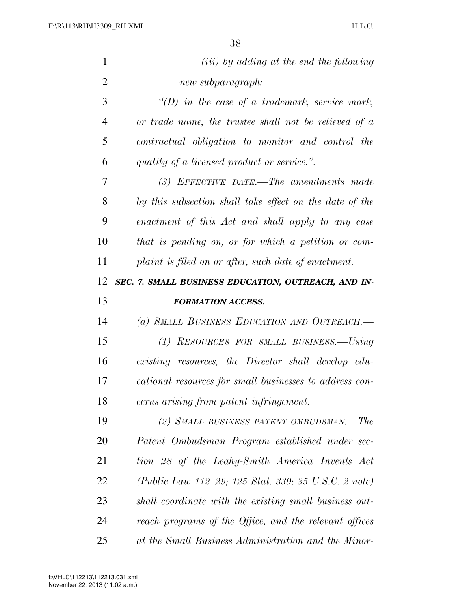| $\mathbf{1}$   | ( <i>iii</i> ) by adding at the end the following       |
|----------------|---------------------------------------------------------|
| $\overline{2}$ | new subparagraph:                                       |
| 3              | $\lq (D)$ in the case of a trademark, service mark,     |
| $\overline{4}$ | or trade name, the trustee shall not be relieved of a   |
| 5              | contractual obligation to monitor and control the       |
| 6              | quality of a licensed product or service.".             |
| 7              | $(3)$ EFFECTIVE DATE.—The amendments made               |
| 8              | by this subsection shall take effect on the date of the |
| 9              | enactment of this Act and shall apply to any case       |
| 10             | that is pending on, or for which a petition or com-     |
| 11             | plaint is filed on or after, such date of enactment.    |
| 12             | SEC. 7. SMALL BUSINESS EDUCATION, OUTREACH, AND IN-     |
|                |                                                         |
| 13             | <b>FORMATION ACCESS.</b>                                |
| 14             | (a) SMALL BUSINESS EDUCATION AND OUTREACH.-             |
| 15             | (1) RESOURCES FOR SMALL BUSINESS.-Using                 |
| 16             | existing resources, the Director shall develop edu-     |
| 17             | cational resources for small businesses to address con- |
| 18             | cerns arising from patent infringement.                 |
| 19             | (2) SMALL BUSINESS PATENT OMBUDSMAN.—The                |
| 20             | Patent Ombudsman Program established under sec-         |
| 21             | tion 28 of the Leahy-Smith America Invents Act          |
| 22             | (Public Law 112-29; 125 Stat. 339; 35 U.S.C. 2 note)    |
| 23             | shall coordinate with the existing small business out-  |
| 24             | reach programs of the Office, and the relevant offices  |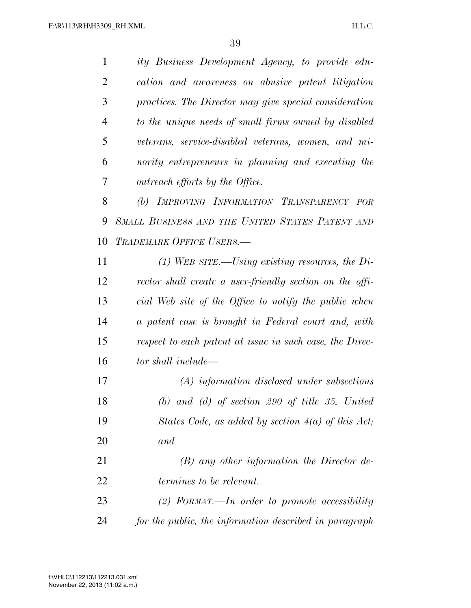| $\mathbf{1}$   | ity Business Development Agency, to provide edu-         |
|----------------|----------------------------------------------------------|
| $\overline{2}$ | cation and awareness on abusive patent litigation        |
| 3              | practices. The Director may give special consideration   |
| 4              | to the unique needs of small firms owned by disabled     |
| 5              | veterans, service-disabled veterans, women, and mi-      |
| 6              | nority entrepreneurs in planning and executing the       |
| 7              | outreach efforts by the Office.                          |
| 8              | (b) IMPROVING INFORMATION TRANSPARENCY FOR               |
| 9              | SMALL BUSINESS AND THE UNITED STATES PATENT AND          |
| 10             | TRADEMARK OFFICE USERS.-                                 |
| 11             | (1) WEB SITE.—Using existing resources, the $Di-$        |
| 12             | rector shall create a user-friendly section on the offi- |
| 13             | cial Web site of the Office to notify the public when    |
| 14             | a patent case is brought in Federal court and, with      |
| 15             | respect to each patent at issue in such case, the Direc- |
| 16             | tor shall include—                                       |
| 17             | $(A)$ information disclosed under subsections            |
| 18             | (b) and (d) of section 290 of title 35, United           |
| 19             | States Code, as added by section $4(a)$ of this Act;     |
| 20             | and                                                      |
| 21             | $(B)$ any other information the Director de-             |
| 22             | <i>termines to be relevant.</i>                          |
| 23             | $(2)$ FORMAT.—In order to promote accessibility          |
| 24             | for the public, the information described in paragraph   |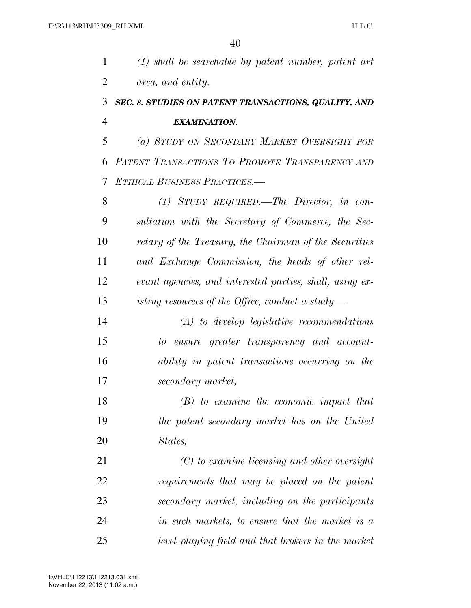| $\mathbf{1}$ | $(1)$ shall be searchable by patent number, patent art   |
|--------------|----------------------------------------------------------|
| 2            | area, and entity.                                        |
| 3            | SEC. 8. STUDIES ON PATENT TRANSACTIONS, QUALITY, AND     |
| 4            | <b>EXAMINATION.</b>                                      |
| 5            | (a) STUDY ON SECONDARY MARKET OVERSIGHT FOR              |
| 6            | PATENT TRANSACTIONS TO PROMOTE TRANSPARENCY AND          |
| 7            | ETHICAL BUSINESS PRACTICES.-                             |
| 8            | $(1)$ STUDY REQUIRED.—The Director, in con-              |
| 9            | sultation with the Secretary of Commerce, the Sec-       |
| 10           | retary of the Treasury, the Chairman of the Securities   |
| 11           | and Exchange Commission, the heads of other rel-         |
| 12           | evant agencies, and interested parties, shall, using ex- |
| 13           | isting resources of the Office, conduct a study-         |
| 14           | $(A)$ to develop legislative recommendations             |
| 15           | ensure greater transparency and account-<br>to           |
| 16           | ability in patent transactions occurring on the          |
| 17           | secondary market;                                        |
| 18           | $(B)$ to examine the economic impact that                |
| 19           | the patent secondary market has on the United            |
| 20           | States;                                                  |
| 21           | $(C)$ to examine licensing and other oversight           |
| 22           | requirements that may be placed on the patent            |
| 23           | secondary market, including on the participants          |
| 24           | in such markets, to ensure that the market is a          |
| 25           | level playing field and that brokers in the market       |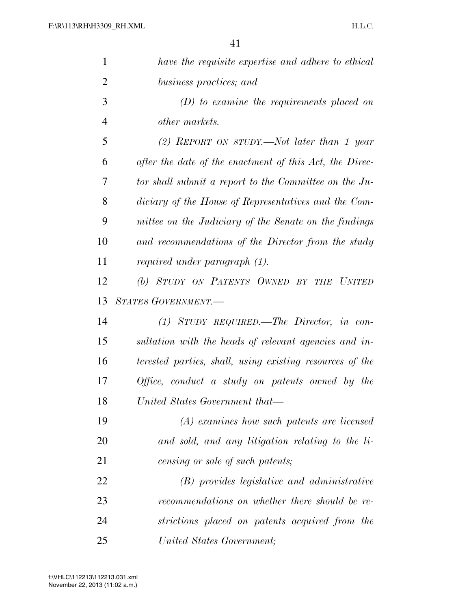| $\mathbf{1}$   | have the requisite expertise and adhere to ethical       |
|----------------|----------------------------------------------------------|
| $\overline{2}$ | business practices; and                                  |
| 3              | $(D)$ to examine the requirements placed on              |
| $\overline{4}$ | <i>other markets.</i>                                    |
| 5              | (2) REPORT ON STUDY.—Not later than 1 year               |
| 6              | after the date of the enactment of this Act, the Direc-  |
| 7              | tor shall submit a report to the Committee on the Ju-    |
| 8              | diciary of the House of Representatives and the Com-     |
| 9              | mittee on the Judiciary of the Senate on the findings    |
| 10             | and recommendations of the Director from the study       |
| 11             | required under paragraph (1).                            |
| 12             | (b) STUDY ON PATENTS OWNED BY THE<br><b>UNITED</b>       |
| 13             | STATES GOVERNMENT.-                                      |
| 14             | $(1)$ STUDY REQUIRED.—The Director, in con-              |
| 15             | sultation with the heads of relevant agencies and in-    |
| 16             | terested parties, shall, using existing resources of the |
| 17             | Office, conduct a study on patents owned by the          |
| 18             | United States Government that-                           |
| 19             | (A) examines how such patents are licensed               |
| 20             | and sold, and any litigation relating to the li-         |
| 21             | censing or sale of such patents;                         |
| 22             | (B) provides legislative and administrative              |
| 23             | recommendations on whether there should be re-           |
| 24             | strictions placed on patents acquired from the           |
| 25             | United States Government;                                |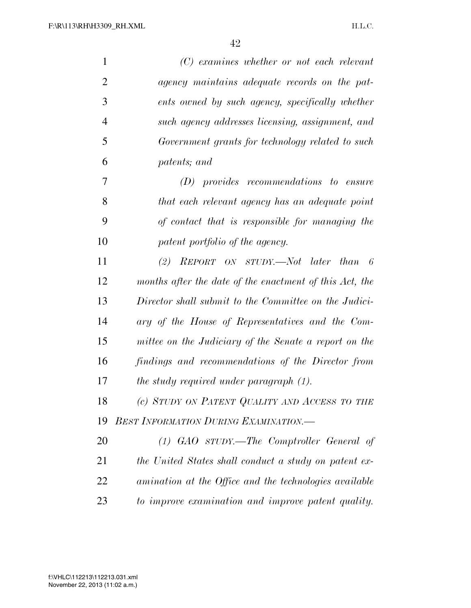| $\mathbf{1}$   | $(C)$ examines whether or not each relevant             |
|----------------|---------------------------------------------------------|
| $\overline{2}$ | agency maintains adequate records on the pat-           |
| 3              | ents owned by such agency, specifically whether         |
| $\overline{4}$ | such agency addresses licensing, assignment, and        |
| 5              | Government grants for technology related to such        |
| 6              | patents; and                                            |
| 7              | $(D)$ provides recommendations to ensure                |
| 8              | that each relevant agency has an adequate point         |
| 9              | of contact that is responsible for managing the         |
| 10             | patent portfolio of the agency.                         |
| 11             | REPORT ON STUDY.—Not later than<br>(2)<br>6             |
| 12             | months after the date of the enactment of this Act, the |
| 13             | Director shall submit to the Committee on the Judici-   |
| 14             | ary of the House of Representatives and the Com-        |
| 15             | mittee on the Judiciary of the Senate a report on the   |
| 16             | findings and recommendations of the Director from       |
| 17             | the study required under paragraph (1).                 |
| 18             | (c) STUDY ON PATENT QUALITY AND ACCESS TO THE           |
| 19             | <b>BEST INFORMATION DURING EXAMINATION.</b>             |
| 20             | $(1)$ GAO sTUDY.—The Comptroller General of             |
| 21             | the United States shall conduct a study on patent ex-   |
| 22             | amination at the Office and the technologies available  |
| 23             | to improve examination and improve patent quality.      |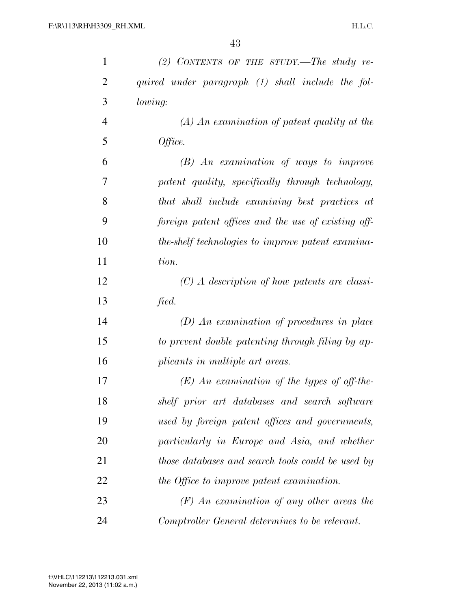| $\mathbf{1}$   | (2) CONTENTS OF THE STUDY.—The study re-            |
|----------------|-----------------------------------------------------|
| $\overline{2}$ | quired under paragraph (1) shall include the fol-   |
| 3              | lowing:                                             |
| $\overline{4}$ | $(A)$ An examination of patent quality at the       |
| 5              | Office.                                             |
| 6              | $(B)$ An examination of ways to improve             |
| 7              | patent quality, specifically through technology,    |
| 8              | that shall include examining best practices at      |
| 9              | foreign patent offices and the use of existing off- |
| 10             | the-shelf technologies to improve patent examina-   |
| 11             | tion.                                               |
| 12             | $(C)$ A description of how patents are classi-      |
| 13             | fied.                                               |
| 14             | $(D)$ An examination of procedures in place         |
| 15             | to prevent double patenting through filing by ap-   |
| 16             | plicants in multiple art areas.                     |
| 17             | $(E)$ An examination of the types of off-the-       |
| 18             | shelf prior art databases and search software       |
| 19             | used by foreign patent offices and governments,     |
| 20             | particularly in Europe and Asia, and whether        |
| 21             | those databases and search tools could be used by   |
| 22             | the Office to improve patent examination.           |
| 23             | $(F)$ An examination of any other areas the         |
| 24             | Comptroller General determines to be relevant.      |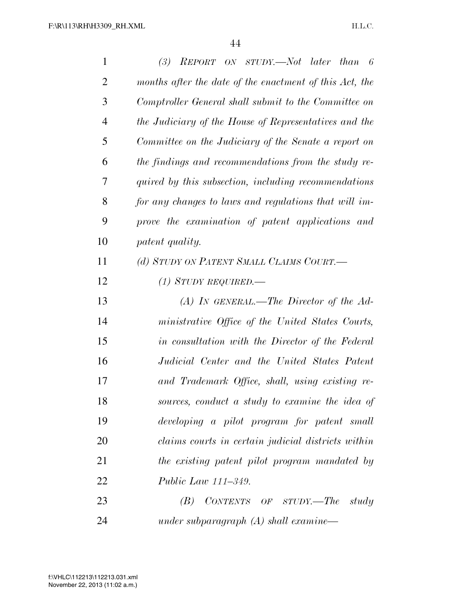| $\mathbf{1}$   | REPORT ON STUDY.—Not later than 6<br>(3)                |
|----------------|---------------------------------------------------------|
| $\overline{2}$ | months after the date of the enactment of this Act, the |
| 3              | Comptroller General shall submit to the Committee on    |
| $\overline{4}$ | the Judiciary of the House of Representatives and the   |
| 5              | Committee on the Judiciary of the Senate a report on    |
| 6              | the findings and recommendations from the study re-     |
| 7              | quired by this subsection, including recommendations    |
| 8              | for any changes to laws and regulations that will im-   |
| 9              | prove the examination of patent applications and        |
| 10             | patent quality.                                         |
| 11             | (d) STUDY ON PATENT SMALL CLAIMS COURT.—                |
| 12             | (1) STUDY REQUIRED.—                                    |
| 13             | $(A)$ In GENERAL.—The Director of the Ad-               |
| 14             | ministrative Office of the United States Courts,        |
| 15             | in consultation with the Director of the Federal        |
| 16             | Judicial Center and the United States Patent            |
| 17             | and Trademark Office, shall, using existing re-         |
| 18             | sources, conduct a study to examine the idea of         |
| 19             | developing a pilot program for patent small             |
| 20             | claims courts in certain judicial districts within      |
| 21             | the existing patent pilot program mandated by           |
| 22             | <i>Public Law 111–349.</i>                              |
| 23             | CONTENTS OF STUDY.—The<br>(B)<br>study                  |
| 24             | under subparagraph $(A)$ shall examine—                 |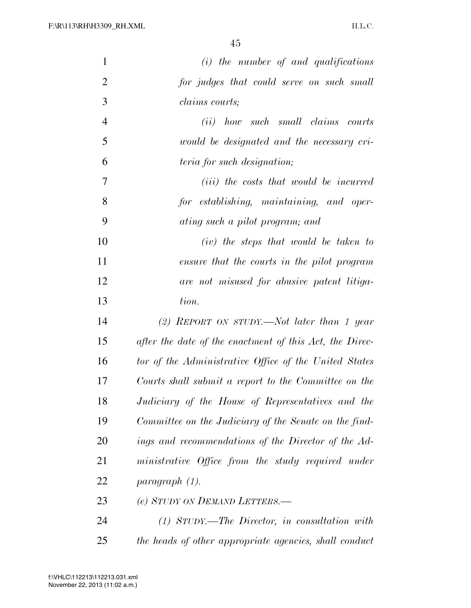| $\mathbf{1}$   | $(i)$ the number of and qualifications                  |
|----------------|---------------------------------------------------------|
| $\overline{2}$ | for judges that could serve on such small               |
| 3              | <i>claims courts;</i>                                   |
| $\overline{4}$ | ( <i>ii</i> ) how such small claims courts              |
| 5              | would be designated and the necessary cri-              |
| 6              | <i>teria for such designation;</i>                      |
| 7              | ( <i>iii</i> ) the costs that would be incurred         |
| 8              | for establishing, maintaining, and oper-                |
| 9              | ating such a pilot program; and                         |
| 10             | $(iv)$ the steps that would be taken to                 |
| 11             | ensure that the courts in the pilot program             |
| 12             | are not misused for abusive patent litiga-              |
| 13             | tion.                                                   |
| 14             | (2) REPORT ON STUDY.—Not later than 1 year              |
| 15             | after the date of the enactment of this Act, the Direc- |
| 16             | tor of the Administrative Office of the United States   |
| 17             | Courts shall submit a report to the Committee on the    |
| 18             | Judiciary of the House of Representatives and the       |
| 19             | Committee on the Judiciary of the Senate on the find-   |
| 20             | ings and recommendations of the Director of the Ad-     |
| 21             | ministrative Office from the study required under       |
| 22             | paragraph (1).                                          |
| 23             | (e) STUDY ON DEMAND LETTERS.—                           |
| 24             | $(1)$ STUDY.—The Director, in consultation with         |
| 25             | the heads of other appropriate agencies, shall conduct  |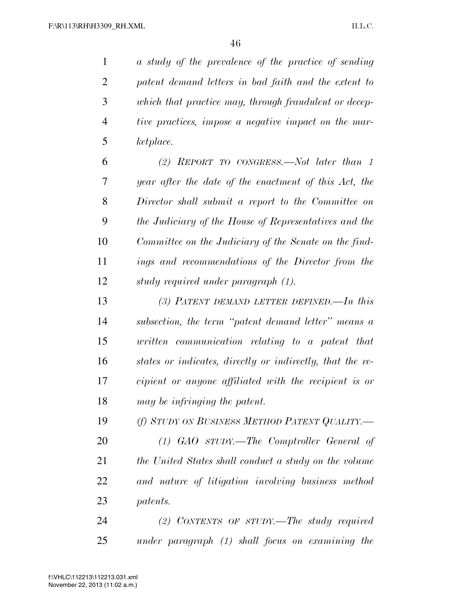*a study of the prevalence of the practice of sending patent demand letters in bad faith and the extent to which that practice may, through fraudulent or decep- tive practices, impose a negative impact on the mar-ketplace.* 

 *(2) REPORT TO CONGRESS.—Not later than 1 year after the date of the enactment of this Act, the Director shall submit a report to the Committee on the Judiciary of the House of Representatives and the Committee on the Judiciary of the Senate on the find- ings and recommendations of the Director from the study required under paragraph (1).* 

 *(3) PATENT DEMAND LETTER DEFINED.—In this subsection, the term ''patent demand letter'' means a written communication relating to a patent that states or indicates, directly or indirectly, that the re- cipient or anyone affiliated with the recipient is or may be infringing the patent.* 

*(f) STUDY ON BUSINESS METHOD PATENT QUALITY.—* 

 *(1) GAO STUDY.—The Comptroller General of the United States shall conduct a study on the volume and nature of litigation involving business method patents.* 

 *(2) CONTENTS OF STUDY.—The study required under paragraph (1) shall focus on examining the* 

November 22, 2013 (11:02 a.m.) f:\VHLC\112213\112213.031.xml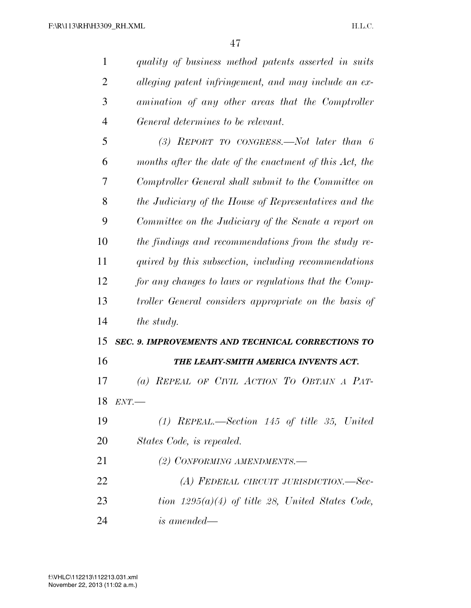| 1              | quality of business method patents asserted in suits    |
|----------------|---------------------------------------------------------|
| $\overline{2}$ | alleging patent infringement, and may include an ex-    |
| 3              | amination of any other areas that the Comptroller       |
| $\overline{4}$ | General determines to be relevant.                      |
| 5              | $(3)$ REPORT TO CONGRESS.—Not later than 6              |
| 6              | months after the date of the enactment of this Act, the |
| 7              | Comptroller General shall submit to the Committee on    |
| 8              | the Judiciary of the House of Representatives and the   |
| 9              | Committee on the Judiciary of the Senate a report on    |
| 10             | the findings and recommendations from the study re-     |
| 11             | quired by this subsection, including recommendations    |
| 12             | for any changes to laws or regulations that the Comp-   |
| 13             | troller General considers appropriate on the basis of   |
| 14             | the study.                                              |
| 15             | SEC. 9. IMPROVEMENTS AND TECHNICAL CORRECTIONS TO       |
| 16             | THE LEAHY-SMITH AMERICA INVENTS ACT.                    |
| 17             | REPEAL OF CIVIL ACTION TO OBTAIN A PAT-<br>(a)          |
| 18             | ENT.                                                    |
| 19             | $(1)$ REPEAL.—Section 145 of title 35, United           |
| 20             | States Code, is repealed.                               |
| 21             | (2) CONFORMING AMENDMENTS.                              |
| 22             | (A) FEDERAL CIRCUIT JURISDICTION.—Sec-                  |
| 23             | tion $1295(a)(4)$ of title 28, United States Code,      |
| 24             | <i>is amended—</i>                                      |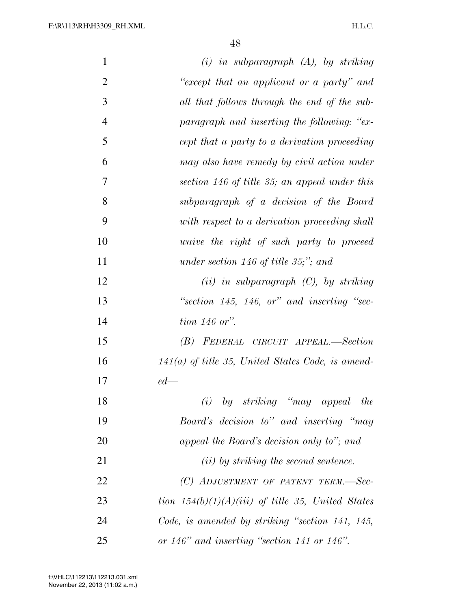| $\mathbf{1}$   | $(i)$ in subparagraph $(A)$ , by striking           |
|----------------|-----------------------------------------------------|
| $\overline{2}$ | "except that an applicant or a party" and           |
| 3              | all that follows through the end of the sub-        |
| $\overline{4}$ | paragraph and inserting the following: "ex-         |
| 5              | cept that a party to a derivation proceeding        |
| 6              | may also have remedy by civil action under          |
| 7              | section 146 of title 35; an appeal under this       |
| 8              | subparagraph of a decision of the Board             |
| 9              | with respect to a derivation proceeding shall       |
| 10             | waive the right of such party to proceed            |
| 11             | under section 146 of title 35;"; and                |
| 12             | $(ii)$ in subparagraph $(C)$ , by striking          |
| 13             | "section $145$ , $146$ , $or$ " and inserting "sec- |
| 14             | tion $146$ or".                                     |
| 15             | (B) FEDERAL CIRCUIT APPEAL.—Section                 |
| 16             | $141(a)$ of title 35, United States Code, is amend- |
| 17             | $ed$ —                                              |
| 18             | by striking "may appeal the<br>(i)                  |
| 19             | Board's decision to" and inserting "may             |
| 20             | appeal the Board's decision only to"; and           |
| 21             | $(ii)$ by striking the second sentence.             |
| 22             | (C) ADJUSTMENT OF PATENT TERM.-Sec-                 |
| 23             | tion $154(b)(1)(A)(iii)$ of title 35, United States |
| 24             | Code, is amended by striking "section 141, 145,     |
| 25             | or $146"$ and inserting "section 141 or $146"$ .    |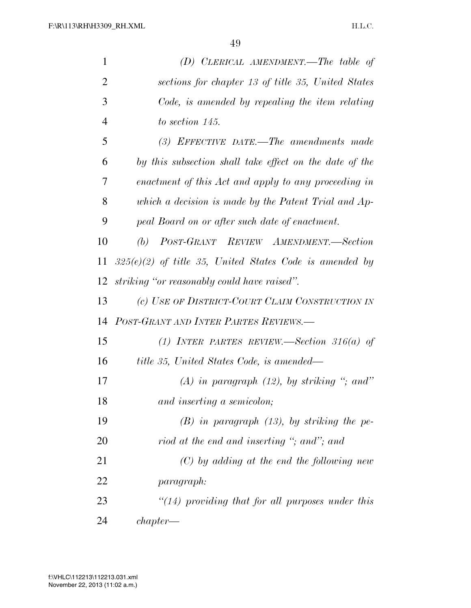| $\mathbf{1}$   | (D) CLERICAL AMENDMENT.—The table of                      |
|----------------|-----------------------------------------------------------|
| $\overline{2}$ | sections for chapter 13 of title 35, United States        |
| 3              | Code, is amended by repealing the item relating           |
| $\overline{4}$ | to section 145.                                           |
| 5              | $(3)$ EFFECTIVE DATE.—The amendments made                 |
| 6              | by this subsection shall take effect on the date of the   |
| 7              | enactment of this Act and apply to any proceeding in      |
| 8              | which a decision is made by the Patent Trial and Ap-      |
| 9              | peal Board on or after such date of enactment.            |
| 10             | POST-GRANT REVIEW AMENDMENT.-Section<br>(b)               |
| 11             | $325(e)(2)$ of title 35, United States Code is amended by |
| 12             | striking "or reasonably could have raised".               |
| 13             | (c) USE OF DISTRICT-COURT CLAIM CONSTRUCTION IN           |
| 14             | POST-GRANT AND INTER PARTES REVIEWS.                      |
| 15             | (1) INTER PARTES REVIEW.—Section 316(a) of                |
| 16             | title 35, United States Code, is amended—                 |
| 17             | (A) in paragraph $(12)$ , by striking "; and"             |
| 18             | and inserting a semicolon;                                |
| 19             | $(B)$ in paragraph $(13)$ , by striking the pe-           |
| 20             | riod at the end and inserting "; and"; and                |
| 21             | $(C)$ by adding at the end the following new              |
| 22             | paragraph:                                                |
| 23             | $" (14)$ providing that for all purposes under this       |
| 24             | $chapter$ —                                               |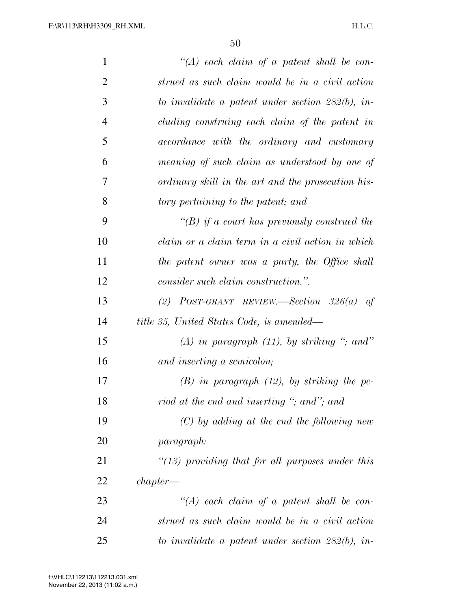| $\mathbf{1}$   | "(A) each claim of a patent shall be con-           |
|----------------|-----------------------------------------------------|
| $\overline{2}$ | strued as such claim would be in a civil action     |
| 3              | to invalidate a patent under section $282(b)$ , in- |
| $\overline{4}$ | cluding construing each claim of the patent in      |
| 5              | accordance with the ordinary and customary          |
| 6              | meaning of such claim as understood by one of       |
| 7              | ordinary skill in the art and the prosecution his-  |
| 8              | tory pertaining to the patent; and                  |
| 9              | $\lq (B)$ if a court has previously construed the   |
| 10             | claim or a claim term in a civil action in which    |
| 11             | the patent owner was a party, the Office shall      |
| 12             | consider such claim construction.".                 |
| 13             | (2) $POST-GRANT$ $REVIEW. - Section 326(a)$ of      |
| 14             | title 35, United States Code, is amended—           |
| 15             | $(A)$ in paragraph $(11)$ , by striking "; and"     |
| 16             | and inserting a semicolon;                          |
| 17             | $(B)$ in paragraph $(12)$ , by striking the pe-     |
| 18             | riod at the end and inserting "; and"; and          |
| 19             | $(C)$ by adding at the end the following new        |
| 20             | <i>paragraph:</i>                                   |
| 21             | " $(13)$ providing that for all purposes under this |
| 22             | $chapter$ —                                         |
| 23             | "(A) each claim of a patent shall be con-           |
| 24             | strued as such claim would be in a civil action     |
| 25             | to invalidate a patent under section $282(b)$ , in- |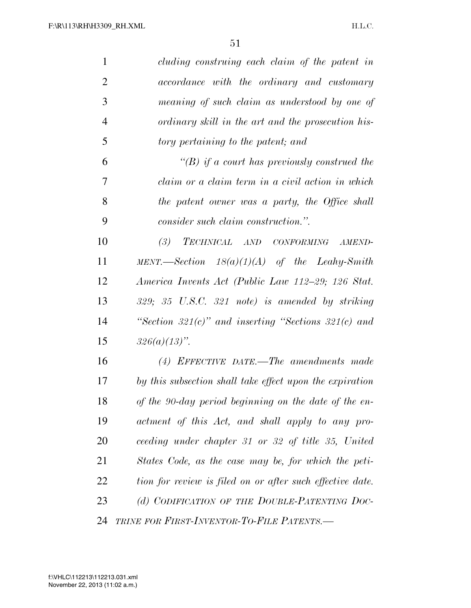| $\mathbf{1}$   | cluding construing each claim of the patent in                   |
|----------------|------------------------------------------------------------------|
| $\overline{2}$ | accordance with the ordinary and customary                       |
| 3              | meaning of such claim as understood by one of                    |
| $\overline{4}$ | ordinary skill in the art and the prosecution his-               |
| 5              | tory pertaining to the patent; and                               |
| 6              | $\lq\lq(B)$ if a court has previously construed the              |
| 7              | claim or a claim term in a civil action in which                 |
| 8              | the patent owner was a party, the Office shall                   |
| 9              | consider such claim construction.".                              |
| 10             | (3)<br>TECHNICAL AND CONFORMING AMEND-                           |
| 11             | MENT.—Section $18(a)(1)(A)$ of the Leahy-Smith                   |
| 12             | America Invents Act (Public Law 112–29; 126 Stat.                |
| 13             | $329; 35 \text{ U.S.C.} 321 \text{ note}$ is amended by striking |
| 14             | "Section 321 $(c)$ " and inserting "Sections 321 $(c)$ and       |
| 15             | $326(a)(13)$ ".                                                  |
| 16             | (4) EFFECTIVE DATE.—The amendments made                          |
| 17             | by this subsection shall take effect upon the expiration         |
| 18             | of the 90-day period beginning on the date of the en-            |
| 19             | actment of this Act, and shall apply to any pro-                 |
| 20             | ceeding under chapter 31 or 32 of title 35, United               |
| 21             | States Code, as the case may be, for which the peti-             |
| 22             | tion for review is filed on or after such effective date.        |
| 23             | (d) CODIFICATION OF THE DOUBLE-PATENTING DOC-                    |
| 24             | TRINE FOR FIRST-INVENTOR-TO-FILE PATENTS.-                       |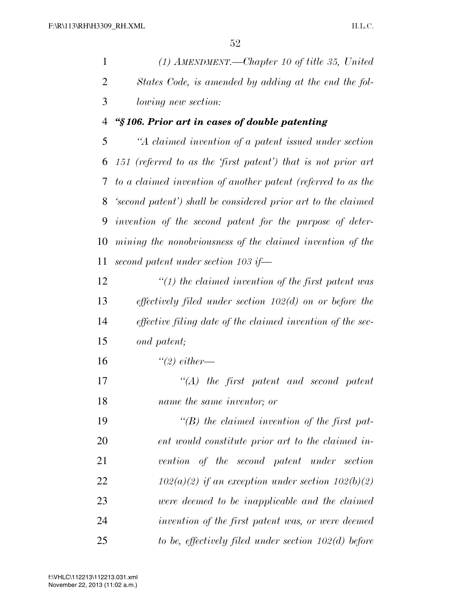|   | $(1)$ AMENDMENT.—Chapter 10 of title 35, United       |
|---|-------------------------------------------------------|
| 2 | States Code, is amended by adding at the end the fol- |
| 3 | <i>lowing new section:</i>                            |

## *''§ 106. Prior art in cases of double patenting*

 *''A claimed invention of a patent issued under section 151 (referred to as the 'first patent') that is not prior art to a claimed invention of another patent (referred to as the 'second patent') shall be considered prior art to the claimed invention of the second patent for the purpose of deter- mining the nonobviousness of the claimed invention of the second patent under section 103 if—* 

 *''(1) the claimed invention of the first patent was effectively filed under section 102(d) on or before the effective filing date of the claimed invention of the sec-ond patent;* 

*''(2) either—* 

 *''(A) the first patent and second patent name the same inventor; or* 

 *''(B) the claimed invention of the first pat- ent would constitute prior art to the claimed in- vention of the second patent under section 102(a)(2) if an exception under section 102(b)(2) were deemed to be inapplicable and the claimed invention of the first patent was, or were deemed to be, effectively filed under section 102(d) before*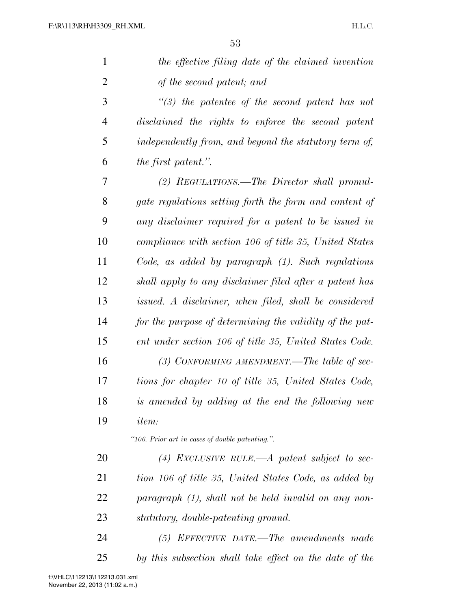| $\mathbf{1}$   | the effective filing date of the claimed invention      |
|----------------|---------------------------------------------------------|
| $\overline{2}$ | of the second patent; and                               |
| 3              | $\lq(3)$ the patentee of the second patent has not      |
| $\overline{4}$ | disclaimed the rights to enforce the second patent      |
| 5              | independently from, and beyond the statutory term of,   |
| 6              | the first patent.".                                     |
| 7              | $(2)$ REGULATIONS.—The Director shall promul-           |
| 8              | gate regulations setting forth the form and content of  |
| 9              | any disclaimer required for a patent to be issued in    |
| 10             | compliance with section 106 of title 35, United States  |
| 11             | Code, as added by paragraph (1). Such regulations       |
| 12             | shall apply to any disclaimer filed after a patent has  |
| 13             | issued. A disclaimer, when filed, shall be considered   |
| 14             | for the purpose of determining the validity of the pat- |
| 15             | ent under section 106 of title 35, United States Code.  |
| 16             | (3) CONFORMING AMENDMENT.—The table of sec-             |
| 17             | tions for chapter 10 of title 35, United States Code,   |
| 18             | is amended by adding at the end the following new       |
| 19             | <i>item:</i>                                            |
|                | "106. Prior art in cases of double patenting.".         |
| 20             | (4) EXCLUSIVE RULE.—A patent subject to sec-            |
| 21             | tion 106 of title 35, United States Code, as added by   |
| 22             | paragraph (1), shall not be held invalid on any non-    |
| 23             | statutory, double-patenting ground.                     |
| 24             | $(5)$ EFFECTIVE DATE.—The amendments made               |
| 25             | by this subsection shall take effect on the date of the |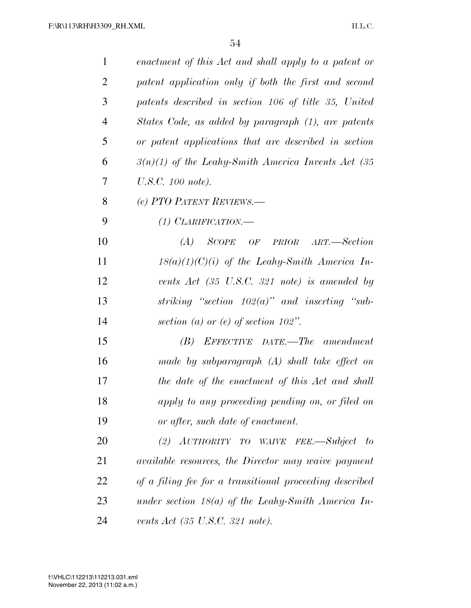| $\mathbf{1}$   | enactment of this Act and shall apply to a patent or       |
|----------------|------------------------------------------------------------|
| $\overline{2}$ | patent application only if both the first and second       |
| 3              | patents described in section 106 of title 35, United       |
| $\overline{4}$ | States Code, as added by paragraph (1), are patents        |
| 5              | or patent applications that are described in section       |
| 6              | $3(n)(1)$ of the Leahy-Smith America Invents Act (35)      |
| 7              | U.S.C. 100 note).                                          |
| 8              | (e) PTO PATENT REVIEWS.—                                   |
| 9              | $(1)$ CLARIFICATION.                                       |
| 10             | SCOPE OF PRIOR ART.—Section<br>(A)                         |
| 11             | $18(a)(1)(C)(i)$ of the Leahy-Smith America In-            |
| 12             | vents $Act$ (35 U.S.C. 321 note) is amended by             |
| 13             | striking "section $102(a)$ " and inserting "sub-           |
| 14             | section (a) or (e) of section $102$ ".                     |
| 15             | EFFECTIVE DATE.—The amendment<br>(B)                       |
| 16             | made by subparagraph $(A)$ shall take effect on            |
| 17             | the date of the enactment of this Act and shall            |
| 18             | apply to any proceeding pending on, or filed on            |
| 19             | or after, such date of enactment.                          |
| 20             | (2) $AUTHORITY$ TO WAIVE FEE.—Subject<br>$\it to$          |
| 21             | <i>available resources, the Director may waive payment</i> |
| 22             | of a filing fee for a transitional proceeding described    |
| 23             | under section $18(a)$ of the Leahy-Smith America In-       |
| 24             | vents $Act$ (35 U.S.C. 321 note).                          |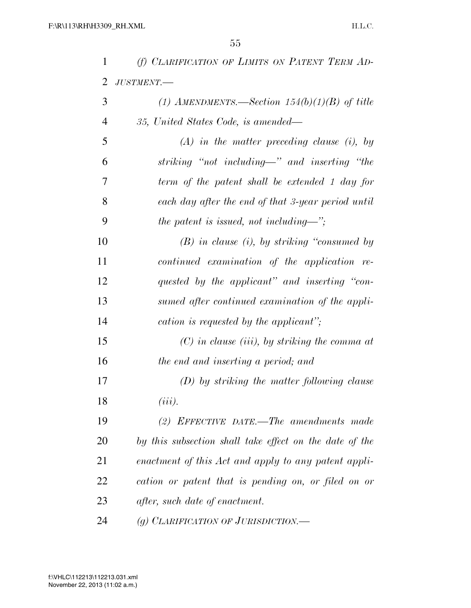| 1  | (f) CLARIFICATION OF LIMITS ON PATENT TERM AD-          |
|----|---------------------------------------------------------|
| 2  | JUSTMENT.-                                              |
| 3  | (1) AMENDMENTS.—Section $154(b)(1)(B)$ of title         |
| 4  | 35, United States Code, is amended—                     |
| 5  | $(A)$ in the matter preceding clause (i), by            |
| 6  | striking "not including-" and inserting "the            |
| 7  | term of the patent shall be extended 1 day for          |
| 8  | each day after the end of that 3-year period until      |
| 9  | the patent is issued, not including—";                  |
| 10 | $(B)$ in clause (i), by striking "consumed by           |
| 11 | continued examination of the application re-            |
| 12 | quested by the applicant" and inserting "con-           |
| 13 | sumed after continued examination of the appli-         |
| 14 | cation is requested by the applicant";                  |
| 15 | $(C)$ in clause (iii), by striking the comma at         |
| 16 | the end and inserting a period; and                     |
| 17 | $(D)$ by striking the matter following clause           |
| 18 | $(iii)$ .                                               |
| 19 | (2) EFFECTIVE DATE.—The amendments made                 |
| 20 | by this subsection shall take effect on the date of the |
| 21 | enactment of this Act and apply to any patent appli-    |
| 22 | cation or patent that is pending on, or filed on or     |
| 23 | after, such date of enactment.                          |
|    |                                                         |

*(g) CLARIFICATION OF JURISDICTION.—*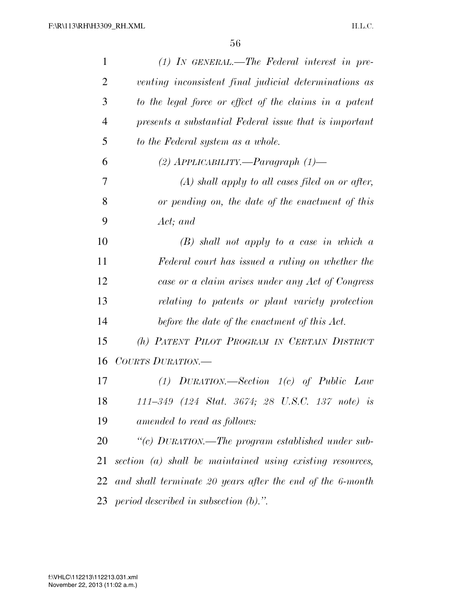| 1              | $(1)$ IN GENERAL.—The Federal interest in pre-            |
|----------------|-----------------------------------------------------------|
| $\overline{2}$ | venting inconsistent final judicial determinations as     |
| 3              | to the legal force or effect of the claims in a patent    |
| $\overline{4}$ | presents a substantial Federal issue that is important    |
| 5              | to the Federal system as a whole.                         |
| 6              | (2) $APPLICABILITY. \text{—} Paragraph (1) \text{—}$      |
| 7              | $(A)$ shall apply to all cases filed on or after,         |
| 8              | or pending on, the date of the enactment of this          |
| 9              | Act; and                                                  |
| 10             | $(B)$ shall not apply to a case in which a                |
| 11             | Federal court has issued a ruling on whether the          |
| 12             | case or a claim arises under any Act of Congress          |
| 13             | relating to patents or plant variety protection           |
| 14             | before the date of the enactment of this Act.             |
| 15             | (h) PATENT PILOT PROGRAM IN CERTAIN DISTRICT              |
| 16             | COURTS DURATION.-                                         |
| 17             | $(1)$ DURATION.—Section $1(c)$ of Public Law              |
| 18             | 111–349 (124 Stat. 3674; 28 U.S.C. 137 note) is           |
| 19             | amended to read as follows:                               |
| 20             | "(c) DURATION.—The program established under sub-         |
| 21             | section (a) shall be maintained using existing resources, |
| 22             | and shall terminate 20 years after the end of the 6-month |
|                | 23 period described in subsection $(b)$ .".               |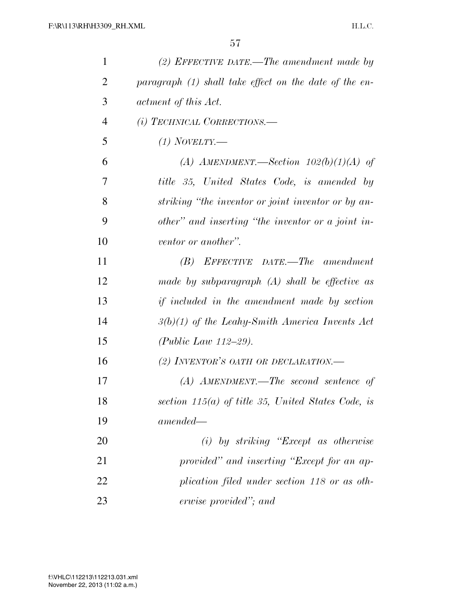| $\mathbf{1}$   | (2) EFFECTIVE DATE.—The amendment made by              |
|----------------|--------------------------------------------------------|
| $\overline{2}$ | paragraph (1) shall take effect on the date of the en- |
| 3              | actment of this Act.                                   |
| $\overline{4}$ | $(i)$ TECHNICAL CORRECTIONS.—                          |
| 5              | $(1)$ NOVELTY.—                                        |
| 6              | (A) AMENDMENT.—Section $102(b)(1)(A)$ of               |
| 7              | title 35, United States Code, is amended by            |
| 8              | striking "the inventor or joint inventor or by an-     |
| 9              | other" and inserting "the inventor or a joint in-      |
| 10             | ventor or another".                                    |
| 11             | $(B)$ EFFECTIVE DATE.—The amendment                    |
| 12             | made by subparagraph $(A)$ shall be effective as       |
| 13             | <i>if included in the amendment made by section</i>    |
| 14             | $3(b)(1)$ of the Leahy-Smith America Invents Act       |
| 15             | <i>(Public Law 112–29).</i>                            |
| 16             | (2) INVENTOR'S OATH OR DECLARATION.                    |
| 17             | $(A)$ AMENDMENT.—The second sentence of                |
| 18             | section $115(a)$ of title 35, United States Code, is   |
| 19             | $amended -$                                            |
| 20             | $(i)$ by striking "Except as otherwise"                |
| 21             | provided" and inserting "Except for an ap-             |
| 22             | plication filed under section 118 or as oth-           |
| 23             | erwise provided"; and                                  |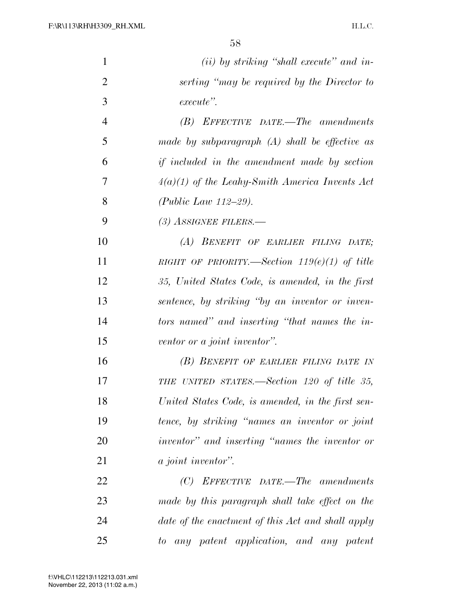| $\mathbf{1}$   | $(ii)$ by striking "shall execute" and in-          |
|----------------|-----------------------------------------------------|
| $\overline{2}$ | serting "may be required by the Director to         |
| 3              | $execute$ ".                                        |
| $\overline{4}$ | $(B)$ EFFECTIVE DATE.—The amendments                |
| 5              | made by subparagraph $(A)$ shall be effective as    |
| 6              | <i>if included in the amendment made by section</i> |
| $\overline{7}$ | $4(a)(1)$ of the Leahy-Smith America Invents Act    |
| 8              | (Public Law $112-29$ ).                             |
| 9              | $(3)$ ASSIGNEE FILERS.—                             |
| 10             | (A) BENEFIT OF EARLIER FILING DATE;                 |
| 11             | RIGHT OF PRIORITY.—Section $119(e)(1)$ of title     |
| 12             | 35, United States Code, is amended, in the first    |
| 13             | sentence, by striking "by an inventor or inven-     |
| 14             | tors named" and inserting "that names the in-       |
| 15             | ventor or a joint inventor".                        |
| 16             | (B) BENEFIT OF EARLIER FILING DATE IN               |
| 17             | THE UNITED STATES.—Section 120 of title 35,         |
| 18             | United States Code, is amended, in the first sen-   |
| 19             | tence, by striking "names an inventor or joint      |
| 20             | inventor" and inserting "names the inventor or      |
| 21             | <i>a joint inventor</i> ".                          |
| 22             | EFFECTIVE DATE.—The amendments<br>(C)               |
| 23             | made by this paragraph shall take effect on the     |
| 24             | date of the enactment of this Act and shall apply   |
| 25             | any patent application, and any patent<br>to        |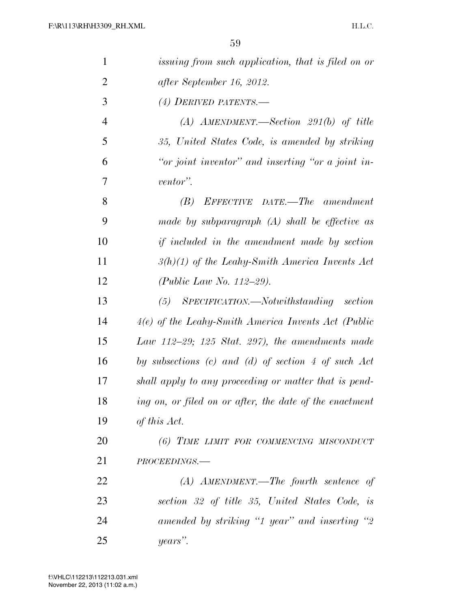| $\mathbf{1}$   | issuing from such application, that is filed on or      |
|----------------|---------------------------------------------------------|
|                |                                                         |
| $\overline{2}$ | after September 16, 2012.                               |
| 3              | (4) DERIVED PATENTS.—                                   |
| $\overline{4}$ | (A) AMENDMENT.—Section 291(b) of title                  |
| 5              | 35, United States Code, is amended by striking          |
| 6              | "or joint inventor" and inserting "or a joint in-       |
| 7              | ventor".                                                |
| 8              | EFFECTIVE DATE.—The amendment<br>(B)                    |
| 9              | made by subparagraph $(A)$ shall be effective as        |
| 10             | <i>if included in the amendment made by section</i>     |
| 11             | $\beta(h)(1)$ of the Leahy-Smith America Invents Act    |
| 12             | (Public Law No. $112-29$ ).                             |
| 13             | $SPECTFICATION.$ Notwithstanding section<br>(5)         |
| 14             | $4(e)$ of the Leahy-Smith America Invents Act (Public   |
| 15             | Law 112-29; 125 Stat. 297), the amendments made         |
| 16             | by subsections $(c)$ and $(d)$ of section 4 of such Act |
| 17             | shall apply to any proceeding or matter that is pend-   |
| 18             | ing on, or filed on or after, the date of the enactment |
| 19             | of this Act.                                            |
| 20             | (6) TIME LIMIT FOR COMMENCING MISCONDUCT                |
| 21             | PROCEEDINGS.-                                           |
| 22             | $(A)$ AMENDMENT.—The fourth sentence of                 |
| 23             | section 32 of title 35, United States Code, is          |
| 24             | amended by striking "1 year" and inserting "2           |
| 25             | years".                                                 |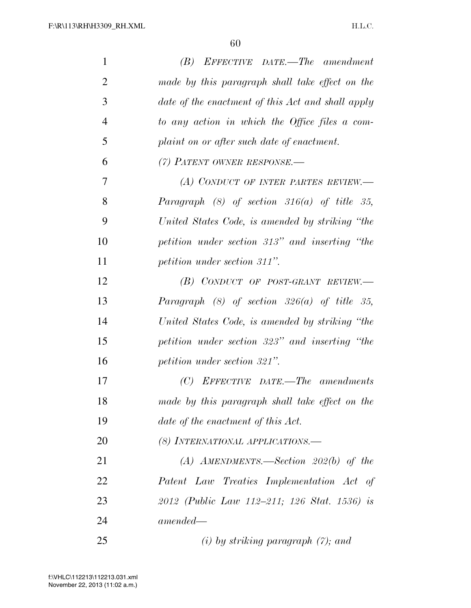| $\mathbf{1}$   | EFFECTIVE DATE.—The amendment<br>(B)              |
|----------------|---------------------------------------------------|
| $\overline{2}$ | made by this paragraph shall take effect on the   |
| 3              | date of the enactment of this Act and shall apply |
| $\overline{4}$ | to any action in which the Office files a com-    |
| 5              | plaint on or after such date of enactment.        |
| 6              | (7) PATENT OWNER RESPONSE.                        |
| 7              | (A) CONDUCT OF INTER PARTES REVIEW.—              |
| 8              | Paragraph $(8)$ of section 316(a) of title 35,    |
| 9              | United States Code, is amended by striking "the   |
| 10             | petition under section 313" and inserting "the    |
| 11             | petition under section 311".                      |
| 12             | $(B)$ CONDUCT OF POST-GRANT REVIEW.               |
| 13             | Paragraph $(8)$ of section 326(a) of title 35,    |
| 14             | United States Code, is amended by striking "the   |
| 15             | petition under section 323" and inserting "the    |
| 16             | petition under section 321".                      |
| 17             | EFFECTIVE DATE.—The amendments<br>(C)             |
| 18             | made by this paragraph shall take effect on the   |
| 19             | date of the enactment of this Act.                |
| 20             | (8) INTERNATIONAL APPLICATIONS.-                  |
| 21             | (A) AMENDMENTS.—Section $202(b)$ of the           |
| 22             | Patent Law Treaties Implementation Act of         |
| 23             | 2012 (Public Law 112–211; 126 Stat. 1536) is      |
| 24             | $amended -$                                       |
| 25             | $(i)$ by striking paragraph $(7)$ ; and           |